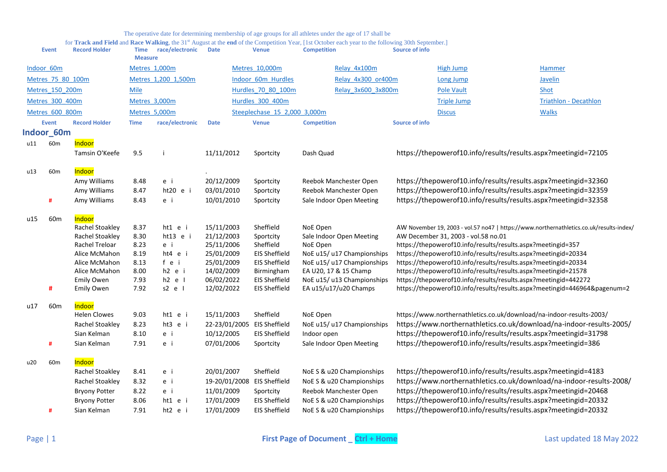<span id="page-0-0"></span>

|     | <b>Event</b>      | <b>Record Holder</b> | Time<br><b>Measure</b> | race/electronic     | <b>Date</b>   | <b>Venue</b>                 | <b>Competition</b>         | Source of info        |                                                              |                                                                                         |  |
|-----|-------------------|----------------------|------------------------|---------------------|---------------|------------------------------|----------------------------|-----------------------|--------------------------------------------------------------|-----------------------------------------------------------------------------------------|--|
|     | Indoor 60m        |                      |                        | Metres 1,000m       |               | Metres 10,000m               | Relay 4x100m               |                       | <b>High Jump</b>                                             | Hammer                                                                                  |  |
|     | Metres 75 80 100m |                      |                        | Metres 1,200 1,500m |               | Indoor 60m Hurdles           | Relay 4x300 or400m         |                       | <b>Long Jump</b>                                             | Javelin                                                                                 |  |
|     | Metres 150 200m   |                      | <b>Mile</b>            |                     |               | Hurdles 70 80 100m           | Relay 3x600 3x800m         |                       | <b>Pole Vault</b>                                            | Shot                                                                                    |  |
|     | Metres 300 400m   |                      |                        | Metres 3,000m       |               | Hurdles 300 400m             |                            |                       | <b>Triple Jump</b>                                           | <b>Triathlon - Decathlon</b>                                                            |  |
|     | Metres 600 800m   |                      | Metres 5,000m          |                     |               | Steeplechase 15 2,000 3,000m |                            |                       | <b>Discus</b>                                                | <b>Walks</b>                                                                            |  |
|     |                   |                      |                        |                     |               |                              |                            |                       |                                                              |                                                                                         |  |
|     | <b>Event</b>      | <b>Record Holder</b> | <b>Time</b>            | race/electronic     | <b>Date</b>   | <b>Venue</b>                 | <b>Competition</b>         | <b>Source of info</b> |                                                              |                                                                                         |  |
|     | Indoor 60m        |                      |                        |                     |               |                              |                            |                       |                                                              |                                                                                         |  |
| u11 | 60 <sub>m</sub>   | Indoor               |                        |                     |               |                              |                            |                       |                                                              |                                                                                         |  |
|     |                   | Tamsin O'Keefe       | 9.5                    |                     | 11/11/2012    | Sportcity                    | Dash Quad                  |                       |                                                              | https://thepowerof10.info/results/results.aspx?meetingid=72105                          |  |
|     |                   |                      |                        |                     |               |                              |                            |                       |                                                              |                                                                                         |  |
| u13 | 60 <sub>m</sub>   | Indoor               |                        |                     |               |                              |                            |                       |                                                              |                                                                                         |  |
|     |                   | Amy Williams         | 8.48                   | e i                 | 20/12/2009    | Sportcity                    | Reebok Manchester Open     |                       |                                                              | https://thepowerof10.info/results/results.aspx?meetingid=32360                          |  |
|     |                   | Amy Williams         | 8.47                   | ht20 e i            | 03/01/2010    | Sportcity                    | Reebok Manchester Open     |                       |                                                              | https://thepowerof10.info/results/results.aspx?meetingid=32359                          |  |
|     | #                 | Amy Williams         | 8.43                   | e i                 | 10/01/2010    | Sportcity                    | Sale Indoor Open Meeting   |                       |                                                              | https://thepowerof10.info/results/results.aspx?meetingid=32358                          |  |
|     | 60m               | Indoor               |                        |                     |               |                              |                            |                       |                                                              |                                                                                         |  |
| u15 |                   | Rachel Stoakley      | 8.37                   | ht1 e i             | 15/11/2003    | Sheffield                    | NoE Open                   |                       |                                                              | AW November 19, 2003 - vol.57 no47   https://www.northernathletics.co.uk/results-index/ |  |
|     |                   | Rachel Stoakley      | 8.30                   | ht13 e i            | 21/12/2003    | Sportcity                    | Sale Indoor Open Meeting   |                       | AW December 31, 2003 - vol.58 no.01                          |                                                                                         |  |
|     |                   | Rachel Treloar       | 8.23                   | e i                 | 25/11/2006    | Sheffield                    | NoE Open                   |                       | https://thepowerof10.info/results/results.aspx?meetingid=357 |                                                                                         |  |
|     |                   | Alice McMahon        | 8.19                   | ht4 e i             | 25/01/2009    | <b>EIS Sheffield</b>         | NoE u15/ u17 Championships |                       |                                                              | https://thepowerof10.info/results/results.aspx?meetingid=20334                          |  |
|     |                   | Alice McMahon        | 8.13                   | fei                 | 25/01/2009    | <b>EIS Sheffield</b>         | NoE u15/ u17 Championships |                       |                                                              | https://thepowerof10.info/results/results.aspx?meetingid=20334                          |  |
|     |                   | Alice McMahon        | 8.00                   | h2 e i              | 14/02/2009    | Birmingham                   | EA U20, 17 & 15 Champ      |                       |                                                              | https://thepowerof10.info/results/results.aspx?meetingid=21578                          |  |
|     |                   | <b>Emily Owen</b>    | 7.93                   | $h2$ e $l$          | 06/02/2022    | <b>EIS Sheffield</b>         | NoE u15/ u13 Championships |                       |                                                              | https://thepowerof10.info/results/results.aspx?meetingid=442272                         |  |
|     | #                 | Emily Owen           | 7.92                   | $s2$ e $l$          | 12/02/2022    | <b>EIS Sheffield</b>         | EA u15/u17/u20 Champs      |                       |                                                              | https://thepowerof10.info/results/results.aspx?meetingid=446964&pagenum=2               |  |
| u17 | 60 <sub>m</sub>   | Indoor               |                        |                     |               |                              |                            |                       |                                                              |                                                                                         |  |
|     |                   | <b>Helen Clowes</b>  | 9.03                   | ht1 e i             | 15/11/2003    | Sheffield                    | NoE Open                   |                       |                                                              | https://www.northernathletics.co.uk/download/na-indoor-results-2003/                    |  |
|     |                   | Rachel Stoakley      | 8.23                   | ht3 e i             | 22-23/01/2005 | <b>EIS Sheffield</b>         | NoE u15/ u17 Championships |                       |                                                              | https://www.northernathletics.co.uk/download/na-indoor-results-2005/                    |  |
|     |                   | Sian Kelman          | 8.10                   | e i                 | 10/12/2005    | <b>EIS Sheffield</b>         | Indoor open                |                       |                                                              | https://thepowerof10.info/results/results.aspx?meetingid=31798                          |  |
|     | #                 | Sian Kelman          | 7.91                   | e i                 | 07/01/2006    | Sportcity                    | Sale Indoor Open Meeting   |                       |                                                              | https://thepowerof10.info/results/results.aspx?meetingid=386                            |  |
|     |                   |                      |                        |                     |               |                              |                            |                       |                                                              |                                                                                         |  |
| u20 | 60m               | Indoor               |                        |                     |               |                              |                            |                       |                                                              |                                                                                         |  |
|     |                   | Rachel Stoakley      | 8.41                   | e i                 | 20/01/2007    | Sheffield                    | NoE S & u20 Championships  |                       |                                                              | https://thepowerof10.info/results/results.aspx?meetingid=4183                           |  |
|     |                   | Rachel Stoakley      | 8.32                   | e i                 | 19-20/01/2008 | <b>EIS Sheffield</b>         | NoE S & u20 Championships  |                       |                                                              | https://www.northernathletics.co.uk/download/na-indoor-results-2008/                    |  |
|     |                   | <b>Bryony Potter</b> | 8.22                   | e i                 | 11/01/2009    | Sportcity                    | Reebok Manchester Open     |                       |                                                              | https://thepowerof10.info/results/results.aspx?meetingid=20468                          |  |
|     |                   | <b>Bryony Potter</b> | 8.06                   | ht1 e i             | 17/01/2009    | <b>EIS Sheffield</b>         | NoE S & u20 Championships  |                       |                                                              | https://thepowerof10.info/results/results.aspx?meetingid=20332                          |  |
|     | #                 | Sian Kelman          | 7.91                   | $ht2$ e i           | 17/01/2009    | <b>EIS Sheffield</b>         | NoE S & u20 Championships  |                       |                                                              | https://thepowerof10.info/results/results.aspx?meetingid=20332                          |  |
|     |                   |                      |                        |                     |               |                              |                            |                       |                                                              |                                                                                         |  |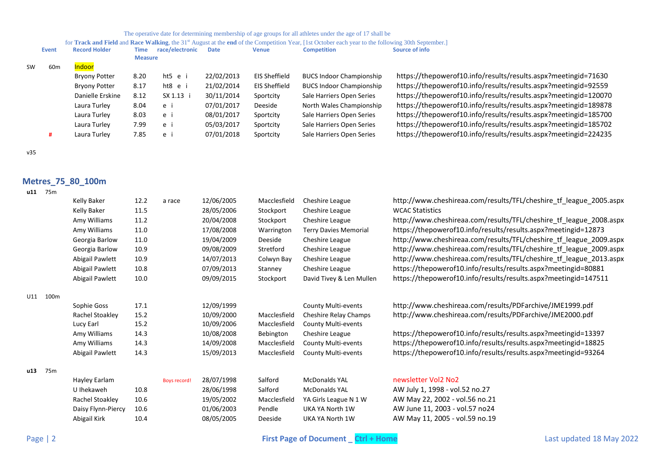for Track and Field and Race Walking, the 31<sup>st</sup> August at the end of the Competition Year, [1st October each year to the following 30th September.]

|           | Event           | <b>Record Holder</b> | Time           | race/electronic | <b>Date</b> | <b>Venue</b>  | <b>Competition</b>              | Source of info                                                  |
|-----------|-----------------|----------------------|----------------|-----------------|-------------|---------------|---------------------------------|-----------------------------------------------------------------|
|           |                 |                      | <b>Measure</b> |                 |             |               |                                 |                                                                 |
| <b>SW</b> | 60 <sub>m</sub> | Indoor               |                |                 |             |               |                                 |                                                                 |
|           |                 | <b>Bryony Potter</b> | 8.20           | ht5 e i         | 22/02/2013  | EIS Sheffield | <b>BUCS Indoor Championship</b> | https://thepowerof10.info/results/results.aspx?meetingid=71630  |
|           |                 | <b>Bryony Potter</b> | 8.17           | ht8 e i         | 21/02/2014  | EIS Sheffield | <b>BUCS Indoor Championship</b> | https://thepowerof10.info/results/results.aspx?meetingid=92559  |
|           |                 | Danielle Erskine     | 8.12           | SX 1.13 i       | 30/11/2014  | Sportcity     | Sale Harriers Open Series       | https://thepowerof10.info/results/results.aspx?meetingid=120070 |
|           |                 | Laura Turley         | 8.04           | e i             | 07/01/2017  | Deeside       | North Wales Championship        | https://thepowerof10.info/results/results.aspx?meetingid=189878 |
|           |                 | Laura Turley         | 8.03           | e i             | 08/01/2017  | Sportcity     | Sale Harriers Open Series       | https://thepowerof10.info/results/results.aspx?meetingid=185700 |
|           |                 | Laura Turley         | 7.99           | e i             | 05/03/2017  | Sportcity     | Sale Harriers Open Series       | https://thepowerof10.info/results/results.aspx?meetingid=185702 |
|           |                 | Laura Turley         | 7.85           | e i             | 07/01/2018  | Sportcity     | Sale Harriers Open Series       | https://thepowerof10.info/results/results.aspx?meetingid=224235 |
|           |                 |                      |                |                 |             |               |                                 |                                                                 |

v35

# <span id="page-1-0"></span>**Metres\_75\_80\_100m**

|     |                 | Kelly Baker        | 12.2 | a race              | 12/06/2005 | Macclesfield | Cheshire League              | http://www.cheshireaa.com/results/TFL/cheshire tf league 2005.aspx |
|-----|-----------------|--------------------|------|---------------------|------------|--------------|------------------------------|--------------------------------------------------------------------|
|     |                 | Kelly Baker        | 11.5 |                     | 28/05/2006 | Stockport    | Cheshire League              | <b>WCAC Statistics</b>                                             |
|     |                 | Amy Williams       | 11.2 |                     | 20/04/2008 | Stockport    | Cheshire League              | http://www.cheshireaa.com/results/TFL/cheshire_tf_league_2008.aspx |
|     |                 | Amy Williams       | 11.0 |                     | 17/08/2008 | Warrington   | <b>Terry Davies Memorial</b> | https://thepowerof10.info/results/results.aspx?meetingid=12873     |
|     |                 | Georgia Barlow     | 11.0 |                     | 19/04/2009 | Deeside      | Cheshire League              | http://www.cheshireaa.com/results/TFL/cheshire_tf_league_2009.aspx |
|     |                 | Georgia Barlow     | 10.9 |                     | 09/08/2009 | Stretford    | Cheshire League              | http://www.cheshireaa.com/results/TFL/cheshire_tf_league_2009.aspx |
|     |                 | Abigail Pawlett    | 10.9 |                     | 14/07/2013 | Colwyn Bay   | Cheshire League              | http://www.cheshireaa.com/results/TFL/cheshire_tf_league_2013.aspx |
|     |                 | Abigail Pawlett    | 10.8 |                     | 07/09/2013 | Stanney      | Cheshire League              | https://thepowerof10.info/results/results.aspx?meetingid=80881     |
|     |                 | Abigail Pawlett    | 10.0 |                     | 09/09/2015 | Stockport    | David Tivey & Len Mullen     | https://thepowerof10.info/results/results.aspx?meetingid=147511    |
| U11 | 100m            |                    |      |                     |            |              |                              |                                                                    |
|     |                 | Sophie Goss        | 17.1 |                     | 12/09/1999 |              | <b>County Multi-events</b>   | http://www.cheshireaa.com/results/PDFarchive/JME1999.pdf           |
|     |                 | Rachel Stoakley    | 15.2 |                     | 10/09/2000 | Macclesfield | <b>Cheshire Relay Champs</b> | http://www.cheshireaa.com/results/PDFarchive/JME2000.pdf           |
|     |                 | Lucy Earl          | 15.2 |                     | 10/09/2006 | Macclesfield | County Multi-events          |                                                                    |
|     |                 | Amy Williams       | 14.3 |                     | 10/08/2008 | Bebington    | Cheshire League              | https://thepowerof10.info/results/results.aspx?meetingid=13397     |
|     |                 | Amy Williams       | 14.3 |                     | 14/09/2008 | Macclesfield | <b>County Multi-events</b>   | https://thepowerof10.info/results/results.aspx?meetingid=18825     |
|     |                 | Abigail Pawlett    | 14.3 |                     | 15/09/2013 | Macclesfield | <b>County Multi-events</b>   | https://thepowerof10.info/results/results.aspx?meetingid=93264     |
|     |                 |                    |      |                     |            |              |                              |                                                                    |
| u13 | 75 <sub>m</sub> |                    |      |                     |            |              |                              |                                                                    |
|     |                 | Hayley Earlam      |      | <b>Boys record!</b> | 28/07/1998 | Salford      | <b>McDonalds YAL</b>         | newsletter Vol2 No2                                                |
|     |                 | U Ihekaweh         | 10.8 |                     | 28/06/1998 | Salford      | <b>McDonalds YAL</b>         | AW July 1, 1998 - vol.52 no.27                                     |
|     |                 | Rachel Stoakley    | 10.6 |                     | 19/05/2002 | Macclesfield | YA Girls League N 1 W        | AW May 22, 2002 - vol.56 no.21                                     |
|     |                 | Daisy Flynn-Piercy | 10.6 |                     | 01/06/2003 | Pendle       | UKA YA North 1W              | AW June 11, 2003 - vol.57 no24                                     |
|     |                 | Abigail Kirk       | 10.4 |                     | 08/05/2005 | Deeside      | UKA YA North 1W              | AW May 11, 2005 - vol.59 no.19                                     |
|     |                 |                    |      |                     |            |              |                              |                                                                    |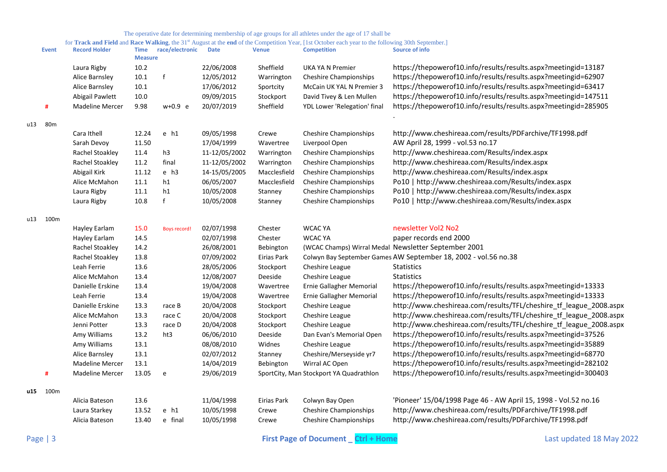|     | <b>Event</b> | <b>Record Holder</b>   | <b>Time</b><br><b>Measure</b> | race/electronic | <b>Date</b>   | <b>Venue</b> | <b>Competition</b>                      | $\frac{1}{2}$ complete<br>Source of info                           |
|-----|--------------|------------------------|-------------------------------|-----------------|---------------|--------------|-----------------------------------------|--------------------------------------------------------------------|
|     |              | Laura Rigby            | 10.2                          |                 | 22/06/2008    | Sheffield    | <b>UKA YA N Premier</b>                 | https://thepowerof10.info/results/results.aspx?meetingid=13187     |
|     |              | Alice Barnsley         | 10.1                          |                 | 12/05/2012    | Warrington   | <b>Cheshire Championships</b>           | https://thepowerof10.info/results/results.aspx?meetingid=62907     |
|     |              | Alice Barnsley         | 10.1                          |                 | 17/06/2012    | Sportcity    | McCain UK YAL N Premier 3               | https://thepowerof10.info/results/results.aspx?meetingid=63417     |
|     |              | Abigail Pawlett        | 10.0                          |                 | 09/09/2015    | Stockport    | David Tivey & Len Mullen                | https://thepowerof10.info/results/results.aspx?meetingid=147511    |
|     | #            | <b>Madeline Mercer</b> | 9.98                          | $w+0.9 e$       | 20/07/2019    | Sheffield    | YDL Lower 'Relegation' final            | https://thepowerof10.info/results/results.aspx?meetingid=285905    |
| u13 | 80m          |                        |                               |                 |               |              |                                         |                                                                    |
|     |              | Cara Ithell            | 12.24                         | $e$ h1          | 09/05/1998    | Crewe        | <b>Cheshire Championships</b>           | http://www.cheshireaa.com/results/PDFarchive/TF1998.pdf            |
|     |              | Sarah Devoy            | 11.50                         |                 | 17/04/1999    | Wavertree    | Liverpool Open                          | AW April 28, 1999 - vol.53 no.17                                   |
|     |              | Rachel Stoakley        | 11.4                          | h3              | 11-12/05/2002 | Warrington   | <b>Cheshire Championships</b>           | http://www.cheshireaa.com/Results/index.aspx                       |
|     |              | Rachel Stoakley        | 11.2                          | final           | 11-12/05/2002 | Warrington   | <b>Cheshire Championships</b>           | http://www.cheshireaa.com/Results/index.aspx                       |
|     |              | Abigail Kirk           | 11.12                         | $e$ h3          | 14-15/05/2005 | Macclesfield | <b>Cheshire Championships</b>           | http://www.cheshireaa.com/Results/index.aspx                       |
|     |              | Alice McMahon          | 11.1                          | h1              | 06/05/2007    | Macclesfield | <b>Cheshire Championships</b>           | Po10   http://www.cheshireaa.com/Results/index.aspx                |
|     |              | Laura Rigby            | $11.1\,$                      | h1              | 10/05/2008    | Stanney      | <b>Cheshire Championships</b>           | Po10   http://www.cheshireaa.com/Results/index.aspx                |
|     |              | Laura Rigby            | 10.8                          | $\mathsf{f}$    | 10/05/2008    | Stanney      | <b>Cheshire Championships</b>           | Po10   http://www.cheshireaa.com/Results/index.aspx                |
| u13 | 100m         |                        |                               |                 |               |              |                                         |                                                                    |
|     |              | Hayley Earlam          | 15.0                          | Boys record!    | 02/07/1998    | Chester      | <b>WCAC YA</b>                          | newsletter Vol2 No2                                                |
|     |              | Hayley Earlam          | 14.5                          |                 | 02/07/1998    | Chester      | <b>WCAC YA</b>                          | paper records end 2000                                             |
|     |              | Rachel Stoakley        | 14.2                          |                 | 26/08/2001    | Bebington    |                                         | (WCAC Champs) Wirral Medal Newsletter September 2001               |
|     |              | Rachel Stoakley        | 13.8                          |                 | 07/09/2002    | Eirias Park  |                                         | Colwyn Bay September Games AW September 18, 2002 - vol.56 no.38    |
|     |              | Leah Ferrie            | 13.6                          |                 | 28/05/2006    | Stockport    | Cheshire League                         | Statistics                                                         |
|     |              | Alice McMahon          | 13.4                          |                 | 12/08/2007    | Deeside      | Cheshire League                         | Statistics                                                         |
|     |              | Danielle Erskine       | 13.4                          |                 | 19/04/2008    | Wavertree    | Ernie Gallagher Memorial                | https://thepowerof10.info/results/results.aspx?meetingid=13333     |
|     |              | Leah Ferrie            | 13.4                          |                 | 19/04/2008    | Wavertree    | Ernie Gallagher Memorial                | https://thepowerof10.info/results/results.aspx?meetingid=13333     |
|     |              | Danielle Erskine       | 13.3                          | race B          | 20/04/2008    | Stockport    | Cheshire League                         | http://www.cheshireaa.com/results/TFL/cheshire_tf_league_2008.aspx |
|     |              | Alice McMahon          | 13.3                          | race C          | 20/04/2008    | Stockport    | Cheshire League                         | http://www.cheshireaa.com/results/TFL/cheshire_tf_league_2008.aspx |
|     |              | Jenni Potter           | 13.3                          | race D          | 20/04/2008    | Stockport    | Cheshire League                         | http://www.cheshireaa.com/results/TFL/cheshire_tf_league_2008.aspx |
|     |              | Amy Williams           | 13.2                          | ht3             | 06/06/2010    | Deeside      | Dan Evan's Memorial Open                | https://thepowerof10.info/results/results.aspx?meetingid=37526     |
|     |              | Amy Williams           | 13.1                          |                 | 08/08/2010    | Widnes       | Cheshire League                         | https://thepowerof10.info/results/results.aspx?meetingid=35889     |
|     |              | Alice Barnsley         | 13.1                          |                 | 02/07/2012    | Stanney      | Cheshire/Merseyside yr7                 | https://thepowerof10.info/results/results.aspx?meetingid=68770     |
|     |              | <b>Madeline Mercer</b> | 13.1                          |                 | 14/04/2019    | Bebington    | Wirral AC Open                          | https://thepowerof10.info/results/results.aspx?meetingid=282102    |
|     | #            | <b>Madeline Mercer</b> | 13.05                         | e               | 29/06/2019    |              | SportCity, Man Stockport YA Quadrathlon | https://thepowerof10.info/results/results.aspx?meetingid=300403    |
| u15 | 100m         |                        |                               |                 |               |              |                                         |                                                                    |
|     |              | Alicia Bateson         | 13.6                          |                 | 11/04/1998    | Eirias Park  | Colwyn Bay Open                         | 'Pioneer' 15/04/1998 Page 46 - AW April 15, 1998 - Vol.52 no.16    |
|     |              | Laura Starkey          | 13.52                         | $e$ h1          | 10/05/1998    | Crewe        | <b>Cheshire Championships</b>           | http://www.cheshireaa.com/results/PDFarchive/TF1998.pdf            |
|     |              | Alicia Bateson         | 13.40                         | e final         | 10/05/1998    | Crewe        | <b>Cheshire Championships</b>           | http://www.cheshireaa.com/results/PDFarchive/TF1998.pdf            |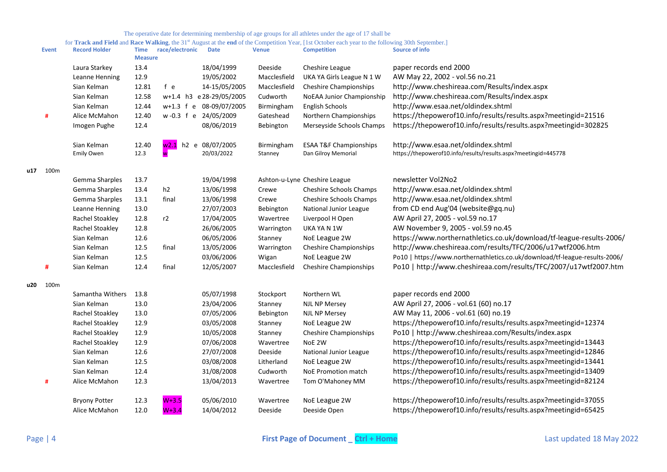|     | <b>Event</b> | <b>Record Holder</b> | <b>Time</b><br><b>Measure</b> | race/electronic | <b>Date</b>             | <b>Venue</b> | <b>Competition</b>                | <b>Source of info</b>                                                       |
|-----|--------------|----------------------|-------------------------------|-----------------|-------------------------|--------------|-----------------------------------|-----------------------------------------------------------------------------|
|     |              | Laura Starkey        | 13.4                          |                 | 18/04/1999              | Deeside      | Cheshire League                   | paper records end 2000                                                      |
|     |              | Leanne Henning       | 12.9                          |                 | 19/05/2002              | Macclesfield | UKA YA Girls League N 1 W         | AW May 22, 2002 - vol.56 no.21                                              |
|     |              | Sian Kelman          | 12.81                         | f e             | 14-15/05/2005           | Macclesfield | <b>Cheshire Championships</b>     | http://www.cheshireaa.com/Results/index.aspx                                |
|     |              | Sian Kelman          | 12.58                         |                 | w+1.4 h3 e28-29/05/2005 | Cudworth     | NoEAA Junior Championship         | http://www.cheshireaa.com/Results/index.aspx                                |
|     |              | Sian Kelman          | 12.44                         |                 | w+1.3 f e 08-09/07/2005 | Birmingham   | English Schools                   | http://www.esaa.net/oldindex.shtml                                          |
|     | #            | Alice McMahon        | 12.40                         |                 | w-0.3 f e 24/05/2009    | Gateshead    | Northern Championships            | https://thepowerof10.info/results/results.aspx?meetingid=21516              |
|     |              | Imogen Pughe         | 12.4                          |                 | 08/06/2019              | Bebington    | Merseyside Schools Champs         | https://thepowerof10.info/results/results.aspx?meetingid=302825             |
|     |              | Sian Kelman          | 12.40                         |                 | w2.1 h2 e 08/07/2005    | Birmingham   | <b>ESAA T&amp;F Championships</b> | http://www.esaa.net/oldindex.shtml                                          |
|     |              | <b>Emily Owen</b>    | 12.3                          |                 | 20/03/2022              | Stanney      | Dan Gilroy Memorial               | https://thepowerof10.info/results/results.aspx?meetingid=445778             |
|     | u17 100m     |                      |                               |                 |                         |              |                                   |                                                                             |
|     |              | Gemma Sharples       | 13.7                          |                 | 19/04/1998              |              | Ashton-u-Lyne Cheshire League     | newsletter Vol2No2                                                          |
|     |              | Gemma Sharples       | 13.4                          | h2              | 13/06/1998              | Crewe        | Cheshire Schools Champs           | http://www.esaa.net/oldindex.shtml                                          |
|     |              | Gemma Sharples       | 13.1                          | final           | 13/06/1998              | Crewe        | Cheshire Schools Champs           | http://www.esaa.net/oldindex.shtml                                          |
|     |              | Leanne Henning       | 13.0                          |                 | 27/07/2003              | Bebington    | National Junior League            | from CD end Aug'04 (website@gq.nu)                                          |
|     |              | Rachel Stoakley      | 12.8                          | r2              | 17/04/2005              | Wavertree    | Liverpool H Open                  | AW April 27, 2005 - vol.59 no.17                                            |
|     |              | Rachel Stoakley      | 12.8                          |                 | 26/06/2005              | Warrington   | UKA YA N 1W                       | AW November 9, 2005 - vol.59 no.45                                          |
|     |              | Sian Kelman          | 12.6                          |                 | 06/05/2006              | Stanney      | NoE League 2W                     | https://www.northernathletics.co.uk/download/tf-league-results-2006/        |
|     |              | Sian Kelman          | 12.5                          | final           | 13/05/2006              | Warrington   | <b>Cheshire Championships</b>     | http://www.cheshireaa.com/results/TFC/2006/u17wtf2006.htm                   |
|     |              | Sian Kelman          | 12.5                          |                 | 03/06/2006              | Wigan        | NoE League 2W                     | Po10   https://www.northernathletics.co.uk/download/tf-league-results-2006/ |
|     | #            | Sian Kelman          | 12.4                          | final           | 12/05/2007              | Macclesfield | <b>Cheshire Championships</b>     | Po10   http://www.cheshireaa.com/results/TFC/2007/u17wtf2007.htm            |
| u20 | 100m         |                      |                               |                 |                         |              |                                   |                                                                             |
|     |              | Samantha Withers     | 13.8                          |                 | 05/07/1998              | Stockport    | Northern WL                       | paper records end 2000                                                      |
|     |              | Sian Kelman          | 13.0                          |                 | 23/04/2006              | Stanney      | <b>NJL NP Mersey</b>              | AW April 27, 2006 - vol.61 (60) no.17                                       |
|     |              | Rachel Stoakley      | 13.0                          |                 | 07/05/2006              | Bebington    | <b>NJL NP Mersey</b>              | AW May 11, 2006 - vol.61 (60) no.19                                         |
|     |              | Rachel Stoakley      | 12.9                          |                 | 03/05/2008              | Stanney      | NoE League 2W                     | https://thepowerof10.info/results/results.aspx?meetingid=12374              |
|     |              | Rachel Stoakley      | 12.9                          |                 | 10/05/2008              | Stanney      | <b>Cheshire Championships</b>     | Po10   http://www.cheshireaa.com/Results/index.aspx                         |
|     |              | Rachel Stoakley      | 12.9                          |                 | 07/06/2008              | Wavertree    | NoE 2W                            | https://thepowerof10.info/results/results.aspx?meetingid=13443              |
|     |              | Sian Kelman          | 12.6                          |                 | 27/07/2008              | Deeside      | National Junior League            | https://thepowerof10.info/results/results.aspx?meetingid=12846              |
|     |              | Sian Kelman          | 12.5                          |                 | 03/08/2008              | Litherland   | NoE League 2W                     | https://thepowerof10.info/results/results.aspx?meetingid=13441              |
|     |              | Sian Kelman          | 12.4                          |                 | 31/08/2008              | Cudworth     | NoE Promotion match               | https://thepowerof10.info/results/results.aspx?meetingid=13409              |
|     | #            | Alice McMahon        | 12.3                          |                 | 13/04/2013              | Wavertree    | Tom O'Mahoney MM                  | https://thepowerof10.info/results/results.aspx?meetingid=82124              |
|     |              | <b>Bryony Potter</b> | 12.3                          | $W+3.5$         | 05/06/2010              | Wavertree    | NoE League 2W                     | https://thepowerof10.info/results/results.aspx?meetingid=37055              |
|     |              | Alice McMahon        | 12.0                          | $W+3.4$         | 14/04/2012              | Deeside      | Deeside Open                      | https://thepowerof10.info/results/results.aspx?meetingid=65425              |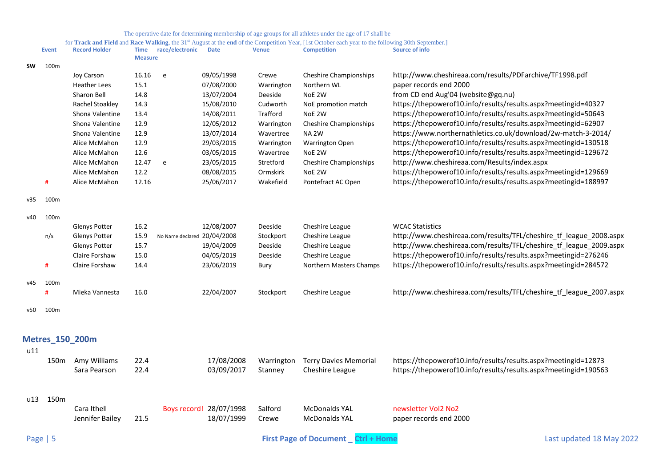<span id="page-4-0"></span>

|            |              |                        |                |                             |                         |              | for <b>Track and Field</b> and <b>Kace Walking</b> , the 31" August at the end of the Competition Year, [1st October each year to the following 50th September.] |                                                                    |
|------------|--------------|------------------------|----------------|-----------------------------|-------------------------|--------------|------------------------------------------------------------------------------------------------------------------------------------------------------------------|--------------------------------------------------------------------|
|            | <b>Event</b> | <b>Record Holder</b>   | <b>Measure</b> | Time race/electronic        | <b>Date</b>             | <b>Venue</b> | <b>Competition</b>                                                                                                                                               | Source of info                                                     |
| <b>SW</b>  | 100m         |                        |                |                             |                         |              |                                                                                                                                                                  |                                                                    |
|            |              | Joy Carson             | 16.16          | e                           | 09/05/1998              | Crewe        | <b>Cheshire Championships</b>                                                                                                                                    | http://www.cheshireaa.com/results/PDFarchive/TF1998.pdf            |
|            |              | <b>Heather Lees</b>    | 15.1           |                             | 07/08/2000              | Warrington   | Northern WL                                                                                                                                                      | paper records end 2000                                             |
|            |              | Sharon Bell            | 14.8           |                             | 13/07/2004              | Deeside      | NoE 2W                                                                                                                                                           | from CD end Aug'04 (website@gq.nu)                                 |
|            |              | Rachel Stoakley        | 14.3           |                             | 15/08/2010              | Cudworth     | NoE promotion match                                                                                                                                              | https://thepowerof10.info/results/results.aspx?meetingid=40327     |
|            |              | Shona Valentine        | 13.4           |                             | 14/08/2011              | Trafford     | NoE 2W                                                                                                                                                           | https://thepowerof10.info/results/results.aspx?meetingid=50643     |
|            |              | Shona Valentine        | 12.9           |                             | 12/05/2012              | Warrington   | <b>Cheshire Championships</b>                                                                                                                                    | https://thepowerof10.info/results/results.aspx?meetingid=62907     |
|            |              | Shona Valentine        | 12.9           |                             | 13/07/2014              | Wavertree    | NA <sub>2W</sub>                                                                                                                                                 | https://www.northernathletics.co.uk/download/2w-match-3-2014/      |
|            |              | Alice McMahon          | 12.9           |                             | 29/03/2015              | Warrington   | <b>Warrington Open</b>                                                                                                                                           | https://thepowerof10.info/results/results.aspx?meetingid=130518    |
|            |              | Alice McMahon          | 12.6           |                             | 03/05/2015              | Wavertree    | NoE 2W                                                                                                                                                           | https://thepowerof10.info/results/results.aspx?meetingid=129672    |
|            |              | Alice McMahon          | 12.47          | e                           | 23/05/2015              | Stretford    | <b>Cheshire Championships</b>                                                                                                                                    | http://www.cheshireaa.com/Results/index.aspx                       |
|            |              | Alice McMahon          | 12.2           |                             | 08/08/2015              | Ormskirk     | NoE 2W                                                                                                                                                           | https://thepowerof10.info/results/results.aspx?meetingid=129669    |
|            | #            | Alice McMahon          | 12.16          |                             | 25/06/2017              | Wakefield    | Pontefract AC Open                                                                                                                                               | https://thepowerof10.info/results/results.aspx?meetingid=188997    |
| v35        | 100m         |                        |                |                             |                         |              |                                                                                                                                                                  |                                                                    |
| v40        | 100m         |                        |                |                             |                         |              |                                                                                                                                                                  |                                                                    |
|            |              | <b>Glenys Potter</b>   | 16.2           |                             | 12/08/2007              | Deeside      | Cheshire League                                                                                                                                                  | <b>WCAC Statistics</b>                                             |
|            | n/s          | <b>Glenys Potter</b>   | 15.9           | No Name declared 20/04/2008 |                         | Stockport    | Cheshire League                                                                                                                                                  | http://www.cheshireaa.com/results/TFL/cheshire_tf_league_2008.aspx |
|            |              | <b>Glenys Potter</b>   | 15.7           |                             | 19/04/2009              | Deeside      | Cheshire League                                                                                                                                                  | http://www.cheshireaa.com/results/TFL/cheshire tf league 2009.aspx |
|            |              | Claire Forshaw         | 15.0           |                             | 04/05/2019              | Deeside      | Cheshire League                                                                                                                                                  | https://thepowerof10.info/results/results.aspx?meetingid=276246    |
|            | #            | Claire Forshaw         | 14.4           |                             | 23/06/2019              | Bury         | Northern Masters Champs                                                                                                                                          | https://thepowerof10.info/results/results.aspx?meetingid=284572    |
| v45        | 100m         |                        |                |                             |                         |              |                                                                                                                                                                  |                                                                    |
|            | #            | Mieka Vannesta         | 16.0           |                             | 22/04/2007              | Stockport    | Cheshire League                                                                                                                                                  | http://www.cheshireaa.com/results/TFL/cheshire_tf_league_2007.aspx |
| v50        | 100m         |                        |                |                             |                         |              |                                                                                                                                                                  |                                                                    |
|            |              |                        |                |                             |                         |              |                                                                                                                                                                  |                                                                    |
|            |              | <b>Metres_150_200m</b> |                |                             |                         |              |                                                                                                                                                                  |                                                                    |
| u11        |              |                        |                |                             |                         |              |                                                                                                                                                                  |                                                                    |
|            |              | 150m Amy Williams      | 22.4           |                             | 17/08/2008              | Warrington   | <b>Terry Davies Memorial</b>                                                                                                                                     | https://thepowerof10.info/results/results.aspx?meetingid=12873     |
|            |              | Sara Pearson           | 22.4           |                             | 03/09/2017              | Stanney      | Cheshire League                                                                                                                                                  | https://thepowerof10.info/results/results.aspx?meetingid=190563    |
|            |              |                        |                |                             |                         |              |                                                                                                                                                                  |                                                                    |
|            | u13 150m     |                        |                |                             |                         |              |                                                                                                                                                                  |                                                                    |
|            |              | Cara Ithell            |                |                             | Boys record! 28/07/1998 | Salford      | <b>McDonalds YAL</b>                                                                                                                                             | newsletter Vol2 No2                                                |
|            |              | Jennifer Bailey        | 21.5           |                             | 18/07/1999              | Crewe        | <b>McDonalds YAL</b>                                                                                                                                             | paper records end 2000                                             |
| Page   $5$ |              |                        |                |                             |                         |              | <b>First Page of Document</b><br>Ctrl + Home                                                                                                                     | Last updated 18 May 2022                                           |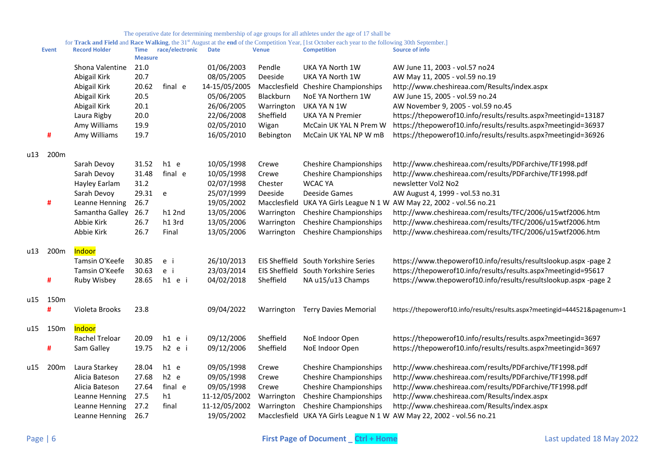| for Track and Field and Race Walking, the 31 <sup>st</sup> August at the end of the Competition Year, [1st October each year to the following 30th September.] |  |  |  |
|----------------------------------------------------------------------------------------------------------------------------------------------------------------|--|--|--|
|                                                                                                                                                                |  |  |  |

|     | <b>Event</b> | <b>Record Holder</b> | <b>Time</b><br><b>Measure</b> | race/electronic | <b>Date</b>   | <b>Venue</b> | <b>Competition</b>                   | Source of info                                                            |
|-----|--------------|----------------------|-------------------------------|-----------------|---------------|--------------|--------------------------------------|---------------------------------------------------------------------------|
|     |              | Shona Valentine      | 21.0                          |                 | 01/06/2003    | Pendle       | UKA YA North 1W                      | AW June 11, 2003 - vol.57 no24                                            |
|     |              | Abigail Kirk         | 20.7                          |                 | 08/05/2005    | Deeside      | UKA YA North 1W                      | AW May 11, 2005 - vol.59 no.19                                            |
|     |              | Abigail Kirk         | 20.62                         | final e         | 14-15/05/2005 |              | Macclesfield Cheshire Championships  | http://www.cheshireaa.com/Results/index.aspx                              |
|     |              | Abigail Kirk         | 20.5                          |                 | 05/06/2005    | Blackburn    | NoE YA Northern 1W                   | AW June 15, 2005 - vol.59 no.24                                           |
|     |              | Abigail Kirk         | 20.1                          |                 | 26/06/2005    | Warrington   | UKA YA N 1W                          | AW November 9, 2005 - vol.59 no.45                                        |
|     |              | Laura Rigby          | 20.0                          |                 | 22/06/2008    | Sheffield    | UKA YA N Premier                     | https://thepowerof10.info/results/results.aspx?meetingid=13187            |
|     |              | Amy Williams         | 19.9                          |                 | 02/05/2010    | Wigan        | McCain UK YAL N Prem W               | https://thepowerof10.info/results/results.aspx?meetingid=36937            |
|     | #            | Amy Williams         | 19.7                          |                 | 16/05/2010    | Bebington    | McCain UK YAL NP W mB                | https://thepowerof10.info/results/results.aspx?meetingid=36926            |
| u13 | 200m         |                      |                               |                 |               |              |                                      |                                                                           |
|     |              | Sarah Devoy          | 31.52                         | $h1$ e          | 10/05/1998    | Crewe        | <b>Cheshire Championships</b>        | http://www.cheshireaa.com/results/PDFarchive/TF1998.pdf                   |
|     |              | Sarah Devoy          | 31.48                         | final e         | 10/05/1998    | Crewe        | <b>Cheshire Championships</b>        | http://www.cheshireaa.com/results/PDFarchive/TF1998.pdf                   |
|     |              | Hayley Earlam        | 31.2                          |                 | 02/07/1998    | Chester      | <b>WCAC YA</b>                       | newsletter Vol2 No2                                                       |
|     |              | Sarah Devoy          | 29.31                         | e               | 25/07/1999    | Deeside      | Deeside Games                        | AW August 4, 1999 - vol.53 no.31                                          |
|     | #            | Leanne Henning       | 26.7                          |                 | 19/05/2002    |              |                                      | Macclesfield UKA YA Girls League N 1 W AW May 22, 2002 - vol.56 no.21     |
|     |              | Samantha Galley      | 26.7                          | h12nd           | 13/05/2006    | Warrington   | <b>Cheshire Championships</b>        | http://www.cheshireaa.com/results/TFC/2006/u15wtf2006.htm                 |
|     |              | Abbie Kirk           | 26.7                          | h13rd           | 13/05/2006    | Warrington   | <b>Cheshire Championships</b>        | http://www.cheshireaa.com/results/TFC/2006/u15wtf2006.htm                 |
|     |              | Abbie Kirk           | 26.7                          | Final           | 13/05/2006    | Warrington   | <b>Cheshire Championships</b>        | http://www.cheshireaa.com/results/TFC/2006/u15wtf2006.htm                 |
| u13 | 200m         | Indoor               |                               |                 |               |              |                                      |                                                                           |
|     |              | Tamsin O'Keefe       | 30.85                         | e i             | 26/10/2013    |              | EIS Sheffield South Yorkshire Series | https://www.thepowerof10.info/results/resultslookup.aspx -page 2          |
|     |              | Tamsin O'Keefe       | 30.63                         | e i             | 23/03/2014    |              | EIS Sheffield South Yorkshire Series | https://thepowerof10.info/results/results.aspx?meetingid=95617            |
|     | #            | Ruby Wisbey          | 28.65                         | h1 e i          | 04/02/2018    | Sheffield    | NA u15/u13 Champs                    | https://www.thepowerof10.info/results/resultslookup.aspx -page 2          |
| u15 | 150m         |                      |                               |                 |               |              |                                      |                                                                           |
|     | #            | Violeta Brooks       | 23.8                          |                 | 09/04/2022    | Warrington   | <b>Terry Davies Memorial</b>         | https://thepowerof10.info/results/results.aspx?meetingid=444521&pagenum=1 |
| u15 | 150m         | Indoor               |                               |                 |               |              |                                      |                                                                           |
|     |              | Rachel Treloar       | 20.09                         | $h1$ e i        | 09/12/2006    | Sheffield    | NoE Indoor Open                      | https://thepowerof10.info/results/results.aspx?meetingid=3697             |
|     | #            | Sam Galley           | 19.75                         | h2 e i          | 09/12/2006    | Sheffield    | NoE Indoor Open                      | https://thepowerof10.info/results/results.aspx?meetingid=3697             |
| u15 | 200m         | Laura Starkey        | 28.04                         | $h1$ e          | 09/05/1998    | Crewe        | <b>Cheshire Championships</b>        | http://www.cheshireaa.com/results/PDFarchive/TF1998.pdf                   |
|     |              | Alicia Bateson       | 27.68                         | $h2$ e          | 09/05/1998    | Crewe        | <b>Cheshire Championships</b>        | http://www.cheshireaa.com/results/PDFarchive/TF1998.pdf                   |
|     |              | Alicia Bateson       | 27.64                         | final e         | 09/05/1998    | Crewe        | <b>Cheshire Championships</b>        | http://www.cheshireaa.com/results/PDFarchive/TF1998.pdf                   |
|     |              | Leanne Henning       | 27.5                          | h1              | 11-12/05/2002 | Warrington   | <b>Cheshire Championships</b>        | http://www.cheshireaa.com/Results/index.aspx                              |
|     |              | Leanne Henning       | 27.2                          | final           | 11-12/05/2002 | Warrington   | <b>Cheshire Championships</b>        | http://www.cheshireaa.com/Results/index.aspx                              |
|     |              | Leanne Henning       | 26.7                          |                 | 19/05/2002    |              |                                      | Macclesfield UKA YA Girls League N 1 W AW May 22, 2002 - vol.56 no.21     |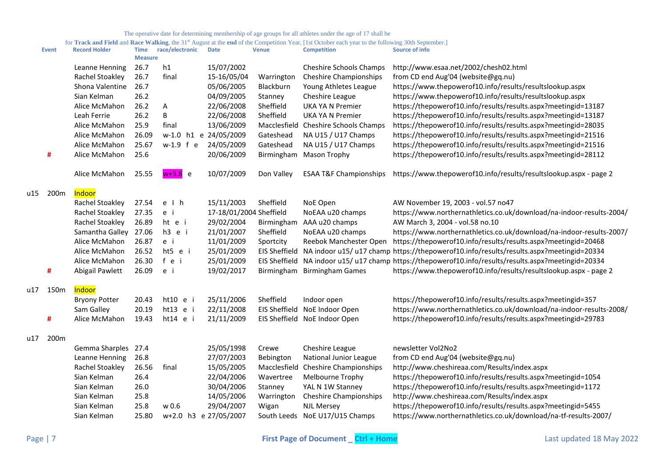|     | <b>Event</b> | <b>Record Holder</b> | <b>Time</b><br><b>Measure</b> | race/electronic     | <b>Date</b>             | <b>Venue</b> | <b>Competition</b>                | Source of info                                                                                       |
|-----|--------------|----------------------|-------------------------------|---------------------|-------------------------|--------------|-----------------------------------|------------------------------------------------------------------------------------------------------|
|     |              | Leanne Henning       | 26.7                          | h1                  | 15/07/2002              |              | Cheshire Schools Champs           | http://www.esaa.net/2002/chesh02.html                                                                |
|     |              | Rachel Stoakley      | 26.7                          | final               | 15-16/05/04             | Warrington   | <b>Cheshire Championships</b>     | from CD end Aug'04 (website@gq.nu)                                                                   |
|     |              | Shona Valentine      | 26.7                          |                     | 05/06/2005              | Blackburn    | Young Athletes League             | https://www.thepowerof10.info/results/resultslookup.aspx                                             |
|     |              | Sian Kelman          | 26.2                          |                     | 04/09/2005              | Stanney      | Cheshire League                   | https://www.thepowerof10.info/results/resultslookup.aspx                                             |
|     |              | Alice McMahon        | 26.2                          | Α                   | 22/06/2008              | Sheffield    | <b>UKA YA N Premier</b>           | https://thepowerof10.info/results/results.aspx?meetingid=13187                                       |
|     |              | Leah Ferrie          | 26.2                          | B                   | 22/06/2008              | Sheffield    | <b>UKA YA N Premier</b>           | https://thepowerof10.info/results/results.aspx?meetingid=13187                                       |
|     |              | Alice McMahon        | 25.9                          | final               | 13/06/2009              | Macclesfield | <b>Cheshire Schools Champs</b>    | https://thepowerof10.info/results/results.aspx?meetingid=28035                                       |
|     |              | Alice McMahon        | 26.09                         |                     | w-1.0 h1 e 24/05/2009   | Gateshead    | NA U15 / U17 Champs               | https://thepowerof10.info/results/results.aspx?meetingid=21516                                       |
|     |              | Alice McMahon        | 25.67                         | w-1.9 f e           | 24/05/2009              | Gateshead    | NA U15 / U17 Champs               | https://thepowerof10.info/results/results.aspx?meetingid=21516                                       |
|     | #            | Alice McMahon        | 25.6                          |                     | 20/06/2009              | Birmingham   | <b>Mason Trophy</b>               | https://thepowerof10.info/results/results.aspx?meetingid=28112                                       |
|     |              | Alice McMahon        | 25.55                         | <del>w+3</del> .8 e | 10/07/2009              | Don Valley   | <b>ESAA T&amp;F Championships</b> | https://www.thepowerof10.info/results/resultslookup.aspx - page 2                                    |
| u15 | 200m         | Indoor               |                               |                     |                         |              |                                   |                                                                                                      |
|     |              | Rachel Stoakley      | 27.54                         | $e$ $h$             | 15/11/2003              | Sheffield    | NoE Open                          | AW November 19, 2003 - vol.57 no47                                                                   |
|     |              | Rachel Stoakley      | 27.35                         | e i                 | 17-18/01/2004 Sheffield |              | NoEAA u20 champs                  | https://www.northernathletics.co.uk/download/na-indoor-results-2004/                                 |
|     |              | Rachel Stoakley      | 26.89                         | ht e i              | 29/02/2004              | Birmingham   | AAA u20 champs                    | AW March 3, 2004 - vol.58 no.10                                                                      |
|     |              | Samantha Galley      | 27.06                         | h3 e i              | 21/01/2007              | Sheffield    | NoEAA u20 champs                  | https://www.northernathletics.co.uk/download/na-indoor-results-2007/                                 |
|     |              | Alice McMahon        | 26.87                         | e i                 | 11/01/2009              | Sportcity    | Reebok Manchester Open            | https://thepowerof10.info/results/results.aspx?meetingid=20468                                       |
|     |              | Alice McMahon        | 26.52                         | ht5 e i             | 25/01/2009              |              |                                   | EIS Sheffield NA indoor u15/u17 champ https://thepowerof10.info/results/results.aspx?meetingid=20334 |
|     |              | Alice McMahon        | 26.30                         | fei                 | 25/01/2009              |              |                                   | EIS Sheffield NA indoor u15/u17 champ https://thepowerof10.info/results/results.aspx?meetingid=20334 |
|     | #            | Abigail Pawlett      | 26.09                         | e i                 | 19/02/2017              |              | Birmingham Birmingham Games       | https://www.thepowerof10.info/results/resultslookup.aspx - page 2                                    |
| u17 | 150m         | Indoor               |                               |                     |                         |              |                                   |                                                                                                      |
|     |              | <b>Bryony Potter</b> | 20.43                         | ht10 e i            | 25/11/2006              | Sheffield    | Indoor open                       | https://thepowerof10.info/results/results.aspx?meetingid=357                                         |
|     |              | Sam Galley           | 20.19                         | ht13 e i            | 22/11/2008              |              | EIS Sheffield NoE Indoor Open     | https://www.northernathletics.co.uk/download/na-indoor-results-2008/                                 |
|     | #            | Alice McMahon        | 19.43                         | ht14 e i            | 21/11/2009              |              | EIS Sheffield NoE Indoor Open     | https://thepowerof10.info/results/results.aspx?meetingid=29783                                       |
| u17 | 200m         |                      |                               |                     |                         |              |                                   |                                                                                                      |
|     |              | Gemma Sharples       | 27.4                          |                     | 25/05/1998              | Crewe        | Cheshire League                   | newsletter Vol2No2                                                                                   |
|     |              | Leanne Henning       | 26.8                          |                     | 27/07/2003              | Bebington    | National Junior League            | from CD end Aug'04 (website@gq.nu)                                                                   |
|     |              | Rachel Stoakley      | 26.56                         | final               | 15/05/2005              | Macclesfield | <b>Cheshire Championships</b>     | http://www.cheshireaa.com/Results/index.aspx                                                         |
|     |              | Sian Kelman          | 26.4                          |                     | 22/04/2006              | Wavertree    | Melbourne Trophy                  | https://thepowerof10.info/results/results.aspx?meetingid=1054                                        |
|     |              | Sian Kelman          | 26.0                          |                     | 30/04/2006              | Stanney      | YAL N 1W Stanney                  | https://thepowerof10.info/results/results.aspx?meetingid=1172                                        |
|     |              | Sian Kelman          | 25.8                          |                     | 14/05/2006              | Warrington   | <b>Cheshire Championships</b>     | http://www.cheshireaa.com/Results/index.aspx                                                         |
|     |              | Sian Kelman          | 25.8                          | w 0.6               | 29/04/2007              | Wigan        | <b>NJL Mersey</b>                 | https://thepowerof10.info/results/results.aspx?meetingid=5455                                        |
|     |              | Sian Kelman          | 25.80                         |                     | w+2.0 h3 e 27/05/2007   |              | South Leeds NoE U17/U15 Champs    | https://www.northernathletics.co.uk/download/na-tf-results-2007/                                     |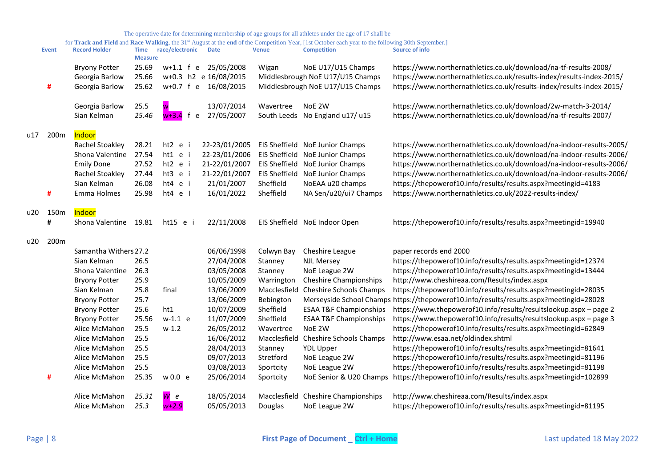|     | <b>Event</b> | <b>Record Holder</b>  | <b>Time</b><br><b>Measure</b> | race/electronic           | <b>Date</b>           | <b>Venue</b> | <b>Competition</b>                   | Source of info                                                                          |
|-----|--------------|-----------------------|-------------------------------|---------------------------|-----------------------|--------------|--------------------------------------|-----------------------------------------------------------------------------------------|
|     |              | <b>Bryony Potter</b>  | 25.69                         | $w+1.1$ f e               | 25/05/2008            | Wigan        | NoE U17/U15 Champs                   | https://www.northernathletics.co.uk/download/na-tf-results-2008/                        |
|     |              | Georgia Barlow        | 25.66                         |                           | w+0.3 h2 e 16/08/2015 |              | Middlesbrough NoE U17/U15 Champs     | https://www.northernathletics.co.uk/results-index/results-index-2015/                   |
|     | #            | Georgia Barlow        | 25.62                         | w+0.7 f e                 | 16/08/2015            |              | Middlesbrough NoE U17/U15 Champs     | https://www.northernathletics.co.uk/results-index/results-index-2015/                   |
|     |              | Georgia Barlow        | 25.5                          |                           | 13/07/2014            | Wavertree    | NoE 2W                               | https://www.northernathletics.co.uk/download/2w-match-3-2014/                           |
|     |              | Sian Kelman           | 25.46                         | <mark>w+3.4</mark> f<br>e | 27/05/2007            |              | South Leeds No England u17/ u15      | https://www.northernathletics.co.uk/download/na-tf-results-2007/                        |
| u17 | 200m         | <b>Indoor</b>         |                               |                           |                       |              |                                      |                                                                                         |
|     |              | Rachel Stoakley       | 28.21                         | ht2 e                     | 22-23/01/2005         |              | EIS Sheffield NoE Junior Champs      | https://www.northernathletics.co.uk/download/na-indoor-results-2005/                    |
|     |              | Shona Valentine       | 27.54                         | ht1 e i                   | 22-23/01/2006         |              | EIS Sheffield NoE Junior Champs      | https://www.northernathletics.co.uk/download/na-indoor-results-2006/                    |
|     |              | <b>Emily Done</b>     | 27.52                         | ht2 e i                   | 21-22/01/2007         |              | EIS Sheffield NoE Junior Champs      | https://www.northernathletics.co.uk/download/na-indoor-results-2006/                    |
|     |              | Rachel Stoakley       | 27.44                         | ht3 e i                   | 21-22/01/2007         |              | EIS Sheffield NoE Junior Champs      | https://www.northernathletics.co.uk/download/na-indoor-results-2006/                    |
|     |              | Sian Kelman           | 26.08                         | ht4 e i                   | 21/01/2007            | Sheffield    | NoEAA u20 champs                     | https://thepowerof10.info/results/results.aspx?meetingid=4183                           |
|     | #            | Emma Holmes           | 25.98                         | $ht4$ e I                 | 16/01/2022            | Sheffield    | NA Sen/u20/ui7 Champs                | https://www.northernathletics.co.uk/2022-results-index/                                 |
| u20 | 150m         | Indoor                |                               |                           |                       |              |                                      |                                                                                         |
|     | #            | Shona Valentine       | 19.81                         | ht15 e i                  | 22/11/2008            |              | EIS Sheffield NoE Indoor Open        | https://thepowerof10.info/results/results.aspx?meetingid=19940                          |
| u20 | 200m         |                       |                               |                           |                       |              |                                      |                                                                                         |
|     |              | Samantha Withers 27.2 |                               |                           | 06/06/1998            | Colwyn Bay   | Cheshire League                      | paper records end 2000                                                                  |
|     |              | Sian Kelman           | 26.5                          |                           | 27/04/2008            | Stanney      | <b>NJL Mersey</b>                    | https://thepowerof10.info/results/results.aspx?meetingid=12374                          |
|     |              | Shona Valentine       | 26.3                          |                           | 03/05/2008            | Stanney      | NoE League 2W                        | https://thepowerof10.info/results/results.aspx?meetingid=13444                          |
|     |              | <b>Bryony Potter</b>  | 25.9                          |                           | 10/05/2009            | Warrington   | <b>Cheshire Championships</b>        | http://www.cheshireaa.com/Results/index.aspx                                            |
|     |              | Sian Kelman           | 25.8                          | final                     | 13/06/2009            |              | Macclesfield Cheshire Schools Champs | https://thepowerof10.info/results/results.aspx?meetingid=28035                          |
|     |              | <b>Bryony Potter</b>  | 25.7                          |                           | 13/06/2009            | Bebington    |                                      | Merseyside School Champs https://thepowerof10.info/results/results.aspx?meetingid=28028 |
|     |              | <b>Bryony Potter</b>  | 25.6                          | ht1                       | 10/07/2009            | Sheffield    | <b>ESAA T&amp;F Championships</b>    | https://www.thepowerof10.info/results/resultslookup.aspx - page 2                       |
|     |              | <b>Bryony Potter</b>  | 25.56                         | $w-1.1$ e                 | 11/07/2009            | Sheffield    | <b>ESAA T&amp;F Championships</b>    | https://www.thepowerof10.info/results/resultslookup.aspx - page 3                       |
|     |              | Alice McMahon         | 25.5                          | $w-1.2$                   | 26/05/2012            | Wavertree    | NoE 2W                               | https://thepowerof10.info/results/results.aspx?meetingid=62849                          |
|     |              | Alice McMahon         | 25.5                          |                           | 16/06/2012            |              | Macclesfield Cheshire Schools Champs | http://www.esaa.net/oldindex.shtml                                                      |
|     |              | Alice McMahon         | 25.5                          |                           | 28/04/2013            | Stanney      | <b>YDL Upper</b>                     | https://thepowerof10.info/results/results.aspx?meetingid=81641                          |
|     |              | Alice McMahon         | 25.5                          |                           | 09/07/2013            | Stretford    | NoE League 2W                        | https://thepowerof10.info/results/results.aspx?meetingid=81196                          |
|     |              | Alice McMahon         | 25.5                          |                           | 03/08/2013            | Sportcity    | NoE League 2W                        | https://thepowerof10.info/results/results.aspx?meetingid=81198                          |
|     | #            | Alice McMahon         | 25.35                         | w0.0 e                    | 25/06/2014            | Sportcity    | NoE Senior & U20 Champs              | https://thepowerof10.info/results/results.aspx?meetingid=102899                         |
|     |              | Alice McMahon         | 25.31                         | $\mathsf{W}$ e            | 18/05/2014            |              | Macclesfield Cheshire Championships  | http://www.cheshireaa.com/Results/index.aspx                                            |
|     |              | Alice McMahon         | 25.3                          | $w+2.9$                   | 05/05/2013            | Douglas      | NoE League 2W                        | https://thepowerof10.info/results/results.aspx?meetingid=81195                          |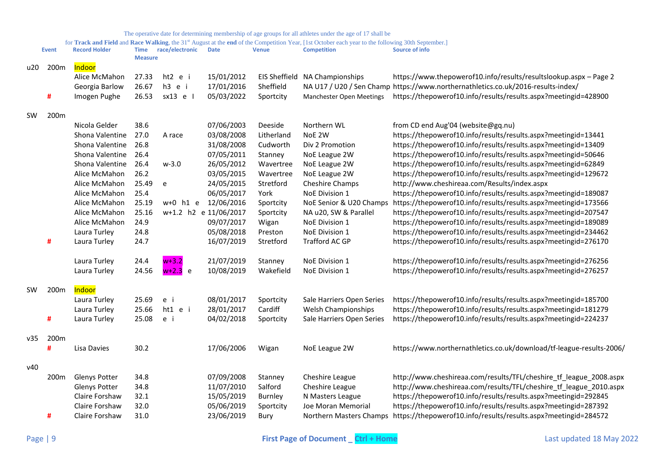|           | <b>Event</b> | <b>Record Holder</b> | Time<br><b>Measure</b> | race/electronic | <b>Date</b>           | <b>Venue</b>         | <b>Competition</b>              | <b>Source of info</b>                                                                   |
|-----------|--------------|----------------------|------------------------|-----------------|-----------------------|----------------------|---------------------------------|-----------------------------------------------------------------------------------------|
| u20       | 200m         | Indoor               |                        |                 |                       |                      |                                 |                                                                                         |
|           |              | Alice McMahon        | 27.33                  | ht2 e i         | 15/01/2012            | <b>EIS Sheffield</b> | NA Championships                | https://www.thepowerof10.info/results/resultslookup.aspx - Page 2                       |
|           |              | Georgia Barlow       | 26.67                  | h3 e i          | 17/01/2016            | Sheffield            |                                 | NA U17 / U20 / Sen Champ https://www.northernathletics.co.uk/2016-results-index/        |
|           | #            | Imogen Pughe         | 26.53                  | sx13 e l        | 05/03/2022            | Sportcity            | <b>Manchester Open Meetings</b> | https://thepowerof10.info/results/results.aspx?meetingid=428900                         |
| <b>SW</b> | 200m         |                      |                        |                 |                       |                      |                                 |                                                                                         |
|           |              | Nicola Gelder        | 38.6                   |                 | 07/06/2003            | Deeside              | Northern WL                     | from CD end Aug'04 (website@gq.nu)                                                      |
|           |              | Shona Valentine      | 27.0                   | A race          | 03/08/2008            | Litherland           | NoE 2W                          | https://thepowerof10.info/results/results.aspx?meetingid=13441                          |
|           |              | Shona Valentine      | 26.8                   |                 | 31/08/2008            | Cudworth             | Div 2 Promotion                 | https://thepowerof10.info/results/results.aspx?meetingid=13409                          |
|           |              | Shona Valentine      | 26.4                   |                 | 07/05/2011            | Stanney              | NoE League 2W                   | https://thepowerof10.info/results/results.aspx?meetingid=50646                          |
|           |              | Shona Valentine      | 26.4                   | $w-3.0$         | 26/05/2012            | Wavertree            | NoE League 2W                   | https://thepowerof10.info/results/results.aspx?meetingid=62849                          |
|           |              | Alice McMahon        | 26.2                   |                 | 03/05/2015            | Wavertree            | NoE League 2W                   | https://thepowerof10.info/results/results.aspx?meetingid=129672                         |
|           |              | Alice McMahon        | 25.49                  | e               | 24/05/2015            | Stretford            | Cheshire Champs                 | http://www.cheshireaa.com/Results/index.aspx                                            |
|           |              | Alice McMahon        | 25.4                   |                 | 06/05/2017            | York                 | NoE Division 1                  | https://thepowerof10.info/results/results.aspx?meetingid=189087                         |
|           |              | Alice McMahon        | 25.19                  | $w+0$ h1 e      | 12/06/2016            | Sportcity            | NoE Senior & U20 Champs         | https://thepowerof10.info/results/results.aspx?meetingid=173566                         |
|           |              | Alice McMahon        | 25.16                  |                 | w+1.2 h2 e 11/06/2017 | Sportcity            | NA u20, SW & Parallel           | https://thepowerof10.info/results/results.aspx?meetingid=207547                         |
|           |              | Alice McMahon        | 24.9                   |                 | 09/07/2017            | Wigan                | NoE Division 1                  | https://thepowerof10.info/results/results.aspx?meetingid=189089                         |
|           |              | Laura Turley         | 24.8                   |                 | 05/08/2018            | Preston              | NoE Division 1                  | https://thepowerof10.info/results/results.aspx?meetingid=234462                         |
|           | #            | Laura Turley         | 24.7                   |                 | 16/07/2019            | Stretford            | Trafford AC GP                  | https://thepowerof10.info/results/results.aspx?meetingid=276170                         |
|           |              | Laura Turley         | 24.4                   | $w+3.2$         | 21/07/2019            | Stanney              | <b>NoE Division 1</b>           | https://thepowerof10.info/results/results.aspx?meetingid=276256                         |
|           |              | Laura Turley         | 24.56                  | $w+2.3$ e       | 10/08/2019            | Wakefield            | NoE Division 1                  | https://thepowerof10.info/results/results.aspx?meetingid=276257                         |
| <b>SW</b> | 200m         | Indoor               |                        |                 |                       |                      |                                 |                                                                                         |
|           |              | Laura Turley         | 25.69                  | e i             | 08/01/2017            | Sportcity            | Sale Harriers Open Series       | https://thepowerof10.info/results/results.aspx?meetingid=185700                         |
|           |              | Laura Turley         | 25.66                  | ht1 e i         | 28/01/2017            | Cardiff              | Welsh Championships             | https://thepowerof10.info/results/results.aspx?meetingid=181279                         |
|           | #            | Laura Turley         | 25.08                  | e i             | 04/02/2018            | Sportcity            | Sale Harriers Open Series       | https://thepowerof10.info/results/results.aspx?meetingid=224237                         |
| v35       | 200m         |                      |                        |                 |                       |                      |                                 |                                                                                         |
|           | #            | Lisa Davies          | 30.2                   |                 | 17/06/2006            | Wigan                | NoE League 2W                   | https://www.northernathletics.co.uk/download/tf-league-results-2006/                    |
| v40       |              |                      |                        |                 |                       |                      |                                 |                                                                                         |
|           | 200m         | Glenys Potter        | 34.8                   |                 | 07/09/2008            | Stanney              | Cheshire League                 | http://www.cheshireaa.com/results/TFL/cheshire_tf_league_2008.aspx                      |
|           |              | Glenys Potter        | 34.8                   |                 | 11/07/2010            | Salford              | Cheshire League                 | http://www.cheshireaa.com/results/TFL/cheshire_tf_league_2010.aspx                      |
|           |              | Claire Forshaw       | 32.1                   |                 | 15/05/2019            | <b>Burnley</b>       | N Masters League                | https://thepowerof10.info/results/results.aspx?meetingid=292845                         |
|           |              | Claire Forshaw       | 32.0                   |                 | 05/06/2019            | Sportcity            | Joe Moran Memorial              | https://thepowerof10.info/results/results.aspx?meetingid=287392                         |
|           | #            | Claire Forshaw       | 31.0                   |                 | 23/06/2019            | Bury                 |                                 | Northern Masters Champs https://thepowerof10.info/results/results.aspx?meetingid=284572 |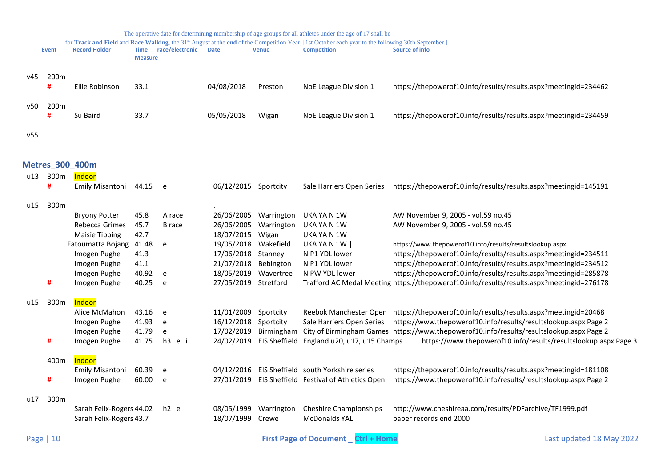<span id="page-9-0"></span>

|     |                  |                                                     |                        |                  |                                |                          | The operative date for determining membership of age groups for all athletes under the age of 17 shall be                                                                |                                                                                           |
|-----|------------------|-----------------------------------------------------|------------------------|------------------|--------------------------------|--------------------------|--------------------------------------------------------------------------------------------------------------------------------------------------------------------------|-------------------------------------------------------------------------------------------|
|     | <b>Event</b>     | <b>Record Holder</b>                                | Time<br><b>Measure</b> | race/electronic  | <b>Date</b>                    | <b>Venue</b>             | for Track and Field and Race Walking, the 31st August at the end of the Competition Year, [1st October each year to the following 30th September.]<br><b>Competition</b> | <b>Source of info</b>                                                                     |
| v45 | 200 <sub>m</sub> |                                                     |                        |                  |                                |                          |                                                                                                                                                                          |                                                                                           |
|     | #                | Ellie Robinson                                      | 33.1                   |                  | 04/08/2018                     | Preston                  | NoE League Division 1                                                                                                                                                    | https://thepowerof10.info/results/results.aspx?meetingid=234462                           |
| v50 | 200 <sub>m</sub> |                                                     |                        |                  |                                |                          |                                                                                                                                                                          |                                                                                           |
|     | #                | Su Baird                                            | 33.7                   |                  | 05/05/2018                     | Wigan                    | NoE League Division 1                                                                                                                                                    | https://thepowerof10.info/results/results.aspx?meetingid=234459                           |
|     |                  |                                                     |                        |                  |                                |                          |                                                                                                                                                                          |                                                                                           |
| v55 |                  |                                                     |                        |                  |                                |                          |                                                                                                                                                                          |                                                                                           |
|     |                  | <b>Metres_300_400m</b>                              |                        |                  |                                |                          |                                                                                                                                                                          |                                                                                           |
| u13 | 300m             | <b>Indoor</b>                                       |                        |                  |                                |                          |                                                                                                                                                                          |                                                                                           |
|     | #                | Emily Misantoni                                     | 44.15                  | e i              | 06/12/2015 Sportcity           |                          |                                                                                                                                                                          | Sale Harriers Open Series https://thepowerof10.info/results/results.aspx?meetingid=145191 |
| u15 | 300m             |                                                     |                        |                  |                                |                          |                                                                                                                                                                          |                                                                                           |
|     |                  | <b>Bryony Potter</b>                                | 45.8                   | A race           | 26/06/2005                     | Warrington               | UKA YA N 1W                                                                                                                                                              | AW November 9, 2005 - vol.59 no.45                                                        |
|     |                  | Rebecca Grimes                                      | 45.7                   | <b>B</b> race    | 26/06/2005                     | Warrington               | UKA YA N 1W                                                                                                                                                              | AW November 9, 2005 - vol.59 no.45                                                        |
|     |                  | <b>Maisie Tipping</b>                               | 42.7                   |                  | 18/07/2015                     | Wigan                    | UKA YA N 1W                                                                                                                                                              |                                                                                           |
|     |                  | Fatoumatta Bojang                                   | 41.48                  | e                | 19/05/2018                     | Wakefield                | UKA YA N 1W                                                                                                                                                              | https://www.thepowerof10.info/results/resultslookup.aspx                                  |
|     |                  | Imogen Pughe                                        | 41.3                   |                  | 17/06/2018                     | Stanney                  | N P1 YDL lower                                                                                                                                                           | https://thepowerof10.info/results/results.aspx?meetingid=234511                           |
|     |                  | Imogen Pughe                                        | 41.1                   |                  | 21/07/2018                     | Bebington                | N P1 YDL lower                                                                                                                                                           | https://thepowerof10.info/results/results.aspx?meetingid=234512                           |
|     |                  | Imogen Pughe                                        | 40.92                  | e                | 18/05/2019                     | Wavertree                | N PW YDL lower                                                                                                                                                           | https://thepowerof10.info/results/results.aspx?meetingid=285878                           |
|     | #                | Imogen Pughe                                        | 40.25                  | e                | 27/05/2019 Stretford           |                          |                                                                                                                                                                          | Trafford AC Medal Meeting https://thepowerof10.info/results/results.aspx?meetingid=276178 |
| u15 | 300m             | Indoor                                              |                        |                  |                                |                          |                                                                                                                                                                          |                                                                                           |
|     |                  | Alice McMahon                                       | 43.16                  | e i              | 11/01/2009                     | Sportcity                |                                                                                                                                                                          | Reebok Manchester Open https://thepowerof10.info/results/results.aspx?meetingid=20468     |
|     |                  | Imogen Pughe                                        | 41.93                  | e i              | 16/12/2018                     | Sportcity                | Sale Harriers Open Series                                                                                                                                                | https://www.thepowerof10.info/results/resultslookup.aspx Page 2                           |
|     |                  | Imogen Pughe                                        | 41.79                  | e i              | 17/02/2019                     | Birmingham               |                                                                                                                                                                          | City of Birmingham Games https://www.thepowerof10.info/results/resultslookup.aspx Page 2  |
|     | #                | Imogen Pughe                                        | 41.75                  | h3 e i           |                                | 24/02/2019 EIS Sheffield | England u20, u17, u15 Champs                                                                                                                                             | https://www.thepowerof10.info/results/resultslookup.aspx Page 3                           |
|     | 400m             | Indoor                                              |                        |                  |                                |                          |                                                                                                                                                                          |                                                                                           |
|     |                  | Emily Misantoni                                     | 60.39                  | e i              |                                |                          | 04/12/2016 EIS Sheffield south Yorkshire series                                                                                                                          | https://thepowerof10.info/results/results.aspx?meetingid=181108                           |
|     | #                | Imogen Pughe                                        | 60.00                  | e i              |                                |                          | 27/01/2019 EIS Sheffield Festival of Athletics Open                                                                                                                      | https://www.thepowerof10.info/results/resultslookup.aspx Page 2                           |
| u17 | 300m             |                                                     |                        |                  |                                |                          |                                                                                                                                                                          |                                                                                           |
|     |                  | Sarah Felix-Rogers 44.02<br>Sarah Felix-Rogers 43.7 |                        | h <sub>2</sub> e | 08/05/1999<br>18/07/1999 Crewe | Warrington               | <b>Cheshire Championships</b><br><b>McDonalds YAL</b>                                                                                                                    | http://www.cheshireaa.com/results/PDFarchive/TF1999.pdf<br>paper records end 2000         |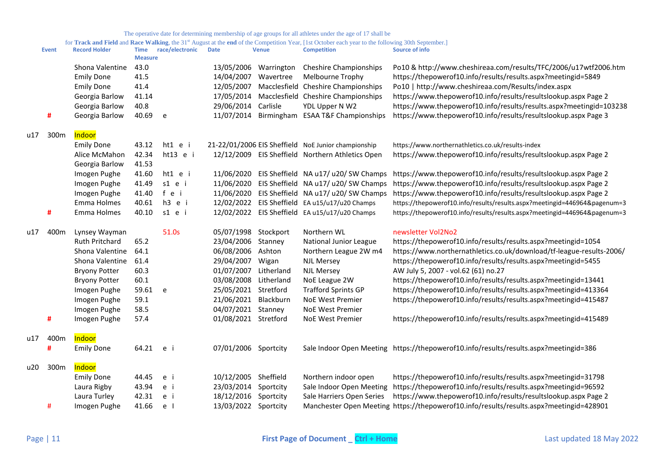|     | <b>Event</b> | <b>Record Holder</b> | Time<br><b>Measure</b> | race/electronic | <b>Date</b>          | <b>Venue</b> | <b>Competition</b>                                  | Source of info                                                                          |
|-----|--------------|----------------------|------------------------|-----------------|----------------------|--------------|-----------------------------------------------------|-----------------------------------------------------------------------------------------|
|     |              | Shona Valentine      | 43.0                   |                 | 13/05/2006           | Warrington   | <b>Cheshire Championships</b>                       | Po10 & http://www.cheshireaa.com/results/TFC/2006/u17wtf2006.htm                        |
|     |              | <b>Emily Done</b>    | 41.5                   |                 | 14/04/2007           | Wavertree    | Melbourne Trophy                                    | https://thepowerof10.info/results/results.aspx?meetingid=5849                           |
|     |              | <b>Emily Done</b>    | 41.4                   |                 | 12/05/2007           |              | Macclesfield Cheshire Championships                 | Po10   http://www.cheshireaa.com/Results/index.aspx                                     |
|     |              | Georgia Barlow       | 41.14                  |                 | 17/05/2014           |              | Macclesfield Cheshire Championships                 | https://www.thepowerof10.info/results/resultslookup.aspx Page 2                         |
|     |              | Georgia Barlow       | 40.8                   |                 | 29/06/2014 Carlisle  |              | YDL Upper N W2                                      | https://www.thepowerof10.info/results/results.aspx?meetingid=103238                     |
|     | #            | Georgia Barlow       | 40.69                  | e               | 11/07/2014           |              | Birmingham ESAA T&F Championships                   | https://www.thepowerof10.info/results/resultslookup.aspx Page 3                         |
| u17 | 300m         | Indoor               |                        |                 |                      |              |                                                     |                                                                                         |
|     |              | <b>Emily Done</b>    | 43.12                  | ht1 e i         |                      |              | 21-22/01/2006 EIS Sheffield NoE Junior championship | https://www.northernathletics.co.uk/results-index                                       |
|     |              | Alice McMahon        | 42.34                  | ht13 e i        |                      |              | 12/12/2009 EIS Sheffield Northern Athletics Open    | https://www.thepowerof10.info/results/resultslookup.aspx Page 2                         |
|     |              | Georgia Barlow       | 41.53                  |                 |                      |              |                                                     |                                                                                         |
|     |              | Imogen Pughe         | 41.60                  | ht1 e i         |                      |              | 11/06/2020 EIS Sheffield NA u17/ u20/ SW Champs     | https://www.thepowerof10.info/results/resultslookup.aspx Page 2                         |
|     |              | Imogen Pughe         | 41.49                  | s1 e i          |                      |              | 11/06/2020 EIS Sheffield NA u17/ u20/ SW Champs     | https://www.thepowerof10.info/results/resultslookup.aspx Page 2                         |
|     |              | Imogen Pughe         | 41.40                  | fei             |                      |              | 11/06/2020 EIS Sheffield NA u17/ u20/ SW Champs     | https://www.thepowerof10.info/results/resultslookup.aspx Page 2                         |
|     |              | Emma Holmes          | 40.61                  | h3 e i          |                      |              | 12/02/2022 EIS Sheffield EA u15/u17/u20 Champs      | https://thepowerof10.info/results/results.aspx?meetingid=446964&pagenum=3               |
|     | #            | Emma Holmes          | 40.10                  | s1 e i          |                      |              | 12/02/2022 EIS Sheffield EA u15/u17/u20 Champs      | https://thepowerof10.info/results/results.aspx?meetingid=446964&pagenum=3               |
| u17 | 400m         | Lynsey Wayman        |                        | 51.0s           | 05/07/1998 Stockport |              | Northern WL                                         | newsletter Vol2No2                                                                      |
|     |              | Ruth Pritchard       | 65.2                   |                 | 23/04/2006 Stanney   |              | National Junior League                              | https://thepowerof10.info/results/results.aspx?meetingid=1054                           |
|     |              | Shona Valentine      | 64.1                   |                 | 06/08/2006           | Ashton       | Northern League 2W m4                               | https://www.northernathletics.co.uk/download/tf-league-results-2006/                    |
|     |              | Shona Valentine      | 61.4                   |                 | 29/04/2007           | Wigan        | <b>NJL Mersey</b>                                   | https://thepowerof10.info/results/results.aspx?meetingid=5455                           |
|     |              | <b>Bryony Potter</b> | 60.3                   |                 | 01/07/2007           | Litherland   | <b>NJL Mersey</b>                                   | AW July 5, 2007 - vol.62 (61) no.27                                                     |
|     |              | <b>Bryony Potter</b> | 60.1                   |                 | 03/08/2008           | Litherland   | NoE League 2W                                       | https://thepowerof10.info/results/results.aspx?meetingid=13441                          |
|     |              | Imogen Pughe         | 59.61                  | e               | 25/05/2021 Stretford |              | <b>Trafford Sprints GP</b>                          | https://thepowerof10.info/results/results.aspx?meetingid=413364                         |
|     |              | Imogen Pughe         | 59.1                   |                 | 21/06/2021           | Blackburn    | <b>NoE West Premier</b>                             | https://thepowerof10.info/results/results.aspx?meetingid=415487                         |
|     |              | Imogen Pughe         | 58.5                   |                 | 04/07/2021 Stanney   |              | NoE West Premier                                    |                                                                                         |
|     | #            | Imogen Pughe         | 57.4                   |                 | 01/08/2021 Stretford |              | <b>NoE West Premier</b>                             | https://thepowerof10.info/results/results.aspx?meetingid=415489                         |
| u17 | 400m         | Indoor               |                        |                 |                      |              |                                                     |                                                                                         |
|     | #            | <b>Emily Done</b>    | 64.21                  | e i             | 07/01/2006 Sportcity |              |                                                     | Sale Indoor Open Meeting https://thepowerof10.info/results/results.aspx?meetingid=386   |
| u20 | 300m         | Indoor               |                        |                 |                      |              |                                                     |                                                                                         |
|     |              | <b>Emily Done</b>    | 44.45                  | e i             | 10/12/2005 Sheffield |              | Northern indoor open                                | https://thepowerof10.info/results/results.aspx?meetingid=31798                          |
|     |              | Laura Rigby          | 43.94                  | e i             | 23/03/2014 Sportcity |              | Sale Indoor Open Meeting                            | https://thepowerof10.info/results/results.aspx?meetingid=96592                          |
|     |              | Laura Turley         | 42.31                  | e i             | 18/12/2016 Sportcity |              | Sale Harriers Open Series                           | https://www.thepowerof10.info/results/resultslookup.aspx Page 2                         |
|     | #            | Imogen Pughe         | 41.66                  | e l             | 13/03/2022 Sportcity |              |                                                     | Manchester Open Meeting https://thepowerof10.info/results/results.aspx?meetingid=428901 |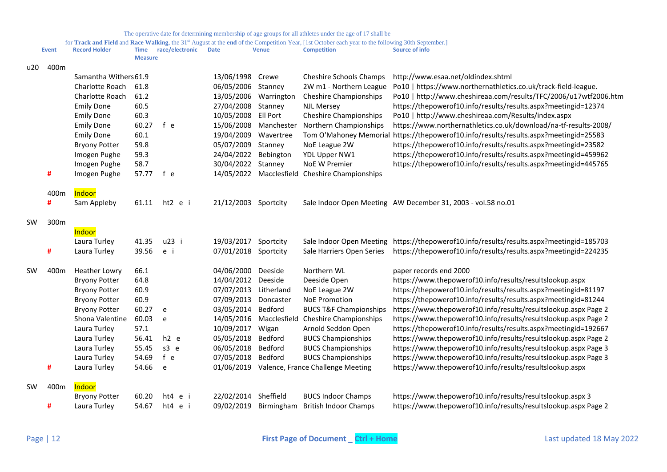|           | <b>Event</b>          | <b>Record Holder</b> | <b>Time</b><br><b>Measure</b> | race/electronic | <b>Date</b>          | <b>Venue</b>          | <b>Competition</b>                           | <b>Source of info</b>                                            |
|-----------|-----------------------|----------------------|-------------------------------|-----------------|----------------------|-----------------------|----------------------------------------------|------------------------------------------------------------------|
| u20       | 400m                  |                      |                               |                 |                      |                       |                                              |                                                                  |
|           | Samantha Withers 61.9 |                      |                               |                 | 13/06/1998           | Crewe                 | <b>Cheshire Schools Champs</b>               | http://www.esaa.net/oldindex.shtml                               |
|           |                       | Charlotte Roach      | 61.8                          |                 | 06/05/2006 Stanney   |                       | 2W m1 - Northern League                      | Po10   https://www.northernathletics.co.uk/track-field-league.   |
|           |                       | Charlotte Roach      | 61.2                          |                 | 13/05/2006           | Warrington            | <b>Cheshire Championships</b>                | Po10   http://www.cheshireaa.com/results/TFC/2006/u17wtf2006.htm |
|           |                       | <b>Emily Done</b>    | 60.5                          |                 | 27/04/2008 Stanney   |                       | <b>NJL Mersey</b>                            | https://thepowerof10.info/results/results.aspx?meetingid=12374   |
|           |                       | <b>Emily Done</b>    | 60.3                          |                 | 10/05/2008 Ell Port  |                       | <b>Cheshire Championships</b>                | Po10   http://www.cheshireaa.com/Results/index.aspx              |
|           |                       | <b>Emily Done</b>    | 60.27                         | f e             |                      | 15/06/2008 Manchester | Northern Championships                       | https://www.northernathletics.co.uk/download/na-tf-results-2008/ |
|           |                       | <b>Emily Done</b>    | 60.1                          |                 | 19/04/2009           | Wavertree             | Tom O'Mahoney Memorial                       | https://thepowerof10.info/results/results.aspx?meetingid=25583   |
|           |                       | <b>Bryony Potter</b> | 59.8                          |                 | 05/07/2009           | Stanney               | NoE League 2W                                | https://thepowerof10.info/results/results.aspx?meetingid=23582   |
|           |                       | Imogen Pughe         | 59.3                          |                 | 24/04/2022           | Bebington             | YDL Upper NW1                                | https://thepowerof10.info/results/results.aspx?meetingid=459962  |
|           |                       | Imogen Pughe         | 58.7                          |                 | 30/04/2022           | Stanney               | <b>NoE W Premier</b>                         | https://thepowerof10.info/results/results.aspx?meetingid=445765  |
|           | #                     | Imogen Pughe         | 57.77                         | f e             | 14/05/2022           |                       | Macclesfield Cheshire Championships          |                                                                  |
|           | 400m                  | Indoor               |                               |                 |                      |                       |                                              |                                                                  |
|           | #                     | Sam Appleby          | 61.11                         | ht2 e i         | 21/12/2003           | Sportcity             |                                              | Sale Indoor Open Meeting AW December 31, 2003 - vol.58 no.01     |
| <b>SW</b> | 300m                  |                      |                               |                 |                      |                       |                                              |                                                                  |
|           |                       | Indoor               |                               |                 |                      |                       |                                              |                                                                  |
|           |                       | Laura Turley         | 41.35                         | u23 i           | 19/03/2017           | Sportcity             | Sale Indoor Open Meeting                     | https://thepowerof10.info/results/results.aspx?meetingid=185703  |
|           | #                     | Laura Turley         | 39.56                         | e i             | 07/01/2018 Sportcity |                       | Sale Harriers Open Series                    | https://thepowerof10.info/results/results.aspx?meetingid=224235  |
| <b>SW</b> | 400m                  | <b>Heather Lowry</b> | 66.1                          |                 | 04/06/2000           | Deeside               | Northern WL                                  | paper records end 2000                                           |
|           |                       | <b>Bryony Potter</b> | 64.8                          |                 | 14/04/2012           | Deeside               | Deeside Open                                 | https://www.thepowerof10.info/results/resultslookup.aspx         |
|           |                       | <b>Bryony Potter</b> | 60.9                          |                 | 07/07/2013           | Litherland            | NoE League 2W                                | https://thepowerof10.info/results/results.aspx?meetingid=81197   |
|           |                       | <b>Bryony Potter</b> | 60.9                          |                 | 07/09/2013           | Doncaster             | <b>NoE Promotion</b>                         | https://thepowerof10.info/results/results.aspx?meetingid=81244   |
|           |                       | <b>Bryony Potter</b> | 60.27                         | e               | 03/05/2014           | Bedford               | <b>BUCS T&amp;F Championships</b>            | https://www.thepowerof10.info/results/resultslookup.aspx Page 2  |
|           |                       | Shona Valentine      | 60.03                         | e               | 14/05/2016           | Macclesfield          | <b>Cheshire Championships</b>                | https://www.thepowerof10.info/results/resultslookup.aspx Page 2  |
|           |                       | Laura Turley         | 57.1                          |                 | 10/09/2017           | Wigan                 | Arnold Seddon Open                           | https://thepowerof10.info/results/results.aspx?meetingid=192667  |
|           |                       | Laura Turley         | 56.41                         | $h2$ e          | 05/05/2018           | Bedford               | <b>BUCS Championships</b>                    | https://www.thepowerof10.info/results/resultslookup.aspx Page 2  |
|           |                       | Laura Turley         | 55.45                         | s3 e            | 06/05/2018           | Bedford               | <b>BUCS Championships</b>                    | https://www.thepowerof10.info/results/resultslookup.aspx Page 3  |
|           |                       | Laura Turley         | 54.69                         | f e             | 07/05/2018 Bedford   |                       | <b>BUCS Championships</b>                    | https://www.thepowerof10.info/results/resultslookup.aspx Page 3  |
|           | #                     | Laura Turley         | 54.66                         | e               |                      |                       | 01/06/2019 Valence, France Challenge Meeting | https://www.thepowerof10.info/results/resultslookup.aspx         |
| <b>SW</b> | 400m                  | Indoor               |                               |                 |                      |                       |                                              |                                                                  |
|           |                       | <b>Bryony Potter</b> | 60.20                         | ht4 e i         | 22/02/2014           | Sheffield             | <b>BUCS Indoor Champs</b>                    | https://www.thepowerof10.info/results/resultslookup.aspx 3       |
|           | #                     | Laura Turley         | 54.67                         | ht4 e i         | 09/02/2019           | Birmingham            | <b>British Indoor Champs</b>                 | https://www.thepowerof10.info/results/resultslookup.aspx Page 2  |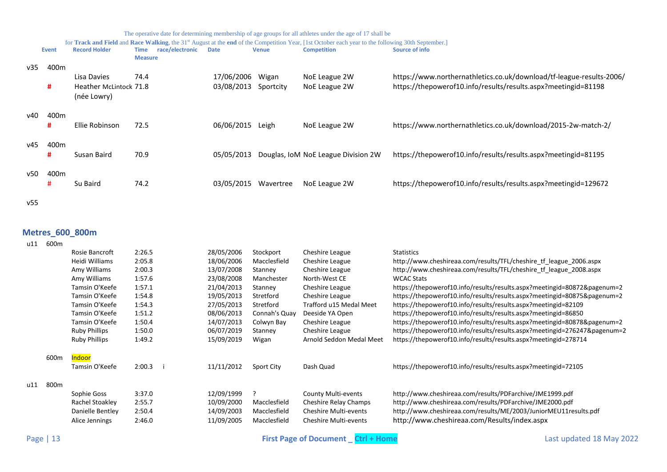|  | The operative date for determining membership of age groups for all athletes under the age of 17 shall be |
|--|-----------------------------------------------------------------------------------------------------------|
|  |                                                                                                           |

for **Track and Field** and **Race Walking**, the 31<sup>st</sup> August at the **end** of the Competition Year, [1st October each year to the following 30th September.]

|     | <b>Event</b>          | <b>Record Holder</b>                  | race/electronic<br>Time<br><b>Measure</b> | <b>Date</b> | <b>Venue</b> | <b>Competition</b>                  | <b>Source of info</b>                                                |
|-----|-----------------------|---------------------------------------|-------------------------------------------|-------------|--------------|-------------------------------------|----------------------------------------------------------------------|
| v35 | 400 <sub>m</sub>      | Lisa Davies                           | 74.4                                      | 17/06/2006  | Wigan        | NoE League 2W                       | https://www.northernathletics.co.uk/download/tf-league-results-2006/ |
|     | #                     | Heather McLintock 71.8<br>(née Lowry) |                                           | 03/08/2013  | Sportcity    | NoE League 2W                       | https://thepowerof10.info/results/results.aspx?meetingid=81198       |
| v40 | 400 <sub>m</sub><br># | Ellie Robinson                        | 72.5                                      | 06/06/2015  | Leigh        | NoE League 2W                       | https://www.northernathletics.co.uk/download/2015-2w-match-2/        |
| v45 | 400m<br>#             | Susan Baird                           | 70.9                                      | 05/05/2013  |              | Douglas, IoM NoE League Division 2W | https://thepowerof10.info/results/results.aspx?meetingid=81195       |
| v50 | 400 <sub>m</sub><br># | Su Baird                              | 74.2                                      | 03/05/2015  | Wavertree    | NoE League 2W                       | https://thepowerof10.info/results/results.aspx?meetingid=129672      |

v55

# <span id="page-12-0"></span>**Metres\_600\_800m**

| u11 | 600m             |                      |        |            |               |                              |                                                                           |
|-----|------------------|----------------------|--------|------------|---------------|------------------------------|---------------------------------------------------------------------------|
|     |                  | Rosie Bancroft       | 2:26.5 | 28/05/2006 | Stockport     | Cheshire League              | <b>Statistics</b>                                                         |
|     |                  | Heidi Williams       | 2:05.8 | 18/06/2006 | Macclesfield  | Cheshire League              | http://www.cheshireaa.com/results/TFL/cheshire tf league 2006.aspx        |
|     |                  | Amy Williams         | 2:00.3 | 13/07/2008 | Stanney       | Cheshire League              | http://www.cheshireaa.com/results/TFL/cheshire tf league 2008.aspx        |
|     |                  | Amy Williams         | 1:57.6 | 23/08/2008 | Manchester    | North-West CE                | <b>WCAC Stats</b>                                                         |
|     |                  | Tamsin O'Keefe       | 1:57.1 | 21/04/2013 | Stanney       | Cheshire League              | https://thepowerof10.info/results/results.aspx?meetingid=80872&pagenum=2  |
|     |                  | Tamsin O'Keefe       | 1:54.8 | 19/05/2013 | Stretford     | Cheshire League              | https://thepowerof10.info/results/results.aspx?meetingid=80875&pagenum=2  |
|     |                  | Tamsin O'Keefe       | 1:54.3 | 27/05/2013 | Stretford     | Trafford u15 Medal Meet      | https://thepowerof10.info/results/results.aspx?meetingid=82109            |
|     |                  | Tamsin O'Keefe       | 1:51.2 | 08/06/2013 | Connah's Quay | Deeside YA Open              | https://thepowerof10.info/results/results.aspx?meetingid=86850            |
|     |                  | Tamsin O'Keefe       | 1:50.4 | 14/07/2013 | Colwyn Bay    | Cheshire League              | https://thepowerof10.info/results/results.aspx?meetingid=80878&pagenum=2  |
|     |                  | <b>Ruby Phillips</b> | 1:50.0 | 06/07/2019 | Stanney       | Cheshire League              | https://thepowerof10.info/results/results.aspx?meetingid=276247&pagenum=2 |
|     |                  | <b>Ruby Phillips</b> | 1:49.2 | 15/09/2019 | Wigan         | Arnold Seddon Medal Meet     | https://thepowerof10.info/results/results.aspx?meetingid=278714           |
|     | 600 <sub>m</sub> | Indoor               |        |            |               |                              |                                                                           |
|     |                  | Tamsin O'Keefe       | 2:00.3 | 11/11/2012 | Sport City    | Dash Quad                    | https://thepowerof10.info/results/results.aspx?meetingid=72105            |
| u11 | 800 <sub>m</sub> |                      |        |            |               |                              |                                                                           |
|     |                  | Sophie Goss          | 3:37.0 | 12/09/1999 | ?             | County Multi-events          | http://www.cheshireaa.com/results/PDFarchive/JME1999.pdf                  |
|     |                  | Rachel Stoakley      | 2:55.7 | 10/09/2000 | Macclesfield  | Cheshire Relay Champs        | http://www.cheshireaa.com/results/PDFarchive/JME2000.pdf                  |
|     |                  | Danielle Bentley     | 2:50.4 | 14/09/2003 | Macclesfield  | <b>Cheshire Multi-events</b> | http://www.cheshireaa.com/results/ME/2003/JuniorMEU11results.pdf          |
|     |                  | Alice Jennings       | 2:46.0 | 11/09/2005 | Macclesfield  | <b>Cheshire Multi-events</b> | http://www.cheshireaa.com/Results/index.aspx                              |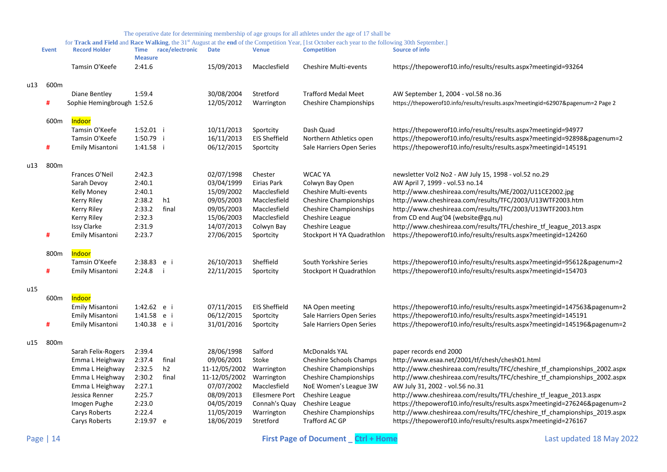|     | <b>Event</b> | <b>Record Holder</b>       | <b>Time</b><br><b>Measure</b> | race/electronic | <b>Date</b>   | <b>Venue</b>          | <b>Competition</b>             | <b>Source of info</b>                                                           |
|-----|--------------|----------------------------|-------------------------------|-----------------|---------------|-----------------------|--------------------------------|---------------------------------------------------------------------------------|
|     |              | Tamsin O'Keefe             | 2:41.6                        |                 | 15/09/2013    | Macclesfield          | <b>Cheshire Multi-events</b>   | https://thepowerof10.info/results/results.aspx?meetingid=93264                  |
| u13 | 600m         |                            |                               |                 |               |                       |                                |                                                                                 |
|     |              | Diane Bentley              | 1:59.4                        |                 | 30/08/2004    | Stretford             | <b>Trafford Medal Meet</b>     | AW September 1, 2004 - vol.58 no.36                                             |
|     | #            | Sophie Hemingbrough 1:52.6 |                               |                 | 12/05/2012    | Warrington            | <b>Cheshire Championships</b>  | https://thepowerof10.info/results/results.aspx?meetingid=62907&pagenum=2 Page 2 |
|     | 600m         | <b>Indoor</b>              |                               |                 |               |                       |                                |                                                                                 |
|     |              | Tamsin O'Keefe             | 1:52.01 i                     |                 | 10/11/2013    | Sportcity             | Dash Quad                      | https://thepowerof10.info/results/results.aspx?meetingid=94977                  |
|     |              | Tamsin O'Keefe             | 1:50.79 i                     |                 | 16/11/2013    | <b>EIS Sheffield</b>  | Northern Athletics open        | https://thepowerof10.info/results/results.aspx?meetingid=92898&pagenum=2        |
|     | #            | <b>Emily Misantoni</b>     | 1:41.58                       |                 | 06/12/2015    | Sportcity             | Sale Harriers Open Series      | https://thepowerof10.info/results/results.aspx?meetingid=145191                 |
| u13 | 800m         |                            |                               |                 |               |                       |                                |                                                                                 |
|     |              | Frances O'Neil             | 2:42.3                        |                 | 02/07/1998    | Chester               | <b>WCAC YA</b>                 | newsletter Vol2 No2 - AW July 15, 1998 - vol.52 no.29                           |
|     |              | Sarah Devoy                | 2:40.1                        |                 | 03/04/1999    | Eirias Park           | Colwyn Bay Open                | AW April 7, 1999 - vol.53 no.14                                                 |
|     |              | Kelly Money                | 2:40.1                        |                 | 15/09/2002    | Macclesfield          | Cheshire Multi-events          | http://www.cheshireaa.com/results/ME/2002/U11CE2002.jpg                         |
|     |              | <b>Kerry Riley</b>         | 2:38.2                        | h1              | 09/05/2003    | Macclesfield          | <b>Cheshire Championships</b>  | http://www.cheshireaa.com/results/TFC/2003/U13WTF2003.htm                       |
|     |              | Kerry Riley                | 2:33.2                        | final           | 09/05/2003    | Macclesfield          | <b>Cheshire Championships</b>  | http://www.cheshireaa.com/results/TFC/2003/U13WTF2003.htm                       |
|     |              | <b>Kerry Riley</b>         | 2:32.3                        |                 | 15/06/2003    | Macclesfield          | Cheshire League                | from CD end Aug'04 (website@gq.nu)                                              |
|     |              | <b>Issy Clarke</b>         | 2:31.9                        |                 | 14/07/2013    | Colwyn Bay            | Cheshire League                | http://www.cheshireaa.com/results/TFL/cheshire_tf_league_2013.aspx              |
|     | #            | <b>Emily Misantoni</b>     | 2:23.7                        |                 | 27/06/2015    | Sportcity             | Stockport H YA Quadrathlon     | https://thepowerof10.info/results/results.aspx?meetingid=124260                 |
|     | 800m         | <b>Indoor</b>              |                               |                 |               |                       |                                |                                                                                 |
|     |              | Tamsin O'Keefe             | 2:38.83 e i                   |                 | 26/10/2013    | Sheffield             | South Yorkshire Series         | https://thepowerof10.info/results/results.aspx?meetingid=95612&pagenum=2        |
|     | #            | <b>Emily Misantoni</b>     | 2:24.8                        |                 | 22/11/2015    | Sportcity             | Stockport H Quadrathlon        | https://thepowerof10.info/results/results.aspx?meetingid=154703                 |
| u15 |              |                            |                               |                 |               |                       |                                |                                                                                 |
|     | 600m         | <b>Indoor</b>              |                               |                 |               |                       |                                |                                                                                 |
|     |              | <b>Emily Misantoni</b>     | 1:42.62 e i                   |                 | 07/11/2015    | <b>EIS Sheffield</b>  | NA Open meeting                | https://thepowerof10.info/results/results.aspx?meetingid=147563&pagenum=2       |
|     |              | <b>Emily Misantoni</b>     | 1:41.58                       | e i             | 06/12/2015    | Sportcity             | Sale Harriers Open Series      | https://thepowerof10.info/results/results.aspx?meetingid=145191                 |
|     | #            | <b>Emily Misantoni</b>     | 1:40.38 e i                   |                 | 31/01/2016    | Sportcity             | Sale Harriers Open Series      | https://thepowerof10.info/results/results.aspx?meetingid=145196&pagenum=2       |
| u15 | 800m         |                            |                               |                 |               |                       |                                |                                                                                 |
|     |              | Sarah Felix-Rogers         | 2:39.4                        |                 | 28/06/1998    | Salford               | <b>McDonalds YAL</b>           | paper records end 2000                                                          |
|     |              | Emma L Heighway            | 2:37.4                        | final           | 09/06/2001    | Stoke                 | <b>Cheshire Schools Champs</b> | http://www.esaa.net/2001/tf/chesh/chesh01.html                                  |
|     |              | Emma L Heighway            | 2:32.5                        | h <sub>2</sub>  | 11-12/05/2002 | Warrington            | <b>Cheshire Championships</b>  | http://www.cheshireaa.com/results/TFC/cheshire tf championships 2002.aspx       |
|     |              | Emma L Heighway            | 2:30.2                        | final           | 11-12/05/2002 | Warrington            | <b>Cheshire Championships</b>  | http://www.cheshireaa.com/results/TFC/cheshire_tf_championships_2002.aspx       |
|     |              | Emma L Heighway            | 2:27.1                        |                 | 07/07/2002    | Macclesfield          | NoE Women's League 3W          | AW July 31, 2002 - vol.56 no.31                                                 |
|     |              | Jessica Renner             | 2:25.7                        |                 | 08/09/2013    | <b>Ellesmere Port</b> | Cheshire League                | http://www.cheshireaa.com/results/TFL/cheshire_tf_league_2013.aspx              |
|     |              | Imogen Pughe               | 2:23.0                        |                 | 04/05/2019    | Connah's Quay         | Cheshire League                | https://thepowerof10.info/results/results.aspx?meetingid=276246&pagenum=2       |
|     |              | Carys Roberts              | 2:22.4                        |                 | 11/05/2019    | Warrington            | <b>Cheshire Championships</b>  | http://www.cheshireaa.com/results/TFC/cheshire_tf_championships_2019.aspx       |
|     |              | Carys Roberts              | 2:19.97 e                     |                 | 18/06/2019    | Stretford             | Trafford AC GP                 | https://thepowerof10.info/results/results.aspx?meetingid=276167                 |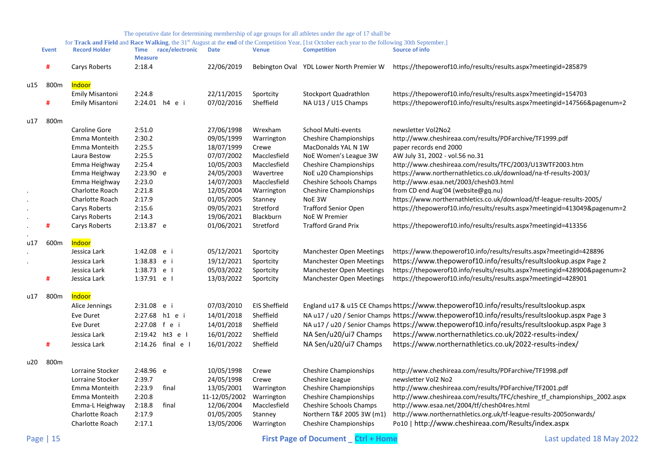|     |              |                                    |                               |                   |                          |                           | for Track and Field and Race Walking, the 31st August at the end of the Competition Year, [1st October each year to the following 30th September.] |                                                                                                                           |
|-----|--------------|------------------------------------|-------------------------------|-------------------|--------------------------|---------------------------|----------------------------------------------------------------------------------------------------------------------------------------------------|---------------------------------------------------------------------------------------------------------------------------|
|     | <b>Event</b> | <b>Record Holder</b>               | <b>Time</b><br><b>Measure</b> | race/electronic   | <b>Date</b>              | <b>Venue</b>              | <b>Competition</b>                                                                                                                                 | <b>Source of info</b>                                                                                                     |
|     | #            | Carys Roberts                      | 2:18.4                        |                   | 22/06/2019               |                           | Bebington Oval YDL Lower North Premier W                                                                                                           | https://thepowerof10.info/results/results.aspx?meetingid=285879                                                           |
|     |              |                                    |                               |                   |                          |                           |                                                                                                                                                    |                                                                                                                           |
| u15 | 800m         | Indoor<br><b>Emily Misantoni</b>   | 2:24.8                        |                   | 22/11/2015               | Sportcity                 | Stockport Quadrathlon                                                                                                                              | https://thepowerof10.info/results/results.aspx?meetingid=154703                                                           |
|     | #            | Emily Misantoni                    |                               | 2:24.01 h4 e i    | 07/02/2016               | Sheffield                 | NA U13 / U15 Champs                                                                                                                                | https://thepowerof10.info/results/results.aspx?meetingid=147566&pagenum=2                                                 |
|     |              |                                    |                               |                   |                          |                           |                                                                                                                                                    |                                                                                                                           |
| u17 | 800m         |                                    |                               |                   |                          |                           |                                                                                                                                                    |                                                                                                                           |
|     |              | Caroline Gore                      | 2:51.0                        |                   | 27/06/1998               | Wrexham                   | <b>School Multi-events</b>                                                                                                                         | newsletter Vol2No2                                                                                                        |
|     |              | Emma Monteith                      | 2:30.2                        |                   | 09/05/1999               | Warrington                | <b>Cheshire Championships</b>                                                                                                                      | http://www.cheshireaa.com/results/PDFarchive/TF1999.pdf                                                                   |
|     |              | Emma Monteith                      | 2:25.5                        |                   | 18/07/1999               | Crewe                     | MacDonalds YAL N 1W                                                                                                                                | paper records end 2000                                                                                                    |
|     |              | Laura Bestow                       | 2:25.5                        |                   | 07/07/2002               | Macclesfield              | NoE Women's League 3W                                                                                                                              | AW July 31, 2002 - vol.56 no.31                                                                                           |
|     |              | Emma Heighway                      | 2:25.4                        |                   | 10/05/2003               | Macclesfield              | <b>Cheshire Championships</b>                                                                                                                      | http://www.cheshireaa.com/results/TFC/2003/U13WTF2003.htm                                                                 |
|     |              | Emma Heighway<br>Emma Heighway     | 2:23.90 e<br>2:23.0           |                   | 24/05/2003<br>14/07/2003 | Wavertree<br>Macclesfield | NoE u20 Championships<br>Cheshire Schools Champs                                                                                                   | https://www.northernathletics.co.uk/download/na-tf-results-2003/<br>http://www.esaa.net/2003/chesh03.html                 |
|     |              | Charlotte Roach                    | 2:21.8                        |                   | 12/05/2004               | Warrington                | <b>Cheshire Championships</b>                                                                                                                      | from CD end Aug'04 (website@gq.nu)                                                                                        |
|     |              | Charlotte Roach                    | 2:17.9                        |                   | 01/05/2005               | Stanney                   | NoE 3W                                                                                                                                             | https://www.northernathletics.co.uk/download/tf-league-results-2005/                                                      |
|     |              | Carys Roberts                      | 2:15.6                        |                   | 09/05/2021               | Stretford                 | <b>Trafford Senior Open</b>                                                                                                                        | https://thepowerof10.info/results/results.aspx?meetingid=413049&pagenum=2                                                 |
|     |              | Carys Roberts                      | 2:14.3                        |                   | 19/06/2021               | Blackburn                 | <b>NoE W Premier</b>                                                                                                                               |                                                                                                                           |
|     | #            | Carys Roberts                      | 2:13.87 e                     |                   | 01/06/2021               | Stretford                 | <b>Trafford Grand Prix</b>                                                                                                                         | https://thepowerof10.info/results/results.aspx?meetingid=413356                                                           |
|     |              | <b>Indoor</b>                      |                               |                   |                          |                           |                                                                                                                                                    |                                                                                                                           |
| u17 | 600m         | Jessica Lark                       | 1:42.08 e i                   |                   | 05/12/2021               | Sportcity                 | Manchester Open Meetings                                                                                                                           | https://www.thepowerof10.info/results/results.aspx?meetingid=428896                                                       |
|     |              | Jessica Lark                       | 1:38.83 e i                   |                   | 19/12/2021               | Sportcity                 | <b>Manchester Open Meetings</b>                                                                                                                    | https://www.thepowerof10.info/results/resultslookup.aspx Page 2                                                           |
|     |              | Jessica Lark                       | 1:38.73 e l                   |                   | 05/03/2022               | Sportcity                 | <b>Manchester Open Meetings</b>                                                                                                                    | https://thepowerof10.info/results/results.aspx?meetingid=428900&pagenum=2                                                 |
|     | #            | Jessica Lark                       | 1:37.91 e l                   |                   | 13/03/2022               | Sportcity                 | Manchester Open Meetings                                                                                                                           | https://thepowerof10.info/results/results.aspx?meetingid=428901                                                           |
|     |              |                                    |                               |                   |                          |                           |                                                                                                                                                    |                                                                                                                           |
| u17 | 800m         | <mark>Indoor</mark>                |                               |                   |                          |                           |                                                                                                                                                    |                                                                                                                           |
|     |              | Alice Jennings                     | 2:31.08 e i                   |                   | 07/03/2010               | <b>EIS Sheffield</b>      |                                                                                                                                                    | England u17 & u15 CE Champs https://www.thepowerof10.info/results/resultslookup.aspx                                      |
|     |              | Eve Duret                          |                               | 2:27.68 h1 e i    | 14/01/2018               | Sheffield                 |                                                                                                                                                    | NA u17 / u20 / Senior Champs https://www.thepowerof10.info/results/resultslookup.aspx Page 3                              |
|     |              | Eve Duret                          | 2:27.08 f e i                 |                   | 14/01/2018               | Sheffield                 |                                                                                                                                                    | NA u17 / u20 / Senior Champs https://www.thepowerof10.info/results/resultslookup.aspx Page 3                              |
|     |              | Jessica Lark                       |                               | 2:19.42 ht3 e I   | 16/01/2022               | Sheffield                 | NA Sen/u20/ui7 Champs                                                                                                                              | https://www.northernathletics.co.uk/2022-results-index/                                                                   |
|     | #            | Jessica Lark                       |                               | 2:14.26 final e I | 16/01/2022               | Sheffield                 | NA Sen/u20/ui7 Champs                                                                                                                              | https://www.northernathletics.co.uk/2022-results-index/                                                                   |
| u20 | 800m         |                                    |                               |                   |                          |                           |                                                                                                                                                    |                                                                                                                           |
|     |              | Lorraine Stocker                   | 2:48.96 e                     |                   | 10/05/1998               | Crewe                     | <b>Cheshire Championships</b>                                                                                                                      | http://www.cheshireaa.com/results/PDFarchive/TF1998.pdf                                                                   |
|     |              | Lorraine Stocker                   | 2:39.7                        |                   | 24/05/1998               | Crewe                     | Cheshire League                                                                                                                                    | newsletter Vol2 No2                                                                                                       |
|     |              | Emma Monteith                      | 2:23.9                        | final             | 13/05/2001               | Warrington                | <b>Cheshire Championships</b>                                                                                                                      | http://www.cheshireaa.com/results/PDFarchive/TF2001.pdf                                                                   |
|     |              | Emma Monteith                      | 2:20.8                        |                   | 11-12/05/2002            | Warrington                | <b>Cheshire Championships</b>                                                                                                                      | http://www.cheshireaa.com/results/TFC/cheshire tf championships 2002.aspx                                                 |
|     |              | Emma-L Heighway                    | 2:18.8                        | final             | 12/06/2004               | Macclesfield              | <b>Cheshire Schools Champs</b>                                                                                                                     | http://www.esaa.net/2004/tf/chesh04res.html                                                                               |
|     |              |                                    |                               |                   |                          |                           |                                                                                                                                                    |                                                                                                                           |
|     |              | Charlotte Roach<br>Charlotte Roach | 2:17.9<br>2:17.1              |                   | 01/05/2005<br>13/05/2006 | Stanney<br>Warrington     | Northern T&F 2005 3W (m1)<br><b>Cheshire Championships</b>                                                                                         | http://www.northernathletics.org.uk/tf-league-results-2005onwards/<br>Po10   http://www.cheshireaa.com/Results/index.aspx |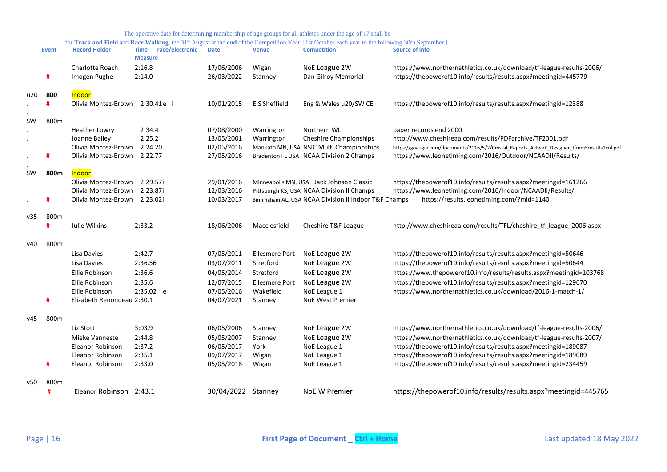|     | <b>Event</b> | <b>Record Holder</b>            | race/electronic<br><b>Time</b><br><b>Measure</b> | <b>Date</b>              | <b>Venue</b>          | <b>Competition</b>                                    | <b>Source of info</b>                                                                                                                   |
|-----|--------------|---------------------------------|--------------------------------------------------|--------------------------|-----------------------|-------------------------------------------------------|-----------------------------------------------------------------------------------------------------------------------------------------|
|     | #            | Charlotte Roach<br>Imogen Pughe | 2:16.8<br>2:14.0                                 | 17/06/2006<br>26/03/2022 | Wigan<br>Stanney      | NoE League 2W<br>Dan Gilroy Memorial                  | https://www.northernathletics.co.uk/download/tf-league-results-2006/<br>https://thepowerof10.info/results/results.aspx?meetingid=445779 |
| u20 | 800          | Indoor                          |                                                  |                          |                       |                                                       |                                                                                                                                         |
|     |              | Olivia Montez-Brown             | 2:30.41e i                                       | 10/01/2015               | <b>EIS Sheffield</b>  | Eng & Wales u20/SW CE                                 | https://thepowerof10.info/results/results.aspx?meetingid=12388                                                                          |
| SW  | 800m         |                                 |                                                  |                          |                       |                                                       |                                                                                                                                         |
|     |              | <b>Heather Lowry</b>            | 2:34.4                                           | 07/08/2000               | Warrington            | Northern WL                                           | paper records end 2000                                                                                                                  |
|     |              | Joanne Bailey                   | 2:25.2                                           | 13/05/2001               | Warrington            | <b>Cheshire Championships</b>                         | http://www.cheshireaa.com/results/PDFarchive/TF2001.pdf                                                                                 |
|     |              | Olivia Montez-Brown             | 2:24.20                                          | 02/05/2016               |                       | Mankato MN, USA NSIC Multi Championships              | https://goaugie.com/documents/2016/5/2/Crystal Reports ActiveX Designer tfmm5results1col.pdf                                            |
|     | #            | Olivia Montez-Brown 2:22.77     |                                                  | 27/05/2016               |                       | Bradenton FL USA NCAA Division 2 Champs               | https://www.leonetiming.com/2016/Outdoor/NCAADII/Results/                                                                               |
| SW  | 800m         | <b>Indoor</b>                   |                                                  |                          |                       |                                                       |                                                                                                                                         |
|     |              | Olivia Montez-Brown             | 2:29.57i                                         | 29/01/2016               |                       | Minneapolis MN, USA Jack Johnson Classic              | https://thepowerof10.info/results/results.aspx?meetingid=161266                                                                         |
|     |              | Olivia Montez-Brown             | 2:23.87i                                         | 12/03/2016               |                       | Pittsburgh KS, USA NCAA Division II Champs            | https://www.leonetiming.com/2016/Indoor/NCAADII/Results/                                                                                |
|     | #            | Olivia Montez-Brown 2:23.02i    |                                                  | 10/03/2017               |                       | Birmingham AL, USA NCAA Division II Indoor T&F Champs | https://results.leonetiming.com/?mid=1140                                                                                               |
| v35 | 800m         |                                 |                                                  |                          |                       |                                                       |                                                                                                                                         |
|     | #            | Julie Wilkins                   | 2:33.2                                           | 18/06/2006               | Macclesfield          | Cheshire T&F League                                   | http://www.cheshireaa.com/results/TFL/cheshire_tf_league_2006.aspx                                                                      |
| v40 | 800m         |                                 |                                                  |                          |                       |                                                       |                                                                                                                                         |
|     |              | Lisa Davies                     | 2:42.7                                           | 07/05/2011               | <b>Ellesmere Port</b> | NoE League 2W                                         | https://thepowerof10.info/results/results.aspx?meetingid=50646                                                                          |
|     |              | Lisa Davies                     | 2:36.56                                          | 03/07/2011               | Stretford             | NoE League 2W                                         | https://thepowerof10.info/results/results.aspx?meetingid=50644                                                                          |
|     |              | Ellie Robinson                  | 2:36.6                                           | 04/05/2014               | Stretford             | NoE League 2W                                         | https://www.thepowerof10.info/results/results.aspx?meetingid=103768                                                                     |
|     |              | Ellie Robinson                  | 2:35.6                                           | 12/07/2015               | <b>Ellesmere Port</b> | NoE League 2W                                         | https://thepowerof10.info/results/results.aspx?meetingid=129670                                                                         |
|     |              | Ellie Robinson                  | 2:35.02 e                                        | 07/05/2016               | Wakefield             | NoE League 1                                          | https://www.northernathletics.co.uk/download/2016-1-match-1/                                                                            |
|     | #            | Elizabeth Renondeau 2:30.1      |                                                  | 04/07/2021               | Stanney               | <b>NoE West Premier</b>                               |                                                                                                                                         |
| v45 | 800m         |                                 |                                                  |                          |                       |                                                       |                                                                                                                                         |
|     |              | Liz Stott                       | 3:03.9                                           | 06/05/2006               | Stanney               | NoE League 2W                                         | https://www.northernathletics.co.uk/download/tf-league-results-2006/                                                                    |
|     |              | Mieke Vanneste                  | 2:44.8                                           | 05/05/2007               | Stanney               | NoE League 2W                                         | https://www.northernathletics.co.uk/download/tf-league-results-2007/                                                                    |
|     |              | Eleanor Robinson                | 2:37.2                                           | 06/05/2017               | York                  | NoE League 1                                          | https://thepowerof10.info/results/results.aspx?meetingid=189087                                                                         |
|     |              | Eleanor Robinson                | 2:35.1                                           | 09/07/2017               | Wigan                 | NoE League 1                                          | https://thepowerof10.info/results/results.aspx?meetingid=189089                                                                         |
|     | #            | Eleanor Robinson                | 2:33.0                                           | 05/05/2018               | Wigan                 | NoE League 1                                          | https://thepowerof10.info/results/results.aspx?meetingid=234459                                                                         |
| v50 | 800m         |                                 |                                                  |                          |                       |                                                       |                                                                                                                                         |
|     | #            | Eleanor Robinson 2:43.1         |                                                  | 30/04/2022 Stanney       |                       | NoE W Premier                                         | https://thepowerof10.info/results/results.aspx?meetingid=445765                                                                         |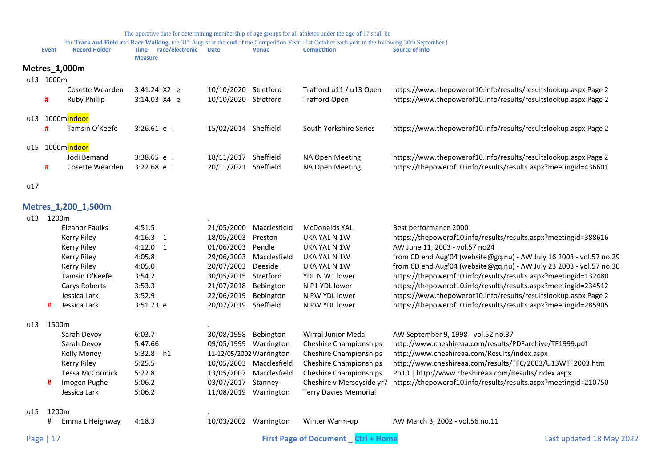for **Track and Field** and Race Walking, the 31<sup>st</sup> August at the end of the Competition Year, [1st October each year to the following 30th September.]

<span id="page-16-0"></span>

|     | Event         | <b>Record Holder</b> | Time<br><b>Measure</b> | race/electronic | <b>Date</b>          | <b>Venue</b> | <b>Competition</b>      | Source of info                                                  |
|-----|---------------|----------------------|------------------------|-----------------|----------------------|--------------|-------------------------|-----------------------------------------------------------------|
|     | Metres_1,000m |                      |                        |                 |                      |              |                         |                                                                 |
| u13 | 1000m         |                      |                        |                 |                      |              |                         |                                                                 |
|     |               | Cosette Wearden      |                        | $3:41.24$ X2 e  | 10/10/2020 Stretford |              | Trafford u11 / u13 Open | https://www.thepowerof10.info/results/resultslookup.aspx Page 2 |
|     | #             | Ruby Phillip         |                        | $3:14.03$ X4 e  | 10/10/2020 Stretford |              | <b>Trafford Open</b>    | https://www.thepowerof10.info/results/resultslookup.aspx Page 2 |
| u13 |               | 1000mlndoor          |                        |                 |                      |              |                         |                                                                 |
|     | #             | Tamsin O'Keefe       | $3:26.61$ e i          |                 | 15/02/2014 Sheffield |              | South Yorkshire Series  | https://www.thepowerof10.info/results/resultslookup.aspx Page 2 |
| u15 |               | 1000mlndoor          |                        |                 |                      |              |                         |                                                                 |
|     |               | Jodi Bemand          | $3:38.65$ e i          |                 | 18/11/2017           | Sheffield    | NA Open Meeting         | https://www.thepowerof10.info/results/resultslookup.aspx Page 2 |
|     | #             | Cosette Wearden      | $3:22.68$ e i          |                 | 20/11/2021           | Sheffield    | NA Open Meeting         | https://thepowerof10.info/results/results.aspx?meetingid=436601 |

<span id="page-16-1"></span>u17

## **Metres\_1,200\_1,500m**

## $u13$  1200m

|   | <b>Eleanor Faulks</b> | 4:51.5                      | 21/05/2000 | Macclesfield | <b>McDonalds YAL</b>          | Best performance 2000                                               |                                           |
|---|-----------------------|-----------------------------|------------|--------------|-------------------------------|---------------------------------------------------------------------|-------------------------------------------|
|   | Kerry Riley           | $4:16.3$ 1                  | 18/05/2003 | Preston      | UKA YAL N 1W                  | https://thepowerof10.info/results/results.aspx?meetingid=388616     |                                           |
|   | Kerry Riley           | $4:12.0$ 1                  | 01/06/2003 | Pendle       | UKA YAL N 1W                  | AW June 11, 2003 - vol.57 no24                                      |                                           |
|   | Kerry Riley           | 4:05.8                      | 29/06/2003 | Macclesfield | UKA YAL N 1W                  | from CD end Aug'04 (website@gq.nu) - AW July 16 2003 - vol.57 no.29 |                                           |
|   | Kerry Riley           | 4:05.0                      | 20/07/2003 | Deeside      | UKA YAL N 1W                  | from CD end Aug'04 (website@gq.nu) - AW July 23 2003 - vol.57 no.30 |                                           |
|   | Tamsin O'Keefe        | 3:54.2                      | 30/05/2015 | Stretford    | YDL N W1 lower                | https://thepowerof10.info/results/results.aspx?meetingid=132480     |                                           |
|   | Carys Roberts         | 3:53.3                      | 21/07/2018 | Bebington    | N P1 YDL lower                | https://thepowerof10.info/results/results.aspx?meetingid=234512     |                                           |
|   | Jessica Lark          | 3:52.9                      | 22/06/2019 | Bebington    | N PW YDL lower                | https://www.thepowerof10.info/results/resultslookup.aspx Page 2     |                                           |
| # | Jessica Lark          | $3:51.73$ e                 | 20/07/2019 | Sheffield    | N PW YDL lower                | https://thepowerof10.info/results/results.aspx?meetingid=285905     |                                           |
|   |                       |                             |            |              |                               |                                                                     |                                           |
|   | Sarah Devoy           | 6:03.7                      | 30/08/1998 | Bebington    | <b>Wirral Junior Medal</b>    | AW September 9, 1998 - vol.52 no.37                                 |                                           |
|   | Sarah Devoy           | 5:47.66                     | 09/05/1999 | Warrington   | <b>Cheshire Championships</b> | http://www.cheshireaa.com/results/PDFarchive/TF1999.pdf             |                                           |
|   | Kelly Money           | 5:32.8<br>h1                |            |              | <b>Cheshire Championships</b> | http://www.cheshireaa.com/Results/index.aspx                        |                                           |
|   | Kerry Riley           | 5:25.5                      | 10/05/2003 | Macclesfield | <b>Cheshire Championships</b> | http://www.cheshireaa.com/results/TFC/2003/U13WTF2003.htm           |                                           |
|   | Tessa McCormick       | 5:22.8                      | 13/05/2007 | Macclesfield | <b>Cheshire Championships</b> | Po10   http://www.cheshireaa.com/Results/index.aspx                 |                                           |
|   | Imogen Pughe          | 5:06.2                      | 03/07/2017 | Stanney      | Cheshire v Merseyside yr7     | https://thepowerof10.info/results/results.aspx?meetingid=210750     |                                           |
|   | Jessica Lark          | 5:06.2                      | 11/08/2019 | Warrington   | <b>Terry Davies Memorial</b>  |                                                                     |                                           |
|   |                       |                             |            |              |                               |                                                                     |                                           |
| # | Emma L Heighway       | 4:18.3                      | 10/03/2002 | Warrington   | Winter Warm-up                | AW March 3, 2002 - vol.56 no.11                                     |                                           |
|   |                       |                             |            |              |                               |                                                                     | Last updated 18 May 2022                  |
|   |                       | 1500m<br>1200m<br>Page   17 |            |              | 11-12/05/2002 Warrington      |                                                                     | <b>First Page of Document Ctrl + Home</b> |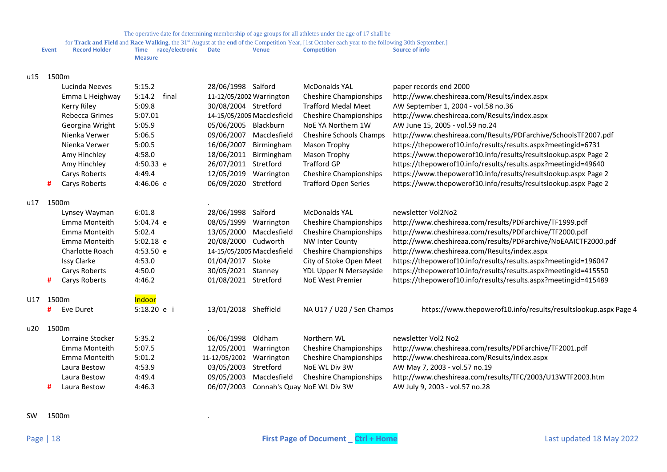for **Track and Field** and **Race Walking**, the 31<sup>st</sup> August at the end of the Competition Year, [1st October each year to the following 30th September.]

| <b>Event</b> | <b>Record Holder</b> | Time    | race/electronic | Date | Venue | <b>Competition</b> | Source of info |
|--------------|----------------------|---------|-----------------|------|-------|--------------------|----------------|
|              |                      | Measure |                 |      |       |                    |                |

## u15 1500m

|     |       | Lucinda Neeves<br>Emma L Heighway<br>Kerry Riley<br>Rebecca Grimes<br>Georgina Wright<br>Nienka Verwer<br>Nienka Verwer<br>Amy Hinchley | 5:15.2<br>5:14.2<br>final<br>5:09.8<br>5:07.01<br>5:05.9<br>5:06.5<br>5:00.5<br>4:58.0 | 28/06/1998 Salford<br>11-12/05/2002 Warrington<br>30/08/2004 Stretford<br>05/06/2005 Blackburn<br>09/06/2007<br>16/06/2007<br>18/06/2011 Birmingham | 14-15/05/2005 Macclesfield<br>Macclesfield<br>Birmingham | <b>McDonalds YAL</b><br><b>Cheshire Championships</b><br><b>Trafford Medal Meet</b><br><b>Cheshire Championships</b><br>NoE YA Northern 1W<br><b>Cheshire Schools Champs</b><br>Mason Trophy<br>Mason Trophy | paper records end 2000<br>http://www.cheshireaa.com/Results/index.aspx<br>AW September 1, 2004 - vol.58 no.36<br>http://www.cheshireaa.com/Results/index.aspx<br>AW June 15, 2005 - vol.59 no.24<br>http://www.cheshireaa.com/Results/PDFarchive/SchoolsTF2007.pdf<br>https://thepowerof10.info/results/results.aspx?meetingid=6731<br>https://www.thepowerof10.info/results/resultslookup.aspx Page 2 |
|-----|-------|-----------------------------------------------------------------------------------------------------------------------------------------|----------------------------------------------------------------------------------------|-----------------------------------------------------------------------------------------------------------------------------------------------------|----------------------------------------------------------|--------------------------------------------------------------------------------------------------------------------------------------------------------------------------------------------------------------|--------------------------------------------------------------------------------------------------------------------------------------------------------------------------------------------------------------------------------------------------------------------------------------------------------------------------------------------------------------------------------------------------------|
|     |       | Amy Hinchley                                                                                                                            | 4:50.33 e                                                                              | 26/07/2011                                                                                                                                          | Stretford                                                | <b>Trafford GP</b>                                                                                                                                                                                           | https://thepowerof10.info/results/results.aspx?meetingid=49640                                                                                                                                                                                                                                                                                                                                         |
|     | #     | Carys Roberts<br>Carys Roberts                                                                                                          | 4:49.4<br>4:46.06 e                                                                    | 12/05/2019<br>06/09/2020 Stretford                                                                                                                  | Warrington                                               | <b>Cheshire Championships</b><br><b>Trafford Open Series</b>                                                                                                                                                 | https://www.thepowerof10.info/results/resultslookup.aspx Page 2<br>https://www.thepowerof10.info/results/resultslookup.aspx Page 2                                                                                                                                                                                                                                                                     |
| u17 | 1500m |                                                                                                                                         |                                                                                        |                                                                                                                                                     |                                                          |                                                                                                                                                                                                              |                                                                                                                                                                                                                                                                                                                                                                                                        |
|     |       | Lynsey Wayman                                                                                                                           | 6:01.8                                                                                 | 28/06/1998 Salford                                                                                                                                  |                                                          | <b>McDonalds YAL</b>                                                                                                                                                                                         | newsletter Vol2No2                                                                                                                                                                                                                                                                                                                                                                                     |
|     |       | Emma Monteith                                                                                                                           | 5:04.74 e                                                                              | 08/05/1999                                                                                                                                          | Warrington                                               | <b>Cheshire Championships</b>                                                                                                                                                                                | http://www.cheshireaa.com/results/PDFarchive/TF1999.pdf                                                                                                                                                                                                                                                                                                                                                |
|     |       | Emma Monteith                                                                                                                           | 5:02.4                                                                                 |                                                                                                                                                     | 13/05/2000 Macclesfield                                  | <b>Cheshire Championships</b>                                                                                                                                                                                | http://www.cheshireaa.com/results/PDFarchive/TF2000.pdf                                                                                                                                                                                                                                                                                                                                                |
|     |       | Emma Monteith                                                                                                                           | 5:02.18 e                                                                              | 20/08/2000 Cudworth                                                                                                                                 |                                                          | <b>NW Inter County</b>                                                                                                                                                                                       | http://www.cheshireaa.com/results/PDFarchive/NoEAAICTF2000.pdf                                                                                                                                                                                                                                                                                                                                         |
|     |       | Charlotte Roach                                                                                                                         | 4:53.50 e                                                                              |                                                                                                                                                     | 14-15/05/2005 Macclesfield                               | <b>Cheshire Championships</b>                                                                                                                                                                                | http://www.cheshireaa.com/Results/index.aspx                                                                                                                                                                                                                                                                                                                                                           |
|     |       | <b>Issy Clarke</b>                                                                                                                      | 4:53.0                                                                                 | 01/04/2017 Stoke                                                                                                                                    |                                                          | City of Stoke Open Meet                                                                                                                                                                                      | https://thepowerof10.info/results/results.aspx?meetingid=196047                                                                                                                                                                                                                                                                                                                                        |
|     |       | Carys Roberts                                                                                                                           | 4:50.0                                                                                 | 30/05/2021 Stanney                                                                                                                                  |                                                          | YDL Upper N Merseyside                                                                                                                                                                                       | https://thepowerof10.info/results/results.aspx?meetingid=415550                                                                                                                                                                                                                                                                                                                                        |
|     | #     | Carys Roberts                                                                                                                           | 4:46.2                                                                                 | 01/08/2021 Stretford                                                                                                                                |                                                          | <b>NoE West Premier</b>                                                                                                                                                                                      | https://thepowerof10.info/results/results.aspx?meetingid=415489                                                                                                                                                                                                                                                                                                                                        |
| U17 | 1500m |                                                                                                                                         | Indoor                                                                                 |                                                                                                                                                     |                                                          |                                                                                                                                                                                                              |                                                                                                                                                                                                                                                                                                                                                                                                        |
|     | #     | Eve Duret                                                                                                                               | 5:18.20 e i                                                                            | 13/01/2018 Sheffield                                                                                                                                |                                                          | NA U17 / U20 / Sen Champs                                                                                                                                                                                    | https://www.thepowerof10.info/results/resultslookup.aspx Page 4                                                                                                                                                                                                                                                                                                                                        |
| u20 | 1500m |                                                                                                                                         |                                                                                        |                                                                                                                                                     |                                                          |                                                                                                                                                                                                              |                                                                                                                                                                                                                                                                                                                                                                                                        |
|     |       | Lorraine Stocker                                                                                                                        | 5:35.2                                                                                 | 06/06/1998                                                                                                                                          | Oldham                                                   | Northern WL                                                                                                                                                                                                  | newsletter Vol2 No2                                                                                                                                                                                                                                                                                                                                                                                    |
|     |       | Emma Monteith                                                                                                                           | 5:07.5                                                                                 | 12/05/2001                                                                                                                                          | Warrington                                               | <b>Cheshire Championships</b>                                                                                                                                                                                | http://www.cheshireaa.com/results/PDFarchive/TF2001.pdf                                                                                                                                                                                                                                                                                                                                                |
|     |       | Emma Monteith                                                                                                                           | 5:01.2                                                                                 | 11-12/05/2002                                                                                                                                       | Warrington                                               | <b>Cheshire Championships</b>                                                                                                                                                                                | http://www.cheshireaa.com/Results/index.aspx                                                                                                                                                                                                                                                                                                                                                           |
|     |       | Laura Bestow                                                                                                                            | 4:53.9                                                                                 | 03/05/2003                                                                                                                                          | Stretford                                                | NoE WL Div 3W                                                                                                                                                                                                | AW May 7, 2003 - vol.57 no.19                                                                                                                                                                                                                                                                                                                                                                          |
|     |       | Laura Bestow                                                                                                                            | 4:49.4                                                                                 | 09/05/2003                                                                                                                                          | Macclesfield                                             | <b>Cheshire Championships</b>                                                                                                                                                                                | http://www.cheshireaa.com/results/TFC/2003/U13WTF2003.htm                                                                                                                                                                                                                                                                                                                                              |
|     | #     | Laura Bestow                                                                                                                            | 4:46.3                                                                                 |                                                                                                                                                     |                                                          | 06/07/2003 Connah's Quay NoE WL Div 3W                                                                                                                                                                       | AW July 9, 2003 - vol.57 no.28                                                                                                                                                                                                                                                                                                                                                                         |

SW 1500m .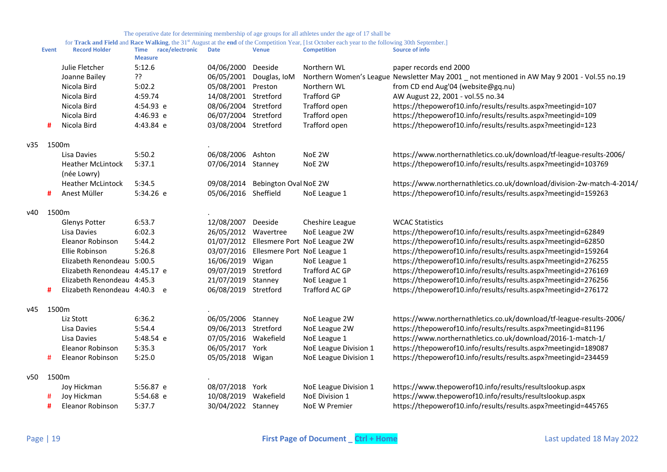|      | <b>Event</b> | <b>Record Holder</b>                    | Time<br>race/electronic<br><b>Measure</b> | <b>Date</b>          | <b>Venue</b>                           | <b>Competition</b>                      | <b>Source of info</b>                                                                       |
|------|--------------|-----------------------------------------|-------------------------------------------|----------------------|----------------------------------------|-----------------------------------------|---------------------------------------------------------------------------------------------|
|      |              | Julie Fletcher                          | 5:12.6                                    | 04/06/2000           | Deeside                                | Northern WL                             | paper records end 2000                                                                      |
|      |              | Joanne Bailey                           | ??                                        | 06/05/2001           | Douglas, IoM                           |                                         | Northern Women's League Newsletter May 2001 _ not mentioned in AW May 9 2001 - Vol.55 no.19 |
|      |              | Nicola Bird                             | 5:02.2                                    | 05/08/2001 Preston   |                                        | Northern WL                             | from CD end Aug'04 (website@gq.nu)                                                          |
|      |              | Nicola Bird                             | 4:59.74                                   | 14/08/2001 Stretford |                                        | <b>Trafford GP</b>                      | AW August 22, 2001 - vol.55 no.34                                                           |
|      |              | Nicola Bird                             | 4:54.93 e                                 | 08/06/2004 Stretford |                                        | Trafford open                           | https://thepowerof10.info/results/results.aspx?meetingid=107                                |
|      |              | Nicola Bird                             | 4:46.93 e                                 | 06/07/2004 Stretford |                                        | Trafford open                           | https://thepowerof10.info/results/results.aspx?meetingid=109                                |
|      | #            | Nicola Bird                             | 4:43.84 e                                 | 03/08/2004 Stretford |                                        | Trafford open                           | https://thepowerof10.info/results/results.aspx?meetingid=123                                |
| v35  | 1500m        |                                         |                                           |                      |                                        |                                         |                                                                                             |
|      |              | Lisa Davies                             | 5:50.2                                    | 06/08/2006 Ashton    |                                        | NoE 2W                                  | https://www.northernathletics.co.uk/download/tf-league-results-2006/                        |
|      |              | <b>Heather McLintock</b><br>(née Lowry) | 5:37.1                                    | 07/06/2014 Stanney   |                                        | NoE 2W                                  | https://thepowerof10.info/results/results.aspx?meetingid=103769                             |
|      |              | <b>Heather McLintock</b>                | 5:34.5                                    |                      | 09/08/2014 Bebington Oval NoE 2W       |                                         | https://www.northernathletics.co.uk/download/division-2w-match-4-2014/                      |
|      | #            | Anest Müller                            | 5:34.26 e                                 | 05/06/2016 Sheffield |                                        | NoE League 1                            | https://thepowerof10.info/results/results.aspx?meetingid=159263                             |
| v40. | 1500m        |                                         |                                           |                      |                                        |                                         |                                                                                             |
|      |              | Glenys Potter                           | 6:53.7                                    | 12/08/2007 Deeside   |                                        | Cheshire League                         | <b>WCAC Statistics</b>                                                                      |
|      |              | Lisa Davies                             | 6:02.3                                    | 26/05/2012 Wavertree |                                        | NoE League 2W                           | https://thepowerof10.info/results/results.aspx?meetingid=62849                              |
|      |              | Eleanor Robinson                        | 5:44.2                                    |                      |                                        | 01/07/2012 Ellesmere Port NoE League 2W | https://thepowerof10.info/results/results.aspx?meetingid=62850                              |
|      |              | Ellie Robinson                          | 5:26.8                                    |                      | 03/07/2016 Ellesmere Port NoE League 1 |                                         | https://thepowerof10.info/results/results.aspx?meetingid=159264                             |
|      |              | Elizabeth Renondeau 5:00.5              |                                           | 16/06/2019 Wigan     |                                        | NoE League 1                            | https://thepowerof10.info/results/results.aspx?meetingid=276255                             |
|      |              | Elizabeth Renondeau 4:45.17 e           |                                           | 09/07/2019 Stretford |                                        | Trafford AC GP                          | https://thepowerof10.info/results/results.aspx?meetingid=276169                             |
|      |              | Elizabeth Renondeau 4:45.3              |                                           | 21/07/2019 Stanney   |                                        | NoE League 1                            | https://thepowerof10.info/results/results.aspx?meetingid=276256                             |
|      | #            | Elizabeth Renondeau 4:40.3 e            |                                           | 06/08/2019 Stretford |                                        | Trafford AC GP                          | https://thepowerof10.info/results/results.aspx?meetingid=276172                             |
| v45  | 1500m        |                                         |                                           |                      |                                        |                                         |                                                                                             |
|      |              | Liz Stott                               | 6:36.2                                    | 06/05/2006 Stanney   |                                        | NoE League 2W                           | https://www.northernathletics.co.uk/download/tf-league-results-2006/                        |
|      |              | Lisa Davies                             | 5:54.4                                    | 09/06/2013 Stretford |                                        | NoE League 2W                           | https://thepowerof10.info/results/results.aspx?meetingid=81196                              |
|      |              | Lisa Davies                             | 5:48.54 e                                 | 07/05/2016 Wakefield |                                        | NoE League 1                            | https://www.northernathletics.co.uk/download/2016-1-match-1/                                |
|      |              | Eleanor Robinson                        | 5:35.3                                    | 06/05/2017 York      |                                        | NoE League Division 1                   | https://thepowerof10.info/results/results.aspx?meetingid=189087                             |
|      | #            | <b>Eleanor Robinson</b>                 | 5:25.0                                    | 05/05/2018 Wigan     |                                        | NoE League Division 1                   | https://thepowerof10.info/results/results.aspx?meetingid=234459                             |
| v50  | 1500m        |                                         |                                           |                      |                                        |                                         |                                                                                             |
|      |              | Joy Hickman                             | 5:56.87 e                                 | 08/07/2018 York      |                                        | NoE League Division 1                   | https://www.thepowerof10.info/results/resultslookup.aspx                                    |
|      | #            | Joy Hickman                             | 5:54.68 e                                 | 10/08/2019 Wakefield |                                        | NoE Division 1                          | https://www.thepowerof10.info/results/resultslookup.aspx                                    |
|      | #            | <b>Eleanor Robinson</b>                 | 5:37.7                                    | 30/04/2022 Stanney   |                                        | <b>NoE W Premier</b>                    | https://thepowerof10.info/results/results.aspx?meetingid=445765                             |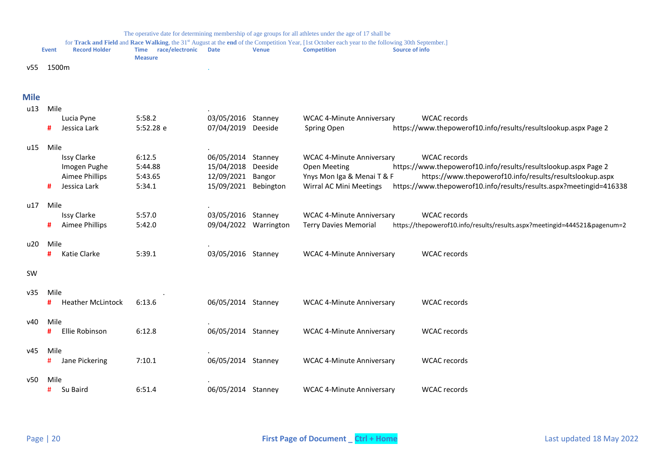<span id="page-19-0"></span>

|      | <b>Event</b> | <b>Record Holder</b>     | race/electronic<br>Time<br><b>Measure</b> | <b>Date</b>          | <b>Venue</b>          | for Track and Field and Race Walking, the 31 <sup>st</sup> August at the end of the Competition Year, [1st October each year to the following 30th September.]<br><b>Competition</b> | <b>Source of info</b> |                                                                           |
|------|--------------|--------------------------|-------------------------------------------|----------------------|-----------------------|--------------------------------------------------------------------------------------------------------------------------------------------------------------------------------------|-----------------------|---------------------------------------------------------------------------|
| v55  | 1500m        |                          |                                           |                      |                       |                                                                                                                                                                                      |                       |                                                                           |
| Mile |              |                          |                                           |                      |                       |                                                                                                                                                                                      |                       |                                                                           |
| u13  | Mile         |                          |                                           |                      |                       |                                                                                                                                                                                      |                       |                                                                           |
|      |              | Lucia Pyne               | 5:58.2                                    | 03/05/2016 Stanney   |                       | <b>WCAC 4-Minute Anniversary</b>                                                                                                                                                     |                       | <b>WCAC</b> records                                                       |
|      | #            | Jessica Lark             | 5:52.28 e                                 | 07/04/2019 Deeside   |                       | Spring Open                                                                                                                                                                          |                       | https://www.thepowerof10.info/results/resultslookup.aspx Page 2           |
| u15  | Mile         |                          |                                           |                      |                       |                                                                                                                                                                                      |                       |                                                                           |
|      |              | <b>Issy Clarke</b>       | 6:12.5                                    | 06/05/2014 Stanney   |                       | <b>WCAC 4-Minute Anniversary</b>                                                                                                                                                     |                       | <b>WCAC</b> records                                                       |
|      |              | Imogen Pughe             | 5:44.88                                   | 15/04/2018           | Deeside               | <b>Open Meeting</b>                                                                                                                                                                  |                       | https://www.thepowerof10.info/results/resultslookup.aspx Page 2           |
|      |              | Aimee Phillips           | 5:43.65                                   | 12/09/2021 Bangor    |                       | Ynys Mon Iga & Menai T & F                                                                                                                                                           |                       | https://www.thepowerof10.info/results/resultslookup.aspx                  |
|      | #            | Jessica Lark             | 5:34.1                                    | 15/09/2021 Bebington |                       | Wirral AC Mini Meetings                                                                                                                                                              |                       | https://www.thepowerof10.info/results/results.aspx?meetingid=416338       |
| u17  | Mile         |                          |                                           |                      |                       |                                                                                                                                                                                      |                       |                                                                           |
|      |              | <b>Issy Clarke</b>       | 5:57.0                                    | 03/05/2016 Stanney   |                       | <b>WCAC 4-Minute Anniversary</b>                                                                                                                                                     |                       | <b>WCAC</b> records                                                       |
|      | #            | Aimee Phillips           | 5:42.0                                    |                      | 09/04/2022 Warrington | <b>Terry Davies Memorial</b>                                                                                                                                                         |                       | https://thepowerof10.info/results/results.aspx?meetingid=444521&pagenum=2 |
| u20  | Mile         |                          |                                           |                      |                       |                                                                                                                                                                                      |                       |                                                                           |
|      | #            | Katie Clarke             | 5:39.1                                    | 03/05/2016 Stanney   |                       | <b>WCAC 4-Minute Anniversary</b>                                                                                                                                                     |                       | <b>WCAC</b> records                                                       |
| SW   |              |                          |                                           |                      |                       |                                                                                                                                                                                      |                       |                                                                           |
|      |              |                          |                                           |                      |                       |                                                                                                                                                                                      |                       |                                                                           |
| v35  | Mile         |                          |                                           |                      |                       |                                                                                                                                                                                      |                       |                                                                           |
|      | #            | <b>Heather McLintock</b> | 6:13.6                                    | 06/05/2014 Stanney   |                       | <b>WCAC 4-Minute Anniversary</b>                                                                                                                                                     |                       | <b>WCAC</b> records                                                       |
| v40  | Mile         |                          |                                           |                      |                       |                                                                                                                                                                                      |                       |                                                                           |
|      | #            | Ellie Robinson           | 6:12.8                                    | 06/05/2014 Stanney   |                       | <b>WCAC 4-Minute Anniversary</b>                                                                                                                                                     |                       | <b>WCAC</b> records                                                       |
| v45  | Mile         |                          |                                           |                      |                       |                                                                                                                                                                                      |                       |                                                                           |
|      | #            | Jane Pickering           | 7:10.1                                    | 06/05/2014 Stanney   |                       | <b>WCAC 4-Minute Anniversary</b>                                                                                                                                                     |                       | <b>WCAC</b> records                                                       |
| v50  | Mile         |                          |                                           |                      |                       |                                                                                                                                                                                      |                       |                                                                           |
|      | #            | Su Baird                 | 6:51.4                                    | 06/05/2014 Stanney   |                       | <b>WCAC 4-Minute Anniversary</b>                                                                                                                                                     |                       | <b>WCAC</b> records                                                       |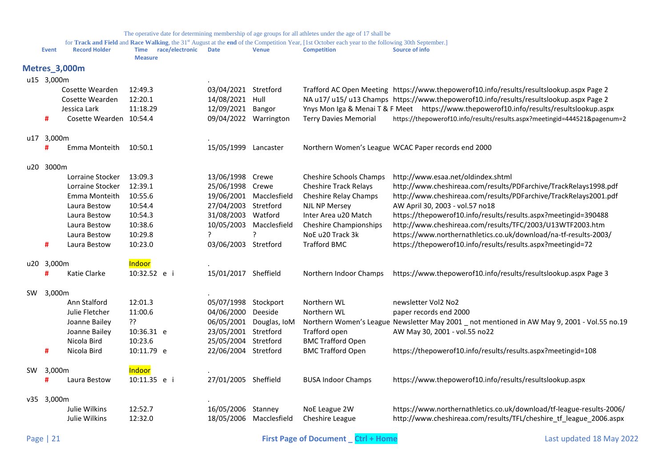<span id="page-20-0"></span>

|     | Event      | <b>Record Holder</b>    | Time race/electronic<br><b>Measure</b> | <b>Date</b>           | <b>Venue</b>            | for Track and Field and Race Walking, the 31 <sup>st</sup> August at the end of the Competition Year, [1st October each year to the following 30th September.]<br><b>Competition</b> | Source of info                                                                               |
|-----|------------|-------------------------|----------------------------------------|-----------------------|-------------------------|--------------------------------------------------------------------------------------------------------------------------------------------------------------------------------------|----------------------------------------------------------------------------------------------|
|     |            | <b>Metres_3,000m</b>    |                                        |                       |                         |                                                                                                                                                                                      |                                                                                              |
|     | u15 3,000m |                         |                                        |                       |                         |                                                                                                                                                                                      |                                                                                              |
|     |            | Cosette Wearden         | 12:49.3                                | 03/04/2021 Stretford  |                         |                                                                                                                                                                                      | Trafford AC Open Meeting https://www.thepowerof10.info/results/resultslookup.aspx Page 2     |
|     |            | Cosette Wearden         | 12:20.1                                | 14/08/2021            | Hull                    |                                                                                                                                                                                      | NA u17/ u15/ u13 Champs https://www.thepowerof10.info/results/resultslookup.aspx Page 2      |
|     |            | Jessica Lark            | 11:18.29                               | 12/09/2021 Bangor     |                         |                                                                                                                                                                                      | Ynys Mon Iga & Menai T & F Meet https://www.thepowerof10.info/results/resultslookup.aspx     |
|     | #          | Cosette Wearden 10:54.4 |                                        | 09/04/2022 Warrington |                         | <b>Terry Davies Memorial</b>                                                                                                                                                         | https://thepowerof10.info/results/results.aspx?meetingid=444521&pagenum=2                    |
|     | u17 3,000m |                         |                                        |                       |                         |                                                                                                                                                                                      |                                                                                              |
|     |            | Emma Monteith           | 10:50.1                                | 15/05/1999 Lancaster  |                         |                                                                                                                                                                                      | Northern Women's League WCAC Paper records end 2000                                          |
| u20 | 3000m      |                         |                                        |                       |                         |                                                                                                                                                                                      |                                                                                              |
|     |            | Lorraine Stocker        | 13:09.3                                | 13/06/1998            | Crewe                   | Cheshire Schools Champs                                                                                                                                                              | http://www.esaa.net/oldindex.shtml                                                           |
|     |            | Lorraine Stocker        | 12:39.1                                | 25/06/1998 Crewe      |                         | <b>Cheshire Track Relays</b>                                                                                                                                                         | http://www.cheshireaa.com/results/PDFarchive/TrackRelays1998.pdf                             |
|     |            | Emma Monteith           | 10:55.6                                |                       | 19/06/2001 Macclesfield | Cheshire Relay Champs                                                                                                                                                                | http://www.cheshireaa.com/results/PDFarchive/TrackRelays2001.pdf                             |
|     |            | Laura Bestow            | 10:54.4                                | 27/04/2003 Stretford  |                         | <b>NJL NP Mersey</b>                                                                                                                                                                 | AW April 30, 2003 - vol.57 no18                                                              |
|     |            | Laura Bestow            | 10:54.3                                | 31/08/2003 Watford    |                         | Inter Area u20 Match                                                                                                                                                                 | https://thepowerof10.info/results/results.aspx?meetingid=390488                              |
|     |            | Laura Bestow            | 10:38.6                                | 10/05/2003            | Macclesfield            | <b>Cheshire Championships</b>                                                                                                                                                        | http://www.cheshireaa.com/results/TFC/2003/U13WTF2003.htm                                    |
|     |            | Laura Bestow            | 10:29.8                                | ?                     | ?                       | NoE u20 Track 3k                                                                                                                                                                     | https://www.northernathletics.co.uk/download/na-tf-results-2003/                             |
|     | #          | Laura Bestow            | 10:23.0                                | 03/06/2003 Stretford  |                         | <b>Trafford BMC</b>                                                                                                                                                                  | https://thepowerof10.info/results/results.aspx?meetingid=72                                  |
|     | u20 3,000m |                         | Indoor                                 |                       |                         |                                                                                                                                                                                      |                                                                                              |
|     | #          | Katie Clarke            | 10:32.52 e i                           | 15/01/2017 Sheffield  |                         | Northern Indoor Champs                                                                                                                                                               | https://www.thepowerof10.info/results/resultslookup.aspx Page 3                              |
| SW  | 3,000m     |                         |                                        |                       |                         |                                                                                                                                                                                      |                                                                                              |
|     |            | Ann Stalford            | 12:01.3                                | 05/07/1998 Stockport  |                         | Northern WL                                                                                                                                                                          | newsletter Vol2 No2                                                                          |
|     |            | Julie Fletcher          | 11:00.6                                | 04/06/2000 Deeside    |                         | Northern WL                                                                                                                                                                          | paper records end 2000                                                                       |
|     |            | Joanne Bailey           | ??                                     |                       | 06/05/2001 Douglas, IoM |                                                                                                                                                                                      | Northern Women's League Newsletter May 2001 _ not mentioned in AW May 9, 2001 - Vol.55 no.19 |
|     |            | Joanne Bailey           | 10:36.31 e                             | 23/05/2001 Stretford  |                         | Trafford open                                                                                                                                                                        | AW May 30, 2001 - vol.55 no22                                                                |
|     |            | Nicola Bird             | 10:23.6                                | 25/05/2004 Stretford  |                         | <b>BMC Trafford Open</b>                                                                                                                                                             |                                                                                              |
|     | #          | Nicola Bird             | 10:11.79 e                             | 22/06/2004 Stretford  |                         | <b>BMC Trafford Open</b>                                                                                                                                                             | https://thepowerof10.info/results/results.aspx?meetingid=108                                 |
| SW  | 3,000m     |                         | Indoor                                 |                       |                         |                                                                                                                                                                                      |                                                                                              |
|     | #          | Laura Bestow            | 10:11.35 e i                           | 27/01/2005 Sheffield  |                         | <b>BUSA Indoor Champs</b>                                                                                                                                                            | https://www.thepowerof10.info/results/resultslookup.aspx                                     |
|     | v35 3,000m |                         |                                        |                       |                         |                                                                                                                                                                                      |                                                                                              |
|     |            | Julie Wilkins           | 12:52.7                                | 16/05/2006 Stanney    |                         | NoE League 2W                                                                                                                                                                        | https://www.northernathletics.co.uk/download/tf-league-results-2006/                         |
|     |            | Julie Wilkins           | 12:32.0                                |                       | 18/05/2006 Macclesfield | Cheshire League                                                                                                                                                                      | http://www.cheshireaa.com/results/TFL/cheshire tf league 2006.aspx                           |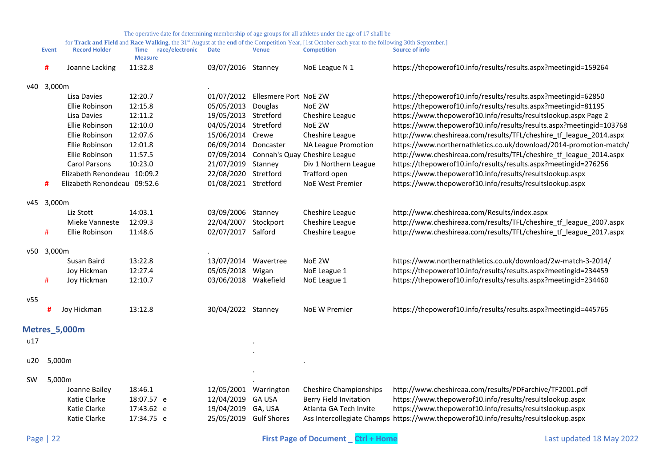<span id="page-21-0"></span>

|           | <b>Event</b> | <b>Record Holder</b>        | race/electronic<br>Time<br><b>Measure</b> | <b>Date</b>            | <b>Venue</b>                     | <b>Competition</b>                       | <b>Source of info</b>                                                               |
|-----------|--------------|-----------------------------|-------------------------------------------|------------------------|----------------------------------|------------------------------------------|-------------------------------------------------------------------------------------|
|           | #            | Joanne Lacking              | 11:32.8                                   | 03/07/2016 Stanney     |                                  | NoE League N 1                           | https://thepowerof10.info/results/results.aspx?meetingid=159264                     |
|           | v40 3,000m   |                             |                                           |                        |                                  |                                          |                                                                                     |
|           |              | Lisa Davies                 | 12:20.7                                   |                        | 01/07/2012 Ellesmere Port NoE 2W |                                          | https://thepowerof10.info/results/results.aspx?meetingid=62850                      |
|           |              | Ellie Robinson              | 12:15.8                                   | 05/05/2013 Douglas     |                                  | NoE 2W                                   | https://thepowerof10.info/results/results.aspx?meetingid=81195                      |
|           |              | Lisa Davies                 | 12:11.2                                   | 19/05/2013 Stretford   |                                  | Cheshire League                          | https://www.thepowerof10.info/results/resultslookup.aspx Page 2                     |
|           |              | Ellie Robinson              | 12:10.0                                   | 04/05/2014 Stretford   |                                  | NoE 2W                                   | https://www.thepowerof10.info/results/results.aspx?meetingid=103768                 |
|           |              | Ellie Robinson              | 12:07.6                                   | 15/06/2014 Crewe       |                                  | Cheshire League                          | http://www.cheshireaa.com/results/TFL/cheshire_tf_league_2014.aspx                  |
|           |              | Ellie Robinson              | 12:01.8                                   | 06/09/2014 Doncaster   |                                  | NA League Promotion                      | https://www.northernathletics.co.uk/download/2014-promotion-match/                  |
|           |              | Ellie Robinson              | 11:57.5                                   |                        |                                  | 07/09/2014 Connah's Quay Cheshire League | http://www.cheshireaa.com/results/TFL/cheshire_tf_league_2014.aspx                  |
|           |              | Carol Parsons               | 10:23.0                                   | 21/07/2019 Stanney     |                                  | Div 1 Northern League                    | https://thepowerof10.info/results/results.aspx?meetingid=276256                     |
|           |              | Elizabeth Renondeau 10:09.2 |                                           | 22/08/2020 Stretford   |                                  | Trafford open                            | https://www.thepowerof10.info/results/resultslookup.aspx                            |
|           | #            | Elizabeth Renondeau 09:52.6 |                                           | 01/08/2021 Stretford   |                                  | NoE West Premier                         | https://www.thepowerof10.info/results/resultslookup.aspx                            |
|           | v45 3,000m   |                             |                                           |                        |                                  |                                          |                                                                                     |
|           |              | Liz Stott                   | 14:03.1                                   | 03/09/2006 Stanney     |                                  | Cheshire League                          | http://www.cheshireaa.com/Results/index.aspx                                        |
|           |              | Mieke Vanneste              | 12:09.3                                   | 22/04/2007 Stockport   |                                  | Cheshire League                          | http://www.cheshireaa.com/results/TFL/cheshire_tf_league_2007.aspx                  |
|           | #            | Ellie Robinson              | 11:48.6                                   | 02/07/2017 Salford     |                                  | Cheshire League                          | http://www.cheshireaa.com/results/TFL/cheshire_tf_league_2017.aspx                  |
|           | v50 3,000m   |                             |                                           |                        |                                  |                                          |                                                                                     |
|           |              | Susan Baird                 | 13:22.8                                   | 13/07/2014 Wavertree   |                                  | NoE 2W                                   | https://www.northernathletics.co.uk/download/2w-match-3-2014/                       |
|           |              | Joy Hickman                 | 12:27.4                                   | 05/05/2018 Wigan       |                                  | NoE League 1                             | https://thepowerof10.info/results/results.aspx?meetingid=234459                     |
|           | #            | Joy Hickman                 | 12:10.7                                   | 03/06/2018 Wakefield   |                                  | NoE League 1                             | https://thepowerof10.info/results/results.aspx?meetingid=234460                     |
| v55       |              |                             |                                           |                        |                                  |                                          |                                                                                     |
|           | #            | Joy Hickman                 | 13:12.8                                   | 30/04/2022 Stanney     |                                  | NoE W Premier                            | https://thepowerof10.info/results/results.aspx?meetingid=445765                     |
|           |              | <b>Metres_5,000m</b>        |                                           |                        |                                  |                                          |                                                                                     |
| u17       |              |                             |                                           |                        |                                  |                                          |                                                                                     |
| u20       | 5,000m       |                             |                                           |                        |                                  |                                          |                                                                                     |
|           |              |                             |                                           |                        |                                  |                                          |                                                                                     |
| <b>SW</b> | 5,000m       |                             |                                           |                        |                                  |                                          |                                                                                     |
|           |              | Joanne Bailey               | 18:46.1                                   | 12/05/2001 Warrington  |                                  | <b>Cheshire Championships</b>            | http://www.cheshireaa.com/results/PDFarchive/TF2001.pdf                             |
|           |              | Katie Clarke                | 18:07.57 e                                | 12/04/2019 GA USA      |                                  | Berry Field Invitation                   | https://www.thepowerof10.info/results/resultslookup.aspx                            |
|           |              | Katie Clarke                | 17:43.62 e                                | 19/04/2019 GA, USA     |                                  | Atlanta GA Tech Invite                   | https://www.thepowerof10.info/results/resultslookup.aspx                            |
|           |              | Katie Clarke                | 17:34.75 e                                | 25/05/2019 Gulf Shores |                                  |                                          | Ass Intercollegiate Champs https://www.thepowerof10.info/results/resultslookup.aspx |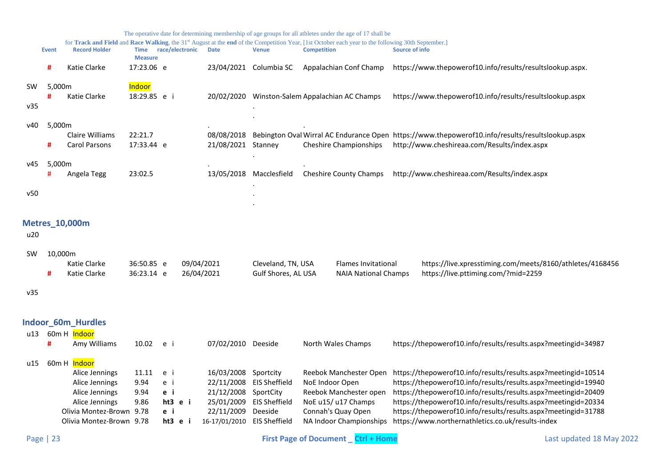<span id="page-22-1"></span><span id="page-22-0"></span>

|                  |              |                                                                                                                                              |                                        |                                                |                          |                                                                                                   |                                                                                   | The operative date for determining membership of age groups for all athletes under the age of 17 shall be                                                                            |                                                                                                                                                                                                                                                                                                                                                                                             |
|------------------|--------------|----------------------------------------------------------------------------------------------------------------------------------------------|----------------------------------------|------------------------------------------------|--------------------------|---------------------------------------------------------------------------------------------------|-----------------------------------------------------------------------------------|--------------------------------------------------------------------------------------------------------------------------------------------------------------------------------------|---------------------------------------------------------------------------------------------------------------------------------------------------------------------------------------------------------------------------------------------------------------------------------------------------------------------------------------------------------------------------------------------|
|                  | <b>Event</b> | <b>Record Holder</b>                                                                                                                         | Time race/electronic<br><b>Measure</b> |                                                |                          | <b>Date</b>                                                                                       | <b>Venue</b>                                                                      | for Track and Field and Race Walking, the 31 <sup>st</sup> August at the end of the Competition Year, [1st October each year to the following 30th September.]<br><b>Competition</b> | <b>Source of info</b>                                                                                                                                                                                                                                                                                                                                                                       |
|                  | #            | Katie Clarke                                                                                                                                 | 17:23.06 e                             |                                                |                          |                                                                                                   | 23/04/2021 Columbia SC                                                            | Appalachian Conf Champ                                                                                                                                                               | https://www.thepowerof10.info/results/resultslookup.aspx.                                                                                                                                                                                                                                                                                                                                   |
| <b>SW</b><br>v35 | 5,000m<br>#  | Katie Clarke                                                                                                                                 | Indoor<br>18:29.85 e i                 |                                                |                          |                                                                                                   |                                                                                   | 20/02/2020 Winston-Salem Appalachian AC Champs                                                                                                                                       | https://www.thepowerof10.info/results/resultslookup.aspx                                                                                                                                                                                                                                                                                                                                    |
| v40              | 5,000m<br>#  | Claire Williams<br>Carol Parsons                                                                                                             | 22:21.7<br>17:33.44 e                  |                                                |                          | 08/08/2018<br>21/08/2021                                                                          | Stanney                                                                           | <b>Cheshire Championships</b>                                                                                                                                                        | Bebington Oval Wirral AC Endurance Open https://www.thepowerof10.info/results/resultslookup.aspx<br>http://www.cheshireaa.com/Results/index.aspx                                                                                                                                                                                                                                            |
| v45              | 5,000m<br>#  | Angela Tegg                                                                                                                                  | 23:02.5                                |                                                |                          | 13/05/2018                                                                                        | Macclesfield                                                                      | <b>Cheshire County Champs</b>                                                                                                                                                        | http://www.cheshireaa.com/Results/index.aspx                                                                                                                                                                                                                                                                                                                                                |
| v50              |              |                                                                                                                                              |                                        |                                                |                          |                                                                                                   |                                                                                   |                                                                                                                                                                                      |                                                                                                                                                                                                                                                                                                                                                                                             |
| u20<br><b>SW</b> | 10,000m<br># | <b>Metres 10,000m</b><br>Katie Clarke<br>Katie Clarke                                                                                        | 36:50.85 e<br>36:23.14 e               |                                                | 09/04/2021<br>26/04/2021 |                                                                                                   | Cleveland, TN, USA<br>Gulf Shores, AL USA                                         | <b>Flames Invitational</b><br><b>NAIA National Champs</b>                                                                                                                            | https://live.xpresstiming.com/meets/8160/athletes/4168456<br>https://live.pttiming.com/?mid=2259                                                                                                                                                                                                                                                                                            |
| v35              |              |                                                                                                                                              |                                        |                                                |                          |                                                                                                   |                                                                                   |                                                                                                                                                                                      |                                                                                                                                                                                                                                                                                                                                                                                             |
| u13              | #            | Indoor_60m_Hurdles<br>60m H Indoor<br>Amy Williams                                                                                           | 10.02                                  | e i                                            |                          | 07/02/2010 Deeside                                                                                |                                                                                   | North Wales Champs                                                                                                                                                                   | https://thepowerof10.info/results/results.aspx?meetingid=34987                                                                                                                                                                                                                                                                                                                              |
| u15              |              | 60m H Indoor<br>Alice Jennings<br>Alice Jennings<br>Alice Jennings<br>Alice Jennings<br>Olivia Montez-Brown 9.78<br>Olivia Montez-Brown 9.78 | 11.11<br>9.94<br>9.94<br>9.86          | e i<br>e i<br>e i<br>ht3 e i<br>e i<br>ht3 e i |                          | 16/03/2008<br>22/11/2008<br>21/12/2008<br>25/01/2009<br>22/11/2009<br>16-17/01/2010 EIS Sheffield | Sportcity<br><b>EIS Sheffield</b><br>SportCity<br><b>EIS Sheffield</b><br>Deeside | Reebok Manchester Open<br>NoE Indoor Open<br>Reebok Manchester open<br>NoE u15/ u17 Champs<br>Connah's Quay Open<br>NA Indoor Championships                                          | https://thepowerof10.info/results/results.aspx?meetingid=10514<br>https://thepowerof10.info/results/results.aspx?meetingid=19940<br>https://thepowerof10.info/results/results.aspx?meetingid=20409<br>https://thepowerof10.info/results/results.aspx?meetingid=20334<br>https://thepowerof10.info/results/results.aspx?meetingid=31788<br>https://www.northernathletics.co.uk/results-index |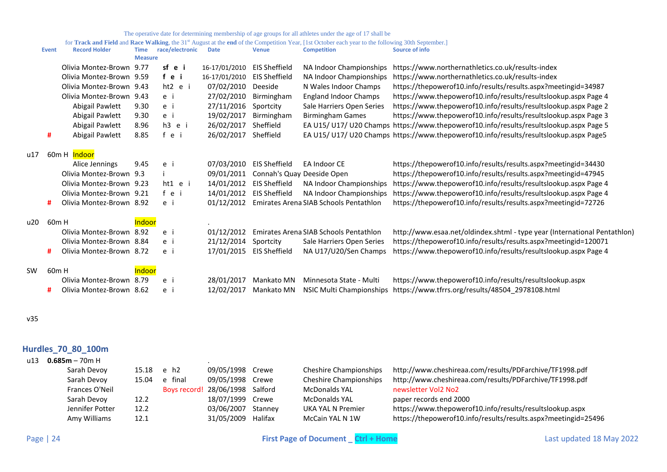for Track and Field and Race Walking, the 31<sup>st</sup> August at the end of the Competition Year, [1st October each year to the following 30th September.]

|     | <b>Event</b>      | <b>Record Holder</b>     | <b>Time</b>    | race/electronic | <b>Date</b>   | <b>Venue</b>         | <b>Competition</b>                     | <b>Source of info</b>                                                                 |
|-----|-------------------|--------------------------|----------------|-----------------|---------------|----------------------|----------------------------------------|---------------------------------------------------------------------------------------|
|     |                   |                          | <b>Measure</b> |                 |               |                      |                                        |                                                                                       |
|     |                   | Olivia Montez-Brown      | 9.77           | sf e i          | 16-17/01/2010 | <b>EIS Sheffield</b> | NA Indoor Championships                | https://www.northernathletics.co.uk/results-index                                     |
|     |                   | Olivia Montez-Brown      | 9.59           | fei             | 16-17/01/2010 | <b>EIS Sheffield</b> | NA Indoor Championships                | https://www.northernathletics.co.uk/results-index                                     |
|     |                   | Olivia Montez-Brown      | 9.43           | ht2 e i         | 07/02/2010    | Deeside              | N Wales Indoor Champs                  | https://thepowerof10.info/results/results.aspx?meetingid=34987                        |
|     |                   | Olivia Montez-Brown      | 9.43           | e i             | 27/02/2010    | Birmingham           | <b>England Indoor Champs</b>           | https://www.thepowerof10.info/results/resultslookup.aspx Page 4                       |
|     |                   | Abigail Pawlett          | 9.30           | e i             | 27/11/2016    | Sportcity            | Sale Harriers Open Series              | https://www.thepowerof10.info/results/resultslookup.aspx Page 2                       |
|     |                   | Abigail Pawlett          | 9.30           | e i             | 19/02/2017    | Birmingham           | <b>Birmingham Games</b>                | https://www.thepowerof10.info/results/resultslookup.aspx Page 3                       |
|     |                   | Abigail Pawlett          | 8.96           | h3 e i          | 26/02/2017    | Sheffield            |                                        | EA U15/U17/U20 Champs https://www.thepowerof10.info/results/resultslookup.aspx Page 5 |
|     | #                 | Abigail Pawlett          | 8.85           | fei             | 26/02/2017    | Sheffield            |                                        | EA U15/U17/U20 Champs https://www.thepowerof10.info/results/resultslookup.aspx Page5  |
| u17 |                   | 60m H Indoor             |                |                 |               |                      |                                        |                                                                                       |
|     |                   | Alice Jennings           | 9.45           | e i             | 07/03/2010    | <b>EIS Sheffield</b> | EA Indoor CE                           | https://thepowerof10.info/results/results.aspx?meetingid=34430                        |
|     |                   | Olivia Montez-Brown 9.3  |                |                 | 09/01/2011    |                      | Connah's Quay Deeside Open             | https://thepowerof10.info/results/results.aspx?meetingid=47945                        |
|     |                   | Olivia Montez-Brown      | 9.23           | $ht1$ e i       | 14/01/2012    | <b>EIS Sheffield</b> | NA Indoor Championships                | https://www.thepowerof10.info/results/resultslookup.aspx Page 4                       |
|     |                   | Olivia Montez-Brown 9.21 |                | fei             | 14/01/2012    | <b>EIS Sheffield</b> | NA Indoor Championships                | https://www.thepowerof10.info/results/resultslookup.aspx Page 4                       |
|     | #                 | Olivia Montez-Brown 8.92 |                | e i             | 01/12/2012    |                      | Emirates Arena SIAB Schools Pentathlon | https://thepowerof10.info/results/results.aspx?meetingid=72726                        |
| u20 | 60 <sub>m</sub> H |                          | <b>Indoor</b>  |                 |               |                      |                                        |                                                                                       |
|     |                   | Olivia Montez-Brown      | 8.92           | e i             | 01/12/2012    |                      | Emirates Arena SIAB Schools Pentathlon | http://www.esaa.net/oldindex.shtml - type year (International Pentathlon)             |
|     |                   | Olivia Montez-Brown      | 8.84           | e i             | 21/12/2014    | Sportcity            | Sale Harriers Open Series              | https://thepowerof10.info/results/results.aspx?meetingid=120071                       |
|     | #                 | Olivia Montez-Brown 8.72 |                | e i             | 17/01/2015    | <b>EIS Sheffield</b> | NA U17/U20/Sen Champs                  | https://www.thepowerof10.info/results/resultslookup.aspx Page 4                       |
| SW  | 60 <sub>m</sub> H |                          | Indoor         |                 |               |                      |                                        |                                                                                       |
|     |                   | Olivia Montez-Brown      | 8.79           | e i             | 28/01/2017    | Mankato MN           | Minnesota State - Multi                | https://www.thepowerof10.info/results/resultslookup.aspx                              |
|     | #                 | Olivia Montez-Brown 8.62 |                | e i             | 12/02/2017    | Mankato MN           | NSIC Multi Championships               | https://www.tfrrs.org/results/48504_2978108.html                                      |
|     |                   |                          |                |                 |               |                      |                                        |                                                                                       |

v35

## <span id="page-23-0"></span>**Hurdles\_70\_80\_100m**

| $0.685m - 70m$ H |       |         |            |         |                                                                               |                                                                |
|------------------|-------|---------|------------|---------|-------------------------------------------------------------------------------|----------------------------------------------------------------|
| Sarah Devoy      |       |         |            |         | <b>Cheshire Championships</b>                                                 | http://www.cheshireaa.com/results/PDFarchive/TF1998.pdf        |
| Sarah Devov      | 15.04 | e final |            |         | <b>Cheshire Championships</b>                                                 | http://www.cheshireaa.com/results/PDFarchive/TF1998.pdf        |
| Frances O'Neil   |       |         |            |         | <b>McDonalds YAL</b>                                                          | newsletter Vol2 No2                                            |
| Sarah Devov      | 12.2  |         | 18/07/1999 | Crewe   | McDonalds YAL                                                                 | paper records end 2000                                         |
| Jennifer Potter  | 12.2  |         | 03/06/2007 | Stanney | UKA YAL N Premier                                                             | https://www.thepowerof10.info/results/resultslookup.aspx       |
| Amy Williams     | 12.1  |         | 31/05/2009 | Halifax | McCain YAL N 1W                                                               | https://thepowerof10.info/results/results.aspx?meetingid=25496 |
|                  |       |         | 15.18 e h2 |         | 09/05/1998<br>Crewe<br>09/05/1998<br>Crewe<br>Boys record! 28/06/1998 Salford |                                                                |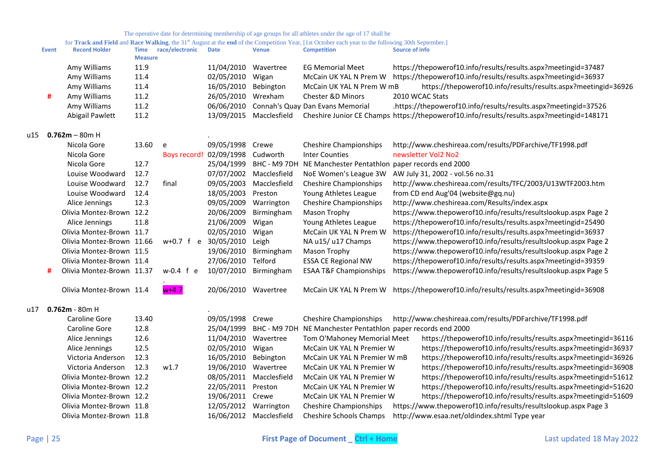|       | <b>Event</b> | <b>Record Holder</b>      | <b>Time</b><br><b>Measure</b> | race/electronic      | <b>Date</b>             | <b>Venue</b>            | <b>Competition</b>                              | <b>Source of info</b>                                                                     |
|-------|--------------|---------------------------|-------------------------------|----------------------|-------------------------|-------------------------|-------------------------------------------------|-------------------------------------------------------------------------------------------|
|       |              | Amy Williams              | 11.9                          |                      | 11/04/2010 Wavertree    |                         | <b>EG Memorial Meet</b>                         | https://thepowerof10.info/results/results.aspx?meetingid=37487                            |
|       |              | Amy Williams              | 11.4                          |                      | 02/05/2010              | Wigan                   | McCain UK YAL N Prem W                          | https://thepowerof10.info/results/results.aspx?meetingid=36937                            |
|       |              | Amy Williams              | 11.4                          |                      | 16/05/2010              | Bebington               | McCain UK YAL N Prem W mB                       | https://thepowerof10.info/results/results.aspx?meetingid=36926                            |
|       | #            | Amy Williams              | 11.2                          |                      | 26/05/2010              | Wrexham                 | Chester &D Minors                               | 2010 WCAC Stats                                                                           |
|       |              | Amy Williams              | 11.2                          |                      | 06/06/2010              |                         | Connah's Quay Dan Evans Memorial                | .https://thepowerof10.info/results/results.aspx?meetingid=37526                           |
|       |              | Abigail Pawlett           | 11.2                          |                      | 13/09/2015              | Macclesfield            |                                                 | Cheshire Junior CE Champs https://thepowerof10.info/results/results.aspx?meetingid=148171 |
| u15 I |              | $0.762m - 80m$ H          |                               |                      |                         |                         |                                                 |                                                                                           |
|       |              | Nicola Gore               | 13.60                         | e                    | 09/05/1998 Crewe        |                         | <b>Cheshire Championships</b>                   | http://www.cheshireaa.com/results/PDFarchive/TF1998.pdf                                   |
|       |              | Nicola Gore               |                               |                      | Boys record! 02/09/1998 | Cudworth                | <b>Inter Counties</b>                           | newsletter Vol2 No2                                                                       |
|       |              | Nicola Gore               | 12.7                          |                      | 25/04/1999              | BHC - M9 7DH            | NE Manchester Pentathlon paper records end 2000 |                                                                                           |
|       |              | Louise Woodward           | 12.7                          |                      | 07/07/2002              | Macclesfield            | NoE Women's League 3W                           | AW July 31, 2002 - vol.56 no.31                                                           |
|       |              | Louise Woodward           | 12.7                          | final                | 09/05/2003              | Macclesfield            | <b>Cheshire Championships</b>                   | http://www.cheshireaa.com/results/TFC/2003/U13WTF2003.htm                                 |
|       |              | Louise Woodward           | 12.4                          |                      | 18/05/2003              | Preston                 | Young Athletes League                           | from CD end Aug'04 (website@gq.nu)                                                        |
|       |              | Alice Jennings            | 12.3                          |                      | 09/05/2009              | Warrington              | <b>Cheshire Championships</b>                   | http://www.cheshireaa.com/Results/index.aspx                                              |
|       |              | Olivia Montez-Brown 12.2  |                               |                      | 20/06/2009              | Birmingham              | Mason Trophy                                    | https://www.thepowerof10.info/results/resultslookup.aspx Page 2                           |
|       |              | Alice Jennings            | 11.8                          |                      | 21/06/2009              | Wigan                   | Young Athletes League                           | https://thepowerof10.info/results/results.aspx?meetingid=25490                            |
|       |              | Olivia Montez-Brown 11.7  |                               |                      | 02/05/2010              | Wigan                   | McCain UK YAL N Prem W                          | https://thepowerof10.info/results/results.aspx?meetingid=36937                            |
|       |              | Olivia Montez-Brown 11.66 |                               | w+0.7 f e 30/05/2010 |                         | Leigh                   | NA u15/ u17 Champs                              | https://www.thepowerof10.info/results/resultslookup.aspx Page 2                           |
|       |              | Olivia Montez-Brown 11.5  |                               |                      | 19/06/2010              | Birmingham              | Mason Trophy                                    | https://www.thepowerof10.info/results/resultslookup.aspx Page 2                           |
|       |              | Olivia Montez-Brown 11.4  |                               |                      | 27/06/2010              | Telford                 | <b>ESSA CE Regional NW</b>                      | https://thepowerof10.info/results/results.aspx?meetingid=39359                            |
|       | #            | Olivia Montez-Brown 11.37 |                               | $w-0.4$ f e          | 10/07/2010 Birmingham   |                         | <b>ESAA T&amp;F Championships</b>               | https://www.thepowerof10.info/results/resultslookup.aspx Page 5                           |
|       |              | Olivia Montez-Brown 11.4  |                               | $w+4.7$              | 20/06/2010 Wavertree    |                         |                                                 | McCain UK YAL N Prem W https://thepowerof10.info/results/results.aspx?meetingid=36908     |
| u17   |              | $0.762m - 80m$ H          |                               |                      |                         |                         |                                                 |                                                                                           |
|       |              | Caroline Gore             | 13.40                         |                      | 09/05/1998 Crewe        |                         | <b>Cheshire Championships</b>                   | http://www.cheshireaa.com/results/PDFarchive/TF1998.pdf                                   |
|       |              | Caroline Gore             | 12.8                          |                      | 25/04/1999              | BHC - M9 7DH            | NE Manchester Pentathlon paper records end 2000 |                                                                                           |
|       |              | Alice Jennings            | 12.6                          |                      | 11/04/2010 Wavertree    |                         | Tom O'Mahoney Memorial Meet                     | https://thepowerof10.info/results/results.aspx?meetingid=36116                            |
|       |              | Alice Jennings            | 12.5                          |                      | 02/05/2010              | Wigan                   | McCain UK YAL N Premier W                       | https://thepowerof10.info/results/results.aspx?meetingid=36937                            |
|       |              | Victoria Anderson         | 12.3                          |                      | 16/05/2010              | Bebington               | McCain UK YAL N Premier W mB                    | https://thepowerof10.info/results/results.aspx?meetingid=36926                            |
|       |              | Victoria Anderson         | 12.3                          | w1.7                 | 19/06/2010 Wavertree    |                         | McCain UK YAL N Premier W                       | https://thepowerof10.info/results/results.aspx?meetingid=36908                            |
|       |              | Olivia Montez-Brown 12.2  |                               |                      | 08/05/2011              | Macclesfield            | McCain UK YAL N Premier W                       | https://thepowerof10.info/results/results.aspx?meetingid=51612                            |
|       |              | Olivia Montez-Brown 12.2  |                               |                      | 22/05/2011              | Preston                 | McCain UK YAL N Premier W                       | https://thepowerof10.info/results/results.aspx?meetingid=51620                            |
|       |              | Olivia Montez-Brown 12.2  |                               |                      | 19/06/2011 Crewe        |                         | McCain UK YAL N Premier W                       | https://thepowerof10.info/results/results.aspx?meetingid=51609                            |
|       |              | Olivia Montez-Brown 11.8  |                               |                      | 12/05/2012 Warrington   |                         | <b>Cheshire Championships</b>                   | https://www.thepowerof10.info/results/resultslookup.aspx Page 3                           |
|       |              | Olivia Montez-Brown 11.8  |                               |                      |                         | 16/06/2012 Macclesfield | <b>Cheshire Schools Champs</b>                  | http://www.esaa.net/oldindex.shtml Type year                                              |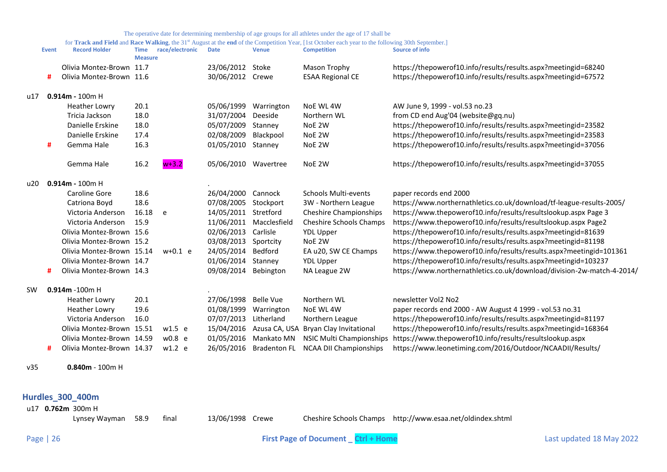for **Track and Field** and Race Walking, the 31<sup>st</sup> August at the end of the Competition Year, [1st October each year to the following 30th September.]

|     | <b>Event</b> | <b>Record Holder</b>      | Time<br><b>Measure</b> | race/electronic | <b>Date</b>          | <b>Venue</b>            | <b>Competition</b>                             | <b>Source of info</b>                                                  |
|-----|--------------|---------------------------|------------------------|-----------------|----------------------|-------------------------|------------------------------------------------|------------------------------------------------------------------------|
|     |              | Olivia Montez-Brown 11.7  |                        |                 | 23/06/2012           | Stoke                   | Mason Trophy                                   | https://thepowerof10.info/results/results.aspx?meetingid=68240         |
|     | #            | Olivia Montez-Brown 11.6  |                        |                 | 30/06/2012 Crewe     |                         | <b>ESAA Regional CE</b>                        | https://thepowerof10.info/results/results.aspx?meetingid=67572         |
| u17 |              | $0.914m - 100m$ H         |                        |                 |                      |                         |                                                |                                                                        |
|     |              | <b>Heather Lowry</b>      | 20.1                   |                 | 05/06/1999           | Warrington              | NoE WL 4W                                      | AW June 9, 1999 - vol.53 no.23                                         |
|     |              | Tricia Jackson            | 18.0                   |                 | 31/07/2004           | Deeside                 | Northern WL                                    | from CD end Aug'04 (website@gq.nu)                                     |
|     |              | Danielle Erskine          | 18.0                   |                 | 05/07/2009           | Stanney                 | NoE 2W                                         | https://thepowerof10.info/results/results.aspx?meetingid=23582         |
|     |              | Danielle Erskine          | 17.4                   |                 | 02/08/2009           | Blackpool               | NoE 2W                                         | https://thepowerof10.info/results/results.aspx?meetingid=23583         |
|     | #            | Gemma Hale                | 16.3                   |                 | 01/05/2010 Stanney   |                         | NoE 2W                                         | https://thepowerof10.info/results/results.aspx?meetingid=37056         |
|     |              | Gemma Hale                | 16.2                   | $w+3.2$         | 05/06/2010 Wavertree |                         | NoE 2W                                         | https://thepowerof10.info/results/results.aspx?meetingid=37055         |
| u20 |              | $0.914m - 100m$ H         |                        |                 |                      |                         |                                                |                                                                        |
|     |              | Caroline Gore             | 18.6                   |                 | 26/04/2000 Cannock   |                         | Schools Multi-events                           | paper records end 2000                                                 |
|     |              | Catriona Boyd             | 18.6                   |                 | 07/08/2005           | Stockport               | 3W - Northern League                           | https://www.northernathletics.co.uk/download/tf-league-results-2005/   |
|     |              | Victoria Anderson         | 16.18                  | e               | 14/05/2011 Stretford |                         | <b>Cheshire Championships</b>                  | https://www.thepowerof10.info/results/resultslookup.aspx Page 3        |
|     |              | Victoria Anderson         | 15.9                   |                 |                      | 11/06/2011 Macclesfield | Cheshire Schools Champs                        | https://www.thepowerof10.info/results/resultslookup.aspx Page2         |
|     |              | Olivia Montez-Brown 15.6  |                        |                 | 02/06/2013           | Carlisle                | <b>YDL Upper</b>                               | https://thepowerof10.info/results/results.aspx?meetingid=81639         |
|     |              | Olivia Montez-Brown 15.2  |                        |                 | 03/08/2013           | Sportcity               | NoE 2W                                         | https://thepowerof10.info/results/results.aspx?meetingid=81198         |
|     |              | Olivia Montez-Brown 15.14 |                        | $w+0.1$ e       | 24/05/2014           | Bedford                 | EA u20, SW CE Champs                           | https://www.thepowerof10.info/results/results.aspx?meetingid=101361    |
|     |              | Olivia Montez-Brown 14.7  |                        |                 | 01/06/2014           | Stanney                 | <b>YDL Upper</b>                               | https://thepowerof10.info/results/results.aspx?meetingid=103237        |
|     | #            | Olivia Montez-Brown 14.3  |                        |                 | 09/08/2014 Bebington |                         | NA League 2W                                   | https://www.northernathletics.co.uk/download/division-2w-match-4-2014/ |
| SW  |              | $0.914m - 100m$ H         |                        |                 |                      |                         |                                                |                                                                        |
|     |              | <b>Heather Lowry</b>      | 20.1                   |                 | 27/06/1998           | <b>Belle Vue</b>        | Northern WL                                    | newsletter Vol2 No2                                                    |
|     |              | <b>Heather Lowry</b>      | 19.6                   |                 | 01/08/1999           | Warrington              | NoE WL 4W                                      | paper records end 2000 - AW August 4 1999 - vol.53 no.31               |
|     |              | Victoria Anderson         | 16.0                   |                 | 07/07/2013           | Litherland              | Northern League                                | https://thepowerof10.info/results/results.aspx?meetingid=81197         |
|     |              | Olivia Montez-Brown 15.51 |                        | $w1.5$ e        | 15/04/2016           |                         | Azusa CA, USA Bryan Clay Invitational          | https://thepowerof10.info/results/results.aspx?meetingid=168364        |
|     |              | Olivia Montez-Brown 14.59 |                        | w0.8 e          | 01/05/2016           | Mankato MN              | NSIC Multi Championships                       | https://www.thepowerof10.info/results/resultslookup.aspx               |
|     | #            | Olivia Montez-Brown 14.37 |                        | $w1.2$ e        |                      |                         | 26/05/2016 Bradenton FL NCAA DII Championships | https://www.leonetiming.com/2016/Outdoor/NCAADII/Results/              |
| v35 |              | $0.840m - 100m$ H         |                        |                 |                      |                         |                                                |                                                                        |
|     |              | <b>Hurdles 300 400m</b>   |                        |                 |                      |                         |                                                |                                                                        |

<span id="page-25-0"></span>u17 **0.762m** 300m H

Lynsey Wayman 58.9 final 13/06/1998 Crewe Cheshire Schools Champs http://www.esaa.net/oldindex.shtml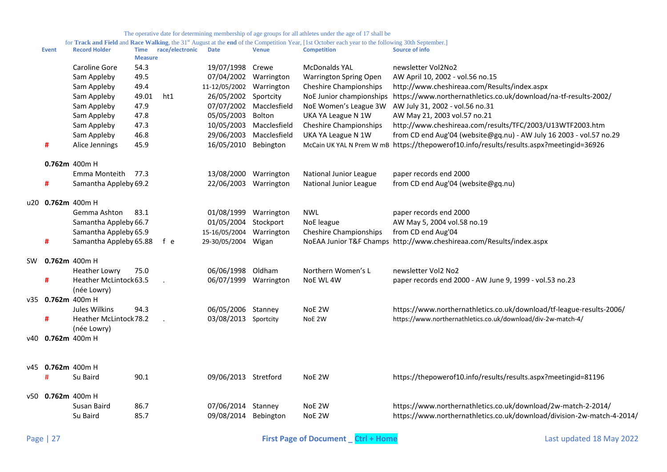|    | <b>Event</b>      | <b>Record Holder</b>   | Time<br><b>Measure</b> | race/electronic | Date                     | <b>Venue</b>            | <b>Competition</b>            | Source of info                                                                           |
|----|-------------------|------------------------|------------------------|-----------------|--------------------------|-------------------------|-------------------------------|------------------------------------------------------------------------------------------|
|    |                   | <b>Caroline Gore</b>   | 54.3                   |                 | 19/07/1998 Crewe         |                         | <b>McDonalds YAL</b>          | newsletter Vol2No2                                                                       |
|    |                   | Sam Appleby            | 49.5                   |                 | 07/04/2002 Warrington    |                         | <b>Warrington Spring Open</b> | AW April 10, 2002 - vol.56 no.15                                                         |
|    |                   | Sam Appleby            | 49.4                   |                 | 11-12/05/2002 Warrington |                         | <b>Cheshire Championships</b> | http://www.cheshireaa.com/Results/index.aspx                                             |
|    |                   | Sam Appleby            | 49.01                  | ht1             | 26/05/2002 Sportcity     |                         | NoE Junior championships      | https://www.northernathletics.co.uk/download/na-tf-results-2002/                         |
|    |                   | Sam Appleby            | 47.9                   |                 |                          | 07/07/2002 Macclesfield | NoE Women's League 3W         | AW July 31, 2002 - vol.56 no.31                                                          |
|    |                   | Sam Appleby            | 47.8                   |                 | 05/05/2003               | Bolton                  | UKA YA League N 1W            | AW May 21, 2003 vol.57 no.21                                                             |
|    |                   | Sam Appleby            | 47.3                   |                 | 10/05/2003               | Macclesfield            | <b>Cheshire Championships</b> | http://www.cheshireaa.com/results/TFC/2003/U13WTF2003.htm                                |
|    |                   | Sam Appleby            | 46.8                   |                 | 29/06/2003               | Macclesfield            | UKA YA League N 1W            | from CD end Aug'04 (website@gq.nu) - AW July 16 2003 - vol.57 no.29                      |
|    | #                 | Alice Jennings         | 45.9                   |                 | 16/05/2010 Bebington     |                         |                               | McCain UK YAL N Prem W mB https://thepowerof10.info/results/results.aspx?meetingid=36926 |
|    |                   | $0.762m$ 400m H        |                        |                 |                          |                         |                               |                                                                                          |
|    |                   | Emma Monteith          | 77.3                   |                 | 13/08/2000 Warrington    |                         | National Junior League        | paper records end 2000                                                                   |
|    | #                 | Samantha Appleby 69.2  |                        |                 | 22/06/2003 Warrington    |                         | National Junior League        | from CD end Aug'04 (website@gq.nu)                                                       |
|    | u20 0.762m 400m H |                        |                        |                 |                          |                         |                               |                                                                                          |
|    |                   | Gemma Ashton           | 83.1                   |                 | 01/08/1999 Warrington    |                         | <b>NWL</b>                    | paper records end 2000                                                                   |
|    |                   | Samantha Appleby 66.7  |                        |                 | 01/05/2004               | Stockport               | NoE league                    | AW May 5, 2004 vol.58 no.19                                                              |
|    |                   | Samantha Appleby 65.9  |                        |                 | 15-16/05/2004 Warrington |                         | <b>Cheshire Championships</b> | from CD end Aug'04                                                                       |
|    | #                 | Samantha Appleby 65.88 |                        | f e             | 29-30/05/2004 Wigan      |                         |                               | NoEAA Junior T&F Champs http://www.cheshireaa.com/Results/index.aspx                     |
| SW | $0.762m$ 400m H   |                        |                        |                 |                          |                         |                               |                                                                                          |
|    |                   | <b>Heather Lowry</b>   | 75.0                   |                 | 06/06/1998 Oldham        |                         | Northern Women's L            | newsletter Vol2 No2                                                                      |
|    | #                 | Heather McLintock 63.5 |                        |                 | 06/07/1999 Warrington    |                         | NoE WL 4W                     | paper records end 2000 - AW June 9, 1999 - vol.53 no.23                                  |
|    |                   | (née Lowry)            |                        |                 |                          |                         |                               |                                                                                          |
|    | v35 0.762m 400m H |                        |                        |                 |                          |                         |                               |                                                                                          |
|    |                   | Jules Wilkins          | 94.3                   |                 | 06/05/2006 Stanney       |                         | NoE 2W                        | https://www.northernathletics.co.uk/download/tf-league-results-2006/                     |
|    | #                 | Heather McLintock78.2  |                        |                 | 03/08/2013 Sportcity     |                         | NoE 2W                        | https://www.northernathletics.co.uk/download/div-2w-match-4/                             |
|    |                   | (née Lowry)            |                        |                 |                          |                         |                               |                                                                                          |
|    | v40 0.762m 400m H |                        |                        |                 |                          |                         |                               |                                                                                          |
|    |                   |                        |                        |                 |                          |                         |                               |                                                                                          |
|    | v45 0.762m 400m H |                        |                        |                 |                          |                         |                               |                                                                                          |
|    | #                 | Su Baird               | 90.1                   |                 | 09/06/2013 Stretford     |                         | NoE 2W                        | https://thepowerof10.info/results/results.aspx?meetingid=81196                           |
|    | v50 0.762m 400m H |                        |                        |                 |                          |                         |                               |                                                                                          |
|    |                   | Susan Baird            | 86.7                   |                 | 07/06/2014 Stanney       |                         | NoE 2W                        | https://www.northernathletics.co.uk/download/2w-match-2-2014/                            |
|    |                   | Su Baird               | 85.7                   |                 | 09/08/2014 Bebington     |                         | NoE 2W                        | https://www.northernathletics.co.uk/download/division-2w-match-4-2014/                   |
|    |                   |                        |                        |                 |                          |                         |                               |                                                                                          |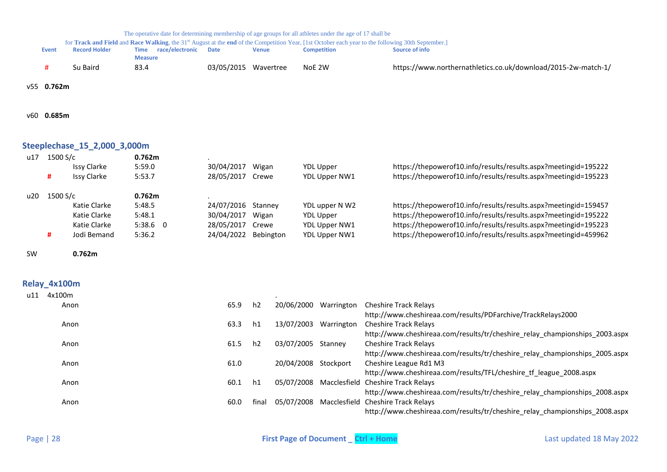|     |              |                              | The operative date for determining membership of age groups for all athletes under the age of 17 shall be |            |              |                    |                                                                                                                                                                |
|-----|--------------|------------------------------|-----------------------------------------------------------------------------------------------------------|------------|--------------|--------------------|----------------------------------------------------------------------------------------------------------------------------------------------------------------|
|     |              |                              |                                                                                                           |            |              |                    | for Track and Field and Race Walking, the 31 <sup>st</sup> August at the end of the Competition Year, [1st October each year to the following 30th September.] |
|     | <b>Event</b> | <b>Record Holder</b>         | Time race/electronic Date<br><b>Measure</b>                                                               |            | <b>Venue</b> | <b>Competition</b> | Source of info                                                                                                                                                 |
|     | #            | Su Baird                     | 83.4                                                                                                      | 03/05/2015 | Wavertree    | NoE 2W             | https://www.northernathletics.co.uk/download/2015-2w-match-1/                                                                                                  |
| v55 | 0.762m       |                              |                                                                                                           |            |              |                    |                                                                                                                                                                |
| v60 | 0.685m       |                              |                                                                                                           |            |              |                    |                                                                                                                                                                |
|     |              | Steeplechase 15 2,000 3,000m |                                                                                                           |            |              |                    |                                                                                                                                                                |

<span id="page-27-1"></span><span id="page-27-0"></span>

| u17          | 1500 S/c |                    | 0.762m     |            |                |            |                  |                                                                             |
|--------------|----------|--------------------|------------|------------|----------------|------------|------------------|-----------------------------------------------------------------------------|
|              |          | <b>Issy Clarke</b> | 5:59.0     | 30/04/2017 | Wigan          |            | <b>YDL Upper</b> | https://thepowerof10.info/results/results.aspx?meetingid=195222             |
|              | #        | <b>Issy Clarke</b> | 5:53.7     | 28/05/2017 | Crewe          |            | YDL Upper NW1    | https://thepowerof10.info/results/results.aspx?meetingid=195223             |
| u20          | 1500 S/c |                    | 0.762m     |            |                |            |                  |                                                                             |
|              |          | Katie Clarke       | 5:48.5     | 24/07/2016 | Stanney        |            | YDL upper N W2   | https://thepowerof10.info/results/results.aspx?meetingid=159457             |
|              |          | Katie Clarke       | 5:48.1     | 30/04/2017 | Wigan          |            | <b>YDL Upper</b> | https://thepowerof10.info/results/results.aspx?meetingid=195222             |
|              |          | Katie Clarke       | $5:38.6$ 0 | 28/05/2017 | Crewe          |            | YDL Upper NW1    | https://thepowerof10.info/results/results.aspx?meetingid=195223             |
|              | #        | Jodi Bemand        | 5:36.2     | 24/04/2022 | Bebington      |            | YDL Upper NW1    | https://thepowerof10.info/results/results.aspx?meetingid=459962             |
| <b>SW</b>    |          | 0.762m             |            |            |                |            |                  |                                                                             |
| Relay_4x100m |          |                    |            |            |                |            |                  |                                                                             |
| u11          | 4x100m   |                    |            |            |                |            |                  |                                                                             |
|              |          | Anon               |            | 65.9       | h2             | 20/06/2000 | Warrington       | <b>Cheshire Track Relays</b>                                                |
|              |          |                    |            |            |                |            |                  | http://www.cheshireaa.com/results/PDFarchive/TrackRelays2000                |
|              |          | Anon               |            | 63.3       | h1             | 13/07/2003 | Warrington       | <b>Cheshire Track Relays</b>                                                |
|              |          |                    |            |            |                |            |                  | http://www.cheshireaa.com/results/tr/cheshire_relay_championships_2003.aspx |
|              |          | Anon               |            | 61.5       | h <sub>2</sub> | 03/07/2005 | Stanney          | <b>Cheshire Track Relays</b>                                                |
|              |          |                    |            |            |                |            |                  | http://www.cheshireaa.com/results/tr/cheshire_relay_championships_2005.aspx |
|              |          | Anon               |            | 61.0       |                | 20/04/2008 | Stockport        | Cheshire League Rd1 M3                                                      |
|              |          |                    |            |            |                |            |                  | http://www.cheshireaa.com/results/TFL/cheshire_tf_league_2008.aspx          |
|              |          | Anon               |            | 60.1       | h1             | 05/07/2008 | Macclesfield     | <b>Cheshire Track Relays</b>                                                |
|              |          |                    |            |            |                |            |                  | http://www.cheshireaa.com/results/tr/cheshire_relay_championships_2008.aspx |
|              |          | Anon               |            | 60.0       | final          | 05/07/2008 |                  | Macclesfield Cheshire Track Relays                                          |
|              |          |                    |            |            |                |            |                  | http://www.cheshireaa.com/results/tr/cheshire_relay_championships_2008.aspx |
|              |          |                    |            |            |                |            |                  |                                                                             |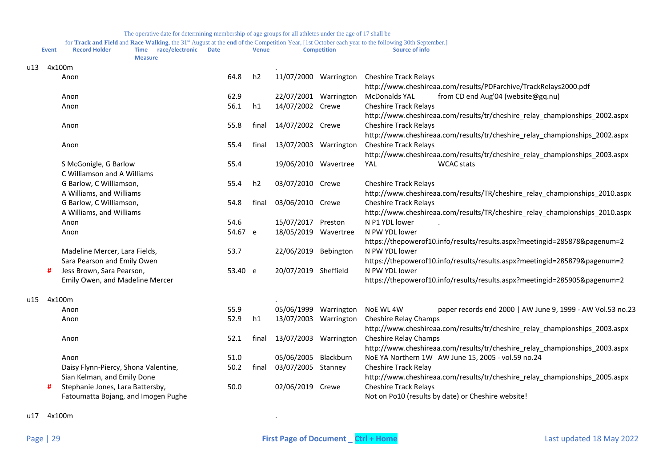|     | Event | The operative date for determining membership of age groups for all athletes under the age of 17 shall be<br>for Track and Field and Race Walking, the 31 <sup>st</sup> August at the end of the Competition Year, [1st October each year to the following 30th September.]<br>race/electronic<br><b>Record Holder</b><br><b>Date</b><br><b>Time</b> |         | <b>Venue</b>   |                       | <b>Competition</b> | Source of info                                                              |
|-----|-------|------------------------------------------------------------------------------------------------------------------------------------------------------------------------------------------------------------------------------------------------------------------------------------------------------------------------------------------------------|---------|----------------|-----------------------|--------------------|-----------------------------------------------------------------------------|
| u13 |       | <b>Measure</b><br>4x100m                                                                                                                                                                                                                                                                                                                             |         |                |                       |                    |                                                                             |
|     |       | Anon                                                                                                                                                                                                                                                                                                                                                 | 64.8    | h2             | 11/07/2000 Warrington |                    | <b>Cheshire Track Relays</b>                                                |
|     |       |                                                                                                                                                                                                                                                                                                                                                      |         |                |                       |                    | http://www.cheshireaa.com/results/PDFarchive/TrackRelays2000.pdf            |
|     |       | Anon                                                                                                                                                                                                                                                                                                                                                 | 62.9    |                | 22/07/2001            | Warrington         | <b>McDonalds YAL</b><br>from CD end Aug'04 (website@gq.nu)                  |
|     |       | Anon                                                                                                                                                                                                                                                                                                                                                 | 56.1    | h1             | 14/07/2002 Crewe      |                    | <b>Cheshire Track Relays</b>                                                |
|     |       |                                                                                                                                                                                                                                                                                                                                                      |         |                |                       |                    | http://www.cheshireaa.com/results/tr/cheshire relay championships 2002.aspx |
|     |       | Anon                                                                                                                                                                                                                                                                                                                                                 | 55.8    | final          | 14/07/2002 Crewe      |                    | <b>Cheshire Track Relays</b>                                                |
|     |       |                                                                                                                                                                                                                                                                                                                                                      |         |                |                       |                    | http://www.cheshireaa.com/results/tr/cheshire_relay_championships_2002.aspx |
|     |       | Anon                                                                                                                                                                                                                                                                                                                                                 | 55.4    | final          | 13/07/2003            | Warrington         | <b>Cheshire Track Relays</b>                                                |
|     |       |                                                                                                                                                                                                                                                                                                                                                      |         |                |                       |                    | http://www.cheshireaa.com/results/tr/cheshire_relay_championships_2003.aspx |
|     |       | S McGonigle, G Barlow                                                                                                                                                                                                                                                                                                                                | 55.4    |                | 19/06/2010            | Wavertree          | <b>WCAC</b> stats<br>YAL                                                    |
|     |       | C Williamson and A Williams                                                                                                                                                                                                                                                                                                                          |         |                |                       |                    |                                                                             |
|     |       | G Barlow, C Williamson,                                                                                                                                                                                                                                                                                                                              | 55.4    | h <sub>2</sub> | 03/07/2010 Crewe      |                    | <b>Cheshire Track Relays</b>                                                |
|     |       | A Williams, and Williams                                                                                                                                                                                                                                                                                                                             |         |                |                       |                    | http://www.cheshireaa.com/results/TR/cheshire_relay_championships_2010.aspx |
|     |       | G Barlow, C Williamson,                                                                                                                                                                                                                                                                                                                              | 54.8    | final          | 03/06/2010 Crewe      |                    | <b>Cheshire Track Relays</b>                                                |
|     |       | A Williams, and Williams                                                                                                                                                                                                                                                                                                                             |         |                |                       |                    | http://www.cheshireaa.com/results/TR/cheshire_relay_championships_2010.aspx |
|     |       | Anon                                                                                                                                                                                                                                                                                                                                                 | 54.6    |                | 15/07/2017            | Preston            | N P1 YDL lower                                                              |
|     |       | Anon                                                                                                                                                                                                                                                                                                                                                 | 54.67 e |                | 18/05/2019            | Wavertree          | N PW YDL lower                                                              |
|     |       |                                                                                                                                                                                                                                                                                                                                                      |         |                |                       |                    | https://thepowerof10.info/results/results.aspx?meetingid=285878&pagenum=2   |
|     |       | Madeline Mercer, Lara Fields,                                                                                                                                                                                                                                                                                                                        | 53.7    |                | 22/06/2019            | Bebington          | N PW YDL lower                                                              |
|     |       | Sara Pearson and Emily Owen                                                                                                                                                                                                                                                                                                                          |         |                |                       |                    | https://thepowerof10.info/results/results.aspx?meetingid=285879&pagenum=2   |
|     | #     | Jess Brown, Sara Pearson,                                                                                                                                                                                                                                                                                                                            | 53.40 e |                | 20/07/2019 Sheffield  |                    | N PW YDL lower                                                              |

**#** Jess Brown, Sara Pearson, 53.40 e Emily Owen, and Madeline Mercer https://thepowerof10.info/results/results.aspx?meetingid=285905&pagenum=2

| u15 | 4x100m                               |      |       |                  |            |                                                                             |
|-----|--------------------------------------|------|-------|------------------|------------|-----------------------------------------------------------------------------|
|     | Anon                                 | 55.9 |       | 05/06/1999       | Warrington | paper records end 2000   AW June 9, 1999 - AW Vol.53 no.23<br>NoE WL 4W     |
|     | Anon                                 | 52.9 | h1    | 13/07/2003       | Warrington | Cheshire Relay Champs                                                       |
|     |                                      |      |       |                  |            | http://www.cheshireaa.com/results/tr/cheshire relay championships 2003.aspx |
|     | Anon                                 | 52.1 | fina  | 13/07/2003       | Warrington | Cheshire Relay Champs                                                       |
|     |                                      |      |       |                  |            | http://www.cheshireaa.com/results/tr/cheshire relay championships 2003.aspx |
|     | Anon                                 | 51.0 |       | 05/06/2005       | Blackburn  | NoE YA Northern 1W AW June 15, 2005 - vol.59 no.24                          |
|     | Daisy Flynn-Piercy, Shona Valentine, | 50.2 | final | 03/07/2005       | Stanney    | Cheshire Track Relay                                                        |
|     | Sian Kelman, and Emily Done          |      |       |                  |            | http://www.cheshireaa.com/results/tr/cheshire relay championships 2005.aspx |
|     | Stephanie Jones, Lara Battersby,     | 50.0 |       | 02/06/2019 Crewe |            | <b>Cheshire Track Relays</b>                                                |
|     | Fatoumatta Bojang, and Imogen Pughe  |      |       |                  |            | Not on Po10 (results by date) or Cheshire website!                          |

u17 4x100m .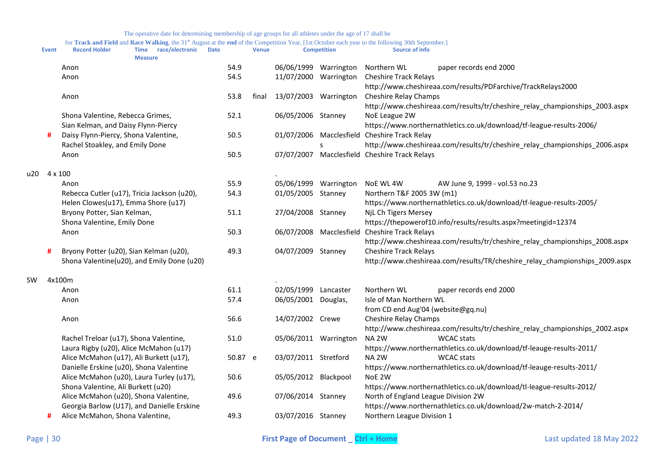|       | <b>Event</b> | <b>Record Holder</b>                                                                              | race/electronic<br><b>Time</b><br><b>Measure</b> | <b>Date</b> |         | <b>Venue</b> |                       | <b>Competition</b>      | <b>Source of info</b>                                                                                       |
|-------|--------------|---------------------------------------------------------------------------------------------------|--------------------------------------------------|-------------|---------|--------------|-----------------------|-------------------------|-------------------------------------------------------------------------------------------------------------|
|       |              | Anon                                                                                              |                                                  |             | 54.9    |              | 06/06/1999 Warrington |                         | Northern WL<br>paper records end 2000                                                                       |
|       |              | Anon                                                                                              |                                                  |             | 54.5    |              | 11/07/2000 Warrington |                         | <b>Cheshire Track Relays</b>                                                                                |
|       |              |                                                                                                   |                                                  |             |         |              |                       |                         | http://www.cheshireaa.com/results/PDFarchive/TrackRelays2000                                                |
|       |              | Anon                                                                                              |                                                  |             | 53.8    | final        | 13/07/2003 Warrington |                         | Cheshire Relay Champs                                                                                       |
|       |              |                                                                                                   |                                                  |             |         |              |                       |                         | http://www.cheshireaa.com/results/tr/cheshire_relay_championships_2003.aspx                                 |
|       |              | Shona Valentine, Rebecca Grimes,                                                                  |                                                  |             | 52.1    |              | 06/05/2006 Stanney    |                         | NoE League 2W                                                                                               |
|       |              | Sian Kelman, and Daisy Flynn-Piercy                                                               |                                                  |             |         |              |                       |                         | https://www.northernathletics.co.uk/download/tf-league-results-2006/                                        |
|       | #            | Daisy Flynn-Piercy, Shona Valentine,                                                              |                                                  |             | 50.5    |              |                       |                         | 01/07/2006 Macclesfield Cheshire Track Relay                                                                |
|       |              | Rachel Stoakley, and Emily Done                                                                   |                                                  |             |         |              |                       | S                       | http://www.cheshireaa.com/results/tr/cheshire_relay_championships_2006.aspx                                 |
|       |              | Anon                                                                                              |                                                  |             | 50.5    |              |                       |                         | 07/07/2007 Macclesfield Cheshire Track Relays                                                               |
| u20 l | 4 x 100      |                                                                                                   |                                                  |             |         |              |                       |                         |                                                                                                             |
|       |              | Anon                                                                                              |                                                  |             | 55.9    |              | 05/06/1999 Warrington |                         | NoE WL 4W<br>AW June 9, 1999 - vol.53 no.23                                                                 |
|       |              |                                                                                                   | Rebecca Cutler (u17), Tricia Jackson (u20),      |             | 54.3    |              | 01/05/2005 Stanney    |                         | Northern T&F 2005 3W (m1)                                                                                   |
|       |              | Helen Clowes(u17), Emma Shore (u17)<br>Bryony Potter, Sian Kelman,<br>Shona Valentine, Emily Done |                                                  |             |         |              |                       |                         | https://www.northernathletics.co.uk/download/tf-league-results-2005/                                        |
|       |              |                                                                                                   |                                                  |             | 51.1    |              | 27/04/2008 Stanney    |                         | NjL Ch Tigers Mersey                                                                                        |
|       |              |                                                                                                   |                                                  |             |         |              |                       |                         | https://thepowerof10.info/results/results.aspx?meetingid=12374                                              |
|       |              | Anon                                                                                              |                                                  |             | 50.3    |              |                       | 06/07/2008 Macclesfield | <b>Cheshire Track Relays</b>                                                                                |
|       | Ħ            | Bryony Potter (u20), Sian Kelman (u20),                                                           |                                                  |             | 49.3    |              | 04/07/2009 Stanney    |                         | http://www.cheshireaa.com/results/tr/cheshire_relay_championships_2008.aspx<br><b>Cheshire Track Relays</b> |
|       |              |                                                                                                   | Shona Valentine(u20), and Emily Done (u20)       |             |         |              |                       |                         | http://www.cheshireaa.com/results/TR/cheshire_relay_championships_2009.aspx                                 |
|       |              |                                                                                                   |                                                  |             |         |              |                       |                         |                                                                                                             |
| SW    |              | 4x100m                                                                                            |                                                  |             |         |              |                       |                         |                                                                                                             |
|       |              | Anon                                                                                              |                                                  |             | 61.1    |              | 02/05/1999 Lancaster  |                         | Northern WL<br>paper records end 2000                                                                       |
|       |              | Anon                                                                                              |                                                  |             | 57.4    |              | 06/05/2001 Douglas,   |                         | Isle of Man Northern WL                                                                                     |
|       |              |                                                                                                   |                                                  |             |         |              |                       |                         | from CD end Aug'04 (website@gq.nu)                                                                          |
|       |              | Anon                                                                                              |                                                  |             | 56.6    |              | 14/07/2002 Crewe      |                         | Cheshire Relay Champs                                                                                       |
|       |              |                                                                                                   |                                                  |             |         |              |                       |                         | http://www.cheshireaa.com/results/tr/cheshire_relay_championships_2002.aspx                                 |
|       |              | Rachel Treloar (u17), Shona Valentine,                                                            |                                                  |             | 51.0    |              | 05/06/2011 Warrington |                         | NA <sub>2W</sub><br><b>WCAC</b> stats                                                                       |
|       |              | Laura Rigby (u20), Alice McMahon (u17)                                                            |                                                  |             |         |              |                       |                         | https://www.northernathletics.co.uk/download/tf-leauge-results-2011/                                        |
|       |              | Alice McMahon (u17), Ali Burkett (u17),                                                           |                                                  |             | 50.87 e |              | 03/07/2011 Stretford  |                         | NA <sub>2W</sub><br><b>WCAC</b> stats                                                                       |
|       |              | Danielle Erskine (u20), Shona Valentine                                                           |                                                  |             |         |              |                       |                         | https://www.northernathletics.co.uk/download/tf-leauge-results-2011/                                        |
|       |              | Alice McMahon (u20), Laura Turley (u17),                                                          |                                                  |             | 50.6    |              | 05/05/2012 Blackpool  |                         | NoE 2W<br>https://www.northernathletics.co.uk/download/tl-league-results-2012/                              |
|       |              | Shona Valentine, Ali Burkett (u20)                                                                |                                                  |             | 49.6    |              | 07/06/2014 Stanney    |                         | North of England League Division 2W                                                                         |
|       |              | Alice McMahon (u20), Shona Valentine,<br>Georgia Barlow (U17), and Danielle Erskine               |                                                  |             |         |              |                       |                         | https://www.northernathletics.co.uk/download/2w-match-2-2014/                                               |
|       | #            | Alice McMahon, Shona Valentine,                                                                   |                                                  |             | 49.3    |              | 03/07/2016 Stanney    |                         | Northern League Division 1                                                                                  |
|       |              |                                                                                                   |                                                  |             |         |              |                       |                         |                                                                                                             |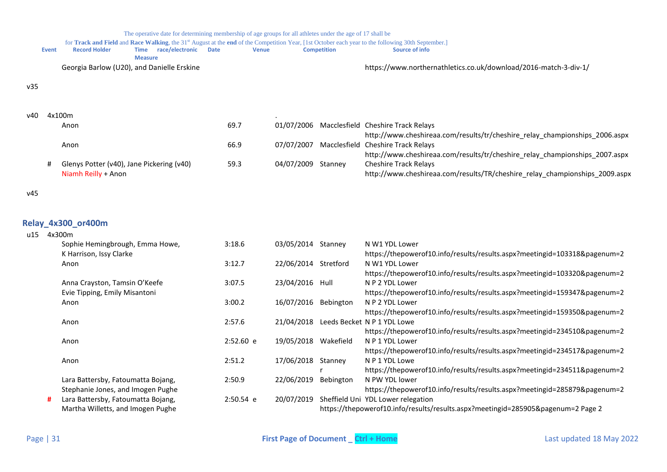<span id="page-30-0"></span>

|      |              |                                                                         | The operative date for determining membership of age groups for all athletes under the age of 17 shall be |             |                      |                    |                                                                                                                                                                      |
|------|--------------|-------------------------------------------------------------------------|-----------------------------------------------------------------------------------------------------------|-------------|----------------------|--------------------|----------------------------------------------------------------------------------------------------------------------------------------------------------------------|
|      | <b>Event</b> | <b>Record Holder</b>                                                    | Time race/electronic<br><b>Measure</b>                                                                    | <b>Date</b> | <b>Venue</b>         | <b>Competition</b> | for Track and Field and Race Walking, the 31st August at the end of the Competition Year, [1st October each year to the following 30th September.]<br>Source of info |
|      |              | Georgia Barlow (U20), and Danielle Erskine                              |                                                                                                           |             |                      |                    | https://www.northernathletics.co.uk/download/2016-match-3-div-1/                                                                                                     |
| v35  |              |                                                                         |                                                                                                           |             |                      |                    |                                                                                                                                                                      |
| v40. |              | 4x100m                                                                  |                                                                                                           |             |                      |                    |                                                                                                                                                                      |
|      |              | Anon                                                                    |                                                                                                           | 69.7        |                      |                    | 01/07/2006 Macclesfield Cheshire Track Relays                                                                                                                        |
|      |              |                                                                         |                                                                                                           |             |                      |                    | http://www.cheshireaa.com/results/tr/cheshire_relay_championships_2006.aspx                                                                                          |
|      |              | Anon                                                                    |                                                                                                           | 66.9        |                      |                    | 07/07/2007 Macclesfield Cheshire Track Relays                                                                                                                        |
|      |              |                                                                         |                                                                                                           |             | 04/07/2009 Stanney   |                    | http://www.cheshireaa.com/results/tr/cheshire_relay_championships_2007.aspx<br><b>Cheshire Track Relays</b>                                                          |
|      | #            | Glenys Potter (v40), Jane Pickering (v40)<br>Niamh Reilly + Anon        |                                                                                                           | 59.3        |                      |                    | http://www.cheshireaa.com/results/TR/cheshire_relay_championships_2009.aspx                                                                                          |
|      |              |                                                                         |                                                                                                           |             |                      |                    |                                                                                                                                                                      |
| v45  |              |                                                                         |                                                                                                           |             |                      |                    |                                                                                                                                                                      |
|      |              |                                                                         |                                                                                                           |             |                      |                    |                                                                                                                                                                      |
|      |              | Relay_4x300_or400m                                                      |                                                                                                           |             |                      |                    |                                                                                                                                                                      |
|      | u15 4x300m   |                                                                         |                                                                                                           |             |                      |                    |                                                                                                                                                                      |
|      |              | Sophie Hemingbrough, Emma Howe,                                         |                                                                                                           | 3:18.6      | 03/05/2014 Stanney   |                    | N W1 YDL Lower                                                                                                                                                       |
|      |              | K Harrison, Issy Clarke                                                 |                                                                                                           |             |                      |                    | https://thepowerof10.info/results/results.aspx?meetingid=103318&pagenum=2                                                                                            |
|      |              | Anon                                                                    |                                                                                                           | 3:12.7      | 22/06/2014 Stretford |                    | N W1 YDL Lower                                                                                                                                                       |
|      |              |                                                                         |                                                                                                           |             |                      |                    | https://thepowerof10.info/results/results.aspx?meetingid=103320&pagenum=2                                                                                            |
|      |              | Anna Crayston, Tamsin O'Keefe<br>Evie Tipping, Emily Misantoni          |                                                                                                           | 3:07.5      | 23/04/2016 Hull      |                    | N P 2 YDL Lower<br>https://thepowerof10.info/results/results.aspx?meetingid=159347&pagenum=2                                                                         |
|      |              | Anon                                                                    |                                                                                                           | 3:00.2      | 16/07/2016 Bebington |                    | N P 2 YDL Lower                                                                                                                                                      |
|      |              |                                                                         |                                                                                                           |             |                      |                    | https://thepowerof10.info/results/results.aspx?meetingid=159350&pagenum=2                                                                                            |
|      |              | Anon                                                                    |                                                                                                           | 2:57.6      | 21/04/2018           |                    | Leeds Becket N P 1 YDL Lowe                                                                                                                                          |
|      |              |                                                                         |                                                                                                           |             |                      |                    | https://thepowerof10.info/results/results.aspx?meetingid=234510&pagenum=2                                                                                            |
|      |              | Anon                                                                    |                                                                                                           | 2:52.60 e   | 19/05/2018 Wakefield |                    | N P 1 YDL Lower                                                                                                                                                      |
|      |              |                                                                         |                                                                                                           |             |                      |                    | https://thepowerof10.info/results/results.aspx?meetingid=234517&pagenum=2                                                                                            |
|      |              | Anon                                                                    |                                                                                                           | 2:51.2      | 17/06/2018 Stanney   |                    | N P 1 YDL Lowe                                                                                                                                                       |
|      |              |                                                                         |                                                                                                           | 2:50.9      | 22/06/2019 Bebington |                    | https://thepowerof10.info/results/results.aspx?meetingid=234511&pagenum=2<br>N PW YDL lower                                                                          |
|      |              | Lara Battersby, Fatoumatta Bojang,<br>Stephanie Jones, and Imogen Pughe |                                                                                                           |             |                      |                    | https://thepowerof10.info/results/results.aspx?meetingid=285879&pagenum=2                                                                                            |
|      |              | Lara Battersby, Fatoumatta Bojang,                                      |                                                                                                           | 2:50.54 e   | 20/07/2019           |                    | Sheffield Uni YDL Lower relegation                                                                                                                                   |
|      |              | Martha Willetts, and Imogen Pughe                                       |                                                                                                           |             |                      |                    | https://thepowerof10.info/results/results.aspx?meetingid=285905&pagenum=2 Page 2                                                                                     |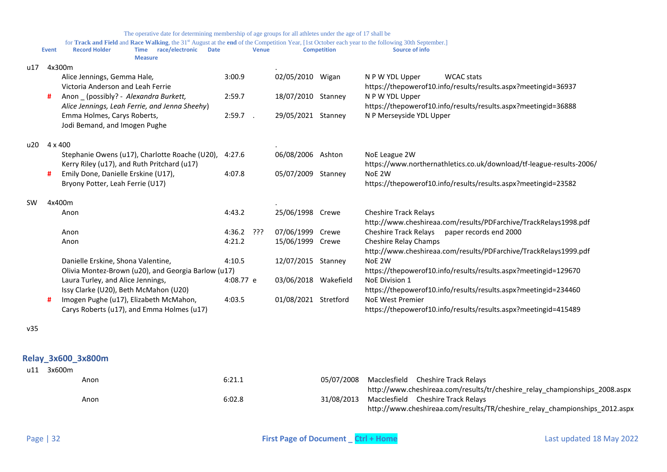|     |              | The operative date for determining membership of age groups for all athletes under the age of 17 shall be                                                                                                                     |           |              |                      |                    |                                                                      |
|-----|--------------|-------------------------------------------------------------------------------------------------------------------------------------------------------------------------------------------------------------------------------|-----------|--------------|----------------------|--------------------|----------------------------------------------------------------------|
|     | <b>Event</b> | for Track and Field and Race Walking, the 31 <sup>st</sup> August at the end of the Competition Year, [1st October each year to the following 30th September.]<br>Time race/electronic<br><b>Record Holder</b><br><b>Date</b> |           | <b>Venue</b> |                      | <b>Competition</b> | Source of info                                                       |
|     |              | <b>Measure</b>                                                                                                                                                                                                                |           |              |                      |                    |                                                                      |
| u17 |              | 4x300m                                                                                                                                                                                                                        |           |              |                      |                    |                                                                      |
|     |              | Alice Jennings, Gemma Hale,                                                                                                                                                                                                   | 3:00.9    |              | 02/05/2010           | Wigan              | N P W YDL Upper<br><b>WCAC</b> stats                                 |
|     |              | Victoria Anderson and Leah Ferrie                                                                                                                                                                                             |           |              |                      |                    | https://thepowerof10.info/results/results.aspx?meetingid=36937       |
|     | #            | Anon (possibly? - Alexandra Burkett,                                                                                                                                                                                          | 2:59.7    |              | 18/07/2010 Stanney   |                    | N P W YDL Upper                                                      |
|     |              | Alice Jennings, Leah Ferrie, and Jenna Sheehy)                                                                                                                                                                                |           |              |                      |                    | https://thepowerof10.info/results/results.aspx?meetingid=36888       |
|     |              | Emma Holmes, Carys Roberts,                                                                                                                                                                                                   | 2:59.7    |              | 29/05/2021           | Stanney            | N P Merseyside YDL Upper                                             |
|     |              | Jodi Bemand, and Imogen Pughe                                                                                                                                                                                                 |           |              |                      |                    |                                                                      |
| u20 | 4 x 400      |                                                                                                                                                                                                                               |           |              |                      |                    |                                                                      |
|     |              | Stephanie Owens (u17), Charlotte Roache (U20),                                                                                                                                                                                | 4:27.6    |              | 06/08/2006           | Ashton             | NoE League 2W                                                        |
|     |              | Kerry Riley (u17), and Ruth Pritchard (u17)                                                                                                                                                                                   |           |              |                      |                    | https://www.northernathletics.co.uk/download/tf-league-results-2006/ |
|     |              | Emily Done, Danielle Erskine (U17),                                                                                                                                                                                           | 4:07.8    |              | 05/07/2009           | Stanney            | NoE 2W                                                               |
|     |              | Bryony Potter, Leah Ferrie (U17)                                                                                                                                                                                              |           |              |                      |                    | https://thepowerof10.info/results/results.aspx?meetingid=23582       |
| SW  |              | 4x400m                                                                                                                                                                                                                        |           |              |                      |                    |                                                                      |
|     |              | Anon                                                                                                                                                                                                                          | 4:43.2    |              | 25/06/1998 Crewe     |                    | <b>Cheshire Track Relays</b>                                         |
|     |              |                                                                                                                                                                                                                               |           |              |                      |                    | http://www.cheshireaa.com/results/PDFarchive/TrackRelays1998.pdf     |
|     |              | Anon                                                                                                                                                                                                                          | 4:36.2    | יִיִּ        | 07/06/1999           | Crewe              | <b>Cheshire Track Relays</b><br>paper records end 2000               |
|     |              | Anon                                                                                                                                                                                                                          | 4:21.2    |              | 15/06/1999           | Crewe              | <b>Cheshire Relay Champs</b>                                         |
|     |              |                                                                                                                                                                                                                               |           |              |                      |                    | http://www.cheshireaa.com/results/PDFarchive/TrackRelays1999.pdf     |
|     |              | Danielle Erskine, Shona Valentine,                                                                                                                                                                                            | 4:10.5    |              | 12/07/2015           | Stanney            | NoE 2W                                                               |
|     |              | Olivia Montez-Brown (u20), and Georgia Barlow (u17)                                                                                                                                                                           |           |              |                      |                    | https://thepowerof10.info/results/results.aspx?meetingid=129670      |
|     |              | Laura Turley, and Alice Jennings,                                                                                                                                                                                             | 4:08.77 e |              | 03/06/2018 Wakefield |                    | <b>NoE Division 1</b>                                                |
|     |              | Issy Clarke (U20), Beth McMahon (U20)                                                                                                                                                                                         |           |              |                      |                    | https://thepowerof10.info/results/results.aspx?meetingid=234460      |
|     |              | Imogen Pughe (u17), Elizabeth McMahon,                                                                                                                                                                                        | 4:03.5    |              | 01/08/2021           | Stretford          | <b>NoE West Premier</b>                                              |
|     |              | Carys Roberts (u17), and Emma Holmes (u17)                                                                                                                                                                                    |           |              |                      |                    | https://thepowerof10.info/results/results.aspx?meetingid=415489      |

v35

# <span id="page-31-0"></span>**Relay\_3x600\_3x800m**

| u11 | 3x600m |      |        |            |                                                                             |
|-----|--------|------|--------|------------|-----------------------------------------------------------------------------|
|     |        | Anon | 6:21.1 | 05/07/2008 | Macclesfield Cheshire Track Relays                                          |
|     |        |      |        |            | http://www.cheshireaa.com/results/tr/cheshire relay championships 2008.aspx |
|     |        | Anon | 6:02.8 | 31/08/2013 | Macclesfield Cheshire Track Relays                                          |
|     |        |      |        |            | http://www.cheshireaa.com/results/TR/cheshire_relay_championships_2012.aspx |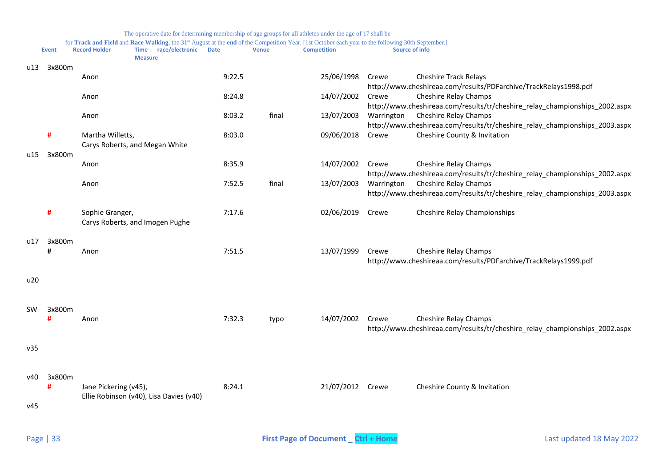|           | <b>Event</b> | <b>Record Holder</b>  | for Track and Field and Race Walking, the 31 <sup>st</sup> August at the end of the Competition Year, [1st October each year to the following 30th September.]<br>Time race/electronic<br><b>Measure</b> | <b>Date</b> | <b>Venue</b> | <b>Competition</b> |            | Source of info                                                                                              |
|-----------|--------------|-----------------------|----------------------------------------------------------------------------------------------------------------------------------------------------------------------------------------------------------|-------------|--------------|--------------------|------------|-------------------------------------------------------------------------------------------------------------|
| u13       | 3x800m       | Anon                  |                                                                                                                                                                                                          | 9:22.5      |              | 25/06/1998         | Crewe      | <b>Cheshire Track Relays</b>                                                                                |
|           |              | Anon                  |                                                                                                                                                                                                          | 8:24.8      |              | 14/07/2002         | Crewe      | http://www.cheshireaa.com/results/PDFarchive/TrackRelays1998.pdf<br>Cheshire Relay Champs                   |
|           |              | Anon                  |                                                                                                                                                                                                          | 8:03.2      | final        | 13/07/2003         | Warrington | http://www.cheshireaa.com/results/tr/cheshire_relay_championships_2002.aspx<br>Cheshire Relay Champs        |
|           | #            | Martha Willetts,      | Carys Roberts, and Megan White                                                                                                                                                                           | 8:03.0      |              | 09/06/2018         | Crewe      | http://www.cheshireaa.com/results/tr/cheshire_relay_championships_2003.aspx<br>Cheshire County & Invitation |
| u15       | 3x800m       | Anon                  |                                                                                                                                                                                                          | 8:35.9      |              | 14/07/2002         | Crewe      | Cheshire Relay Champs                                                                                       |
|           |              | Anon                  |                                                                                                                                                                                                          | 7:52.5      | final        | 13/07/2003         | Warrington | http://www.cheshireaa.com/results/tr/cheshire_relay_championships_2002.aspx<br>Cheshire Relay Champs        |
|           |              |                       |                                                                                                                                                                                                          |             |              |                    |            | http://www.cheshireaa.com/results/tr/cheshire_relay_championships_2003.aspx                                 |
|           | #            | Sophie Granger,       | Carys Roberts, and Imogen Pughe                                                                                                                                                                          | 7:17.6      |              | 02/06/2019         | Crewe      | <b>Cheshire Relay Championships</b>                                                                         |
| u17       | 3x800m<br>#  | Anon                  |                                                                                                                                                                                                          | 7:51.5      |              | 13/07/1999         | Crewe      | Cheshire Relay Champs<br>http://www.cheshireaa.com/results/PDFarchive/TrackRelays1999.pdf                   |
| u20       |              |                       |                                                                                                                                                                                                          |             |              |                    |            |                                                                                                             |
| <b>SW</b> | 3x800m       | Anon                  |                                                                                                                                                                                                          | 7:32.3      | typo         | 14/07/2002         | Crewe      | Cheshire Relay Champs<br>http://www.cheshireaa.com/results/tr/cheshire_relay_championships_2002.aspx        |
| v35       |              |                       |                                                                                                                                                                                                          |             |              |                    |            |                                                                                                             |
| v40       | 3x800m<br>#  | Jane Pickering (v45), |                                                                                                                                                                                                          | 8:24.1      |              | 21/07/2012         | Crewe      | Cheshire County & Invitation                                                                                |

v45

Ellie Robinson (v40), Lisa Davies (v40)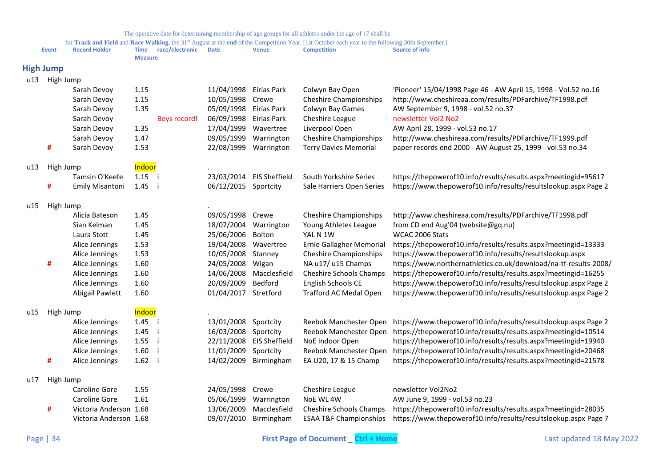<span id="page-33-0"></span>

|     |                  |                        |                               |                 |                      |                      | for Track and Field and Race Walking, the 31st August at the end of the Competition Year, [1st October each year to the following 30th September.] |                                                                                       |
|-----|------------------|------------------------|-------------------------------|-----------------|----------------------|----------------------|----------------------------------------------------------------------------------------------------------------------------------------------------|---------------------------------------------------------------------------------------|
|     | Event            | <b>Record Holder</b>   | <b>Time</b><br><b>Measure</b> | race/electronic | <b>Date</b>          | <b>Venue</b>         | <b>Competition</b>                                                                                                                                 | Source of info                                                                        |
|     | <b>High Jump</b> |                        |                               |                 |                      |                      |                                                                                                                                                    |                                                                                       |
| u13 | High Jump        |                        |                               |                 |                      |                      |                                                                                                                                                    |                                                                                       |
|     |                  | Sarah Devoy            | 1.15                          |                 | 11/04/1998           | Eirias Park          | Colwyn Bay Open                                                                                                                                    | 'Pioneer' 15/04/1998 Page 46 - AW April 15, 1998 - Vol.52 no.16                       |
|     |                  | Sarah Devoy            | 1.15                          |                 | 10/05/1998           | Crewe                | <b>Cheshire Championships</b>                                                                                                                      | http://www.cheshireaa.com/results/PDFarchive/TF1998.pdf                               |
|     |                  | Sarah Devoy            | 1.35                          |                 | 05/09/1998           | Eirias Park          | Colwyn Bay Games                                                                                                                                   | AW September 9, 1998 - vol.52 no.37                                                   |
|     |                  | Sarah Devoy            |                               | Boys record!    | 06/09/1998           | Eirias Park          | Cheshire League                                                                                                                                    | newsletter Vol2 No2                                                                   |
|     |                  | Sarah Devoy            | 1.35                          |                 | 17/04/1999           | Wavertree            | Liverpool Open                                                                                                                                     | AW April 28, 1999 - vol.53 no.17                                                      |
|     |                  | Sarah Devoy            | 1.47                          |                 | 09/05/1999           | Warrington           | <b>Cheshire Championships</b>                                                                                                                      | http://www.cheshireaa.com/results/PDFarchive/TF1999.pdf                               |
|     | #                | Sarah Devoy            | 1.53                          |                 | 22/08/1999           | Warrington           | <b>Terry Davies Memorial</b>                                                                                                                       | paper records end 2000 - AW August 25, 1999 - vol.53 no.34                            |
| u13 | High Jump        |                        | Indoor                        |                 |                      |                      |                                                                                                                                                    |                                                                                       |
|     |                  | Tamsin O'Keefe         | $1.15$ i                      |                 | 23/03/2014           | <b>EIS Sheffield</b> | South Yorkshire Series                                                                                                                             | https://thepowerof10.info/results/results.aspx?meetingid=95617                        |
|     | #                | <b>Emily Misantoni</b> | 1.45                          | - i             | 06/12/2015 Sportcity |                      | Sale Harriers Open Series                                                                                                                          | https://www.thepowerof10.info/results/resultslookup.aspx Page 2                       |
| u15 | High Jump        |                        |                               |                 |                      |                      |                                                                                                                                                    |                                                                                       |
|     |                  | Alicia Bateson         | 1.45                          |                 | 09/05/1998           | Crewe                | <b>Cheshire Championships</b>                                                                                                                      | http://www.cheshireaa.com/results/PDFarchive/TF1998.pdf                               |
|     |                  | Sian Kelman            | 1.45                          |                 | 18/07/2004           | Warrington           | Young Athletes League                                                                                                                              | from CD end Aug'04 (website@gq.nu)                                                    |
|     |                  | Laura Stott            | 1.45                          |                 | 25/06/2006           | Bolton               | YAL N 1W                                                                                                                                           | WCAC 2006 Stats                                                                       |
|     |                  | Alice Jennings         | 1.53                          |                 | 19/04/2008 Wavertree |                      | Ernie Gallagher Memorial                                                                                                                           | https://thepowerof10.info/results/results.aspx?meetingid=13333                        |
|     |                  | Alice Jennings         | 1.53                          |                 | 10/05/2008           | Stanney              | <b>Cheshire Championships</b>                                                                                                                      | https://www.thepowerof10.info/results/resultslookup.aspx                              |
|     | #                | Alice Jennings         | 1.60                          |                 | 24/05/2008           | Wigan                | NA u17/ u15 Champs                                                                                                                                 | https://www.northernathletics.co.uk/download/na-tf-results-2008/                      |
|     |                  | Alice Jennings         | 1.60                          |                 | 14/06/2008           | Macclesfield         | Cheshire Schools Champs                                                                                                                            | https://thepowerof10.info/results/results.aspx?meetingid=16255                        |
|     |                  | Alice Jennings         | 1.60                          |                 | 20/09/2009           | Bedford              | English Schools CE                                                                                                                                 | https://www.thepowerof10.info/results/resultslookup.aspx Page 2                       |
|     |                  | Abigail Pawlett        | 1.60                          |                 | 01/04/2017 Stretford |                      | Trafford AC Medal Open                                                                                                                             | https://www.thepowerof10.info/results/resultslookup.aspx Page 2                       |
| u15 | High Jump        |                        | Indoor                        |                 |                      |                      |                                                                                                                                                    |                                                                                       |
|     |                  | Alice Jennings         | $1.45$ i                      |                 | 13/01/2008           | Sportcity            | Reebok Manchester Open                                                                                                                             | https://www.thepowerof10.info/results/resultslookup.aspx Page 2                       |
|     |                  | Alice Jennings         | 1.45                          | Ϊ               | 16/03/2008           | Sportcity            |                                                                                                                                                    | Reebok Manchester Open https://thepowerof10.info/results/results.aspx?meetingid=10514 |
|     |                  | Alice Jennings         | 1.55                          | -i              | 22/11/2008           | <b>EIS Sheffield</b> | NoE Indoor Open                                                                                                                                    | https://thepowerof10.info/results/results.aspx?meetingid=19940                        |
|     |                  | Alice Jennings         | 1.60                          | Ϊ               | 11/01/2009           | Sportcity            | Reebok Manchester Open                                                                                                                             | https://thepowerof10.info/results/results.aspx?meetingid=20468                        |
|     | #                | Alice Jennings         | 1.62                          | Ϊ               | 14/02/2009           | Birmingham           | EA U20, 17 & 15 Champ                                                                                                                              | https://thepowerof10.info/results/results.aspx?meetingid=21578                        |
| u17 | High Jump        |                        |                               |                 |                      |                      |                                                                                                                                                    |                                                                                       |
|     |                  | Caroline Gore          | 1.55                          |                 | 24/05/1998           | Crewe                | Cheshire League                                                                                                                                    | newsletter Vol2No2                                                                    |
|     |                  | Caroline Gore          | 1.61                          |                 | 05/06/1999           | Warrington           | NoE WL 4W                                                                                                                                          | AW June 9, 1999 - vol.53 no.23                                                        |
|     | #                | Victoria Anderson 1.68 |                               |                 | 13/06/2009           | Macclesfield         | Cheshire Schools Champs                                                                                                                            | https://thepowerof10.info/results/results.aspx?meetingid=28035                        |
|     |                  | Victoria Anderson 1.68 |                               |                 | 09/07/2010           | Birmingham           | <b>ESAA T&amp;F Championships</b>                                                                                                                  | https://www.thepowerof10.info/results/resultslookup.aspx Page 7                       |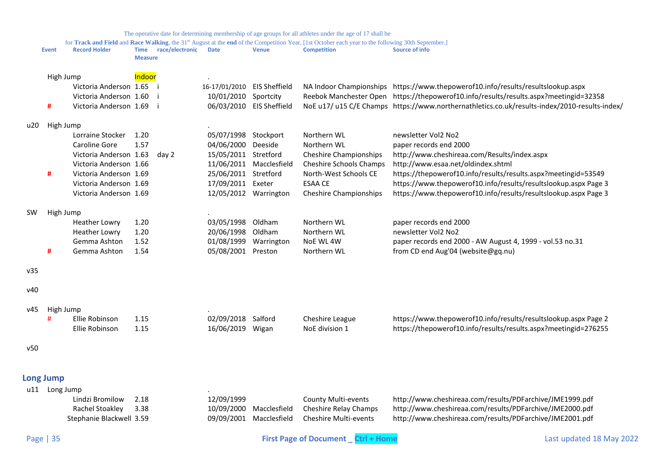for **Track and Field** and **Race Walking**, the 31<sup>st</sup> August at the **end** of the Competition Year, [1st October each year to the following 30th September.]<br>**Record Holder Time** race/electronic Date Venue **Competition Co Event Record Holder Time race/electronic Date** 

<span id="page-34-0"></span>

|           |                  |                          | <b>Measure</b> |       |                             |                          |                               |                                                                                               |
|-----------|------------------|--------------------------|----------------|-------|-----------------------------|--------------------------|-------------------------------|-----------------------------------------------------------------------------------------------|
|           | High Jump        |                          | Indoor         |       |                             |                          |                               |                                                                                               |
|           |                  | Victoria Anderson 1.65 i |                |       | 16-17/01/2010 EIS Sheffield |                          |                               | NA Indoor Championships https://www.thepowerof10.info/results/resultslookup.aspx              |
|           |                  | Victoria Anderson 1.60   |                |       | 10/01/2010 Sportcity        |                          |                               | Reebok Manchester Open https://thepowerof10.info/results/results.aspx?meetingid=32358         |
|           | #                | Victoria Anderson 1.69 i |                |       |                             | 06/03/2010 EIS Sheffield |                               | NoE u17/ u15 C/E Champs https://www.northernathletics.co.uk/results-index/2010-results-index/ |
| u20       | High Jump        |                          |                |       |                             |                          |                               |                                                                                               |
|           |                  | Lorraine Stocker         | 1.20           |       | 05/07/1998                  | Stockport                | Northern WL                   | newsletter Vol2 No2                                                                           |
|           |                  | Caroline Gore            | 1.57           |       | 04/06/2000                  | Deeside                  | Northern WL                   | paper records end 2000                                                                        |
|           |                  | Victoria Anderson 1.63   |                | day 2 | 15/05/2011                  | Stretford                | <b>Cheshire Championships</b> | http://www.cheshireaa.com/Results/index.aspx                                                  |
|           |                  | Victoria Anderson 1.66   |                |       |                             | 11/06/2011 Macclesfield  | Cheshire Schools Champs       | http://www.esaa.net/oldindex.shtml                                                            |
|           | #                | Victoria Anderson 1.69   |                |       | 25/06/2011 Stretford        |                          | North-West Schools CE         | https://thepowerof10.info/results/results.aspx?meetingid=53549                                |
|           |                  | Victoria Anderson 1.69   |                |       | 17/09/2011 Exeter           |                          | <b>ESAA CE</b>                | https://www.thepowerof10.info/results/resultslookup.aspx Page 3                               |
|           |                  | Victoria Anderson 1.69   |                |       |                             | 12/05/2012 Warrington    | <b>Cheshire Championships</b> | https://www.thepowerof10.info/results/resultslookup.aspx Page 3                               |
| <b>SW</b> | High Jump        |                          |                |       |                             |                          |                               |                                                                                               |
|           |                  | <b>Heather Lowry</b>     | 1.20           |       | 03/05/1998                  | Oldham                   | Northern WL                   | paper records end 2000                                                                        |
|           |                  | <b>Heather Lowry</b>     | 1.20           |       | 20/06/1998                  | Oldham                   | Northern WL                   | newsletter Vol2 No2                                                                           |
|           |                  | Gemma Ashton             | 1.52           |       | 01/08/1999                  | Warrington               | NoE WL 4W                     | paper records end 2000 - AW August 4, 1999 - vol.53 no.31                                     |
|           | #                | Gemma Ashton             | 1.54           |       | 05/08/2001                  | Preston                  | Northern WL                   | from CD end Aug'04 (website@gq.nu)                                                            |
| v35       |                  |                          |                |       |                             |                          |                               |                                                                                               |
| v40       |                  |                          |                |       |                             |                          |                               |                                                                                               |
| v45       | High Jump        |                          |                |       |                             |                          |                               |                                                                                               |
|           | #                | Ellie Robinson           | 1.15           |       | 02/09/2018 Salford          |                          | Cheshire League               | https://www.thepowerof10.info/results/resultslookup.aspx Page 2                               |
|           |                  | Ellie Robinson           | 1.15           |       | 16/06/2019 Wigan            |                          | NoE division 1                | https://thepowerof10.info/results/results.aspx?meetingid=276255                               |
| v50       |                  |                          |                |       |                             |                          |                               |                                                                                               |
|           | <b>Long Jump</b> |                          |                |       |                             |                          |                               |                                                                                               |
| u11       | Long Jump        |                          |                |       |                             |                          |                               |                                                                                               |
|           |                  | Lindzi Bromilow          | 2.18           |       | 12/09/1999                  |                          | <b>County Multi-events</b>    | http://www.cheshireaa.com/results/PDFarchive/JME1999.pdf                                      |
|           |                  | Rachel Stoakley          | 3.38           |       | 10/09/2000                  | Macclesfield             | Cheshire Relay Champs         | http://www.cheshireaa.com/results/PDFarchive/JME2000.pdf                                      |
|           |                  | Stephanie Blackwell 3.59 |                |       | 09/09/2001                  | Macclesfield             | Cheshire Multi-events         | http://www.cheshireaa.com/results/PDFarchive/JME2001.pdf                                      |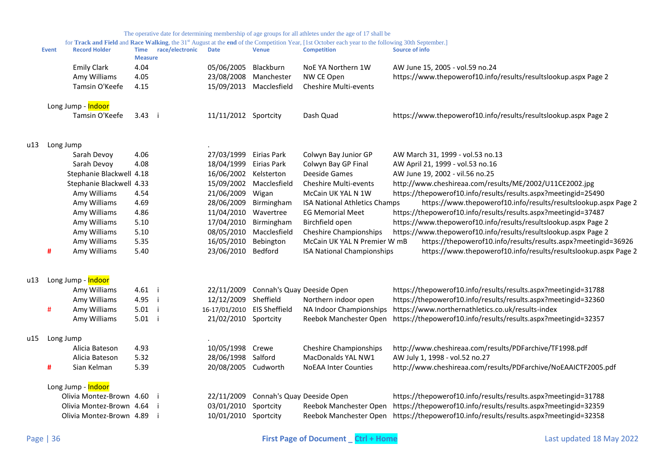|       |           |                          |                |                 |                             |                                       | The operative date for determining membership of age groups for all athletes under the age of 17 shall be                                                                |                                                                 |
|-------|-----------|--------------------------|----------------|-----------------|-----------------------------|---------------------------------------|--------------------------------------------------------------------------------------------------------------------------------------------------------------------------|-----------------------------------------------------------------|
|       | Event     | <b>Record Holder</b>     | <b>Time</b>    | race/electronic | <b>Date</b>                 | <b>Venue</b>                          | for Track and Field and Race Walking, the 31st August at the end of the Competition Year, [1st October each year to the following 30th September.]<br><b>Competition</b> | <b>Source of info</b>                                           |
|       |           |                          | <b>Measure</b> |                 |                             |                                       |                                                                                                                                                                          |                                                                 |
|       |           | <b>Emily Clark</b>       | 4.04           |                 | 05/06/2005                  | Blackburn                             | NoE YA Northern 1W                                                                                                                                                       | AW June 15, 2005 - vol.59 no.24                                 |
|       |           | Amy Williams             | 4.05           |                 | 23/08/2008 Manchester       |                                       | NW CE Open                                                                                                                                                               | https://www.thepowerof10.info/results/resultslookup.aspx Page 2 |
|       |           | Tamsin O'Keefe           | 4.15           |                 |                             | 15/09/2013 Macclesfield               | Cheshire Multi-events                                                                                                                                                    |                                                                 |
|       |           | Long Jump - Indoor       |                |                 |                             |                                       |                                                                                                                                                                          |                                                                 |
|       |           | Tamsin O'Keefe           | 3.43 i         |                 | 11/11/2012 Sportcity        |                                       | Dash Quad                                                                                                                                                                | https://www.thepowerof10.info/results/resultslookup.aspx Page 2 |
| u13 I | Long Jump |                          |                |                 |                             |                                       |                                                                                                                                                                          |                                                                 |
|       |           | Sarah Devoy              | 4.06           |                 | 27/03/1999                  | Eirias Park                           | Colwyn Bay Junior GP                                                                                                                                                     | AW March 31, 1999 - vol.53 no.13                                |
|       |           | Sarah Devoy              | 4.08           |                 | 18/04/1999                  | Eirias Park                           | Colwyn Bay GP Final                                                                                                                                                      | AW April 21, 1999 - vol.53 no.16                                |
|       |           | Stephanie Blackwell 4.18 |                |                 | 16/06/2002 Kelsterton       |                                       | Deeside Games                                                                                                                                                            | AW June 19, 2002 - vil.56 no.25                                 |
|       |           | Stephanie Blackwell 4.33 |                |                 | 15/09/2002                  | Macclesfield                          | Cheshire Multi-events                                                                                                                                                    | http://www.cheshireaa.com/results/ME/2002/U11CE2002.jpg         |
|       |           | Amy Williams             | 4.54           |                 | 21/06/2009                  | Wigan                                 | McCain UK YAL N 1W                                                                                                                                                       | https://thepowerof10.info/results/results.aspx?meetingid=25490  |
|       |           | Amy Williams             | 4.69           |                 | 28/06/2009                  | Birmingham                            | <b>ISA National Athletics Champs</b>                                                                                                                                     | https://www.thepowerof10.info/results/resultslookup.aspx Page 2 |
|       |           | Amy Williams             | 4.86           |                 | 11/04/2010                  | Wavertree                             | <b>EG Memorial Meet</b>                                                                                                                                                  | https://thepowerof10.info/results/results.aspx?meetingid=37487  |
|       |           | Amy Williams             | 5.10           |                 | 17/04/2010                  | Birmingham                            | Birchfield open                                                                                                                                                          | https://www.thepowerof10.info/results/resultslookup.aspx Page 2 |
|       |           | Amy Williams             | 5.10           |                 | 08/05/2010                  | Macclesfield                          | <b>Cheshire Championships</b>                                                                                                                                            | https://www.thepowerof10.info/results/resultslookup.aspx Page 2 |
|       |           | Amy Williams             | 5.35           |                 | 16/05/2010                  | Bebington                             | McCain UK YAL N Premier W mB                                                                                                                                             | https://thepowerof10.info/results/results.aspx?meetingid=36926  |
|       | #         | Amy Williams             | 5.40           |                 | 23/06/2010                  | Bedford                               | <b>ISA National Championships</b>                                                                                                                                        | https://www.thepowerof10.info/results/resultslookup.aspx Page 2 |
| u13   |           | Long Jump - Indoor       |                |                 |                             |                                       |                                                                                                                                                                          |                                                                 |
|       |           | Amy Williams             | 4.61 i         |                 |                             | 22/11/2009 Connah's Quay Deeside Open |                                                                                                                                                                          | https://thepowerof10.info/results/results.aspx?meetingid=31788  |
|       |           | Amy Williams             | 4.95 i         |                 | 12/12/2009                  | Sheffield                             | Northern indoor open                                                                                                                                                     | https://thepowerof10.info/results/results.aspx?meetingid=32360  |
|       | #         | Amy Williams             | $5.01$ i       |                 | 16-17/01/2010 EIS Sheffield |                                       | NA Indoor Championships                                                                                                                                                  | https://www.northernathletics.co.uk/results-index               |
|       |           | Amy Williams             | $5.01$ i       |                 | 21/02/2010 Sportcity        |                                       | Reebok Manchester Open                                                                                                                                                   | https://thepowerof10.info/results/results.aspx?meetingid=32357  |
| u15   | Long Jump |                          |                |                 |                             |                                       |                                                                                                                                                                          |                                                                 |
|       |           | Alicia Bateson           | 4.93           |                 | 10/05/1998 Crewe            |                                       | <b>Cheshire Championships</b>                                                                                                                                            | http://www.cheshireaa.com/results/PDFarchive/TF1998.pdf         |
|       |           | Alicia Bateson           | 5.32           |                 | 28/06/1998 Salford          |                                       | MacDonalds YAL NW1                                                                                                                                                       | AW July 1, 1998 - vol.52 no.27                                  |
|       | #         | Sian Kelman              | 5.39           |                 | 20/08/2005 Cudworth         |                                       | <b>NoEAA Inter Counties</b>                                                                                                                                              | http://www.cheshireaa.com/results/PDFarchive/NoEAAICTF2005.pdf  |
|       |           | Long Jump - Indoor       |                |                 |                             |                                       |                                                                                                                                                                          |                                                                 |
|       |           | Olivia Montez-Brown 4.60 |                |                 | 22/11/2009                  | Connah's Quay Deeside Open            |                                                                                                                                                                          | https://thepowerof10.info/results/results.aspx?meetingid=31788  |
|       |           | Olivia Montez-Brown 4.64 |                |                 | 03/01/2010                  | Sportcity                             | Reebok Manchester Open                                                                                                                                                   | https://thepowerof10.info/results/results.aspx?meetingid=32359  |
|       |           | Olivia Montez-Brown 4.89 |                |                 | 10/01/2010 Sportcity        |                                       | Reebok Manchester Open                                                                                                                                                   | https://thepowerof10.info/results/results.aspx?meetingid=32358  |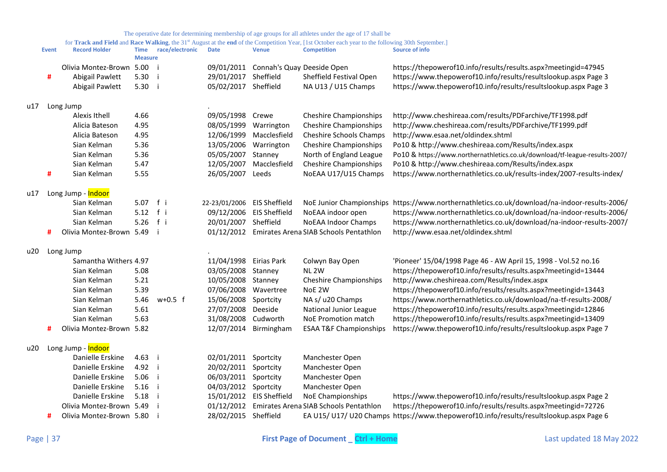|     | <b>Event</b> | <b>Record Holder</b>     | <b>Time</b><br><b>Measure</b> | race/electronic | $\mathfrak{m}$ and $\mathfrak{r}$ and $\mathfrak{r}$<br><b>Date</b> | <b>Venue</b>               | ompetition Tear, The October each fear to the following both Deptember.<br><b>Competition</b> | <b>Source of info</b>                                                                         |
|-----|--------------|--------------------------|-------------------------------|-----------------|---------------------------------------------------------------------|----------------------------|-----------------------------------------------------------------------------------------------|-----------------------------------------------------------------------------------------------|
|     |              | Olivia Montez-Brown      | 5.00                          |                 | 09/01/2011                                                          | Connah's Quay Deeside Open |                                                                                               | https://thepowerof10.info/results/results.aspx?meetingid=47945                                |
|     | #            | Abigail Pawlett          | 5.30                          |                 | 29/01/2017                                                          | Sheffield                  | Sheffield Festival Open                                                                       | https://www.thepowerof10.info/results/resultslookup.aspx Page 3                               |
|     |              | Abigail Pawlett          | 5.30                          |                 | 05/02/2017 Sheffield                                                |                            | NA U13 / U15 Champs                                                                           | https://www.thepowerof10.info/results/resultslookup.aspx Page 3                               |
| u17 |              | Long Jump                |                               |                 |                                                                     |                            |                                                                                               |                                                                                               |
|     |              | Alexis Ithell            | 4.66                          |                 | 09/05/1998                                                          | Crewe                      | <b>Cheshire Championships</b>                                                                 | http://www.cheshireaa.com/results/PDFarchive/TF1998.pdf                                       |
|     |              | Alicia Bateson           | 4.95                          |                 | 08/05/1999                                                          | Warrington                 | <b>Cheshire Championships</b>                                                                 | http://www.cheshireaa.com/results/PDFarchive/TF1999.pdf                                       |
|     |              | Alicia Bateson           | 4.95                          |                 | 12/06/1999                                                          | Macclesfield               | <b>Cheshire Schools Champs</b>                                                                | http://www.esaa.net/oldindex.shtml                                                            |
|     |              | Sian Kelman              | 5.36                          |                 | 13/05/2006                                                          | Warrington                 | <b>Cheshire Championships</b>                                                                 | Po10 & http://www.cheshireaa.com/Results/index.aspx                                           |
|     |              | Sian Kelman              | 5.36                          |                 | 05/05/2007                                                          | Stanney                    | North of England League                                                                       | Po10 & https://www.northernathletics.co.uk/download/tf-league-results-2007/                   |
|     |              | Sian Kelman              | 5.47                          |                 | 12/05/2007                                                          | Macclesfield               | <b>Cheshire Championships</b>                                                                 | Po10 & http://www.cheshireaa.com/Results/index.aspx                                           |
|     | #            | Sian Kelman              | 5.55                          |                 | 26/05/2007                                                          | Leeds                      | NoEAA U17/U15 Champs                                                                          | https://www.northernathletics.co.uk/results-index/2007-results-index/                         |
| u17 |              | Long Jump - Indoor       |                               |                 |                                                                     |                            |                                                                                               |                                                                                               |
|     |              | Sian Kelman              | 5.07 f i                      |                 | 22-23/01/2006                                                       | <b>EIS Sheffield</b>       |                                                                                               | NoE Junior Championships https://www.northernathletics.co.uk/download/na-indoor-results-2006/ |
|     |              | Sian Kelman              | 5.12                          | $f$ i           | 09/12/2006                                                          | <b>EIS Sheffield</b>       | NoEAA indoor open                                                                             | https://www.northernathletics.co.uk/download/na-indoor-results-2006/                          |
|     |              | Sian Kelman              | 5.26                          | fi              | 20/01/2007                                                          | Sheffield                  | <b>NoEAA Indoor Champs</b>                                                                    | https://www.northernathletics.co.uk/download/na-indoor-results-2007/                          |
|     | #            | Olivia Montez-Brown 5.49 |                               |                 | 01/12/2012                                                          |                            | Emirates Arena SIAB Schools Pentathlon                                                        | http://www.esaa.net/oldindex.shtml                                                            |
| u20 |              | Long Jump                |                               |                 |                                                                     |                            |                                                                                               |                                                                                               |
|     |              | Samantha Withers 4.97    |                               |                 | 11/04/1998                                                          | Eirias Park                | Colwyn Bay Open                                                                               | 'Pioneer' 15/04/1998 Page 46 - AW April 15, 1998 - Vol.52 no.16                               |
|     |              | Sian Kelman              | 5.08                          |                 | 03/05/2008                                                          | Stanney                    | NL <sub>2W</sub>                                                                              | https://thepowerof10.info/results/results.aspx?meetingid=13444                                |
|     |              | Sian Kelman              | 5.21                          |                 | 10/05/2008                                                          | Stanney                    | <b>Cheshire Championships</b>                                                                 | http://www.cheshireaa.com/Results/index.aspx                                                  |
|     |              | Sian Kelman              | 5.39                          |                 | 07/06/2008                                                          | Wavertree                  | NoE 2W                                                                                        | https://thepowerof10.info/results/results.aspx?meetingid=13443                                |
|     |              | Sian Kelman              | 5.46                          | $w+0.5$ f       | 15/06/2008                                                          | Sportcity                  | NA s/ u20 Champs                                                                              | https://www.northernathletics.co.uk/download/na-tf-results-2008/                              |
|     |              | Sian Kelman              | 5.61                          |                 | 27/07/2008                                                          | Deeside                    | National Junior League                                                                        | https://thepowerof10.info/results/results.aspx?meetingid=12846                                |
|     |              | Sian Kelman              | 5.63                          |                 | 31/08/2008                                                          | Cudworth                   | NoE Promotion match                                                                           | https://thepowerof10.info/results/results.aspx?meetingid=13409                                |
|     | Ħ            | Olivia Montez-Brown 5.82 |                               |                 | 12/07/2014                                                          | Birmingham                 | <b>ESAA T&amp;F Championships</b>                                                             | https://www.thepowerof10.info/results/resultslookup.aspx Page 7                               |
| u20 |              | Long Jump - Indoor       |                               |                 |                                                                     |                            |                                                                                               |                                                                                               |
|     |              | Danielle Erskine         | 4.63                          |                 | 02/01/2011                                                          | Sportcity                  | Manchester Open                                                                               |                                                                                               |
|     |              | Danielle Erskine         | 4.92 i                        |                 | 20/02/2011 Sportcity                                                |                            | Manchester Open                                                                               |                                                                                               |
|     |              | Danielle Erskine         | 5.06                          |                 | 06/03/2011 Sportcity                                                |                            | Manchester Open                                                                               |                                                                                               |
|     |              | Danielle Erskine         | 5.16                          |                 | 04/03/2012                                                          | Sportcity                  | Manchester Open                                                                               |                                                                                               |
|     |              | Danielle Erskine         | 5.18                          |                 | 15/01/2012                                                          | <b>EIS Sheffield</b>       | NoE Championships                                                                             | https://www.thepowerof10.info/results/resultslookup.aspx Page 2                               |
|     |              | Olivia Montez-Brown 5.49 |                               |                 | 01/12/2012                                                          |                            | Emirates Arena SIAB Schools Pentathlon                                                        | https://thepowerof10.info/results/results.aspx?meetingid=72726                                |
|     | #            | Olivia Montez-Brown 5.80 |                               |                 | 28/02/2015 Sheffield                                                |                            |                                                                                               | EA U15/ U17/ U20 Champs https://www.thepowerof10.info/results/resultslookup.aspx Page 6       |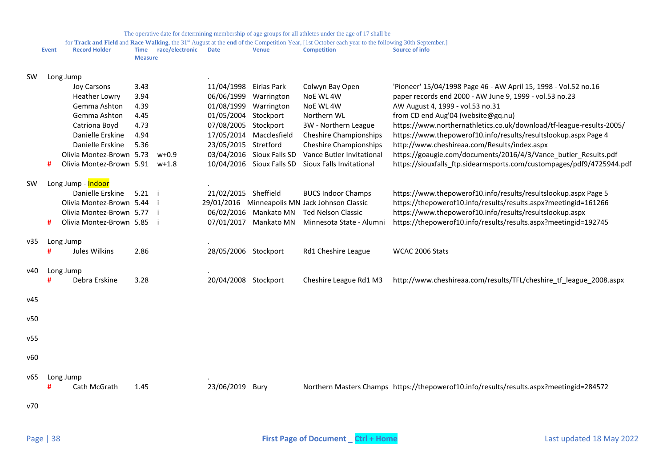|           |       |                                |                               |                 |                        |                           | The operative date for determining membership of age groups for all athletes under the age of 17 shall be                                                                            |                                                                                         |
|-----------|-------|--------------------------------|-------------------------------|-----------------|------------------------|---------------------------|--------------------------------------------------------------------------------------------------------------------------------------------------------------------------------------|-----------------------------------------------------------------------------------------|
|           | Event | <b>Record Holder</b>           | <b>Time</b><br><b>Measure</b> | race/electronic | <b>Date</b>            | <b>Venue</b>              | for Track and Field and Race Walking, the 31 <sup>st</sup> August at the end of the Competition Year, [1st October each year to the following 30th September.]<br><b>Competition</b> | Source of info                                                                          |
| <b>SW</b> |       | Long Jump                      |                               |                 |                        |                           |                                                                                                                                                                                      |                                                                                         |
|           |       | Joy Carsons                    | 3.43                          |                 | 11/04/1998 Eirias Park |                           | Colwyn Bay Open                                                                                                                                                                      | 'Pioneer' 15/04/1998 Page 46 - AW April 15, 1998 - Vol.52 no.16                         |
|           |       | <b>Heather Lowry</b>           | 3.94                          |                 | 06/06/1999             | Warrington                | NoE WL 4W                                                                                                                                                                            | paper records end 2000 - AW June 9, 1999 - vol.53 no.23                                 |
|           |       | Gemma Ashton                   | 4.39                          |                 |                        | 01/08/1999 Warrington     | NoE WL 4W                                                                                                                                                                            | AW August 4, 1999 - vol.53 no.31                                                        |
|           |       | Gemma Ashton                   | 4.45                          |                 | 01/05/2004 Stockport   |                           | Northern WL                                                                                                                                                                          | from CD end Aug'04 (website@gq.nu)                                                      |
|           |       | Catriona Boyd                  | 4.73                          |                 | 07/08/2005 Stockport   |                           | 3W - Northern League                                                                                                                                                                 | https://www.northernathletics.co.uk/download/tf-league-results-2005/                    |
|           |       | Danielle Erskine               | 4.94                          |                 |                        | 17/05/2014 Macclesfield   | <b>Cheshire Championships</b>                                                                                                                                                        | https://www.thepowerof10.info/results/resultslookup.aspx Page 4                         |
|           |       | Danielle Erskine               | 5.36                          |                 | 23/05/2015 Stretford   |                           | <b>Cheshire Championships</b>                                                                                                                                                        | http://www.cheshireaa.com/Results/index.aspx                                            |
|           |       | Olivia Montez-Brown 5.73       |                               | $w+0.9$         |                        | 03/04/2016 Sioux Falls SD | Vance Butler Invitational                                                                                                                                                            | https://goaugie.com/documents/2016/4/3/Vance_butler_Results.pdf                         |
|           | #     | Olivia Montez-Brown 5.91 w+1.8 |                               |                 |                        | 10/04/2016 Sioux Falls SD | Sioux Falls Invitational                                                                                                                                                             | https://siouxfalls ftp.sidearmsports.com/custompages/pdf9/4725944.pdf                   |
| <b>SW</b> |       | Long Jump - Indoor             |                               |                 |                        |                           |                                                                                                                                                                                      |                                                                                         |
|           |       | Danielle Erskine               | $5.21$ i                      |                 | 21/02/2015 Sheffield   |                           | <b>BUCS Indoor Champs</b>                                                                                                                                                            | https://www.thepowerof10.info/results/resultslookup.aspx Page 5                         |
|           |       | Olivia Montez-Brown 5.44       |                               |                 |                        |                           | 29/01/2016 Minneapolis MN Jack Johnson Classic                                                                                                                                       | https://thepowerof10.info/results/results.aspx?meetingid=161266                         |
|           |       | Olivia Montez-Brown 5.77       |                               |                 |                        | 06/02/2016 Mankato MN     | <b>Ted Nelson Classic</b>                                                                                                                                                            | https://www.thepowerof10.info/results/resultslookup.aspx                                |
|           | #     | Olivia Montez-Brown 5.85       |                               |                 |                        | 07/01/2017 Mankato MN     | Minnesota State - Alumni                                                                                                                                                             | https://thepowerof10.info/results/results.aspx?meetingid=192745                         |
| v35       |       | Long Jump                      |                               |                 |                        |                           |                                                                                                                                                                                      |                                                                                         |
|           | #     | Jules Wilkins                  | 2.86                          |                 | 28/05/2006 Stockport   |                           | Rd1 Cheshire League                                                                                                                                                                  | WCAC 2006 Stats                                                                         |
| v40       |       | Long Jump                      |                               |                 |                        |                           |                                                                                                                                                                                      |                                                                                         |
|           |       | Debra Erskine                  | 3.28                          |                 | 20/04/2008 Stockport   |                           | Cheshire League Rd1 M3                                                                                                                                                               | http://www.cheshireaa.com/results/TFL/cheshire_tf_league_2008.aspx                      |
| v45       |       |                                |                               |                 |                        |                           |                                                                                                                                                                                      |                                                                                         |
| v50       |       |                                |                               |                 |                        |                           |                                                                                                                                                                                      |                                                                                         |
|           |       |                                |                               |                 |                        |                           |                                                                                                                                                                                      |                                                                                         |
| v55       |       |                                |                               |                 |                        |                           |                                                                                                                                                                                      |                                                                                         |
| v60       |       |                                |                               |                 |                        |                           |                                                                                                                                                                                      |                                                                                         |
| v65       |       | Long Jump                      |                               |                 |                        |                           |                                                                                                                                                                                      |                                                                                         |
|           |       | Cath McGrath                   | 1.45                          |                 | 23/06/2019 Bury        |                           |                                                                                                                                                                                      | Northern Masters Champs https://thepowerof10.info/results/results.aspx?meetingid=284572 |
| v70       |       |                                |                               |                 |                        |                           |                                                                                                                                                                                      |                                                                                         |
|           |       |                                |                               |                 |                        |                           |                                                                                                                                                                                      |                                                                                         |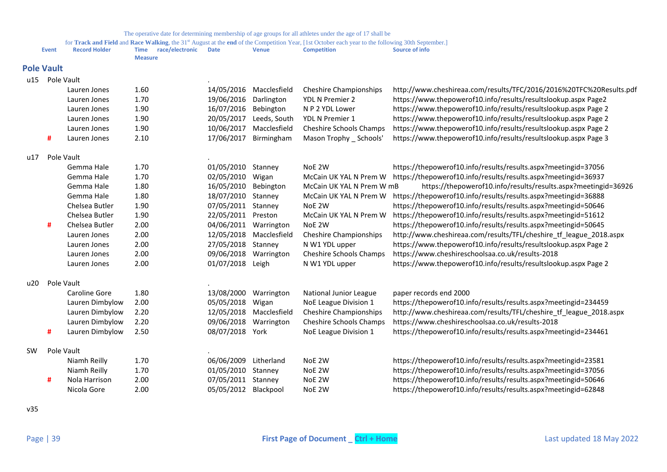for Track and Field and Race Walking, the 31<sup>st</sup> August at the end of the Competition Year, [1st October each year to the following 30th September.]

<span id="page-38-0"></span>

|           | <b>Event</b>      | <b>Record Holder</b> | race/electronic<br><b>Time</b><br><b>Measure</b> | <b>Date</b>      | <b>Venue</b> | for <b>Track and Field</b> and <b>Kace Walking</b> , the 31 <sup>*</sup> August at the end of the Competition Year, [1st October each year to the following 30th September.]<br><b>Competition</b> | Source of info                                                      |
|-----------|-------------------|----------------------|--------------------------------------------------|------------------|--------------|----------------------------------------------------------------------------------------------------------------------------------------------------------------------------------------------------|---------------------------------------------------------------------|
|           | <b>Pole Vault</b> |                      |                                                  |                  |              |                                                                                                                                                                                                    |                                                                     |
| u15       |                   | Pole Vault           |                                                  |                  |              |                                                                                                                                                                                                    |                                                                     |
|           |                   | Lauren Jones         | 1.60                                             | 14/05/2016       | Macclesfield | <b>Cheshire Championships</b>                                                                                                                                                                      | http://www.cheshireaa.com/results/TFC/2016/2016%20TFC%20Results.pdf |
|           |                   | Lauren Jones         | 1.70                                             | 19/06/2016       | Darlington   | YDL N Premier 2                                                                                                                                                                                    | https://www.thepowerof10.info/results/resultslookup.aspx Page2      |
|           |                   | Lauren Jones         | 1.90                                             | 16/07/2016       | Bebington    | N P 2 YDL Lower                                                                                                                                                                                    | https://www.thepowerof10.info/results/resultslookup.aspx Page 2     |
|           |                   | Lauren Jones         | 1.90                                             | 20/05/2017       | Leeds, South | YDL N Premier 1                                                                                                                                                                                    | https://www.thepowerof10.info/results/resultslookup.aspx Page 2     |
|           |                   | Lauren Jones         | 1.90                                             | 10/06/2017       | Macclesfield | Cheshire Schools Champs                                                                                                                                                                            | https://www.thepowerof10.info/results/resultslookup.aspx Page 2     |
|           | #                 | Lauren Jones         | 2.10                                             | 17/06/2017       | Birmingham   | Mason Trophy _ Schools'                                                                                                                                                                            | https://www.thepowerof10.info/results/resultslookup.aspx Page 3     |
| u17       |                   | Pole Vault           |                                                  |                  |              |                                                                                                                                                                                                    |                                                                     |
|           |                   | Gemma Hale           | 1.70                                             | 01/05/2010       | Stanney      | NoE 2W                                                                                                                                                                                             | https://thepowerof10.info/results/results.aspx?meetingid=37056      |
|           |                   | Gemma Hale           | 1.70                                             | 02/05/2010       | Wigan        | McCain UK YAL N Prem W                                                                                                                                                                             | https://thepowerof10.info/results/results.aspx?meetingid=36937      |
|           |                   | Gemma Hale           | 1.80                                             | 16/05/2010       | Bebington    | McCain UK YAL N Prem W mB                                                                                                                                                                          | https://thepowerof10.info/results/results.aspx?meetingid=36926      |
|           |                   | Gemma Hale           | 1.80                                             | 18/07/2010       | Stanney      | McCain UK YAL N Prem W                                                                                                                                                                             | https://thepowerof10.info/results/results.aspx?meetingid=36888      |
|           |                   | Chelsea Butler       | 1.90                                             | 07/05/2011       | Stanney      | NoE 2W                                                                                                                                                                                             | https://thepowerof10.info/results/results.aspx?meetingid=50646      |
|           |                   | Chelsea Butler       | 1.90                                             | 22/05/2011       | Preston      | McCain UK YAL N Prem W                                                                                                                                                                             | https://thepowerof10.info/results/results.aspx?meetingid=51612      |
|           | #                 | Chelsea Butler       | 2.00                                             | 04/06/2011       | Warrington   | NoE 2W                                                                                                                                                                                             | https://thepowerof10.info/results/results.aspx?meetingid=50645      |
|           |                   | Lauren Jones         | 2.00                                             | 12/05/2018       | Macclesfield | <b>Cheshire Championships</b>                                                                                                                                                                      | http://www.cheshireaa.com/results/TFL/cheshire tf league 2018.aspx  |
|           |                   | Lauren Jones         | 2.00                                             | 27/05/2018       | Stanney      | N W1 YDL upper                                                                                                                                                                                     | https://www.thepowerof10.info/results/resultslookup.aspx Page 2     |
|           |                   | Lauren Jones         | 2.00                                             | 09/06/2018       | Warrington   | Cheshire Schools Champs                                                                                                                                                                            | https://www.cheshireschoolsaa.co.uk/results-2018                    |
|           |                   | Lauren Jones         | 2.00                                             | 01/07/2018 Leigh |              | N W1 YDL upper                                                                                                                                                                                     | https://www.thepowerof10.info/results/resultslookup.aspx Page 2     |
| u20       |                   | Pole Vault           |                                                  |                  |              |                                                                                                                                                                                                    |                                                                     |
|           |                   | Caroline Gore        | 1.80                                             | 13/08/2000       | Warrington   | National Junior League                                                                                                                                                                             | paper records end 2000                                              |
|           |                   | Lauren Dimbylow      | 2.00                                             | 05/05/2018       | Wigan        | NoE League Division 1                                                                                                                                                                              | https://thepowerof10.info/results/results.aspx?meetingid=234459     |
|           |                   | Lauren Dimbylow      | 2.20                                             | 12/05/2018       | Macclesfield | <b>Cheshire Championships</b>                                                                                                                                                                      | http://www.cheshireaa.com/results/TFL/cheshire_tf_league_2018.aspx  |
|           |                   | Lauren Dimbylow      | 2.20                                             | 09/06/2018       | Warrington   | Cheshire Schools Champs                                                                                                                                                                            | https://www.cheshireschoolsaa.co.uk/results-2018                    |
|           | #                 | Lauren Dimbylow      | 2.50                                             | 08/07/2018 York  |              | NoE League Division 1                                                                                                                                                                              | https://thepowerof10.info/results/results.aspx?meetingid=234461     |
| <b>SW</b> |                   | Pole Vault           |                                                  |                  |              |                                                                                                                                                                                                    |                                                                     |
|           |                   | Niamh Reilly         | 1.70                                             | 06/06/2009       | Litherland   | NoE 2W                                                                                                                                                                                             | https://thepowerof10.info/results/results.aspx?meetingid=23581      |
|           |                   | Niamh Reilly         | 1.70                                             | 01/05/2010       | Stanney      | NoE 2W                                                                                                                                                                                             | https://thepowerof10.info/results/results.aspx?meetingid=37056      |
|           | #                 | Nola Harrison        | 2.00                                             | 07/05/2011       | Stanney      | NoE 2W                                                                                                                                                                                             | https://thepowerof10.info/results/results.aspx?meetingid=50646      |
|           |                   | Nicola Gore          | 2.00                                             | 05/05/2012       | Blackpool    | NoE 2W                                                                                                                                                                                             | https://thepowerof10.info/results/results.aspx?meetingid=62848      |

v35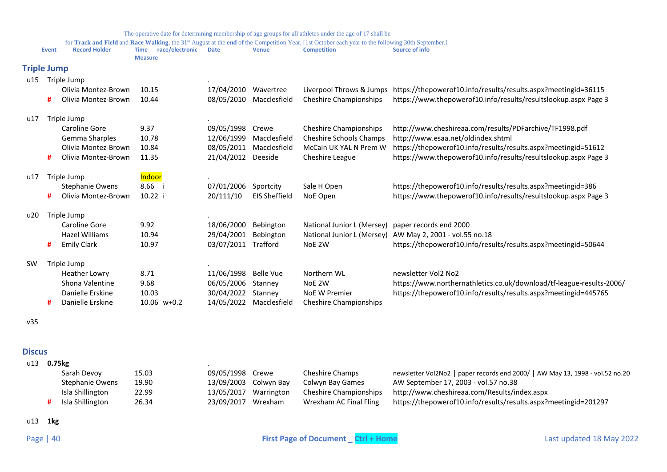for Track and Field and Race Walking, the 31<sup>st</sup> August at the end of the Competition Year, [1st October each year to the following 30th September.]

<span id="page-39-0"></span>

|                    |       |                        |                                                  |             |                      | for <b>Track and Field</b> and <b>Race Walking</b> , the 31 <sup>st</sup> August at the <b>end</b> of the Competition Year, [1st October each year to the following 30th September.] |                                                                      |
|--------------------|-------|------------------------|--------------------------------------------------|-------------|----------------------|--------------------------------------------------------------------------------------------------------------------------------------------------------------------------------------|----------------------------------------------------------------------|
|                    | Event | <b>Record Holder</b>   | race/electronic<br><b>Time</b><br><b>Measure</b> | <b>Date</b> | <b>Venue</b>         | <b>Competition</b>                                                                                                                                                                   | Source of info                                                       |
| <b>Triple Jump</b> |       |                        |                                                  |             |                      |                                                                                                                                                                                      |                                                                      |
| u15                |       | Triple Jump            |                                                  |             |                      |                                                                                                                                                                                      |                                                                      |
|                    |       | Olivia Montez-Brown    | 10.15                                            | 17/04/2010  | Wavertree            | Liverpool Throws & Jumps                                                                                                                                                             | https://thepowerof10.info/results/results.aspx?meetingid=36115       |
|                    | #     | Olivia Montez-Brown    | 10.44                                            | 08/05/2010  | Macclesfield         | <b>Cheshire Championships</b>                                                                                                                                                        | https://www.thepowerof10.info/results/resultslookup.aspx Page 3      |
| u17                |       | Triple Jump            |                                                  |             |                      |                                                                                                                                                                                      |                                                                      |
|                    |       | Caroline Gore          | 9.37                                             | 09/05/1998  | Crewe                | <b>Cheshire Championships</b>                                                                                                                                                        | http://www.cheshireaa.com/results/PDFarchive/TF1998.pdf              |
|                    |       | Gemma Sharples         | 10.78                                            | 12/06/1999  | Macclesfield         | <b>Cheshire Schools Champs</b>                                                                                                                                                       | http://www.esaa.net/oldindex.shtml                                   |
|                    |       | Olivia Montez-Brown    | 10.84                                            | 08/05/2011  | Macclesfield         | McCain UK YAL N Prem W                                                                                                                                                               | https://thepowerof10.info/results/results.aspx?meetingid=51612       |
|                    | #     | Olivia Montez-Brown    | 11.35                                            | 21/04/2012  | Deeside              | Cheshire League                                                                                                                                                                      | https://www.thepowerof10.info/results/resultslookup.aspx Page 3      |
| u17                |       | Triple Jump            | Indoor                                           |             |                      |                                                                                                                                                                                      |                                                                      |
|                    |       | <b>Stephanie Owens</b> | 8.66                                             | 07/01/2006  | Sportcity            | Sale H Open                                                                                                                                                                          | https://thepowerof10.info/results/results.aspx?meetingid=386         |
|                    | #     | Olivia Montez-Brown    | 10.22 i                                          | 20/111/10   | <b>EIS Sheffield</b> | NoE Open                                                                                                                                                                             | https://www.thepowerof10.info/results/resultslookup.aspx Page 3      |
| u20                |       | Triple Jump            |                                                  |             |                      |                                                                                                                                                                                      |                                                                      |
|                    |       | Caroline Gore          | 9.92                                             | 18/06/2000  | Bebington            | National Junior L (Mersey)                                                                                                                                                           | paper records end 2000                                               |
|                    |       | Hazel Williams         | 10.94                                            | 29/04/2001  | Bebington            | National Junior L (Mersey)                                                                                                                                                           | AW May 2, 2001 - vol.55 no.18                                        |
|                    | #     | <b>Emily Clark</b>     | 10.97                                            | 03/07/2011  | Trafford             | NoE 2W                                                                                                                                                                               | https://thepowerof10.info/results/results.aspx?meetingid=50644       |
| <b>SW</b>          |       | Triple Jump            |                                                  |             |                      |                                                                                                                                                                                      |                                                                      |
|                    |       | <b>Heather Lowry</b>   | 8.71                                             | 11/06/1998  | <b>Belle Vue</b>     | Northern WL                                                                                                                                                                          | newsletter Vol2 No2                                                  |
|                    |       | Shona Valentine        | 9.68                                             | 06/05/2006  | Stanney              | NoE 2W                                                                                                                                                                               | https://www.northernathletics.co.uk/download/tf-league-results-2006/ |
|                    |       | Danielle Erskine       | 10.03                                            | 30/04/2022  | Stanney              | <b>NoE W Premier</b>                                                                                                                                                                 | https://thepowerof10.info/results/results.aspx?meetingid=445765      |
|                    | #     | Danielle Erskine       | 10.06 w+0.2                                      | 14/05/2022  | Macclesfield         | <b>Cheshire Championships</b>                                                                                                                                                        |                                                                      |

v35

<span id="page-39-1"></span>**Discus**

| u13 | 0.75kg |                        |       |                    |                       |                        |                                                                               |
|-----|--------|------------------------|-------|--------------------|-----------------------|------------------------|-------------------------------------------------------------------------------|
|     |        | Sarah Devoy            | 15.03 | 09/05/1998 Crewe   |                       | Cheshire Champs        | newsletter Vol2No2   paper records end 2000/   AW May 13, 1998 - vol.52 no.20 |
|     |        | <b>Stephanie Owens</b> | 19.90 |                    | 13/09/2003 Colwyn Bay | Colwyn Bay Games       | AW September 17, 2003 - vol.57 no.38                                          |
|     |        | Isla Shillington       | 22.99 |                    | 13/05/2017 Warrington | Cheshire Championships | http://www.cheshireaa.com/Results/index.aspx                                  |
|     |        | Isla Shillington       | 26.34 | 23/09/2017 Wrexham |                       | Wrexham AC Final Fling | https://thepowerof10.info/results/results.aspx?meetingid=201297               |

u13 **1kg**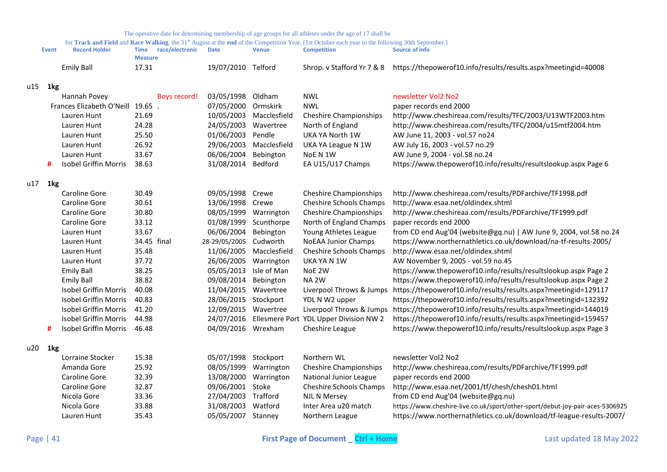for Track and Field and Race Walking, the 31<sup>st</sup> August at the end of the Competition Year, [1st October each year to the following 30th September.]

| <b>Event</b> | <b>Record Holder</b> | Time    | race/electronic | <b>Date</b>        | Venue | Competition | Source of info                                                                            |
|--------------|----------------------|---------|-----------------|--------------------|-------|-------------|-------------------------------------------------------------------------------------------|
|              |                      | Measure |                 |                    |       |             |                                                                                           |
|              | Emily Ball           |         |                 | 19/07/2010 Telford |       |             | Shrop. v Stafford Yr 7 & 8 https://thepowerof10.info/results/results.aspx?meetingid=40008 |

## u15 **1kg**

|     |                 | Hannah Povey                    |             | Boys record! | 03/05/1998           | Oldham       | <b>NWL</b>                             | newsletter Vol2 No2                                                           |
|-----|-----------------|---------------------------------|-------------|--------------|----------------------|--------------|----------------------------------------|-------------------------------------------------------------------------------|
|     |                 | Frances Elizabeth O'Neill 19.65 |             |              | 07/05/2000           | Ormskirk     | <b>NWL</b>                             | paper records end 2000                                                        |
|     |                 | Lauren Hunt                     | 21.69       |              | 10/05/2003           | Macclesfield | <b>Cheshire Championships</b>          | http://www.cheshireaa.com/results/TFC/2003/U13WTF2003.htm                     |
|     |                 | Lauren Hunt                     | 24.28       |              | 24/05/2003           | Wavertree    | North of England                       | http://www.cheshireaa.com/results/TFC/2004/u15mtf2004.htm                     |
|     |                 | Lauren Hunt                     | 25.50       |              | 01/06/2003           | Pendle       | UKA YA North 1W                        | AW June 11, 2003 - vol.57 no24                                                |
|     |                 | Lauren Hunt                     | 26.92       |              | 29/06/2003           | Macclesfield | UKA YA League N 1W                     | AW July 16, 2003 - vol.57 no.29                                               |
|     |                 | Lauren Hunt                     | 33.67       |              | 06/06/2004           | Bebington    | NoE N 1W                               | AW June 9, 2004 - vol.58 no.24                                                |
|     | #               | Isobel Griffin Morris           | 38.63       |              | 31/08/2014           | Bedford      | EA U15/U17 Champs                      | https://www.thepowerof10.info/results/resultslookup.aspx Page 6               |
| u17 | 1kg             |                                 |             |              |                      |              |                                        |                                                                               |
|     |                 | Caroline Gore                   | 30.49       |              | 09/05/1998           | Crewe        | <b>Cheshire Championships</b>          | http://www.cheshireaa.com/results/PDFarchive/TF1998.pdf                       |
|     |                 | Caroline Gore                   | 30.61       |              | 13/06/1998           | Crewe        | <b>Cheshire Schools Champs</b>         | http://www.esaa.net/oldindex.shtml                                            |
|     |                 | Caroline Gore                   | 30.80       |              | 08/05/1999           | Warrington   | <b>Cheshire Championships</b>          | http://www.cheshireaa.com/results/PDFarchive/TF1999.pdf                       |
|     |                 | Caroline Gore                   | 33.12       |              | 01/08/1999           | Scunthorpe   | North of England Champs                | paper records end 2000                                                        |
|     |                 | Lauren Hunt                     | 33.67       |              | 06/06/2004           | Bebington    | Young Athletes League                  | from CD end Aug'04 (website@gq.nu)   AW June 9, 2004, vol.58 no.24            |
|     |                 | Lauren Hunt                     | 34.45 final |              | 28-29/05/2005        | Cudworth     | <b>NoEAA Junior Champs</b>             | https://www.northernathletics.co.uk/download/na-tf-results-2005/              |
|     |                 | Lauren Hunt                     | 35.48       |              | 11/06/2005           | Macclesfield | Cheshire Schools Champs                | http://www.esaa.net/oldindex.shtml                                            |
|     |                 | Lauren Hunt                     | 37.72       |              | 26/06/2005           | Warrington   | UKA YA N 1W                            | AW November 9, 2005 - vol.59 no.45                                            |
|     |                 | <b>Emily Ball</b>               | 38.25       |              | 05/05/2013           | Isle of Man  | NoE 2W                                 | https://www.thepowerof10.info/results/resultslookup.aspx Page 2               |
|     |                 | <b>Emily Ball</b>               | 38.82       |              | 09/08/2014           | Bebington    | NA <sub>2W</sub>                       | https://www.thepowerof10.info/results/resultslookup.aspx Page 2               |
|     |                 | Isobel Griffin Morris           | 40.08       |              | 11/04/2015           | Wavertree    | Liverpool Throws & Jumps               | https://thepowerof10.info/results/results.aspx?meetingid=129117               |
|     |                 | <b>Isobel Griffin Morris</b>    | 40.83       |              | 28/06/2015 Stockport |              | YDL N W2 upper                         | https://thepowerof10.info/results/results.aspx?meetingid=132392               |
|     |                 | Isobel Griffin Morris           | 41.20       |              | 12/09/2015           | Wavertree    | Liverpool Throws & Jumps               | https://thepowerof10.info/results/results.aspx?meetingid=144019               |
|     |                 | <b>Isobel Griffin Morris</b>    | 44.98       |              | 24/07/2016           |              | Ellesmere Port YDL Upper Division NW 2 | https://thepowerof10.info/results/results.aspx?meetingid=159457               |
|     | #               | Isobel Griffin Morris           | 46.48       |              | 04/09/2016 Wrexham   |              | Cheshire League                        | https://www.thepowerof10.info/results/resultslookup.aspx Page 3               |
| u20 | 1 <sub>kg</sub> |                                 |             |              |                      |              |                                        |                                                                               |
|     |                 | Lorraine Stocker                | 15.38       |              | 05/07/1998           | Stockport    | Northern WL                            | newsletter Vol2 No2                                                           |
|     |                 | Amanda Gore                     | 25.92       |              | 08/05/1999           | Warrington   | <b>Cheshire Championships</b>          | http://www.cheshireaa.com/results/PDFarchive/TF1999.pdf                       |
|     |                 | Caroline Gore                   | 32.39       |              | 13/08/2000           | Warrington   | National Junior League                 | paper records end 2000                                                        |
|     |                 | Caroline Gore                   | 32.87       |              | 09/06/2001           | Stoke        | Cheshire Schools Champs                | http://www.esaa.net/2001/tf/chesh/chesh01.html                                |
|     |                 | Nicola Gore                     | 33.36       |              | 27/04/2003           | Trafford     | <b>NJL N Mersey</b>                    | from CD end Aug'04 (website@gq.nu)                                            |
|     |                 | Nicola Gore                     | 33.88       |              | 31/08/2003           | Watford      | Inter Area u20 match                   | https://www.cheshire-live.co.uk/sport/other-sport/debut-joy-pair-aces-5306925 |
|     |                 |                                 |             |              |                      |              |                                        |                                                                               |

Lauren Hunt 35.43 05/05/2007 Stanney Northern League https://www.northernathletics.co.uk/download/tf-league-results-2007/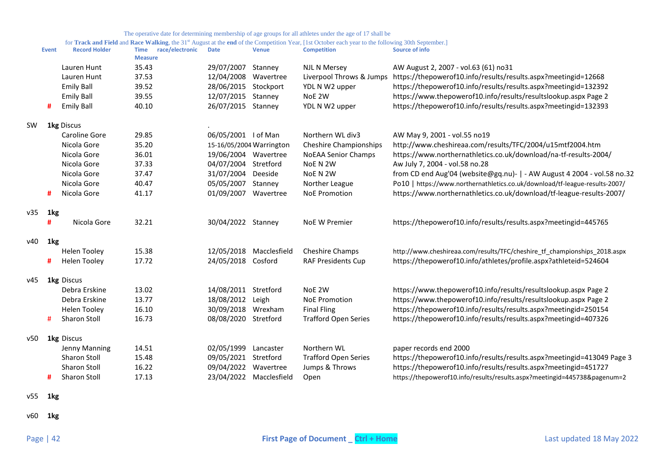for **Track and Field** and **Race Walking**, the 31<sup>st</sup> August at the end of the Competition Year, [1st October each year to the following 30th September.]

|     | <b>Event</b> | <b>Record Holder</b> | race/electronic<br><b>Time</b><br><b>Measure</b> | <b>Date</b>          | <b>Venue</b>             | <b>Competition</b>            | <b>Source of info</b>                                                       |
|-----|--------------|----------------------|--------------------------------------------------|----------------------|--------------------------|-------------------------------|-----------------------------------------------------------------------------|
|     |              | Lauren Hunt          | 35.43                                            | 29/07/2007           | Stanney                  | NJL N Mersey                  | AW August 2, 2007 - vol.63 (61) no31                                        |
|     |              | Lauren Hunt          | 37.53                                            | 12/04/2008           | Wavertree                | Liverpool Throws & Jumps      | https://thepowerof10.info/results/results.aspx?meetingid=12668              |
|     |              | <b>Emily Ball</b>    | 39.52                                            | 28/06/2015 Stockport |                          | YDL N W2 upper                | https://thepowerof10.info/results/results.aspx?meetingid=132392             |
|     |              | <b>Emily Ball</b>    | 39.55                                            | 12/07/2015           | Stanney                  | NoE 2W                        | https://www.thepowerof10.info/results/resultslookup.aspx Page 2             |
|     | #            | <b>Emily Ball</b>    | 40.10                                            | 26/07/2015 Stanney   |                          | YDL N W2 upper                | https://thepowerof10.info/results/results.aspx?meetingid=132393             |
| SW  |              | <b>1kg Discus</b>    |                                                  |                      |                          |                               |                                                                             |
|     |              | Caroline Gore        | 29.85                                            | 06/05/2001 I of Man  |                          | Northern WL div3              | AW May 9, 2001 - vol.55 no19                                                |
|     |              | Nicola Gore          | 35.20                                            |                      | 15-16/05/2004 Warrington | <b>Cheshire Championships</b> | http://www.cheshireaa.com/results/TFC/2004/u15mtf2004.htm                   |
|     |              | Nicola Gore          | 36.01                                            | 19/06/2004 Wavertree |                          | <b>NoEAA Senior Champs</b>    | https://www.northernathletics.co.uk/download/na-tf-results-2004/            |
|     |              | Nicola Gore          | 37.33                                            | 04/07/2004           | Stretford                | NoE N 2W                      | Aw July 7, 2004 - vol.58 no.28                                              |
|     |              | Nicola Gore          | 37.47                                            | 31/07/2004           | Deeside                  | NoE N 2W                      | from CD end Aug'04 (website@gq.nu)-   - AW August 4 2004 - vol.58 no.32     |
|     |              | Nicola Gore          | 40.47                                            | 05/05/2007           | Stanney                  | Norther League                | Po10   https://www.northernathletics.co.uk/download/tf-league-results-2007/ |
|     | #            | Nicola Gore          | 41.17                                            | 01/09/2007           | Wavertree                | <b>NoE Promotion</b>          | https://www.northernathletics.co.uk/download/tf-league-results-2007/        |
| v35 | 1kg          |                      |                                                  |                      |                          |                               |                                                                             |
|     | #            | Nicola Gore          | 32.21                                            | 30/04/2022 Stanney   |                          | <b>NoE W Premier</b>          | https://thepowerof10.info/results/results.aspx?meetingid=445765             |
| ν40 | 1kg          |                      |                                                  |                      |                          |                               |                                                                             |
|     |              | <b>Helen Tooley</b>  | 15.38                                            | 12/05/2018           | Macclesfield             | <b>Cheshire Champs</b>        | http://www.cheshireaa.com/results/TFC/cheshire_tf_championships_2018.aspx   |
|     | #            | <b>Helen Tooley</b>  | 17.72                                            | 24/05/2018 Cosford   |                          | <b>RAF Presidents Cup</b>     | https://thepowerof10.info/athletes/profile.aspx?athleteid=524604            |
| v45 |              | 1kg Discus           |                                                  |                      |                          |                               |                                                                             |
|     |              | Debra Erskine        | 13.02                                            | 14/08/2011 Stretford |                          | NoE 2W                        | https://www.thepowerof10.info/results/resultslookup.aspx Page 2             |
|     |              | Debra Erskine        | 13.77                                            | 18/08/2012           | Leigh                    | <b>NoE Promotion</b>          | https://www.thepowerof10.info/results/resultslookup.aspx Page 2             |
|     |              | <b>Helen Tooley</b>  | 16.10                                            | 30/09/2018           | Wrexham                  | <b>Final Fling</b>            | https://thepowerof10.info/results/results.aspx?meetingid=250154             |
|     | #            | <b>Sharon Stoll</b>  | 16.73                                            | 08/08/2020 Stretford |                          | <b>Trafford Open Series</b>   | https://thepowerof10.info/results/results.aspx?meetingid=407326             |
| ν50 |              | <b>1kg</b> Discus    |                                                  |                      |                          |                               |                                                                             |
|     |              | Jenny Manning        | 14.51                                            | 02/05/1999           | Lancaster                | Northern WL                   | paper records end 2000                                                      |
|     |              | <b>Sharon Stoll</b>  | 15.48                                            | 09/05/2021 Stretford |                          | <b>Trafford Open Series</b>   | https://thepowerof10.info/results/results.aspx?meetingid=413049 Page 3      |
|     |              | <b>Sharon Stoll</b>  | 16.22                                            | 09/04/2022           | Wavertree                | Jumps & Throws                | https://thepowerof10.info/results/results.aspx?meetingid=451727             |
|     | #            | <b>Sharon Stoll</b>  | 17.13                                            |                      | 23/04/2022 Macclesfield  | Open                          | https://thepowerof10.info/results/results.aspx?meetingid=445738&pagenum=2   |

v55 **1kg**

v60 **1kg**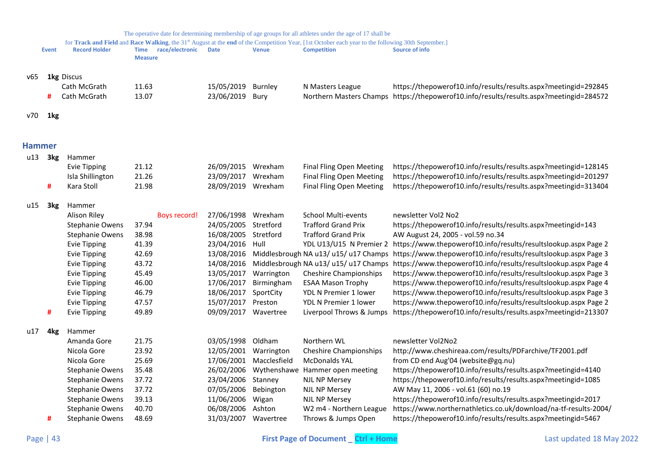<span id="page-42-0"></span>

|     |                 |                        |                                        |                      |                         | The operative date for determining membership of age groups for all athletes under the age of 17 shall be                                                                |                                                                                                                  |
|-----|-----------------|------------------------|----------------------------------------|----------------------|-------------------------|--------------------------------------------------------------------------------------------------------------------------------------------------------------------------|------------------------------------------------------------------------------------------------------------------|
|     | <b>Event</b>    | <b>Record Holder</b>   | Time race/electronic<br><b>Measure</b> | <b>Date</b>          | <b>Venue</b>            | for Track and Field and Race Walking, the 31st August at the end of the Competition Year, [1st October each year to the following 30th September.]<br><b>Competition</b> | Source of info                                                                                                   |
| v65 |                 | 1kg Discus             |                                        |                      |                         |                                                                                                                                                                          |                                                                                                                  |
|     |                 | Cath McGrath           | 11.63                                  | 15/05/2019           | Burnley                 | N Masters League                                                                                                                                                         | https://thepowerof10.info/results/results.aspx?meetingid=292845                                                  |
|     | #               | Cath McGrath           | 13.07                                  | 23/06/2019           | Bury                    |                                                                                                                                                                          | Northern Masters Champs https://thepowerof10.info/results/results.aspx?meetingid=284572                          |
|     |                 |                        |                                        |                      |                         |                                                                                                                                                                          |                                                                                                                  |
| v70 | 1kg             |                        |                                        |                      |                         |                                                                                                                                                                          |                                                                                                                  |
|     | <b>Hammer</b>   |                        |                                        |                      |                         |                                                                                                                                                                          |                                                                                                                  |
| u13 | 3kg             | Hammer                 |                                        |                      |                         |                                                                                                                                                                          |                                                                                                                  |
|     |                 | Evie Tipping           | 21.12                                  | 26/09/2015 Wrexham   |                         | <b>Final Fling Open Meeting</b>                                                                                                                                          | https://thepowerof10.info/results/results.aspx?meetingid=128145                                                  |
|     |                 | Isla Shillington       | 21.26                                  | 23/09/2017 Wrexham   |                         | <b>Final Fling Open Meeting</b>                                                                                                                                          | https://thepowerof10.info/results/results.aspx?meetingid=201297                                                  |
|     | #               | Kara Stoll             | 21.98                                  | 28/09/2019 Wrexham   |                         | <b>Final Fling Open Meeting</b>                                                                                                                                          | https://thepowerof10.info/results/results.aspx?meetingid=313404                                                  |
|     |                 |                        |                                        |                      |                         |                                                                                                                                                                          |                                                                                                                  |
| u15 | 3kg             | Hammer                 |                                        |                      |                         |                                                                                                                                                                          |                                                                                                                  |
|     |                 | <b>Alison Riley</b>    | Boys record!                           | 27/06/1998 Wrexham   |                         | <b>School Multi-events</b>                                                                                                                                               | newsletter Vol2 No2                                                                                              |
|     |                 | <b>Stephanie Owens</b> | 37.94                                  | 24/05/2005 Stretford |                         | <b>Trafford Grand Prix</b>                                                                                                                                               | https://thepowerof10.info/results/results.aspx?meetingid=143                                                     |
|     |                 | <b>Stephanie Owens</b> | 38.98                                  | 16/08/2005           | Stretford               | <b>Trafford Grand Prix</b>                                                                                                                                               | AW August 24, 2005 - vol.59 no.34                                                                                |
|     |                 | <b>Evie Tipping</b>    | 41.39                                  | 23/04/2016 Hull      |                         |                                                                                                                                                                          | YDL U13/U15 N Premier 2 https://www.thepowerof10.info/results/resultslookup.aspx Page 2                          |
|     |                 | <b>Evie Tipping</b>    | 42.69                                  |                      |                         |                                                                                                                                                                          | 13/08/2016 Middlesbrough NA u13/ u15/ u17 Champs https://www.thepowerof10.info/results/resultslookup.aspx Page 3 |
|     |                 | <b>Evie Tipping</b>    | 43.72                                  |                      |                         |                                                                                                                                                                          | 14/08/2016 Middlesbrough NA u13/ u15/ u17 Champs https://www.thepowerof10.info/results/resultslookup.aspx Page 4 |
|     |                 | <b>Evie Tipping</b>    | 45.49                                  | 13/05/2017           | Warrington              | <b>Cheshire Championships</b>                                                                                                                                            | https://www.thepowerof10.info/results/resultslookup.aspx Page 3                                                  |
|     |                 | <b>Evie Tipping</b>    | 46.00                                  | 17/06/2017           | Birmingham              | <b>ESAA Mason Trophy</b>                                                                                                                                                 | https://www.thepowerof10.info/results/resultslookup.aspx Page 4                                                  |
|     |                 | <b>Evie Tipping</b>    | 46.79                                  | 18/06/2017           | SportCity               | YDL N Premier 1 lower                                                                                                                                                    | https://www.thepowerof10.info/results/resultslookup.aspx Page 3                                                  |
|     |                 | <b>Evie Tipping</b>    | 47.57                                  | 15/07/2017           | Preston                 | YDL N Premier 1 lower                                                                                                                                                    | https://www.thepowerof10.info/results/resultslookup.aspx Page 2                                                  |
|     | #               | <b>Evie Tipping</b>    | 49.89                                  | 09/09/2017           | Wavertree               | Liverpool Throws & Jumps                                                                                                                                                 | https://thepowerof10.info/results/results.aspx?meetingid=213307                                                  |
| u17 | 4 <sub>kg</sub> | Hammer                 |                                        |                      |                         |                                                                                                                                                                          |                                                                                                                  |
|     |                 | Amanda Gore            | 21.75                                  | 03/05/1998 Oldham    |                         | Northern WL                                                                                                                                                              | newsletter Vol2No2                                                                                               |
|     |                 | Nicola Gore            | 23.92                                  | 12/05/2001           | Warrington              | <b>Cheshire Championships</b>                                                                                                                                            | http://www.cheshireaa.com/results/PDFarchive/TF2001.pdf                                                          |
|     |                 | Nicola Gore            | 25.69                                  |                      | 17/06/2001 Macclesfield | <b>McDonalds YAL</b>                                                                                                                                                     | from CD end Aug'04 (website@gq.nu)                                                                               |
|     |                 | <b>Stephanie Owens</b> | 35.48                                  | 26/02/2006           |                         | Wythenshawe Hammer open meeting                                                                                                                                          | https://thepowerof10.info/results/results.aspx?meetingid=4140                                                    |
|     |                 | <b>Stephanie Owens</b> | 37.72                                  | 23/04/2006           | Stanney                 | <b>NJL NP Mersey</b>                                                                                                                                                     | https://thepowerof10.info/results/results.aspx?meetingid=1085                                                    |
|     |                 | Stephanie Owens        | 37.72                                  | 07/05/2006           | Bebington               | <b>NJL NP Mersey</b>                                                                                                                                                     | AW May 11, 2006 - vol.61 (60) no.19                                                                              |
|     |                 | <b>Stephanie Owens</b> | 39.13                                  | 11/06/2006           | Wigan                   | <b>NJL NP Mersey</b>                                                                                                                                                     | https://thepowerof10.info/results/results.aspx?meetingid=2017                                                    |
|     |                 | <b>Stephanie Owens</b> | 40.70                                  | 06/08/2006 Ashton    |                         | W2 m4 - Northern League                                                                                                                                                  | https://www.northernathletics.co.uk/download/na-tf-results-2004/                                                 |
|     | #               | <b>Stephanie Owens</b> | 48.69                                  | 31/03/2007 Wavertree |                         | Throws & Jumps Open                                                                                                                                                      | https://thepowerof10.info/results/results.aspx?meetingid=5467                                                    |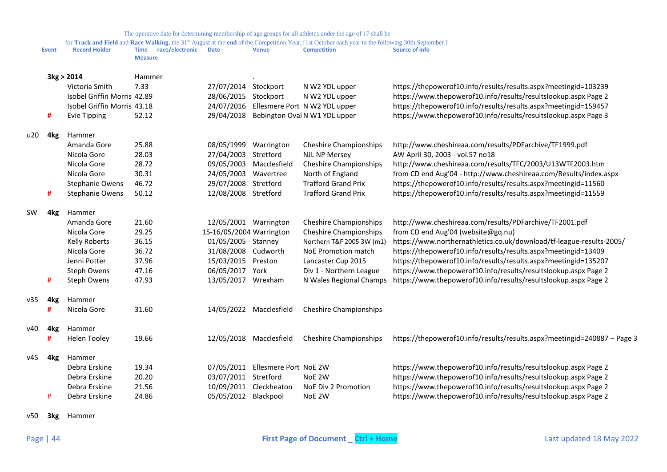for Track and Field and Race Walking, the 31<sup>st</sup> August at the end of the Competition Year, [1st October each year to the following 30th September.]

|     | <b>Event</b>    | <b>Record Holder</b>        | race/electronic<br>Time<br><b>Measure</b> | <b>Date</b>              | Venue                   | <b>Competition</b>            | Source of info                                                           |
|-----|-----------------|-----------------------------|-------------------------------------------|--------------------------|-------------------------|-------------------------------|--------------------------------------------------------------------------|
|     |                 | 3kg > 2014                  | Hammer                                    |                          |                         |                               |                                                                          |
|     |                 | Victoria Smith              | 7.33                                      | 27/07/2014 Stockport     |                         | N W2 YDL upper                | https://thepowerof10.info/results/results.aspx?meetingid=103239          |
|     |                 | Isobel Griffin Morris 42.89 |                                           | 28/06/2015               | Stockport               | N W2 YDL upper                | https://www.thepowerof10.info/results/resultslookup.aspx Page 2          |
|     |                 | Isobel Griffin Morris 43.18 |                                           | 24/07/2016               |                         | Ellesmere Port N W2 YDL upper | https://thepowerof10.info/results/results.aspx?meetingid=159457          |
|     | #               | <b>Evie Tipping</b>         | 52.12                                     | 29/04/2018               |                         | Bebington Oval N W1 YDL upper | https://www.thepowerof10.info/results/resultslookup.aspx Page 3          |
| u20 | 4kg             | Hammer                      |                                           |                          |                         |                               |                                                                          |
|     |                 | Amanda Gore                 | 25.88                                     | 08/05/1999               | Warrington              | <b>Cheshire Championships</b> | http://www.cheshireaa.com/results/PDFarchive/TF1999.pdf                  |
|     |                 | Nicola Gore                 | 28.03                                     | 27/04/2003               | Stretford               | <b>NJL NP Mersey</b>          | AW April 30, 2003 - vol.57 no18                                          |
|     |                 | Nicola Gore                 | 28.72                                     | 09/05/2003               | Macclesfield            | <b>Cheshire Championships</b> | http://www.cheshireaa.com/results/TFC/2003/U13WTF2003.htm                |
|     |                 | Nicola Gore                 | 30.31                                     | 24/05/2003               | Wavertree               | North of England              | from CD end Aug'04 - http://www.cheshireaa.com/Results/index.aspx        |
|     |                 | Stephanie Owens             | 46.72                                     | 29/07/2008               | Stretford               | <b>Trafford Grand Prix</b>    | https://thepowerof10.info/results/results.aspx?meetingid=11560           |
|     | #               | Stephanie Owens             | 50.12                                     | 12/08/2008 Stretford     |                         | <b>Trafford Grand Prix</b>    | https://thepowerof10.info/results/results.aspx?meetingid=11559           |
| sw  | 4 <sub>kg</sub> | Hammer                      |                                           |                          |                         |                               |                                                                          |
|     |                 | Amanda Gore                 | 21.60                                     | 12/05/2001 Warrington    |                         | <b>Cheshire Championships</b> | http://www.cheshireaa.com/results/PDFarchive/TF2001.pdf                  |
|     |                 | Nicola Gore                 | 29.25                                     | 15-16/05/2004 Warrington |                         | <b>Cheshire Championships</b> | from CD end Aug'04 (website@gq.nu)                                       |
|     |                 | Kelly Roberts               | 36.15                                     | 01/05/2005 Stanney       |                         | Northern T&F 2005 3W (m1)     | https://www.northernathletics.co.uk/download/tf-league-results-2005/     |
|     |                 | Nicola Gore                 | 36.72                                     | 31/08/2008 Cudworth      |                         | NoE Promotion match           | https://thepowerof10.info/results/results.aspx?meetingid=13409           |
|     |                 | Jenni Potter                | 37.96                                     | 15/03/2015 Preston       |                         | Lancaster Cup 2015            | https://thepowerof10.info/results/results.aspx?meetingid=135207          |
|     |                 | Steph Owens                 | 47.16                                     | 06/05/2017               | York                    | Div 1 - Northern League       | https://www.thepowerof10.info/results/resultslookup.aspx Page 2          |
|     | #               | Steph Owens                 | 47.93                                     | 13/05/2017 Wrexham       |                         | N Wales Regional Champs       | https://www.thepowerof10.info/results/resultslookup.aspx Page 2          |
| v35 | 4kg             | Hammer                      |                                           |                          |                         |                               |                                                                          |
|     | #               | Nicola Gore                 | 31.60                                     |                          | 14/05/2022 Macclesfield | <b>Cheshire Championships</b> |                                                                          |
| ν40 | 4 <sub>kg</sub> | Hammer                      |                                           |                          |                         |                               |                                                                          |
|     | #               | <b>Helen Tooley</b>         | 19.66                                     |                          | 12/05/2018 Macclesfield | <b>Cheshire Championships</b> | https://thepowerof10.info/results/results.aspx?meetingid=240887 - Page 3 |
| v45 | 4 <sub>kg</sub> | Hammer                      |                                           |                          |                         |                               |                                                                          |
|     |                 | Debra Erskine               | 19.34                                     | 07/05/2011               | Ellesmere Port NoE 2W   |                               | https://www.thepowerof10.info/results/resultslookup.aspx Page 2          |
|     |                 | Debra Erskine               | 20.20                                     | 03/07/2011 Stretford     |                         | NoE 2W                        | https://www.thepowerof10.info/results/resultslookup.aspx Page 2          |
|     |                 | Debra Erskine               | 21.56                                     |                          | 10/09/2011 Cleckheaton  | NoE Div 2 Promotion           | https://www.thepowerof10.info/results/resultslookup.aspx Page 2          |
|     | #               | Debra Erskine               | 24.86                                     | 05/05/2012 Blackpool     |                         | NoE 2W                        | https://www.thepowerof10.info/results/resultslookup.aspx Page 2          |
|     |                 |                             |                                           |                          |                         |                               |                                                                          |

v50 **3kg** Hammer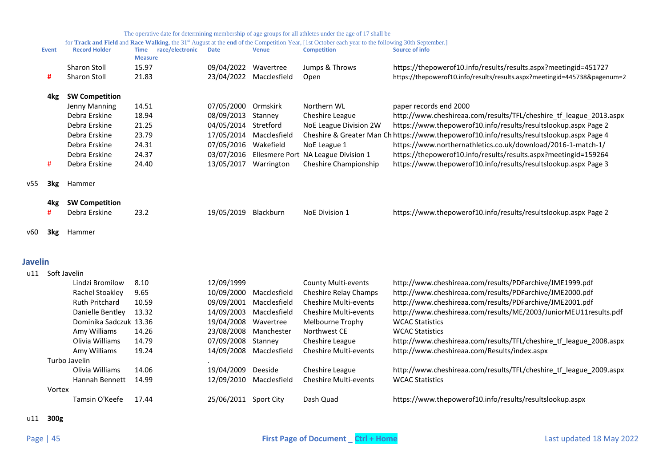|                | <b>Event</b>     | <b>Record Holder</b>   | race/electronic<br><b>Time</b> | <b>Date</b>             | <b>Venue</b> | for Track and Field and Race Walking, the 31 <sup>st</sup> August at the end of the Competition Year, [1st October each year to the following 30th September.]<br><b>Competition</b> | <b>Source of info</b>                                                                     |
|----------------|------------------|------------------------|--------------------------------|-------------------------|--------------|--------------------------------------------------------------------------------------------------------------------------------------------------------------------------------------|-------------------------------------------------------------------------------------------|
|                |                  |                        | <b>Measure</b>                 |                         |              |                                                                                                                                                                                      |                                                                                           |
|                |                  | Sharon Stoll           | 15.97                          | 09/04/2022 Wavertree    |              | Jumps & Throws                                                                                                                                                                       | https://thepowerof10.info/results/results.aspx?meetingid=451727                           |
|                | #                | <b>Sharon Stoll</b>    | 21.83                          | 23/04/2022 Macclesfield |              | Open                                                                                                                                                                                 | https://thepowerof10.info/results/results.aspx?meetingid=445738&pagenum=2                 |
|                | 4kg              | <b>SW Competition</b>  |                                |                         |              |                                                                                                                                                                                      |                                                                                           |
|                |                  | Jenny Manning          | 14.51                          | 07/05/2000 Ormskirk     |              | Northern WL                                                                                                                                                                          | paper records end 2000                                                                    |
|                |                  | Debra Erskine          | 18.94                          | 08/09/2013              | Stanney      | Cheshire League                                                                                                                                                                      | http://www.cheshireaa.com/results/TFL/cheshire tf league 2013.aspx                        |
|                |                  | Debra Erskine          | 21.25                          | 04/05/2014              | Stretford    | NoE League Division 2W                                                                                                                                                               | https://www.thepowerof10.info/results/resultslookup.aspx Page 2                           |
|                |                  | Debra Erskine          | 23.79                          | 17/05/2014 Macclesfield |              |                                                                                                                                                                                      | Cheshire & Greater Man Ch https://www.thepowerof10.info/results/resultslookup.aspx Page 4 |
|                |                  | Debra Erskine          | 24.31                          | 07/05/2016 Wakefield    |              | NoE League 1                                                                                                                                                                         | https://www.northernathletics.co.uk/download/2016-1-match-1/                              |
|                |                  | Debra Erskine          | 24.37                          | 03/07/2016              |              | Ellesmere Port NA League Division 1                                                                                                                                                  | https://thepowerof10.info/results/results.aspx?meetingid=159264                           |
|                | #                | Debra Erskine          | 24.40                          | 13/05/2017 Warrington   |              | Cheshire Championship                                                                                                                                                                | https://www.thepowerof10.info/results/resultslookup.aspx Page 3                           |
| v55            | 3kg              | Hammer                 |                                |                         |              |                                                                                                                                                                                      |                                                                                           |
|                | 4kg              | <b>SW Competition</b>  |                                |                         |              |                                                                                                                                                                                      |                                                                                           |
|                |                  | Debra Erskine          | 23.2                           | 19/05/2019 Blackburn    |              | NoE Division 1                                                                                                                                                                       | https://www.thepowerof10.info/results/resultslookup.aspx Page 2                           |
| v60            | 3kg              | Hammer                 |                                |                         |              |                                                                                                                                                                                      |                                                                                           |
| <b>Javelin</b> |                  |                        |                                |                         |              |                                                                                                                                                                                      |                                                                                           |
|                | u11 Soft Javelin |                        |                                |                         |              |                                                                                                                                                                                      |                                                                                           |
|                |                  | Lindzi Bromilow        | 8.10                           | 12/09/1999              |              | <b>County Multi-events</b>                                                                                                                                                           | http://www.cheshireaa.com/results/PDFarchive/JME1999.pdf                                  |
|                |                  | Rachel Stoakley        | 9.65                           | 10/09/2000 Macclesfield |              | Cheshire Relay Champs                                                                                                                                                                | http://www.cheshireaa.com/results/PDFarchive/JME2000.pdf                                  |
|                |                  | <b>Ruth Pritchard</b>  | 10.59                          | 09/09/2001              | Macclesfield | <b>Cheshire Multi-events</b>                                                                                                                                                         | http://www.cheshireaa.com/results/PDFarchive/JME2001.pdf                                  |
|                |                  | Danielle Bentley       | 13.32                          | 14/09/2003              | Macclesfield | <b>Cheshire Multi-events</b>                                                                                                                                                         | http://www.cheshireaa.com/results/ME/2003/JuniorMEU11results.pdf                          |
|                |                  | Dominika Sadczuk 13.36 |                                | 19/04/2008              | Wavertree    | Melbourne Trophy                                                                                                                                                                     | <b>WCAC Statistics</b>                                                                    |
|                |                  | Amy Williams           | 14.26                          | 23/08/2008              | Manchester   | Northwest CE                                                                                                                                                                         | <b>WCAC Statistics</b>                                                                    |
|                |                  | Olivia Williams        | 14.79                          | 07/09/2008              | Stanney      | Cheshire League                                                                                                                                                                      | http://www.cheshireaa.com/results/TFL/cheshire_tf_league_2008.aspx                        |
|                |                  | Amy Williams           | 19.24                          | 14/09/2008              | Macclesfield | <b>Cheshire Multi-events</b>                                                                                                                                                         | http://www.cheshireaa.com/Results/index.aspx                                              |
|                |                  | Turbo Javelin          |                                |                         |              |                                                                                                                                                                                      |                                                                                           |
|                |                  | Olivia Williams        | 14.06                          | 19/04/2009              | Deeside      | Cheshire League                                                                                                                                                                      | http://www.cheshireaa.com/results/TFL/cheshire_tf_league_2009.aspx                        |
|                |                  | Hannah Bennett         | 14.99                          | 12/09/2010 Macclesfield |              | Cheshire Multi-events                                                                                                                                                                | <b>WCAC Statistics</b>                                                                    |
|                | Vortex           |                        |                                |                         |              |                                                                                                                                                                                      |                                                                                           |
|                |                  | Tamsin O'Keefe         | 17.44                          | 25/06/2011 Sport City   |              | Dash Quad                                                                                                                                                                            | https://www.thepowerof10.info/results/resultslookup.aspx                                  |

# <span id="page-44-0"></span>u11 **300g**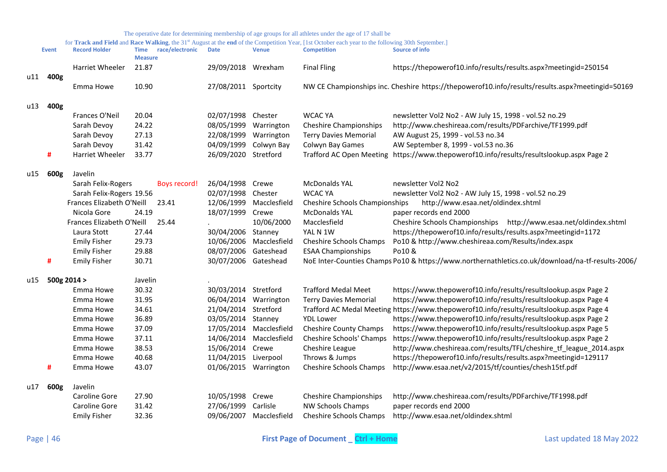|     | <b>Event</b> | <b>Record Holder</b>      | <b>Measure</b> | Time race/electronic | <b>Date</b>           | <b>Venue</b>            | <b>Competition</b>             | Source of info                                                                                    |
|-----|--------------|---------------------------|----------------|----------------------|-----------------------|-------------------------|--------------------------------|---------------------------------------------------------------------------------------------------|
|     |              | Harriet Wheeler           | 21.87          |                      | 29/09/2018            | Wrexham                 | <b>Final Fling</b>             | https://thepowerof10.info/results/results.aspx?meetingid=250154                                   |
|     | u11 400g     |                           |                |                      |                       |                         |                                |                                                                                                   |
|     |              | Emma Howe                 | 10.90          |                      | 27/08/2011 Sportcity  |                         |                                | NW CE Championships inc. Cheshire https://thepowerof10.info/results/results.aspx?meetingid=50169  |
| u13 | 400g         |                           |                |                      |                       |                         |                                |                                                                                                   |
|     |              | Frances O'Neil            | 20.04          |                      | 02/07/1998            | Chester                 | <b>WCAC YA</b>                 | newsletter Vol2 No2 - AW July 15, 1998 - vol.52 no.29                                             |
|     |              | Sarah Devoy               | 24.22          |                      | 08/05/1999            | Warrington              | <b>Cheshire Championships</b>  | http://www.cheshireaa.com/results/PDFarchive/TF1999.pdf                                           |
|     |              | Sarah Devoy               | 27.13          |                      | 22/08/1999            | Warrington              | <b>Terry Davies Memorial</b>   | AW August 25, 1999 - vol.53 no.34                                                                 |
|     |              | Sarah Devoy               | 31.42          |                      | 04/09/1999            | Colwyn Bay              | Colwyn Bay Games               | AW September 8, 1999 - vol.53 no.36                                                               |
|     | #            | Harriet Wheeler           | 33.77          |                      | 26/09/2020            | Stretford               |                                | Trafford AC Open Meeting https://www.thepowerof10.info/results/resultslookup.aspx Page 2          |
| u15 | 600g         | Javelin                   |                |                      |                       |                         |                                |                                                                                                   |
|     |              | Sarah Felix-Rogers        |                | <b>Boys record!</b>  | 26/04/1998            | Crewe                   | <b>McDonalds YAL</b>           | newsletter Vol2 No2                                                                               |
|     |              | Sarah Felix-Rogers 19.56  |                |                      | 02/07/1998            | Chester                 | <b>WCAC YA</b>                 | newsletter Vol2 No2 - AW July 15, 1998 - vol.52 no.29                                             |
|     |              | Frances Elizabeth O'Neill |                | 23.41                | 12/06/1999            | Macclesfield            | Cheshire Schools Championships | http://www.esaa.net/oldindex.shtml                                                                |
|     |              | Nicola Gore               | 24.19          |                      | 18/07/1999            | Crewe                   | <b>McDonalds YAL</b>           | paper records end 2000                                                                            |
|     |              | Frances Elizabeth O'Neill |                | 25.44                |                       | 10/06/2000              | Macclesfield                   | Cheshire Schools Championships http://www.esaa.net/oldindex.shtml                                 |
|     |              | Laura Stott               | 27.44          |                      | 30/04/2006            | Stanney                 | YAL N 1W                       | https://thepowerof10.info/results/results.aspx?meetingid=1172                                     |
|     |              | <b>Emily Fisher</b>       | 29.73          |                      | 10/06/2006            | Macclesfield            | Cheshire Schools Champs        | Po10 & http://www.cheshireaa.com/Results/index.aspx                                               |
|     |              | <b>Emily Fisher</b>       | 29.88          |                      | 08/07/2006            | Gateshead               | <b>ESAA Championships</b>      | Po10 &                                                                                            |
|     | #            | <b>Emily Fisher</b>       | 30.71          |                      | 30/07/2006 Gateshead  |                         |                                | NoE Inter-Counties Champs Po10 & https://www.northernathletics.co.uk/download/na-tf-results-2006/ |
| u15 | 500g 2014 >  |                           | Javelin        |                      |                       |                         |                                |                                                                                                   |
|     |              | Emma Howe                 | 30.32          |                      | 30/03/2014 Stretford  |                         | <b>Trafford Medal Meet</b>     | https://www.thepowerof10.info/results/resultslookup.aspx Page 2                                   |
|     |              | Emma Howe                 | 31.95          |                      | 06/04/2014            | Warrington              | <b>Terry Davies Memorial</b>   | https://www.thepowerof10.info/results/resultslookup.aspx Page 4                                   |
|     |              | Emma Howe                 | 34.61          |                      | 21/04/2014            | Stretford               |                                | Trafford AC Medal Meeting https://www.thepowerof10.info/results/resultslookup.aspx Page 4         |
|     |              | Emma Howe                 | 36.89          |                      | 03/05/2014 Stanney    |                         | <b>YDL Lower</b>               | https://www.thepowerof10.info/results/resultslookup.aspx Page 2                                   |
|     |              | Emma Howe                 | 37.09          |                      |                       | 17/05/2014 Macclesfield | Cheshire County Champs         | https://www.thepowerof10.info/results/resultslookup.aspx Page 5                                   |
|     |              | Emma Howe                 | 37.11          |                      | 14/06/2014            | Macclesfield            | Cheshire Schools' Champs       | https://www.thepowerof10.info/results/resultslookup.aspx Page 2                                   |
|     |              | Emma Howe                 | 38.53          |                      | 15/06/2014            | Crewe                   | Cheshire League                | http://www.cheshireaa.com/results/TFL/cheshire_tf_league_2014.aspx                                |
|     |              | Emma Howe                 | 40.68          |                      | 11/04/2015            | Liverpool               | Throws & Jumps                 | https://thepowerof10.info/results/results.aspx?meetingid=129117                                   |
|     | #            | Emma Howe                 | 43.07          |                      | 01/06/2015 Warrington |                         | Cheshire Schools Champs        | http://www.esaa.net/v2/2015/tf/counties/chesh15tf.pdf                                             |
| u17 | 600g         | Javelin                   |                |                      |                       |                         |                                |                                                                                                   |
|     |              | Caroline Gore             | 27.90          |                      | 10/05/1998            | Crewe                   | <b>Cheshire Championships</b>  | http://www.cheshireaa.com/results/PDFarchive/TF1998.pdf                                           |
|     |              | Caroline Gore             | 31.42          |                      | 27/06/1999            | Carlisle                | <b>NW Schools Champs</b>       | paper records end 2000                                                                            |
|     |              | <b>Emily Fisher</b>       | 32.36          |                      |                       | 09/06/2007 Macclesfield | <b>Cheshire Schools Champs</b> | http://www.esaa.net/oldindex.shtml                                                                |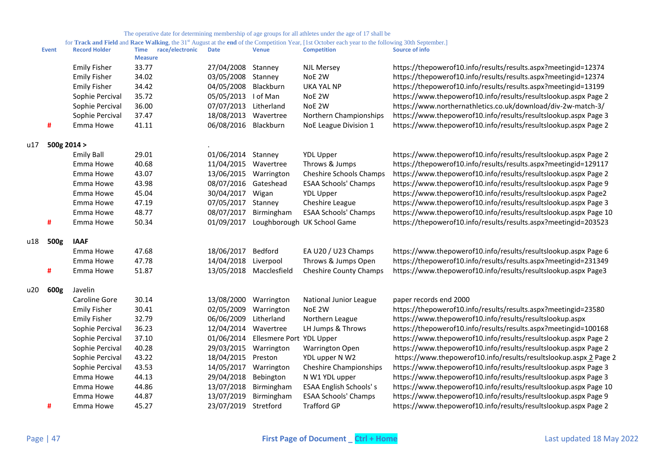|     | <b>Event</b> | <b>Record Holder</b> | race/electronic<br><b>Time</b><br><b>Measure</b> | <b>Date</b> | <b>Venue</b>             | <b>Competition</b>            | <b>Source of info</b>                                             |
|-----|--------------|----------------------|--------------------------------------------------|-------------|--------------------------|-------------------------------|-------------------------------------------------------------------|
|     |              | <b>Emily Fisher</b>  | 33.77                                            | 27/04/2008  | Stanney                  | <b>NJL Mersey</b>             | https://thepowerof10.info/results/results.aspx?meetingid=12374    |
|     |              | <b>Emily Fisher</b>  | 34.02                                            | 03/05/2008  | Stanney                  | NoE 2W                        | https://thepowerof10.info/results/results.aspx?meetingid=12374    |
|     |              | <b>Emily Fisher</b>  | 34.42                                            | 04/05/2008  | Blackburn                | <b>UKA YAL NP</b>             | https://thepowerof10.info/results/results.aspx?meetingid=13199    |
|     |              | Sophie Percival      | 35.72                                            | 05/05/2013  | I of Man                 | NoE 2W                        | https://www.thepowerof10.info/results/resultslookup.aspx Page 2   |
|     |              | Sophie Percival      | 36.00                                            | 07/07/2013  | Litherland               | NoE 2W                        | https://www.northernathletics.co.uk/download/div-2w-match-3/      |
|     |              | Sophie Percival      | 37.47                                            | 18/08/2013  | Wavertree                | Northern Championships        | https://www.thepowerof10.info/results/resultslookup.aspx Page 3   |
|     | #            | Emma Howe            | 41.11                                            | 06/08/2016  | Blackburn                | NoE League Division 1         | https://www.thepowerof10.info/results/resultslookup.aspx Page 2   |
| u17 | 500g 2014 >  |                      |                                                  |             |                          |                               |                                                                   |
|     |              | <b>Emily Ball</b>    | 29.01                                            | 01/06/2014  | Stanney                  | <b>YDL Upper</b>              | https://www.thepowerof10.info/results/resultslookup.aspx Page 2   |
|     |              | Emma Howe            | 40.68                                            | 11/04/2015  | Wavertree                | Throws & Jumps                | https://thepowerof10.info/results/results.aspx?meetingid=129117   |
|     |              | Emma Howe            | 43.07                                            | 13/06/2015  | Warrington               | Cheshire Schools Champs       | https://www.thepowerof10.info/results/resultslookup.aspx Page 2   |
|     |              | Emma Howe            | 43.98                                            | 08/07/2016  | Gateshead                | <b>ESAA Schools' Champs</b>   | https://www.thepowerof10.info/results/resultslookup.aspx Page 9   |
|     |              | Emma Howe            | 45.04                                            | 30/04/2017  | Wigan                    | <b>YDL Upper</b>              | https://www.thepowerof10.info/results/resultslookup.aspx Page2    |
|     |              | Emma Howe            | 47.19                                            | 07/05/2017  | Stanney                  | Cheshire League               | https://www.thepowerof10.info/results/resultslookup.aspx Page 3   |
|     |              | Emma Howe            | 48.77                                            | 08/07/2017  | Birmingham               | <b>ESAA Schools' Champs</b>   | https://www.thepowerof10.info/results/resultslookup.aspx Page 10  |
|     | #            | Emma Howe            | 50.34                                            | 01/09/2017  | Loughborough             | <b>UK School Game</b>         | https://thepowerof10.info/results/results.aspx?meetingid=203523   |
| u18 | 500g         | <b>IAAF</b>          |                                                  |             |                          |                               |                                                                   |
|     |              | Emma Howe            | 47.68                                            | 18/06/2017  | Bedford                  | EA U20 / U23 Champs           | https://www.thepowerof10.info/results/resultslookup.aspx Page 6   |
|     |              | Emma Howe            | 47.78                                            | 14/04/2018  | Liverpool                | Throws & Jumps Open           | https://thepowerof10.info/results/results.aspx?meetingid=231349   |
|     | #            | Emma Howe            | 51.87                                            | 13/05/2018  | Macclesfield             | <b>Cheshire County Champs</b> | https://www.thepowerof10.info/results/resultslookup.aspx Page3    |
| u20 | 600g         | Javelin              |                                                  |             |                          |                               |                                                                   |
|     |              | Caroline Gore        | 30.14                                            | 13/08/2000  | Warrington               | National Junior League        | paper records end 2000                                            |
|     |              | <b>Emily Fisher</b>  | 30.41                                            | 02/05/2009  | Warrington               | NoE 2W                        | https://thepowerof10.info/results/results.aspx?meetingid=23580    |
|     |              | <b>Emily Fisher</b>  | 32.79                                            | 06/06/2009  | Litherland               | Northern League               | https://www.thepowerof10.info/results/resultslookup.aspx          |
|     |              | Sophie Percival      | 36.23                                            | 12/04/2014  | Wavertree                | LH Jumps & Throws             | https://thepowerof10.info/results/results.aspx?meetingid=100168   |
|     |              | Sophie Percival      | 37.10                                            | 01/06/2014  | Ellesmere Port YDL Upper |                               | https://www.thepowerof10.info/results/resultslookup.aspx Page 2   |
|     |              | Sophie Percival      | 40.28                                            | 29/03/2015  | Warrington               | <b>Warrington Open</b>        | https://www.thepowerof10.info/results/resultslookup.aspx Page 2   |
|     |              | Sophie Percival      | 43.22                                            | 18/04/2015  | Preston                  | YDL upper N W2                | https://www.thepowerof10.info/results/resultslookup.aspx_2 Page 2 |
|     |              | Sophie Percival      | 43.53                                            | 14/05/2017  | Warrington               | <b>Cheshire Championships</b> | https://www.thepowerof10.info/results/resultslookup.aspx Page 3   |
|     |              | Emma Howe            | 44.13                                            | 29/04/2018  | Bebington                | N W1 YDL upper                | https://www.thepowerof10.info/results/resultslookup.aspx Page 3   |
|     |              | Emma Howe            | 44.86                                            | 13/07/2018  | Birmingham               | <b>ESAA English Schools's</b> | https://www.thepowerof10.info/results/resultslookup.aspx Page 10  |
|     |              | Emma Howe            | 44.87                                            | 13/07/2019  | Birmingham               | <b>ESAA Schools' Champs</b>   | https://www.thepowerof10.info/results/resultslookup.aspx Page 9   |
|     | #            | Emma Howe            | 45.27                                            | 23/07/2019  | Stretford                | <b>Trafford GP</b>            | https://www.thepowerof10.info/results/resultslookup.aspx Page 2   |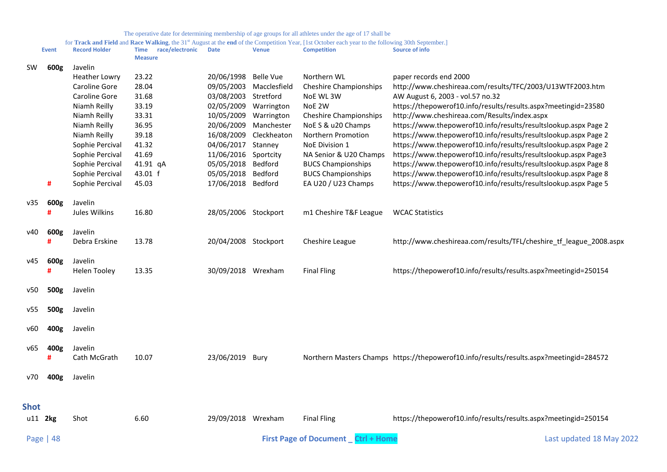<span id="page-47-0"></span>

|             | <b>Event</b> | <b>Record Holder</b> | race/electronic<br>Time<br><b>Measure</b> | <b>Date</b>          | <b>Venue</b> | <b>Competition</b>                                  | Source of info                                                                          |
|-------------|--------------|----------------------|-------------------------------------------|----------------------|--------------|-----------------------------------------------------|-----------------------------------------------------------------------------------------|
| <b>SW</b>   | 600g         | Javelin              |                                           |                      |              |                                                     |                                                                                         |
|             |              | <b>Heather Lowry</b> | 23.22                                     | 20/06/1998           | Belle Vue    | Northern WL                                         | paper records end 2000                                                                  |
|             |              | Caroline Gore        | 28.04                                     | 09/05/2003           | Macclesfield | <b>Cheshire Championships</b>                       | http://www.cheshireaa.com/results/TFC/2003/U13WTF2003.htm                               |
|             |              | Caroline Gore        | 31.68                                     | 03/08/2003           | Stretford    | NoE WL 3W                                           | AW August 6, 2003 - vol.57 no.32                                                        |
|             |              | Niamh Reilly         | 33.19                                     | 02/05/2009           | Warrington   | NoE 2W                                              | https://thepowerof10.info/results/results.aspx?meetingid=23580                          |
|             |              | Niamh Reilly         | 33.31                                     | 10/05/2009           | Warrington   | <b>Cheshire Championships</b>                       | http://www.cheshireaa.com/Results/index.aspx                                            |
|             |              | Niamh Reilly         | 36.95                                     | 20/06/2009           | Manchester   | NoE S & u20 Champs                                  | https://www.thepowerof10.info/results/resultslookup.aspx Page 2                         |
|             |              | Niamh Reilly         | 39.18                                     | 16/08/2009           | Cleckheaton  | Northern Promotion                                  | https://www.thepowerof10.info/results/resultslookup.aspx Page 2                         |
|             |              | Sophie Percival      | 41.32                                     | 04/06/2017           | Stanney      | NoE Division 1                                      | https://www.thepowerof10.info/results/resultslookup.aspx Page 2                         |
|             |              | Sophie Percival      | 41.69                                     | 11/06/2016           | Sportcity    | NA Senior & U20 Champs                              | https://www.thepowerof10.info/results/resultslookup.aspx Page3                          |
|             |              | Sophie Percival      | 41.91 qA                                  | 05/05/2018           | Bedford      | <b>BUCS Championships</b>                           | https://www.thepowerof10.info/results/resultslookup.aspx Page 8                         |
|             |              | Sophie Percival      | 43.01 f                                   | 05/05/2018           | Bedford      | <b>BUCS Championships</b>                           | https://www.thepowerof10.info/results/resultslookup.aspx Page 8                         |
|             | #            | Sophie Percival      | 45.03                                     | 17/06/2018           | Bedford      | EA U20 / U23 Champs                                 | https://www.thepowerof10.info/results/resultslookup.aspx Page 5                         |
| v35         | 600g         | Javelin              |                                           |                      |              |                                                     |                                                                                         |
|             | #            | Jules Wilkins        | 16.80                                     | 28/05/2006 Stockport |              | m1 Cheshire T&F League                              | <b>WCAC Statistics</b>                                                                  |
| v40         | 600g         | Javelin              |                                           |                      |              |                                                     |                                                                                         |
|             | #            | Debra Erskine        | 13.78                                     | 20/04/2008 Stockport |              | Cheshire League                                     | http://www.cheshireaa.com/results/TFL/cheshire_tf_league_2008.aspx                      |
|             |              |                      |                                           |                      |              |                                                     |                                                                                         |
| v45         | 600g         | Javelin              |                                           |                      |              |                                                     |                                                                                         |
|             | #            | <b>Helen Tooley</b>  | 13.35                                     | 30/09/2018 Wrexham   |              | <b>Final Fling</b>                                  | https://thepowerof10.info/results/results.aspx?meetingid=250154                         |
| v50         | 500g         | Javelin              |                                           |                      |              |                                                     |                                                                                         |
|             |              |                      |                                           |                      |              |                                                     |                                                                                         |
| v55         | 500g         | Javelin              |                                           |                      |              |                                                     |                                                                                         |
| v60         | 400g         | Javelin              |                                           |                      |              |                                                     |                                                                                         |
| v65         | 400g         | Javelin              |                                           |                      |              |                                                     |                                                                                         |
|             | #            | Cath McGrath         | 10.07                                     | 23/06/2019 Bury      |              |                                                     | Northern Masters Champs https://thepowerof10.info/results/results.aspx?meetingid=284572 |
|             |              |                      |                                           |                      |              |                                                     |                                                                                         |
| v70         | 400g         | Javelin              |                                           |                      |              |                                                     |                                                                                         |
|             |              |                      |                                           |                      |              |                                                     |                                                                                         |
| <b>Shot</b> |              |                      |                                           |                      |              |                                                     |                                                                                         |
| u11 2kg     |              | Shot                 | 6.60                                      | 29/09/2018 Wrexham   |              | <b>Final Fling</b>                                  | https://thepowerof10.info/results/results.aspx?meetingid=250154                         |
|             | Page   $48$  |                      |                                           |                      |              | <b>First Page of Document</b><br><b>Ctrl + Home</b> | Last updated 18 May 2022                                                                |
|             |              |                      |                                           |                      |              |                                                     |                                                                                         |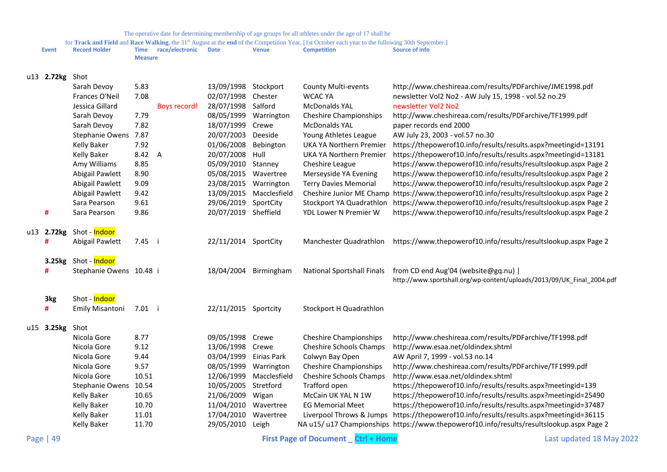|              |                            |                |                      |                        |                       | The operative date for determining includering of age groups for an annexes ander the age of 17 share<br>for Track and Field and Race Walking, the 31st August at the end of the Competition Year, [1st October each year to the following 30th September.] |                                                                                                                |
|--------------|----------------------------|----------------|----------------------|------------------------|-----------------------|-------------------------------------------------------------------------------------------------------------------------------------------------------------------------------------------------------------------------------------------------------------|----------------------------------------------------------------------------------------------------------------|
| <b>Event</b> | <b>Record Holder</b>       | <b>Measure</b> | Time race/electronic | <b>Date</b>            | <b>Venue</b>          | <b>Competition</b>                                                                                                                                                                                                                                          | <b>Source of info</b>                                                                                          |
| u13 2.72kg   | Shot                       |                |                      |                        |                       |                                                                                                                                                                                                                                                             |                                                                                                                |
|              | Sarah Devoy                | 5.83           |                      | 13/09/1998 Stockport   |                       | <b>County Multi-events</b>                                                                                                                                                                                                                                  | http://www.cheshireaa.com/results/PDFarchive/JME1998.pdf                                                       |
|              | Frances O'Neil             | 7.08           |                      | 02/07/1998 Chester     |                       | <b>WCAC YA</b>                                                                                                                                                                                                                                              | newsletter Vol2 No2 - AW July 15, 1998 - vol.52 no.29                                                          |
|              | Jessica Gillard            |                | Boys record!         | 28/07/1998 Salford     |                       | <b>McDonalds YAL</b>                                                                                                                                                                                                                                        | newsletter Vol2 No2                                                                                            |
|              | Sarah Devoy                | 7.79           |                      | 08/05/1999             | Warrington            | <b>Cheshire Championships</b>                                                                                                                                                                                                                               | http://www.cheshireaa.com/results/PDFarchive/TF1999.pdf                                                        |
|              | Sarah Devoy                | 7.82           |                      | 18/07/1999             | Crewe                 | <b>McDonalds YAL</b>                                                                                                                                                                                                                                        | paper records end 2000                                                                                         |
|              | Stephanie Owens 7.87       |                |                      | 20/07/2003 Deeside     |                       | Young Athletes League                                                                                                                                                                                                                                       | AW July 23, 2003 - vol.57 no.30                                                                                |
|              | <b>Kelly Baker</b>         | 7.92           |                      | 01/06/2008             | Bebington             | UKA YA Northern Premier                                                                                                                                                                                                                                     | https://thepowerof10.info/results/results.aspx?meetingid=13191                                                 |
|              | <b>Kelly Baker</b>         | 8.42 A         |                      | 20/07/2008             | Hull                  | UKA YA Northern Premier                                                                                                                                                                                                                                     | https://thepowerof10.info/results/results.aspx?meetingid=13181                                                 |
|              | Amy Williams               | 8.85           |                      | 05/09/2010 Stanney     |                       | Cheshire League                                                                                                                                                                                                                                             | https://www.thepowerof10.info/results/resultslookup.aspx Page 2                                                |
|              | Abigail Pawlett            | 8.90           |                      | 05/08/2015 Wavertree   |                       | Merseyside YA Evening                                                                                                                                                                                                                                       | https://www.thepowerof10.info/results/resultslookup.aspx Page 2                                                |
|              | Abigail Pawlett            | 9.09           |                      | 23/08/2015             | Warrington            | <b>Terry Davies Memorial</b>                                                                                                                                                                                                                                | https://www.thepowerof10.info/results/resultslookup.aspx Page 2                                                |
|              | Abigail Pawlett            | 9.42           |                      | 13/09/2015             | Macclesfield          | Cheshire Junior ME Champ                                                                                                                                                                                                                                    | https://www.thepowerof10.info/results/resultslookup.aspx Page 2                                                |
|              | Sara Pearson               | 9.61           |                      | 29/06/2019 SportCity   |                       | Stockport YA Quadrathlon                                                                                                                                                                                                                                    | https://www.thepowerof10.info/results/resultslookup.aspx Page 2                                                |
| #            | Sara Pearson               | 9.86           |                      | 20/07/2019 Sheffield   |                       | YDL Lower N Premier W                                                                                                                                                                                                                                       | https://www.thepowerof10.info/results/resultslookup.aspx Page 2                                                |
| u13 2.72kg   | Shot - <mark>Indoor</mark> |                |                      |                        |                       |                                                                                                                                                                                                                                                             |                                                                                                                |
| #            | Abigail Pawlett            | 7.45 i         |                      | 22/11/2014 SportCity   |                       | Manchester Quadrathlon                                                                                                                                                                                                                                      | https://www.thepowerof10.info/results/resultslookup.aspx Page 2                                                |
|              | 3.25kg Shot - Indoor       |                |                      |                        |                       |                                                                                                                                                                                                                                                             |                                                                                                                |
| #            | Stephanie Owens 10.48 i    |                |                      |                        | 18/04/2004 Birmingham | <b>National Sportshall Finals</b>                                                                                                                                                                                                                           | from CD end Aug'04 (website@gq.nu)  <br>http://www.sportshall.org/wp-content/uploads/2013/09/UK_Final_2004.pdf |
| 3kg          | Shot - Indoor              |                |                      |                        |                       |                                                                                                                                                                                                                                                             |                                                                                                                |
| #            | Emily Misantoni            | 7.01 i         |                      | 22/11/2015 Sportcity   |                       | Stockport H Quadrathlon                                                                                                                                                                                                                                     |                                                                                                                |
| u15 3.25kg   | Shot                       |                |                      |                        |                       |                                                                                                                                                                                                                                                             |                                                                                                                |
|              | Nicola Gore                | 8.77           |                      | 09/05/1998 Crewe       |                       | <b>Cheshire Championships</b>                                                                                                                                                                                                                               | http://www.cheshireaa.com/results/PDFarchive/TF1998.pdf                                                        |
|              | Nicola Gore                | 9.12           |                      | 13/06/1998 Crewe       |                       | <b>Cheshire Schools Champs</b>                                                                                                                                                                                                                              | http://www.esaa.net/oldindex.shtml                                                                             |
|              | Nicola Gore                | 9.44           |                      | 03/04/1999 Eirias Park |                       | Colwyn Bay Open                                                                                                                                                                                                                                             | AW April 7, 1999 - vol.53 no.14                                                                                |
|              | Nicola Gore                | 9.57           |                      | 08/05/1999             | Warrington            | <b>Cheshire Championships</b>                                                                                                                                                                                                                               | http://www.cheshireaa.com/results/PDFarchive/TF1999.pdf                                                        |
|              | Nicola Gore                | 10.51          |                      | 12/06/1999             | Macclesfield          | Cheshire Schools Champs                                                                                                                                                                                                                                     | http://www.esaa.net/oldindex.shtml                                                                             |
|              | Stephanie Owens            | 10.54          |                      | 10/05/2005             | Stretford             | Trafford open                                                                                                                                                                                                                                               | https://thepowerof10.info/results/results.aspx?meetingid=139                                                   |
|              | <b>Kelly Baker</b>         | 10.65          |                      | 21/06/2009             | Wigan                 | McCain UK YAL N 1W                                                                                                                                                                                                                                          | https://thepowerof10.info/results/results.aspx?meetingid=25490                                                 |
|              | <b>Kelly Baker</b>         | 10.70          |                      | 11/04/2010 Wavertree   |                       | <b>EG Memorial Meet</b>                                                                                                                                                                                                                                     | https://thepowerof10.info/results/results.aspx?meetingid=37487                                                 |
|              | <b>Kelly Baker</b>         | 11.01          |                      | 17/04/2010 Wavertree   |                       | Liverpool Throws & Jumps                                                                                                                                                                                                                                    | https://thepowerof10.info/results/results.aspx?meetingid=36115                                                 |
|              | <b>Kelly Baker</b>         | 11.70          |                      | 29/05/2010 Leigh       |                       |                                                                                                                                                                                                                                                             | NA u15/u17 Championships https://www.thepowerof10.info/results/resultslookup.aspx Page 2                       |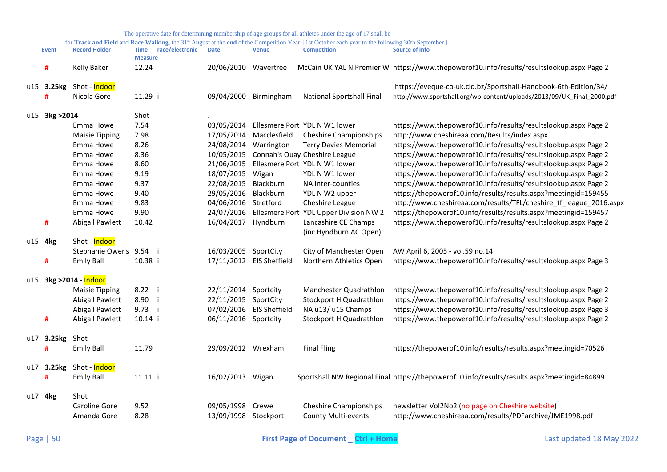|                | The operative date for determining membership of age groups for all athletes under the age of 17 shall be |                                                  |                          |              |                                                                                                                                                    |                                                                                             |  |  |  |  |  |
|----------------|-----------------------------------------------------------------------------------------------------------|--------------------------------------------------|--------------------------|--------------|----------------------------------------------------------------------------------------------------------------------------------------------------|---------------------------------------------------------------------------------------------|--|--|--|--|--|
|                |                                                                                                           |                                                  |                          |              | for Track and Field and Race Walking, the 31st August at the end of the Competition Year, [1st October each year to the following 30th September.] |                                                                                             |  |  |  |  |  |
| <b>Event</b>   | <b>Record Holder</b>                                                                                      | <b>Time</b><br>race/electronic<br><b>Measure</b> | <b>Date</b>              | <b>Venue</b> | <b>Competition</b>                                                                                                                                 | <b>Source of info</b>                                                                       |  |  |  |  |  |
| #              | <b>Kelly Baker</b>                                                                                        | 12.24                                            | 20/06/2010 Wavertree     |              |                                                                                                                                                    | McCain UK YAL N Premier W https://www.thepowerof10.info/results/resultslookup.aspx Page 2   |  |  |  |  |  |
| u15 3.25kg     | Shot - <mark>Indoor</mark>                                                                                |                                                  |                          |              |                                                                                                                                                    | https://eveque-co-uk.cld.bz/Sportshall-Handbook-6th-Edition/34/                             |  |  |  |  |  |
| Ħ              | Nicola Gore                                                                                               | 11.29 i                                          | 09/04/2000               | Birmingham   | National Sportshall Final                                                                                                                          | http://www.sportshall.org/wp-content/uploads/2013/09/UK_Final_2000.pdf                      |  |  |  |  |  |
| u15 3kg > 2014 |                                                                                                           | Shot                                             |                          |              |                                                                                                                                                    |                                                                                             |  |  |  |  |  |
|                | Emma Howe                                                                                                 | 7.54                                             | 03/05/2014               |              | Ellesmere Port YDL N W1 lower                                                                                                                      | https://www.thepowerof10.info/results/resultslookup.aspx Page 2                             |  |  |  |  |  |
|                | <b>Maisie Tipping</b>                                                                                     | 7.98                                             | 17/05/2014               | Macclesfield | <b>Cheshire Championships</b>                                                                                                                      | http://www.cheshireaa.com/Results/index.aspx                                                |  |  |  |  |  |
|                | Emma Howe                                                                                                 | 8.26                                             | 24/08/2014               | Warrington   | <b>Terry Davies Memorial</b>                                                                                                                       | https://www.thepowerof10.info/results/resultslookup.aspx Page 2                             |  |  |  |  |  |
|                | Emma Howe                                                                                                 | 8.36                                             | 10/05/2015               |              | Connah's Quay Cheshire League                                                                                                                      | https://www.thepowerof10.info/results/resultslookup.aspx Page 2                             |  |  |  |  |  |
|                | Emma Howe                                                                                                 | 8.60                                             | 21/06/2015               |              | Ellesmere Port YDL N W1 lower                                                                                                                      | https://www.thepowerof10.info/results/resultslookup.aspx Page 2                             |  |  |  |  |  |
|                | Emma Howe                                                                                                 | 9.19                                             | 18/07/2015               | Wigan        | YDL N W1 lower                                                                                                                                     | https://www.thepowerof10.info/results/resultslookup.aspx Page 2                             |  |  |  |  |  |
|                | Emma Howe                                                                                                 | 9.37                                             | 22/08/2015               | Blackburn    | NA Inter-counties                                                                                                                                  | https://www.thepowerof10.info/results/resultslookup.aspx Page 2                             |  |  |  |  |  |
|                | Emma Howe                                                                                                 | 9.40                                             | 29/05/2016               | Blackburn    | YDL N W2 upper                                                                                                                                     | https://thepowerof10.info/results/results.aspx?meetingid=159455                             |  |  |  |  |  |
|                | Emma Howe                                                                                                 | 9.83                                             | 04/06/2016 Stretford     |              | Cheshire League                                                                                                                                    | http://www.cheshireaa.com/results/TFL/cheshire_tf_league_2016.aspx                          |  |  |  |  |  |
|                | Emma Howe                                                                                                 | 9.90                                             | 24/07/2016               |              | Ellesmere Port YDL Upper Division NW 2                                                                                                             | https://thepowerof10.info/results/results.aspx?meetingid=159457                             |  |  |  |  |  |
| #              | Abigail Pawlett                                                                                           | 10.42                                            | 16/04/2017 Hyndburn      |              | Lancashire CE Champs                                                                                                                               | https://www.thepowerof10.info/results/resultslookup.aspx Page 2                             |  |  |  |  |  |
|                |                                                                                                           |                                                  |                          |              | (inc Hyndburn AC Open)                                                                                                                             |                                                                                             |  |  |  |  |  |
| u15 4kg        | Shot - Indoor                                                                                             |                                                  |                          |              |                                                                                                                                                    |                                                                                             |  |  |  |  |  |
|                | Stephanie Owens 9.54 i                                                                                    |                                                  | 16/03/2005 SportCity     |              | City of Manchester Open                                                                                                                            | AW April 6, 2005 - vol.59 no.14                                                             |  |  |  |  |  |
| #              | <b>Emily Ball</b>                                                                                         | 10.38 i                                          | 17/11/2012 EIS Sheffield |              | Northern Athletics Open                                                                                                                            | https://www.thepowerof10.info/results/resultslookup.aspx Page 3                             |  |  |  |  |  |
|                |                                                                                                           |                                                  |                          |              |                                                                                                                                                    |                                                                                             |  |  |  |  |  |
|                | u15 3kg > 2014 - Indoor                                                                                   |                                                  |                          |              |                                                                                                                                                    |                                                                                             |  |  |  |  |  |
|                | <b>Maisie Tipping</b>                                                                                     | 8.22 i                                           | 22/11/2014               | Sportcity    | Manchester Quadrathlon                                                                                                                             | https://www.thepowerof10.info/results/resultslookup.aspx Page 2                             |  |  |  |  |  |
|                | Abigail Pawlett                                                                                           | 8.90 i                                           | 22/11/2015               | SportCity    | Stockport H Quadrathlon                                                                                                                            | https://www.thepowerof10.info/results/resultslookup.aspx Page 2                             |  |  |  |  |  |
|                | Abigail Pawlett                                                                                           | 9.73 i                                           | 07/02/2016 EIS Sheffield |              | NA u13/ u15 Champs                                                                                                                                 | https://www.thepowerof10.info/results/resultslookup.aspx Page 3                             |  |  |  |  |  |
| #              | Abigail Pawlett                                                                                           | 10.14 i                                          | 06/11/2016 Sportcity     |              | Stockport H Quadrathlon                                                                                                                            | https://www.thepowerof10.info/results/resultslookup.aspx Page 2                             |  |  |  |  |  |
| u17 3.25kg     | Shot                                                                                                      |                                                  |                          |              |                                                                                                                                                    |                                                                                             |  |  |  |  |  |
| Ħ              | <b>Emily Ball</b>                                                                                         | 11.79                                            | 29/09/2012 Wrexham       |              | <b>Final Fling</b>                                                                                                                                 | https://thepowerof10.info/results/results.aspx?meetingid=70526                              |  |  |  |  |  |
|                |                                                                                                           |                                                  |                          |              |                                                                                                                                                    |                                                                                             |  |  |  |  |  |
| u17 3.25kg     | Shot - <mark>Indoor</mark>                                                                                |                                                  |                          |              |                                                                                                                                                    |                                                                                             |  |  |  |  |  |
| #              | <b>Emily Ball</b>                                                                                         | 11.11 i                                          | 16/02/2013 Wigan         |              |                                                                                                                                                    | Sportshall NW Regional Final https://thepowerof10.info/results/results.aspx?meetingid=84899 |  |  |  |  |  |
|                |                                                                                                           |                                                  |                          |              |                                                                                                                                                    |                                                                                             |  |  |  |  |  |
| u17 4kg        | Shot                                                                                                      |                                                  |                          |              |                                                                                                                                                    |                                                                                             |  |  |  |  |  |
|                | Caroline Gore                                                                                             | 9.52                                             | 09/05/1998 Crewe         |              | <b>Cheshire Championships</b>                                                                                                                      | newsletter Vol2No2 (no page on Cheshire website)                                            |  |  |  |  |  |
|                | Amanda Gore                                                                                               | 8.28                                             | 13/09/1998 Stockport     |              | County Multi-events                                                                                                                                | http://www.cheshireaa.com/results/PDFarchive/JME1998.pdf                                    |  |  |  |  |  |
|                |                                                                                                           |                                                  |                          |              |                                                                                                                                                    |                                                                                             |  |  |  |  |  |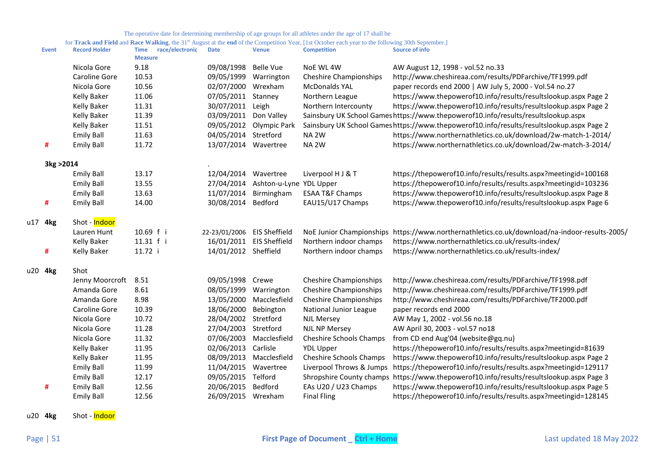for Track and Field and Race Walking, the 31<sup>st</sup> August at the end of the Competition Year, [1st October each year to the following 30th September.]

| Nicola Gore<br>9.18<br>09/08/1998<br><b>Belle Vue</b><br>NoE WL 4W<br>10.53<br>Caroline Gore<br>09/05/1999 Warrington<br><b>Cheshire Championships</b><br>10.56<br>Nicola Gore<br>02/07/2000 Wrexham<br><b>McDonalds YAL</b><br><b>Kelly Baker</b><br>11.06<br>07/05/2011<br>Stanney<br>Northern League<br><b>Kelly Baker</b><br>11.31<br>30/07/2011<br>Northern Intercounty<br>Leigh<br>11.39<br><b>Kelly Baker</b><br>03/09/2011<br>Don Valley<br>11.51<br>09/05/2012 Olympic Park<br><b>Kelly Baker</b><br>11.63<br>04/05/2014 Stretford<br>NA <sub>2W</sub><br><b>Emily Ball</b><br>11.72<br><b>Emily Ball</b><br>13/07/2014 Wavertree<br>NA <sub>2W</sub><br>#<br>3kg > 2014<br>13.17<br><b>Emily Ball</b><br>12/04/2014<br>Wavertree<br>Liverpool H J & T<br><b>Emily Ball</b><br>13.55<br>27/04/2014 Ashton-u-Lyne YDL Upper<br><b>Emily Ball</b><br>13.63<br>11/07/2014<br>Birmingham<br><b>ESAA T&amp;F Champs</b><br>#<br><b>Emily Ball</b><br>30/08/2014<br>Bedford<br>EAU15/U17 Champs<br>14.00<br>Shot - Indoor<br>u17 4kg<br>10.69 f i<br>Lauren Hunt<br>22-23/01/2006 EIS Sheffield<br>NoE Junior Championships<br>11.31 f i<br>16/01/2011 EIS Sheffield<br><b>Kelly Baker</b><br>Northern indoor champs<br>11.72 i<br>14/01/2012 Sheffield<br>Northern indoor champs<br>#<br><b>Kelly Baker</b><br>u20 4kg<br>Shot<br>8.51<br>09/05/1998 Crewe<br><b>Cheshire Championships</b><br>Jenny Moorcroft<br>8.61<br>08/05/1999<br>Amanda Gore<br>Warrington<br><b>Cheshire Championships</b><br>8.98<br>Amanda Gore<br>13/05/2000 Macclesfield<br><b>Cheshire Championships</b><br>Caroline Gore<br>10.39<br>18/06/2000<br>Bebington<br>National Junior League<br>Nicola Gore<br>10.72<br>28/04/2002 Stretford<br><b>NJL Mersey</b><br>Nicola Gore<br>11.28<br>27/04/2003 Stretford<br><b>NJL NP Mersey</b><br>Nicola Gore<br>11.32<br>07/06/2003 Macclesfield<br>Cheshire Schools Champs<br>11.95<br>02/06/2013 Carlisle<br><b>Kelly Baker</b><br><b>YDL Upper</b><br><b>Kelly Baker</b><br>11.95<br>08/09/2013 Macclesfield<br><b>Cheshire Schools Champs</b><br><b>Emily Ball</b><br>11.99<br>11/04/2015 Wavertree<br>Liverpool Throws & Jumps | Source of info                                                                           |
|-------------------------------------------------------------------------------------------------------------------------------------------------------------------------------------------------------------------------------------------------------------------------------------------------------------------------------------------------------------------------------------------------------------------------------------------------------------------------------------------------------------------------------------------------------------------------------------------------------------------------------------------------------------------------------------------------------------------------------------------------------------------------------------------------------------------------------------------------------------------------------------------------------------------------------------------------------------------------------------------------------------------------------------------------------------------------------------------------------------------------------------------------------------------------------------------------------------------------------------------------------------------------------------------------------------------------------------------------------------------------------------------------------------------------------------------------------------------------------------------------------------------------------------------------------------------------------------------------------------------------------------------------------------------------------------------------------------------------------------------------------------------------------------------------------------------------------------------------------------------------------------------------------------------------------------------------------------------------------------------------------------------------------------------------------------------------------------------------------------------------------------------------------------|------------------------------------------------------------------------------------------|
|                                                                                                                                                                                                                                                                                                                                                                                                                                                                                                                                                                                                                                                                                                                                                                                                                                                                                                                                                                                                                                                                                                                                                                                                                                                                                                                                                                                                                                                                                                                                                                                                                                                                                                                                                                                                                                                                                                                                                                                                                                                                                                                                                             | AW August 12, 1998 - vol.52 no.33                                                        |
|                                                                                                                                                                                                                                                                                                                                                                                                                                                                                                                                                                                                                                                                                                                                                                                                                                                                                                                                                                                                                                                                                                                                                                                                                                                                                                                                                                                                                                                                                                                                                                                                                                                                                                                                                                                                                                                                                                                                                                                                                                                                                                                                                             | http://www.cheshireaa.com/results/PDFarchive/TF1999.pdf                                  |
|                                                                                                                                                                                                                                                                                                                                                                                                                                                                                                                                                                                                                                                                                                                                                                                                                                                                                                                                                                                                                                                                                                                                                                                                                                                                                                                                                                                                                                                                                                                                                                                                                                                                                                                                                                                                                                                                                                                                                                                                                                                                                                                                                             | paper records end 2000   AW July 5, 2000 - Vol.54 no.27                                  |
|                                                                                                                                                                                                                                                                                                                                                                                                                                                                                                                                                                                                                                                                                                                                                                                                                                                                                                                                                                                                                                                                                                                                                                                                                                                                                                                                                                                                                                                                                                                                                                                                                                                                                                                                                                                                                                                                                                                                                                                                                                                                                                                                                             | https://www.thepowerof10.info/results/resultslookup.aspx Page 2                          |
|                                                                                                                                                                                                                                                                                                                                                                                                                                                                                                                                                                                                                                                                                                                                                                                                                                                                                                                                                                                                                                                                                                                                                                                                                                                                                                                                                                                                                                                                                                                                                                                                                                                                                                                                                                                                                                                                                                                                                                                                                                                                                                                                                             | https://www.thepowerof10.info/results/resultslookup.aspx Page 2                          |
|                                                                                                                                                                                                                                                                                                                                                                                                                                                                                                                                                                                                                                                                                                                                                                                                                                                                                                                                                                                                                                                                                                                                                                                                                                                                                                                                                                                                                                                                                                                                                                                                                                                                                                                                                                                                                                                                                                                                                                                                                                                                                                                                                             | Sainsbury UK School Games https://www.thepowerof10.info/results/resultslookup.aspx       |
|                                                                                                                                                                                                                                                                                                                                                                                                                                                                                                                                                                                                                                                                                                                                                                                                                                                                                                                                                                                                                                                                                                                                                                                                                                                                                                                                                                                                                                                                                                                                                                                                                                                                                                                                                                                                                                                                                                                                                                                                                                                                                                                                                             | Sainsbury UK School Gameshttps://www.thepowerof10.info/results/resultslookup.aspx Page 2 |
|                                                                                                                                                                                                                                                                                                                                                                                                                                                                                                                                                                                                                                                                                                                                                                                                                                                                                                                                                                                                                                                                                                                                                                                                                                                                                                                                                                                                                                                                                                                                                                                                                                                                                                                                                                                                                                                                                                                                                                                                                                                                                                                                                             | https://www.northernathletics.co.uk/download/2w-match-1-2014/                            |
|                                                                                                                                                                                                                                                                                                                                                                                                                                                                                                                                                                                                                                                                                                                                                                                                                                                                                                                                                                                                                                                                                                                                                                                                                                                                                                                                                                                                                                                                                                                                                                                                                                                                                                                                                                                                                                                                                                                                                                                                                                                                                                                                                             | https://www.northernathletics.co.uk/download/2w-match-3-2014/                            |
|                                                                                                                                                                                                                                                                                                                                                                                                                                                                                                                                                                                                                                                                                                                                                                                                                                                                                                                                                                                                                                                                                                                                                                                                                                                                                                                                                                                                                                                                                                                                                                                                                                                                                                                                                                                                                                                                                                                                                                                                                                                                                                                                                             |                                                                                          |
|                                                                                                                                                                                                                                                                                                                                                                                                                                                                                                                                                                                                                                                                                                                                                                                                                                                                                                                                                                                                                                                                                                                                                                                                                                                                                                                                                                                                                                                                                                                                                                                                                                                                                                                                                                                                                                                                                                                                                                                                                                                                                                                                                             | https://thepowerof10.info/results/results.aspx?meetingid=100168                          |
|                                                                                                                                                                                                                                                                                                                                                                                                                                                                                                                                                                                                                                                                                                                                                                                                                                                                                                                                                                                                                                                                                                                                                                                                                                                                                                                                                                                                                                                                                                                                                                                                                                                                                                                                                                                                                                                                                                                                                                                                                                                                                                                                                             | https://thepowerof10.info/results/results.aspx?meetingid=103236                          |
|                                                                                                                                                                                                                                                                                                                                                                                                                                                                                                                                                                                                                                                                                                                                                                                                                                                                                                                                                                                                                                                                                                                                                                                                                                                                                                                                                                                                                                                                                                                                                                                                                                                                                                                                                                                                                                                                                                                                                                                                                                                                                                                                                             | https://www.thepowerof10.info/results/resultslookup.aspx Page 8                          |
|                                                                                                                                                                                                                                                                                                                                                                                                                                                                                                                                                                                                                                                                                                                                                                                                                                                                                                                                                                                                                                                                                                                                                                                                                                                                                                                                                                                                                                                                                                                                                                                                                                                                                                                                                                                                                                                                                                                                                                                                                                                                                                                                                             | https://www.thepowerof10.info/results/resultslookup.aspx Page 6                          |
|                                                                                                                                                                                                                                                                                                                                                                                                                                                                                                                                                                                                                                                                                                                                                                                                                                                                                                                                                                                                                                                                                                                                                                                                                                                                                                                                                                                                                                                                                                                                                                                                                                                                                                                                                                                                                                                                                                                                                                                                                                                                                                                                                             |                                                                                          |
|                                                                                                                                                                                                                                                                                                                                                                                                                                                                                                                                                                                                                                                                                                                                                                                                                                                                                                                                                                                                                                                                                                                                                                                                                                                                                                                                                                                                                                                                                                                                                                                                                                                                                                                                                                                                                                                                                                                                                                                                                                                                                                                                                             | https://www.northernathletics.co.uk/download/na-indoor-results-2005/                     |
|                                                                                                                                                                                                                                                                                                                                                                                                                                                                                                                                                                                                                                                                                                                                                                                                                                                                                                                                                                                                                                                                                                                                                                                                                                                                                                                                                                                                                                                                                                                                                                                                                                                                                                                                                                                                                                                                                                                                                                                                                                                                                                                                                             | https://www.northernathletics.co.uk/results-index/                                       |
|                                                                                                                                                                                                                                                                                                                                                                                                                                                                                                                                                                                                                                                                                                                                                                                                                                                                                                                                                                                                                                                                                                                                                                                                                                                                                                                                                                                                                                                                                                                                                                                                                                                                                                                                                                                                                                                                                                                                                                                                                                                                                                                                                             | https://www.northernathletics.co.uk/results-index/                                       |
|                                                                                                                                                                                                                                                                                                                                                                                                                                                                                                                                                                                                                                                                                                                                                                                                                                                                                                                                                                                                                                                                                                                                                                                                                                                                                                                                                                                                                                                                                                                                                                                                                                                                                                                                                                                                                                                                                                                                                                                                                                                                                                                                                             |                                                                                          |
|                                                                                                                                                                                                                                                                                                                                                                                                                                                                                                                                                                                                                                                                                                                                                                                                                                                                                                                                                                                                                                                                                                                                                                                                                                                                                                                                                                                                                                                                                                                                                                                                                                                                                                                                                                                                                                                                                                                                                                                                                                                                                                                                                             | http://www.cheshireaa.com/results/PDFarchive/TF1998.pdf                                  |
|                                                                                                                                                                                                                                                                                                                                                                                                                                                                                                                                                                                                                                                                                                                                                                                                                                                                                                                                                                                                                                                                                                                                                                                                                                                                                                                                                                                                                                                                                                                                                                                                                                                                                                                                                                                                                                                                                                                                                                                                                                                                                                                                                             | http://www.cheshireaa.com/results/PDFarchive/TF1999.pdf                                  |
|                                                                                                                                                                                                                                                                                                                                                                                                                                                                                                                                                                                                                                                                                                                                                                                                                                                                                                                                                                                                                                                                                                                                                                                                                                                                                                                                                                                                                                                                                                                                                                                                                                                                                                                                                                                                                                                                                                                                                                                                                                                                                                                                                             | http://www.cheshireaa.com/results/PDFarchive/TF2000.pdf                                  |
|                                                                                                                                                                                                                                                                                                                                                                                                                                                                                                                                                                                                                                                                                                                                                                                                                                                                                                                                                                                                                                                                                                                                                                                                                                                                                                                                                                                                                                                                                                                                                                                                                                                                                                                                                                                                                                                                                                                                                                                                                                                                                                                                                             | paper records end 2000                                                                   |
|                                                                                                                                                                                                                                                                                                                                                                                                                                                                                                                                                                                                                                                                                                                                                                                                                                                                                                                                                                                                                                                                                                                                                                                                                                                                                                                                                                                                                                                                                                                                                                                                                                                                                                                                                                                                                                                                                                                                                                                                                                                                                                                                                             | AW May 1, 2002 - vol.56 no.18                                                            |
|                                                                                                                                                                                                                                                                                                                                                                                                                                                                                                                                                                                                                                                                                                                                                                                                                                                                                                                                                                                                                                                                                                                                                                                                                                                                                                                                                                                                                                                                                                                                                                                                                                                                                                                                                                                                                                                                                                                                                                                                                                                                                                                                                             | AW April 30, 2003 - vol.57 no18                                                          |
|                                                                                                                                                                                                                                                                                                                                                                                                                                                                                                                                                                                                                                                                                                                                                                                                                                                                                                                                                                                                                                                                                                                                                                                                                                                                                                                                                                                                                                                                                                                                                                                                                                                                                                                                                                                                                                                                                                                                                                                                                                                                                                                                                             | from CD end Aug'04 (website@gq.nu)                                                       |
|                                                                                                                                                                                                                                                                                                                                                                                                                                                                                                                                                                                                                                                                                                                                                                                                                                                                                                                                                                                                                                                                                                                                                                                                                                                                                                                                                                                                                                                                                                                                                                                                                                                                                                                                                                                                                                                                                                                                                                                                                                                                                                                                                             | https://thepowerof10.info/results/results.aspx?meetingid=81639                           |
|                                                                                                                                                                                                                                                                                                                                                                                                                                                                                                                                                                                                                                                                                                                                                                                                                                                                                                                                                                                                                                                                                                                                                                                                                                                                                                                                                                                                                                                                                                                                                                                                                                                                                                                                                                                                                                                                                                                                                                                                                                                                                                                                                             | https://www.thepowerof10.info/results/resultslookup.aspx Page 2                          |
|                                                                                                                                                                                                                                                                                                                                                                                                                                                                                                                                                                                                                                                                                                                                                                                                                                                                                                                                                                                                                                                                                                                                                                                                                                                                                                                                                                                                                                                                                                                                                                                                                                                                                                                                                                                                                                                                                                                                                                                                                                                                                                                                                             | https://thepowerof10.info/results/results.aspx?meetingid=129117                          |
| <b>Emily Ball</b><br>12.17<br>09/05/2015<br>Telford<br>Shropshire County champs                                                                                                                                                                                                                                                                                                                                                                                                                                                                                                                                                                                                                                                                                                                                                                                                                                                                                                                                                                                                                                                                                                                                                                                                                                                                                                                                                                                                                                                                                                                                                                                                                                                                                                                                                                                                                                                                                                                                                                                                                                                                             | https://www.thepowerof10.info/results/resultslookup.aspx Page 3                          |
| <b>Emily Ball</b><br>12.56<br>20/06/2015<br>Bedford<br>EAs U20 / U23 Champs<br>#                                                                                                                                                                                                                                                                                                                                                                                                                                                                                                                                                                                                                                                                                                                                                                                                                                                                                                                                                                                                                                                                                                                                                                                                                                                                                                                                                                                                                                                                                                                                                                                                                                                                                                                                                                                                                                                                                                                                                                                                                                                                            | https://www.thepowerof10.info/results/resultslookup.aspx Page 5                          |
| 12.56<br>26/09/2015 Wrexham<br><b>Final Fling</b><br><b>Emily Ball</b>                                                                                                                                                                                                                                                                                                                                                                                                                                                                                                                                                                                                                                                                                                                                                                                                                                                                                                                                                                                                                                                                                                                                                                                                                                                                                                                                                                                                                                                                                                                                                                                                                                                                                                                                                                                                                                                                                                                                                                                                                                                                                      | https://thepowerof10.info/results/results.aspx?meetingid=128145                          |

u20 **4kg** Shot - Indoor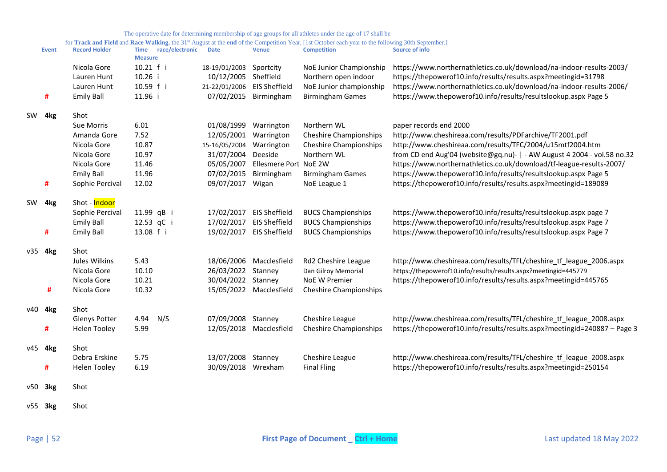|  | The operative date for determining membership of age groups for all athletes under the age of 17 shall be |  |
|--|-----------------------------------------------------------------------------------------------------------|--|
|  |                                                                                                           |  |

|    | <b>Event</b> | <b>Record Holder</b> | race/electronic<br>Time<br><b>Measure</b> | <b>Date</b>                 | <b>Venue</b>            | <b>Competition</b>            | Source of info                                                           |
|----|--------------|----------------------|-------------------------------------------|-----------------------------|-------------------------|-------------------------------|--------------------------------------------------------------------------|
|    |              | Nicola Gore          | 10.21 f i                                 | 18-19/01/2003 Sportcity     |                         | NoE Junior Championship       | https://www.northernathletics.co.uk/download/na-indoor-results-2003/     |
|    |              | Lauren Hunt          | 10.26 i                                   | 10/12/2005 Sheffield        |                         | Northern open indoor          | https://thepowerof10.info/results/results.aspx?meetingid=31798           |
|    |              | Lauren Hunt          | 10.59 f i                                 | 21-22/01/2006 EIS Sheffield |                         | NoE Junior championship       | https://www.northernathletics.co.uk/download/na-indoor-results-2006/     |
|    | #            | <b>Emily Ball</b>    | 11.96 i                                   |                             | 07/02/2015 Birmingham   | <b>Birmingham Games</b>       | https://www.thepowerof10.info/results/resultslookup.aspx Page 5          |
|    | SW 4kg       | Shot                 |                                           |                             |                         |                               |                                                                          |
|    |              | Sue Morris           | 6.01                                      | 01/08/1999                  | Warrington              | Northern WL                   | paper records end 2000                                                   |
|    |              | Amanda Gore          | 7.52                                      | 12/05/2001                  | Warrington              | <b>Cheshire Championships</b> | http://www.cheshireaa.com/results/PDFarchive/TF2001.pdf                  |
|    |              | Nicola Gore          | 10.87                                     | 15-16/05/2004               | Warrington              | <b>Cheshire Championships</b> | http://www.cheshireaa.com/results/TFC/2004/u15mtf2004.htm                |
|    |              | Nicola Gore          | 10.97                                     | 31/07/2004                  | Deeside                 | Northern WL                   | from CD end Aug'04 (website@gq.nu)-   - AW August 4 2004 - vol.58 no.32  |
|    |              | Nicola Gore          | 11.46                                     | 05/05/2007                  | Ellesmere Port NoE 2W   |                               | https://www.northernathletics.co.uk/download/tf-league-results-2007/     |
|    |              | <b>Emily Ball</b>    | 11.96                                     | 07/02/2015                  | Birmingham              | <b>Birmingham Games</b>       | https://www.thepowerof10.info/results/resultslookup.aspx Page 5          |
|    | #            | Sophie Percival      | 12.02                                     | 09/07/2017                  | Wigan                   | NoE League 1                  | https://thepowerof10.info/results/results.aspx?meetingid=189089          |
| SW | 4kg          | Shot - Indoor        |                                           |                             |                         |                               |                                                                          |
|    |              | Sophie Percival      | 11.99 qB i                                | 17/02/2017                  | <b>EIS Sheffield</b>    | <b>BUCS Championships</b>     | https://www.thepowerof10.info/results/resultslookup.aspx page 7          |
|    |              | <b>Emily Ball</b>    | 12.53 qC i                                | 17/02/2017                  | <b>EIS Sheffield</b>    | <b>BUCS Championships</b>     | https://www.thepowerof10.info/results/resultslookup.aspx Page 7          |
|    | #            | <b>Emily Ball</b>    | 13.08 f i                                 | 19/02/2017                  | <b>EIS Sheffield</b>    | <b>BUCS Championships</b>     | https://www.thepowerof10.info/results/resultslookup.aspx Page 7          |
|    | v35 4kg      | Shot                 |                                           |                             |                         |                               |                                                                          |
|    |              | Jules Wilkins        | 5.43                                      |                             | 18/06/2006 Macclesfield | Rd2 Cheshire League           | http://www.cheshireaa.com/results/TFL/cheshire_tf_league_2006.aspx       |
|    |              | Nicola Gore          | 10.10                                     | 26/03/2022                  | Stanney                 | Dan Gilroy Memorial           | https://thepowerof10.info/results/results.aspx?meetingid=445779          |
|    |              | Nicola Gore          | 10.21                                     | 30/04/2022 Stanney          |                         | <b>NoE W Premier</b>          | https://thepowerof10.info/results/results.aspx?meetingid=445765          |
|    | #            | Nicola Gore          | 10.32                                     |                             | 15/05/2022 Macclesfield | <b>Cheshire Championships</b> |                                                                          |
|    | v40 4kg      | Shot                 |                                           |                             |                         |                               |                                                                          |
|    |              | <b>Glenys Potter</b> | 4.94<br>N/S                               | 07/09/2008 Stanney          |                         | Cheshire League               | http://www.cheshireaa.com/results/TFL/cheshire_tf_league_2008.aspx       |
|    | #            | <b>Helen Tooley</b>  | 5.99                                      |                             | 12/05/2018 Macclesfield | <b>Cheshire Championships</b> | https://thepowerof10.info/results/results.aspx?meetingid=240887 - Page 3 |
|    | v45 4kg      | Shot                 |                                           |                             |                         |                               |                                                                          |
|    |              | Debra Erskine        | 5.75                                      | 13/07/2008 Stanney          |                         | Cheshire League               | http://www.cheshireaa.com/results/TFL/cheshire tf league 2008.aspx       |
|    | #            | <b>Helen Tooley</b>  | 6.19                                      | 30/09/2018 Wrexham          |                         | <b>Final Fling</b>            | https://thepowerof10.info/results/results.aspx?meetingid=250154          |
|    | $v50$ 3 $kg$ | Shot                 |                                           |                             |                         |                               |                                                                          |
|    | $v55$ 3 $kg$ | Shot                 |                                           |                             |                         |                               |                                                                          |
|    |              |                      |                                           |                             |                         |                               |                                                                          |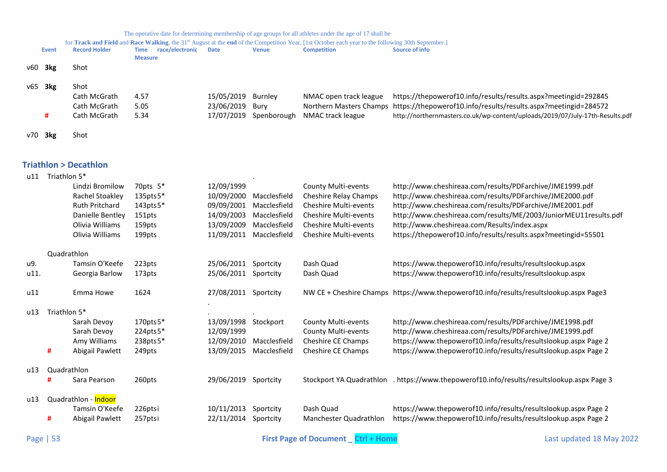|  |  | The operative date for determining membership of age groups for all athletes under the age of 17 shall be |  |
|--|--|-----------------------------------------------------------------------------------------------------------|--|
|  |  |                                                                                                           |  |

|     | for Track and Field and Race Walking, the 31 <sup>st</sup> August at the end of the Competition Year, [1st October each year to the following 30th September.] |                      |                         |                    |                        |                        |                                                                                         |  |
|-----|----------------------------------------------------------------------------------------------------------------------------------------------------------------|----------------------|-------------------------|--------------------|------------------------|------------------------|-----------------------------------------------------------------------------------------|--|
|     | Event                                                                                                                                                          | <b>Record Holder</b> | race/electronic<br>Time | <b>Date</b>        | <b>Venue</b>           | <b>Competition</b>     | Source of info                                                                          |  |
|     |                                                                                                                                                                |                      | <b>Measure</b>          |                    |                        |                        |                                                                                         |  |
| v60 | 3kg                                                                                                                                                            | Shot                 |                         |                    |                        |                        |                                                                                         |  |
|     |                                                                                                                                                                |                      |                         |                    |                        |                        |                                                                                         |  |
| v65 | 3kg                                                                                                                                                            | Shot                 |                         |                    |                        |                        |                                                                                         |  |
|     |                                                                                                                                                                |                      |                         |                    |                        |                        |                                                                                         |  |
|     |                                                                                                                                                                | Cath McGrath         | 4.57                    | 15/05/2019 Burnley |                        | NMAC open track league | https://thepowerof10.info/results/results.aspx?meetingid=292845                         |  |
|     |                                                                                                                                                                | Cath McGrath         | 5.05                    | 23/06/2019 Bury    |                        |                        | Northern Masters Champs https://thepowerof10.info/results/results.aspx?meetingid=284572 |  |
|     |                                                                                                                                                                | Cath McGrath         | 5.34                    |                    | 17/07/2019 Spenborough | NMAC track league      | http://northernmasters.co.uk/wp-content/uploads/2019/07/July-17th-Results.pdf           |  |
|     |                                                                                                                                                                |                      |                         |                    |                        |                        |                                                                                         |  |
| v70 | 3kg                                                                                                                                                            | Shot                 |                         |                    |                        |                        |                                                                                         |  |
|     |                                                                                                                                                                |                      |                         |                    |                        |                        |                                                                                         |  |
|     |                                                                                                                                                                |                      |                         |                    |                        |                        |                                                                                         |  |

# <span id="page-52-0"></span>**Triathlon > Decathlon**

u11 Triathlon 5\* .

|      |              | Lindzi Bromilow       | 70pts 5* | 12/09/1999 |              | <b>County Multi-events</b>   | http://www.cheshireaa.com/results/PDFarchive/JME1999.pdf                               |
|------|--------------|-----------------------|----------|------------|--------------|------------------------------|----------------------------------------------------------------------------------------|
|      |              | Rachel Stoakley       | 135pts5* | 10/09/2000 | Macclesfield | Cheshire Relay Champs        | http://www.cheshireaa.com/results/PDFarchive/JME2000.pdf                               |
|      |              | <b>Ruth Pritchard</b> | 143pts5* | 09/09/2001 | Macclesfield | <b>Cheshire Multi-events</b> | http://www.cheshireaa.com/results/PDFarchive/JME2001.pdf                               |
|      |              | Danielle Bentley      | 151pts   | 14/09/2003 | Macclesfield | <b>Cheshire Multi-events</b> | http://www.cheshireaa.com/results/ME/2003/JuniorMEU11results.pdf                       |
|      |              | Olivia Williams       | 159pts   | 13/09/2009 | Macclesfield | <b>Cheshire Multi-events</b> | http://www.cheshireaa.com/Results/index.aspx                                           |
|      |              | Olivia Williams       | 199pts   | 11/09/2011 | Macclesfield | <b>Cheshire Multi-events</b> | https://thepowerof10.info/results/results.aspx?meetingid=55501                         |
|      | Quadrathlon  |                       |          |            |              |                              |                                                                                        |
| u9.  |              | Tamsin O'Keefe        | 223pts   | 25/06/2011 | Sportcity    | Dash Quad                    | https://www.thepowerof10.info/results/resultslookup.aspx                               |
| u11. |              | Georgia Barlow        | 173pts   | 25/06/2011 | Sportcity    | Dash Quad                    | https://www.thepowerof10.info/results/resultslookup.aspx                               |
| u11  |              | Emma Howe             | 1624     | 27/08/2011 | Sportcity    |                              | NW CE + Cheshire Champs https://www.thepowerof10.info/results/resultslookup.aspx Page3 |
| u13  | Triathlon 5* |                       |          |            |              |                              |                                                                                        |
|      |              | Sarah Devoy           | 170pts5* | 13/09/1998 | Stockport    | County Multi-events          | http://www.cheshireaa.com/results/PDFarchive/JME1998.pdf                               |
|      |              | Sarah Devoy           | 224pts5* | 12/09/1999 |              | <b>County Multi-events</b>   | http://www.cheshireaa.com/results/PDFarchive/JME1999.pdf                               |
|      |              | Amy Williams          | 238pts5* | 12/09/2010 | Macclesfield | Cheshire CE Champs           | https://www.thepowerof10.info/results/resultslookup.aspx Page 2                        |
|      | #            | Abigail Pawlett       | 249pts   | 13/09/2015 | Macclesfield | Cheshire CE Champs           | https://www.thepowerof10.info/results/resultslookup.aspx Page 2                        |
| u13  | Quadrathlon  |                       |          |            |              |                              |                                                                                        |
|      | Ħ            | Sara Pearson          | 260pts   | 29/06/2019 | Sportcity    | Stockport YA Quadrathlon     | . https://www.thepowerof10.info/results/resultslookup.aspx Page 3                      |
| u13  |              | Quadrathlon - Indoor  |          |            |              |                              |                                                                                        |
|      |              | Tamsin O'Keefe        | 226ptsi  | 10/11/2013 | Sportcity    | Dash Quad                    | https://www.thepowerof10.info/results/resultslookup.aspx Page 2                        |
|      | #            | Abigail Pawlett       | 257ptsi  | 22/11/2014 | Sportcity    | Manchester Quadrathlon       | https://www.thepowerof10.info/results/resultslookup.aspx Page 2                        |
|      |              |                       |          |            |              |                              |                                                                                        |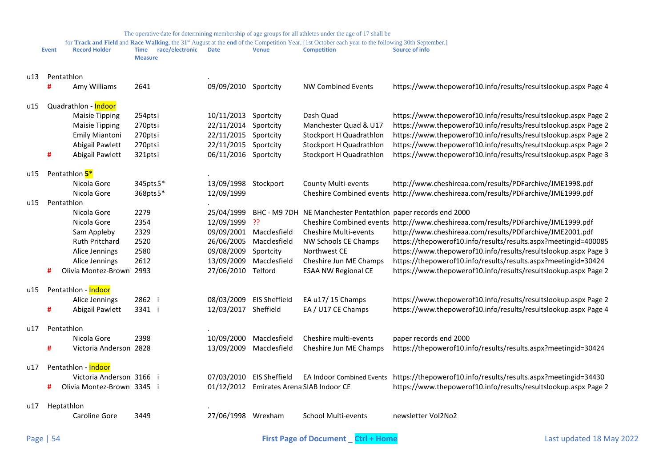| for Track and Field and Race Walking, the 31st August at the end of the Competition Year, [1st October each year to the following 30th September.] |              |                              |                                                  |                          |                      |                                                              |                                                                                          |
|----------------------------------------------------------------------------------------------------------------------------------------------------|--------------|------------------------------|--------------------------------------------------|--------------------------|----------------------|--------------------------------------------------------------|------------------------------------------------------------------------------------------|
|                                                                                                                                                    | <b>Event</b> | <b>Record Holder</b>         | race/electronic<br><b>Time</b><br><b>Measure</b> | <b>Date</b>              | <b>Venue</b>         | <b>Competition</b>                                           | <b>Source of info</b>                                                                    |
| u13                                                                                                                                                |              | Pentathlon                   |                                                  |                          |                      |                                                              |                                                                                          |
|                                                                                                                                                    | #            | Amy Williams                 | 2641                                             | 09/09/2010 Sportcity     |                      | <b>NW Combined Events</b>                                    | https://www.thepowerof10.info/results/resultslookup.aspx Page 4                          |
|                                                                                                                                                    |              |                              |                                                  |                          |                      |                                                              |                                                                                          |
| u15                                                                                                                                                |              | Quadrathlon - Indoor         |                                                  |                          |                      |                                                              |                                                                                          |
|                                                                                                                                                    |              | <b>Maisie Tipping</b>        | 254ptsi                                          | 10/11/2013 Sportcity     |                      | Dash Quad                                                    | https://www.thepowerof10.info/results/resultslookup.aspx Page 2                          |
|                                                                                                                                                    |              | <b>Maisie Tipping</b>        | 270ptsi                                          | 22/11/2014               | Sportcity            | Manchester Quad & U17                                        | https://www.thepowerof10.info/results/resultslookup.aspx Page 2                          |
|                                                                                                                                                    |              | <b>Emily Miantoni</b>        | 270ptsi                                          | 22/11/2015               | Sportcity            | Stockport H Quadrathlon                                      | https://www.thepowerof10.info/results/resultslookup.aspx Page 2                          |
|                                                                                                                                                    |              | Abigail Pawlett              | 270ptsi                                          | 22/11/2015               | Sportcity            | Stockport H Quadrathlon                                      | https://www.thepowerof10.info/results/resultslookup.aspx Page 2                          |
|                                                                                                                                                    | #            | Abigail Pawlett              | 321ptsi                                          | 06/11/2016 Sportcity     |                      | Stockport H Quadrathlon                                      | https://www.thepowerof10.info/results/resultslookup.aspx Page 3                          |
|                                                                                                                                                    |              |                              |                                                  |                          |                      |                                                              |                                                                                          |
| u15                                                                                                                                                |              | Pentathlon 5*<br>Nicola Gore | 345pts5*                                         | 13/09/1998 Stockport     |                      | <b>County Multi-events</b>                                   | http://www.cheshireaa.com/results/PDFarchive/JME1998.pdf                                 |
|                                                                                                                                                    |              | Nicola Gore                  | 368pts5*                                         | 12/09/1999               |                      |                                                              | Cheshire Combined events http://www.cheshireaa.com/results/PDFarchive/JME1999.pdf        |
| u15                                                                                                                                                |              | Pentathlon                   |                                                  |                          |                      |                                                              |                                                                                          |
|                                                                                                                                                    |              | Nicola Gore                  | 2279                                             | 25/04/1999               |                      | BHC - M9 7DH NE Manchester Pentathlon paper records end 2000 |                                                                                          |
|                                                                                                                                                    |              | Nicola Gore                  | 2354                                             | 12/09/1999               | -??                  |                                                              | Cheshire Combined events http://www.cheshireaa.com/results/PDFarchive/JME1999.pdf        |
|                                                                                                                                                    |              | Sam Appleby                  | 2329                                             | 09/09/2001               | Macclesfield         | Cheshire Multi-events                                        | http://www.cheshireaa.com/results/PDFarchive/JME2001.pdf                                 |
|                                                                                                                                                    |              | <b>Ruth Pritchard</b>        | 2520                                             | 26/06/2005               | Macclesfield         | NW Schools CE Champs                                         | https://thepowerof10.info/results/results.aspx?meetingid=400085                          |
|                                                                                                                                                    |              | Alice Jennings               | 2580                                             | 09/08/2009               | Sportcity            | Northwest CE                                                 | https://www.thepowerof10.info/results/resultslookup.aspx Page 3                          |
|                                                                                                                                                    |              | Alice Jennings               | 2612                                             | 13/09/2009               | Macclesfield         | Cheshire Jun ME Champs                                       | https://thepowerof10.info/results/results.aspx?meetingid=30424                           |
|                                                                                                                                                    | #            | Olivia Montez-Brown 2993     |                                                  | 27/06/2010 Telford       |                      | <b>ESAA NW Regional CE</b>                                   | https://www.thepowerof10.info/results/resultslookup.aspx Page 2                          |
|                                                                                                                                                    |              |                              |                                                  |                          |                      |                                                              |                                                                                          |
| u15                                                                                                                                                |              | Pentathlon - Indoor          |                                                  |                          |                      |                                                              |                                                                                          |
|                                                                                                                                                    |              | Alice Jennings               | 2862 i                                           | 08/03/2009               | <b>EIS Sheffield</b> | EA u17/15 Champs                                             | https://www.thepowerof10.info/results/resultslookup.aspx Page 2                          |
|                                                                                                                                                    | #            | Abigail Pawlett              | 3341 i                                           | 12/03/2017 Sheffield     |                      | EA / U17 CE Champs                                           | https://www.thepowerof10.info/results/resultslookup.aspx Page 4                          |
| u17                                                                                                                                                |              | Pentathlon                   |                                                  |                          |                      |                                                              |                                                                                          |
|                                                                                                                                                    |              | Nicola Gore                  | 2398                                             | 10/09/2000               | Macclesfield         | Cheshire multi-events                                        | paper records end 2000                                                                   |
|                                                                                                                                                    | #            | Victoria Anderson 2828       |                                                  | 13/09/2009               | Macclesfield         | Cheshire Jun ME Champs                                       | https://thepowerof10.info/results/results.aspx?meetingid=30424                           |
|                                                                                                                                                    |              |                              |                                                  |                          |                      |                                                              |                                                                                          |
| u17                                                                                                                                                |              | Pentathlon - Indoor          |                                                  |                          |                      |                                                              |                                                                                          |
|                                                                                                                                                    |              | Victoria Anderson 3166 i     |                                                  | 07/03/2010 EIS Sheffield |                      |                                                              | EA Indoor Combined Events https://thepowerof10.info/results/results.aspx?meetingid=34430 |
|                                                                                                                                                    | #            | Olivia Montez-Brown 3345 i   |                                                  |                          |                      | 01/12/2012 Emirates Arena SIAB Indoor CE                     | https://www.thepowerof10.info/results/resultslookup.aspx Page 2                          |
|                                                                                                                                                    |              |                              |                                                  |                          |                      |                                                              |                                                                                          |
| u17                                                                                                                                                |              | Heptathlon                   |                                                  |                          |                      |                                                              |                                                                                          |
|                                                                                                                                                    |              | Caroline Gore                | 3449                                             | 27/06/1998 Wrexham       |                      | <b>School Multi-events</b>                                   | newsletter Vol2No2                                                                       |
|                                                                                                                                                    |              |                              |                                                  |                          |                      |                                                              |                                                                                          |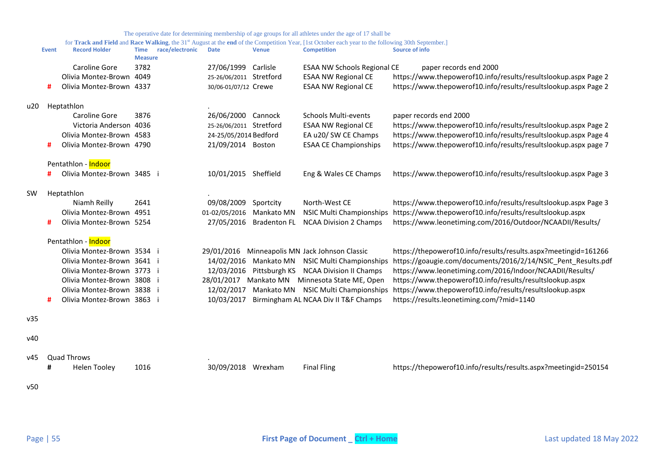|     | <b>Event</b> | <b>Record Holder</b>       | race/electronic<br>Time<br><b>Measure</b> | <b>Date</b>             | <b>Venue</b>        | <b>Competition</b>                             | $mg$ composed<br><b>Source of info</b>                          |
|-----|--------------|----------------------------|-------------------------------------------|-------------------------|---------------------|------------------------------------------------|-----------------------------------------------------------------|
|     |              | Caroline Gore              | 3782                                      | 27/06/1999              | Carlisle            | ESAA NW Schools Regional CE                    | paper records end 2000                                          |
|     |              | Olivia Montez-Brown        | 4049                                      | 25-26/06/2011 Stretford |                     | <b>ESAA NW Regional CE</b>                     | https://www.thepowerof10.info/results/resultslookup.aspx Page 2 |
|     | #            | Olivia Montez-Brown 4337   |                                           | 30/06-01/07/12 Crewe    |                     | <b>ESAA NW Regional CE</b>                     | https://www.thepowerof10.info/results/resultslookup.aspx Page 2 |
| u20 |              | Heptathlon                 |                                           |                         |                     |                                                |                                                                 |
|     |              | Caroline Gore              | 3876                                      | 26/06/2000 Cannock      |                     | <b>Schools Multi-events</b>                    | paper records end 2000                                          |
|     |              | Victoria Anderson 4036     |                                           | 25-26/06/2011 Stretford |                     | <b>ESAA NW Regional CE</b>                     | https://www.thepowerof10.info/results/resultslookup.aspx Page 2 |
|     |              | Olivia Montez-Brown 4583   |                                           | 24-25/05/2014 Bedford   |                     | EA u20/ SW CE Champs                           | https://www.thepowerof10.info/results/resultslookup.aspx Page 4 |
|     | #            | Olivia Montez-Brown 4790   |                                           | 21/09/2014 Boston       |                     | <b>ESAA CE Championships</b>                   | https://www.thepowerof10.info/results/resultslookup.aspx page 7 |
|     |              | Pentathlon - Indoor        |                                           |                         |                     |                                                |                                                                 |
|     | #            | Olivia Montez-Brown 3485 i |                                           | 10/01/2015 Sheffield    |                     | Eng & Wales CE Champs                          | https://www.thepowerof10.info/results/resultslookup.aspx Page 3 |
| SW  |              | Heptathlon                 |                                           |                         |                     |                                                |                                                                 |
|     |              | Niamh Reilly               | 2641                                      | 09/08/2009              | Sportcity           | North-West CE                                  | https://www.thepowerof10.info/results/resultslookup.aspx Page 3 |
|     |              | Olivia Montez-Brown        | 4951                                      | 01-02/05/2016           | Mankato MN          | <b>NSIC Multi Championships</b>                | https://www.thepowerof10.info/results/resultslookup.aspx        |
|     | #            | Olivia Montez-Brown 5254   |                                           | 27/05/2016              | <b>Bradenton FL</b> | <b>NCAA Division 2 Champs</b>                  | https://www.leonetiming.com/2016/Outdoor/NCAADII/Results/       |
|     |              | Pentathlon - Indoor        |                                           |                         |                     |                                                |                                                                 |
|     |              | Olivia Montez-Brown 3534 i |                                           |                         |                     | 29/01/2016 Minneapolis MN Jack Johnson Classic | https://thepowerof10.info/results/results.aspx?meetingid=161266 |
|     |              | Olivia Montez-Brown 3641 i |                                           | 14/02/2016              |                     | Mankato MN NSIC Multi Championships            | https://goaugie.com/documents/2016/2/14/NSIC Pent Results.pdf   |
|     |              | Olivia Montez-Brown 3773 i |                                           | 12/03/2016              |                     | Pittsburgh KS NCAA Division II Champs          | https://www.leonetiming.com/2016/Indoor/NCAADII/Results/        |
|     |              | Olivia Montez-Brown 3808 i |                                           |                         |                     | 28/01/2017 Mankato MN Minnesota State ME, Open | https://www.thepowerof10.info/results/resultslookup.aspx        |
|     |              | Olivia Montez-Brown 3838 i |                                           | 12/02/2017              |                     | Mankato MN NSIC Multi Championships            | https://www.thepowerof10.info/results/resultslookup.aspx        |
|     | #            | Olivia Montez-Brown 3863 i |                                           | 10/03/2017              |                     | Birmingham AL NCAA Div II T&F Champs           | https://results.leonetiming.com/?mid=1140                       |
| v35 |              |                            |                                           |                         |                     |                                                |                                                                 |
| v40 |              |                            |                                           |                         |                     |                                                |                                                                 |
| v45 |              | <b>Quad Throws</b>         |                                           |                         |                     |                                                |                                                                 |
|     | #            | <b>Helen Tooley</b>        | 1016                                      | 30/09/2018 Wrexham      |                     | <b>Final Fling</b>                             | https://thepowerof10.info/results/results.aspx?meetingid=250154 |
| v50 |              |                            |                                           |                         |                     |                                                |                                                                 |
|     |              |                            |                                           |                         |                     |                                                |                                                                 |
|     |              |                            |                                           |                         |                     |                                                |                                                                 |
|     |              |                            |                                           |                         |                     |                                                |                                                                 |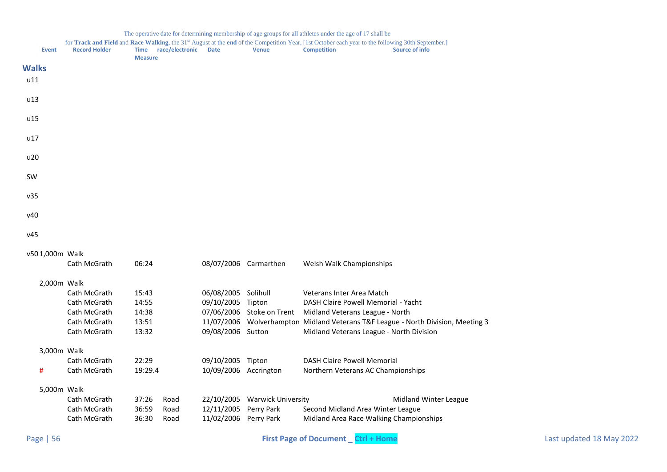<span id="page-55-0"></span>

| <b>Event</b>   | <b>Record Holder</b> | Time race/electronic<br><b>Measure</b> | <b>Date</b>           | <b>Venue</b>                  | for Track and Field and Race Walking, the 31st August at the end of the Competition Year, [1st October each year to the following 30th September.]<br><b>Competition</b> | <b>Source of info</b>                                                 |
|----------------|----------------------|----------------------------------------|-----------------------|-------------------------------|--------------------------------------------------------------------------------------------------------------------------------------------------------------------------|-----------------------------------------------------------------------|
| <b>Walks</b>   |                      |                                        |                       |                               |                                                                                                                                                                          |                                                                       |
| u11            |                      |                                        |                       |                               |                                                                                                                                                                          |                                                                       |
| u13            |                      |                                        |                       |                               |                                                                                                                                                                          |                                                                       |
| u15            |                      |                                        |                       |                               |                                                                                                                                                                          |                                                                       |
| u17            |                      |                                        |                       |                               |                                                                                                                                                                          |                                                                       |
| u20            |                      |                                        |                       |                               |                                                                                                                                                                          |                                                                       |
| <b>SW</b>      |                      |                                        |                       |                               |                                                                                                                                                                          |                                                                       |
| v35            |                      |                                        |                       |                               |                                                                                                                                                                          |                                                                       |
| v40            |                      |                                        |                       |                               |                                                                                                                                                                          |                                                                       |
| v45            |                      |                                        |                       |                               |                                                                                                                                                                          |                                                                       |
| v501,000m Walk |                      |                                        |                       |                               |                                                                                                                                                                          |                                                                       |
|                | Cath McGrath         | 06:24                                  |                       | 08/07/2006 Carmarthen         | Welsh Walk Championships                                                                                                                                                 |                                                                       |
| 2,000m Walk    |                      |                                        |                       |                               |                                                                                                                                                                          |                                                                       |
|                | Cath McGrath         | 15:43                                  | 06/08/2005 Solihull   |                               | Veterans Inter Area Match                                                                                                                                                |                                                                       |
|                | Cath McGrath         | 14:55                                  | 09/10/2005            | Tipton                        | DASH Claire Powell Memorial - Yacht                                                                                                                                      |                                                                       |
|                | Cath McGrath         | 14:38                                  |                       | 07/06/2006 Stoke on Trent     | Midland Veterans League - North                                                                                                                                          |                                                                       |
|                | Cath McGrath         | 13:51                                  | 11/07/2006            |                               |                                                                                                                                                                          | Wolverhampton Midland Veterans T&F League - North Division, Meeting 3 |
|                | Cath McGrath         | 13:32                                  | 09/08/2006 Sutton     |                               | Midland Veterans League - North Division                                                                                                                                 |                                                                       |
| 3,000m Walk    |                      |                                        |                       |                               |                                                                                                                                                                          |                                                                       |
|                | Cath McGrath         | 22:29                                  | 09/10/2005 Tipton     |                               | <b>DASH Claire Powell Memorial</b>                                                                                                                                       |                                                                       |
| #              | Cath McGrath         | 19:29.4                                | 10/09/2006 Accrington |                               | Northern Veterans AC Championships                                                                                                                                       |                                                                       |
| 5,000m Walk    |                      |                                        |                       |                               |                                                                                                                                                                          |                                                                       |
|                | Cath McGrath         | 37:26<br>Road                          |                       | 22/10/2005 Warwick University |                                                                                                                                                                          | Midland Winter League                                                 |
|                | Cath McGrath         | 36:59<br>Road                          | 12/11/2005 Perry Park |                               | Second Midland Area Winter League                                                                                                                                        |                                                                       |

Cath McGrath 36:30 Road 11/02/2006 Perry Park Midland Area Race Walking Championships

#### The operative date for determining membership of age groups for all athletes under the age of 17 shall be